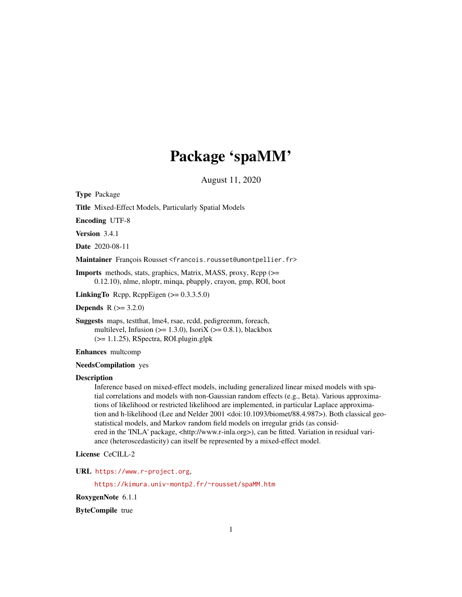# Package 'spaMM'

August 11, 2020

<span id="page-0-0"></span>Type Package

Title Mixed-Effect Models, Particularly Spatial Models

Encoding UTF-8

Version 3.4.1

Date 2020-08-11

Maintainer François Rousset <francois.rousset@umontpellier.fr>

Imports methods, stats, graphics, Matrix, MASS, proxy, Rcpp (>= 0.12.10), nlme, nloptr, minqa, pbapply, crayon, gmp, ROI, boot

**LinkingTo** Rcpp, RcppEigen  $(>= 0.3.3.5.0)$ 

**Depends**  $R (= 3.2.0)$ 

Suggests maps, testthat, lme4, rsae, rcdd, pedigreemm, foreach, multilevel, Infusion ( $>= 1.3.0$ ), IsoriX ( $>= 0.8.1$ ), blackbox (>= 1.1.25), RSpectra, ROI.plugin.glpk

Enhances multcomp

#### NeedsCompilation yes

#### **Description**

Inference based on mixed-effect models, including generalized linear mixed models with spatial correlations and models with non-Gaussian random effects (e.g., Beta). Various approximations of likelihood or restricted likelihood are implemented, in particular Laplace approximation and h-likelihood (Lee and Nelder 2001 <doi:10.1093/biomet/88.4.987>). Both classical geostatistical models, and Markov random field models on irregular grids (as considered in the 'INLA' package, <http://www.r-inla.org>), can be fitted. Variation in residual variance (heteroscedasticity) can itself be represented by a mixed-effect model.

License CeCILL-2

URL <https://www.r-project.org>,

<https://kimura.univ-montp2.fr/~rousset/spaMM.htm>

RoxygenNote 6.1.1

ByteCompile true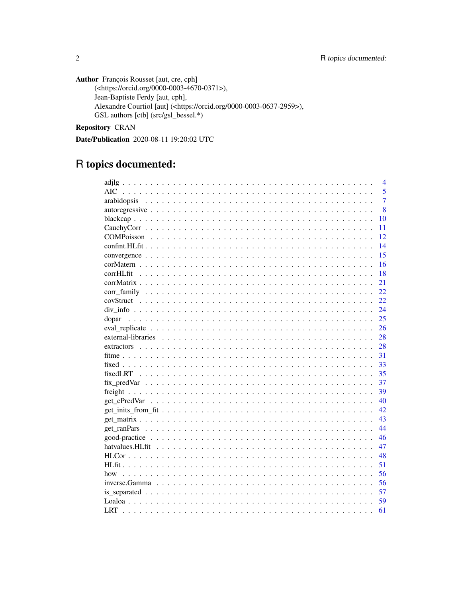**Author** François Rousset [aut, cre, cph] (<https://orcid.org/0000-0003-4670-0371>), Jean-Baptiste Ferdy [aut, cph], Alexandre Courtiol [aut] (<https://orcid.org/0000-0003-0637-2959>), GSL authors [ctb] (src/gsl\_bessel.\*)

Repository CRAN

Date/Publication 2020-08-11 19:20:02 UTC

# R topics documented:

|       | $\overline{4}$ |
|-------|----------------|
|       | 5              |
|       | $\overline{7}$ |
|       | 8              |
|       | 10             |
|       | 11             |
|       | 12             |
|       | 14             |
|       | 15             |
|       | 16             |
|       | 18             |
|       | 21             |
|       | 22             |
|       | 22             |
|       | 24             |
| dopar | 25             |
|       | 26             |
|       | 28             |
|       | 28             |
|       | 31             |
|       | 33             |
|       | 35             |
|       | 37             |
|       | 39             |
|       | 40             |
|       | 42.            |
|       | 43             |
|       | 44             |
|       | 46             |
|       | 47             |
|       | 48             |
|       | 51             |
| how   | 56             |
|       | 56             |
|       | 57             |
|       | 59             |
|       | 61             |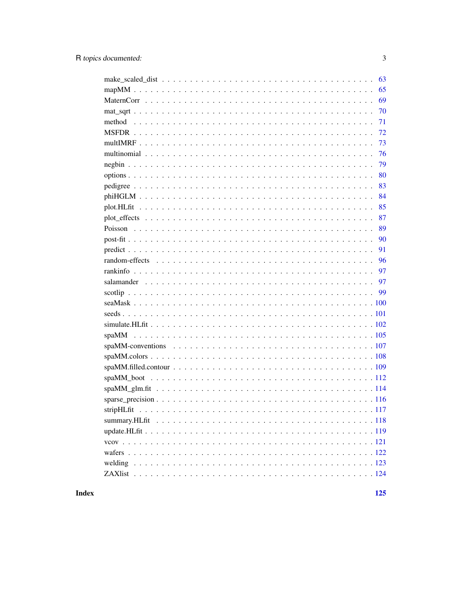| 63 |
|----|
|    |
| 69 |
| 70 |
| 71 |
| 72 |
| 73 |
| 76 |
| 79 |
| 80 |
| 83 |
| 84 |
| 85 |
| 87 |
| 89 |
| 90 |
| 91 |
| 96 |
| 97 |
|    |
|    |
|    |
|    |
|    |
|    |
|    |
|    |
|    |
|    |
|    |
|    |
|    |
|    |
|    |
|    |
|    |
|    |
|    |

**Index**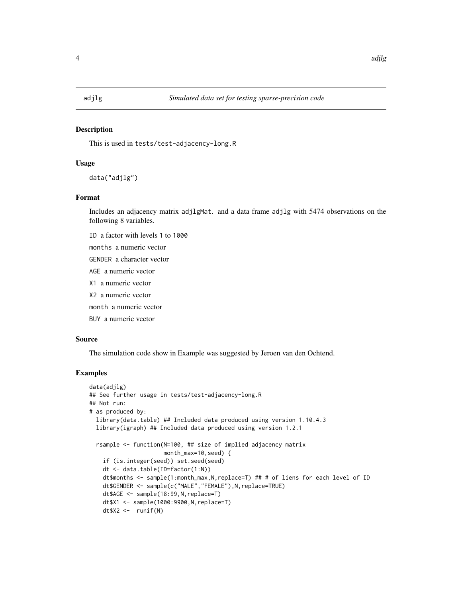<span id="page-3-0"></span>

### **Description**

This is used in tests/test-adjacency-long.R

#### Usage

data("adjlg")

# Format

Includes an adjacency matrix adjlgMat. and a data frame adjlg with 5474 observations on the following 8 variables.

ID a factor with levels 1 to 1000

months a numeric vector

GENDER a character vector

AGE a numeric vector

X1 a numeric vector

X2 a numeric vector

month a numeric vector

BUY a numeric vector

# Source

The simulation code show in Example was suggested by Jeroen van den Ochtend.

```
data(adjlg)
## See further usage in tests/test-adjacency-long.R
## Not run:
# as produced by:
 library(data.table) ## Included data produced using version 1.10.4.3
 library(igraph) ## Included data produced using version 1.2.1
 rsample <- function(N=100, ## size of implied adjacency matrix
                      month_max=10,seed) {
    if (is.integer(seed)) set.seed(seed)
   dt <- data.table(ID=factor(1:N))
   dt$months <- sample(1:month_max, N, replace=T) ## # of liens for each level of ID
   dt$GENDER <- sample(c("MALE","FEMALE"),N,replace=TRUE)
   dt$AGE <- sample(18:99,N,replace=T)
   dt$X1 <- sample(1000:9900,N,replace=T)
   dt$X2 <- runif(N)
```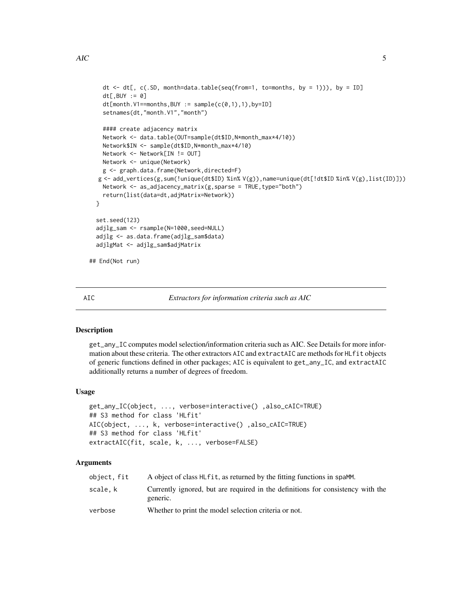```
dt \leq dt[, c(.SD, month=data.table(seq(from=1, to=months, by = 1))), by = ID]
   dt[,BUY := 0]
   dt[month.V1=months,BUY := sample(c(0,1),1),by=ID]setnames(dt,"month.V1","month")
   #### create adjacency matrix
   Network <- data.table(OUT=sample(dt$ID,N*month_max*4/10))
   Network$IN <- sample(dt$ID,N*month_max*4/10)
   Network <- Network[IN != OUT]
   Network <- unique(Network)
   g <- graph.data.frame(Network,directed=F)
  g <- add_vertices(g,sum(!unique(dt$ID) %in% V(g)),name=unique(dt[!dt$ID %in% V(g),list(ID)]))
   Network \leq as_adjacency_matrix(g, sparse = TRUE, type="both")
   return(list(data=dt,adjMatrix=Network))
 }
 set.seed(123)
 adjlg_sam <- rsample(N=1000,seed=NULL)
 adjlg <- as.data.frame(adjlg_sam$data)
 adjlgMat <- adjlg_sam$adjMatrix
## End(Not run)
```
AIC *Extractors for information criteria such as AIC*

#### **Description**

get\_any\_IC computes model selection/information criteria such as AIC. See Details for more information about these criteria. The other extractors AIC and extractAIC are methods for HLfit objects of generic functions defined in other packages; AIC is equivalent to get\_any\_IC, and extractAIC additionally returns a number of degrees of freedom.

#### Usage

```
get_any_IC(object, ..., verbose=interactive() ,also_cAIC=TRUE)
## S3 method for class 'HLfit'
AIC(object, ..., k, verbose=interactive() ,also_cAIC=TRUE)
## S3 method for class 'HLfit'
extractAIC(fit, scale, k, ..., verbose=FALSE)
```

| object, fit | A object of class HL fit, as returned by the fitting functions in spaMM.                    |
|-------------|---------------------------------------------------------------------------------------------|
| scale.k     | Currently ignored, but are required in the definitions for consistency with the<br>generic. |
| verbose     | Whether to print the model selection criteria or not.                                       |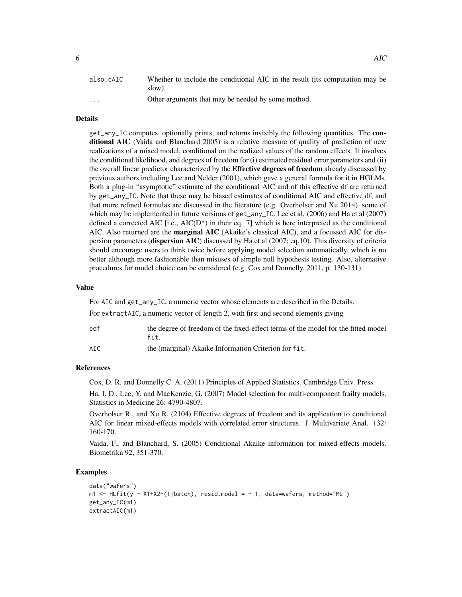| also cAIC               | Whether to include the conditional AIC in the result (its computation may be |
|-------------------------|------------------------------------------------------------------------------|
|                         | slow).                                                                       |
| $\cdot$ $\cdot$ $\cdot$ | Other arguments that may be needed by some method.                           |

# Details

get\_any\_IC computes, optionally prints, and returns invisibly the following quantities. The conditional AIC (Vaida and Blanchard 2005) is a relative measure of quality of prediction of new realizations of a mixed model, conditional on the realized values of the random effects. It involves the conditional likelihood, and degrees of freedom for (i) estimated residual error parameters and (ii) the overall linear predictor characterized by the **Effective degrees of freedom** already discussed by previous authors including Lee and Nelder (2001), which gave a general formula for it in HGLMs. Both a plug-in "asymptotic" estimate of the conditional AIC and of this effective df are returned by get\_any\_IC. Note that these may be biased estimates of conditional AIC and effective df, and that more refined formulas are discussed in the literature (e.g. Overholser and Xu 2014), some of which may be implemented in future versions of get\_any\_IC. Lee et al. (2006) and Ha et al (2007) defined a corrected AIC [i.e.,  $AIC(D*)$  in their eq. 7] which is here interpreted as the conditional AIC. Also returned are the marginal AIC (Akaike's classical AIC), and a focussed AIC for dispersion parameters (dispersion AIC) discussed by Ha et al (2007; eq.10). This diversity of criteria should encourage users to think twice before applying model selection automatically, which is no better although more fashionable than misuses of simple null hypothesis testing. Also, alternative procedures for model choice can be considered (e.g. Cox and Donnelly, 2011, p. 130-131).

#### Value

For AIC and get\_any\_IC, a numeric vector whose elements are described in the Details. For extractAIC, a numeric vector of length 2, with first and second elements giving

| edf | the degree of freedom of the fixed-effect terms of the model for the fitted model<br>fit. |
|-----|-------------------------------------------------------------------------------------------|
| AIC | the (marginal) Akaike Information Criterion for fit.                                      |

#### References

Cox, D. R. and Donnelly C. A. (2011) Principles of Applied Statistics. Cambridge Univ. Press.

Ha, I. D., Lee, Y. and MacKenzie, G. (2007) Model selection for multi-component frailty models. Statistics in Medicine 26: 4790-4807.

Overholser R., and Xu R. (2104) Effective degrees of freedom and its application to conditional AIC for linear mixed-effects models with correlated error structures. J. Multivariate Anal. 132: 160-170.

Vaida, F., and Blanchard, S. (2005) Conditional Akaike information for mixed-effects models. Biometrika 92, 351-370.

```
data("wafers")
m1 \leq H_L Hilfit(y \sim X1+X2+(1|batch), resid.model = \sim 1, data=wafers, method="ML")
get_any_IC(m1)
extractAIC(m1)
```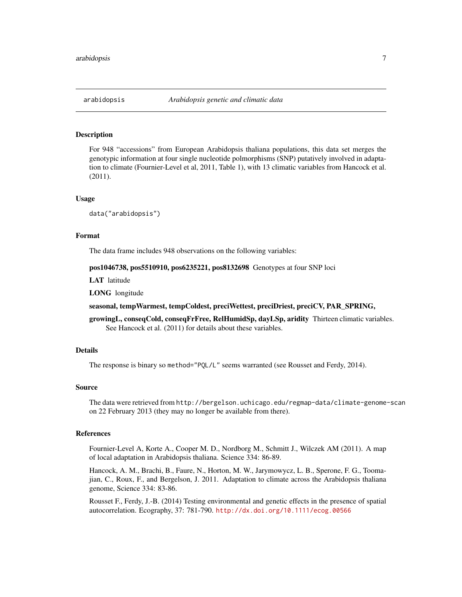<span id="page-6-0"></span>

#### **Description**

For 948 "accessions" from European Arabidopsis thaliana populations, this data set merges the genotypic information at four single nucleotide polmorphisms (SNP) putatively involved in adaptation to climate (Fournier-Level et al, 2011, Table 1), with 13 climatic variables from Hancock et al. (2011).

#### Usage

data("arabidopsis")

#### Format

The data frame includes 948 observations on the following variables:

#### pos1046738, pos5510910, pos6235221, pos8132698 Genotypes at four SNP loci

LAT latitude

LONG longitude

#### seasonal, tempWarmest, tempColdest, preciWettest, preciDriest, preciCV, PAR\_SPRING,

growingL, conseqCold, conseqFrFree, RelHumidSp, dayLSp, aridity Thirteen climatic variables. See Hancock et al. (2011) for details about these variables.

# Details

The response is binary so method="PQL/L" seems warranted (see Rousset and Ferdy, 2014).

#### Source

The data were retrieved from http://bergelson.uchicago.edu/regmap-data/climate-genome-scan on 22 February 2013 (they may no longer be available from there).

#### References

Fournier-Level A, Korte A., Cooper M. D., Nordborg M., Schmitt J., Wilczek AM (2011). A map of local adaptation in Arabidopsis thaliana. Science 334: 86-89.

Hancock, A. M., Brachi, B., Faure, N., Horton, M. W., Jarymowycz, L. B., Sperone, F. G., Toomajian, C., Roux, F., and Bergelson, J. 2011. Adaptation to climate across the Arabidopsis thaliana genome, Science 334: 83-86.

Rousset F., Ferdy, J.-B. (2014) Testing environmental and genetic effects in the presence of spatial autocorrelation. Ecography, 37: 781-790. <http://dx.doi.org/10.1111/ecog.00566>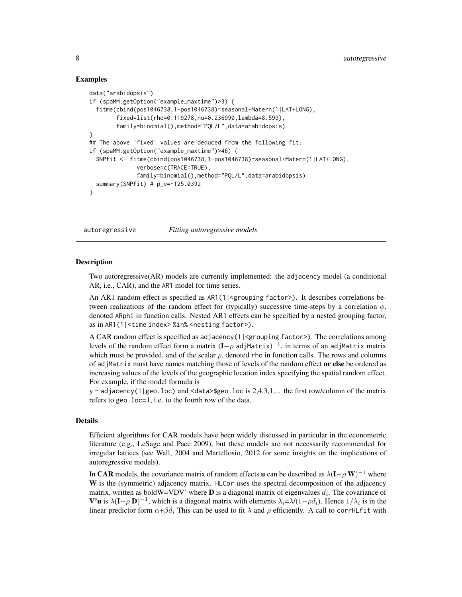### Examples

```
data("arabidopsis")
if (spaMM.getOption("example_maxtime")>3) {
  fitme(cbind(pos1046738,1-pos1046738)~seasonal+Matern(1|LAT+LONG),
        fixed=list(rho=0.119278,nu=0.236990,lambda=8.599),
        family=binomial(),method="PQL/L",data=arabidopsis)
}
## The above 'fixed' values are deduced from the following fit:
if (spaMM.getOption("example_maxtime")>46) {
  SNPfit <- fitme(cbind(pos1046738,1-pos1046738)~seasonal+Matern(1|LAT+LONG),
              verbose=c(TRACE=TRUE),
              family=binomial(),method="PQL/L",data=arabidopsis)
 summary(SNPfit) # p_v=-125.0392
}
```
autoregressive *Fitting autoregressive models*

#### <span id="page-7-1"></span>**Description**

Two autoregressive(AR) models are currently implemented: the adjacency model (a conditional AR, i.e., CAR), and the AR1 model for time series.

An AR1 random effect is specified as AR1(1| <grouping factor>). It describes correlations between realizations of the random effect for (typically) successive time-steps by a correlation  $\phi$ , denoted ARphi in function calls. Nested AR1 effects can be specified by a nested grouping factor, as in AR1(1|<time index> %in% <nesting factor>).

A CAR random effect is specified as adjacency(1|<grouping factor>). The correlations among levels of the random effect form a matrix (I— $\rho$  adjMatrix) $^{-1}$ , in terms of an adjMatrix matrix which must be provided, and of the scalar  $\rho$ , denoted rho in function calls. The rows and columns of adjMatrix must have names matching those of levels of the random effect or else be ordered as increasing values of the levels of the geographic location index specifying the spatial random effect. For example, if the model formula is

 $y \sim$  adjacency(1|geo.loc) and <data>\$geo.loc is 2,4,3,1,... the first row/column of the matrix refers to geo.loc=1, i.e. to the fourth row of the data.

# Details

Efficient algorithms for CAR models have been widely discussed in particular in the econometric literature (e.g., LeSage and Pace 2009), but these models are not necessarily recommended for irregular lattices (see Wall, 2004 and Martellosio, 2012 for some insights on the implications of autoregressive models).

In CAR models, the covariance matrix of random effects **u** can be described as  $\lambda(I-\rho W)^{-1}$  where W is the (symmetric) adjacency matrix. HLCor uses the spectral decomposition of the adjacency matrix, written as boldW=VDV' where **D** is a diagonal matrix of eigenvalues  $d_i$ . The covariance of **V'u** is  $\lambda(I-\rho D)^{-1}$ , which is a diagonal matrix with elements  $\lambda_i = \lambda/(1-\rho d_i)$ . Hence  $1/\lambda_i$  is in the linear predictor form  $\alpha+\beta d_i$ . This can be used to fit  $\lambda$  and  $\rho$  efficiently. A call to corrHLfit with

<span id="page-7-0"></span>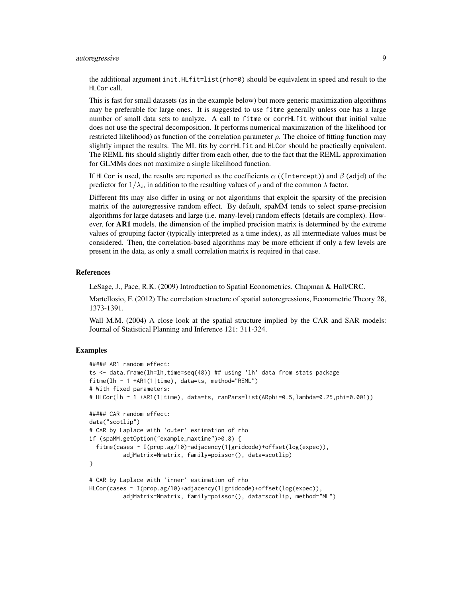# autoregressive 9

the additional argument init.  $HLFit=list(rho=0)$  should be equivalent in speed and result to the HLCor call.

This is fast for small datasets (as in the example below) but more generic maximization algorithms may be preferable for large ones. It is suggested to use fitme generally unless one has a large number of small data sets to analyze. A call to fitme or corrHLfit without that initial value does not use the spectral decomposition. It performs numerical maximization of the likelihood (or restricted likelihood) as function of the correlation parameter  $\rho$ . The choice of fitting function may slightly impact the results. The ML fits by corrHLfit and HLCor should be practically equivalent. The REML fits should slightly differ from each other, due to the fact that the REML approximation for GLMMs does not maximize a single likelihood function.

If HLCor is used, the results are reported as the coefficients  $\alpha$  ((Intercept)) and  $\beta$  (adjd) of the predictor for  $1/\lambda_i$ , in addition to the resulting values of  $\rho$  and of the common  $\lambda$  factor.

Different fits may also differ in using or not algorithms that exploit the sparsity of the precision matrix of the autoregressive random effect. By default, spaMM tends to select sparse-precision algorithms for large datasets and large (i.e. many-level) random effects (details are complex). However, for **AR1** models, the dimension of the implied precision matrix is determined by the extreme values of grouping factor (typically interpreted as a time index), as all intermediate values must be considered. Then, the correlation-based algorithms may be more efficient if only a few levels are present in the data, as only a small correlation matrix is required in that case.

### References

LeSage, J., Pace, R.K. (2009) Introduction to Spatial Econometrics. Chapman & Hall/CRC.

Martellosio, F. (2012) The correlation structure of spatial autoregressions, Econometric Theory 28, 1373-1391.

Wall M.M. (2004) A close look at the spatial structure implied by the CAR and SAR models: Journal of Statistical Planning and Inference 121: 311-324.

```
##### AR1 random effect:
ts <- data.frame(lh=lh,time=seq(48)) ## using 'lh' data from stats package
fitme(lh ~ 1 +AR1(1|time), data=ts, method="REML")
# With fixed parameters:
# HLCor(lh ~ 1 +AR1(1|time), data=ts, ranPars=list(ARphi=0.5,lambda=0.25,phi=0.001))
##### CAR random effect:
data("scotlip")
# CAR by Laplace with 'outer' estimation of rho
if (spaMM.getOption("example_maxtime")>0.8) {
 fitme(cases ~ I(prop.ag/10)+adjacency(1|gridcode)+offset(log(expec)),
          adjMatrix=Nmatrix, family=poisson(), data=scotlip)
}
# CAR by Laplace with 'inner' estimation of rho
HLCor(cases ~ I(prop.ag/10)+adjacency(1|gridcode)+offset(log(expec)),
```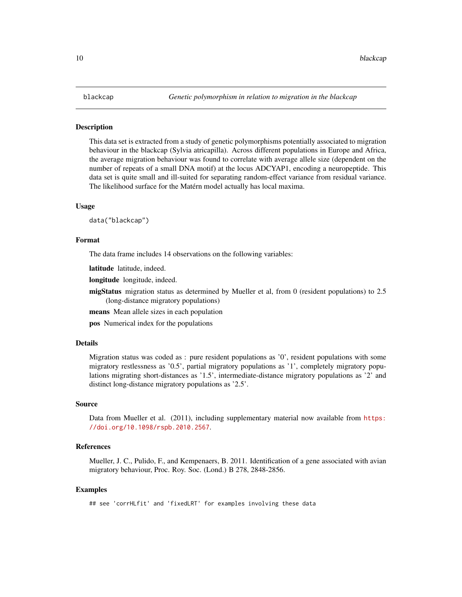#### <span id="page-9-0"></span>**Description**

This data set is extracted from a study of genetic polymorphisms potentially associated to migration behaviour in the blackcap (Sylvia atricapilla). Across different populations in Europe and Africa, the average migration behaviour was found to correlate with average allele size (dependent on the number of repeats of a small DNA motif) at the locus ADCYAP1, encoding a neuropeptide. This data set is quite small and ill-suited for separating random-effect variance from residual variance. The likelihood surface for the Matérn model actually has local maxima.

#### Usage

data("blackcap")

#### Format

The data frame includes 14 observations on the following variables:

latitude latitude, indeed.

longitude longitude, indeed.

migStatus migration status as determined by Mueller et al, from 0 (resident populations) to 2.5 (long-distance migratory populations)

means Mean allele sizes in each population

pos Numerical index for the populations

#### Details

Migration status was coded as : pure resident populations as '0', resident populations with some migratory restlessness as '0.5', partial migratory populations as '1', completely migratory populations migrating short-distances as '1.5', intermediate-distance migratory populations as '2' and distinct long-distance migratory populations as '2.5'.

#### Source

Data from Mueller et al. (2011), including supplementary material now available from [https:](https://doi.org/10.1098/rspb.2010.2567) [//doi.org/10.1098/rspb.2010.2567](https://doi.org/10.1098/rspb.2010.2567).

#### References

Mueller, J. C., Pulido, F., and Kempenaers, B. 2011. Identification of a gene associated with avian migratory behaviour, Proc. Roy. Soc. (Lond.) B 278, 2848-2856.

```
## see 'corrHLfit' and 'fixedLRT' for examples involving these data
```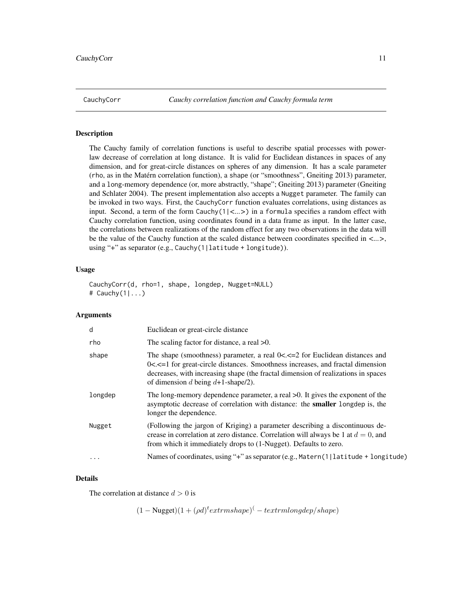<span id="page-10-0"></span>

# <span id="page-10-1"></span>Description

The Cauchy family of correlation functions is useful to describe spatial processes with powerlaw decrease of correlation at long distance. It is valid for Euclidean distances in spaces of any dimension, and for great-circle distances on spheres of any dimension. It has a scale parameter (rho, as in the Matérn correlation function), a shape (or "smoothness", Gneiting 2013) parameter, and a long-memory dependence (or, more abstractly, "shape"; Gneiting 2013) parameter (Gneiting and Schlater 2004). The present implementation also accepts a Nugget parameter. The family can be invoked in two ways. First, the CauchyCorr function evaluates correlations, using distances as input. Second, a term of the form Cauchy(1|*<...>*) in a formula specifies a random effect with Cauchy correlation function, using coordinates found in a data frame as input. In the latter case, the correlations between realizations of the random effect for any two observations in the data will be the value of the Cauchy function at the scaled distance between coordinates specified in *<...>*, using "+" as separator (e.g., Cauchy(1|latitude + longitude)).

#### Usage

CauchyCorr(d, rho=1, shape, longdep, Nugget=NULL) # Cauchy $(1|...)$ 

#### Arguments

| d       | Euclidean or great-circle distance                                                                                                                                                                                                                                                                 |
|---------|----------------------------------------------------------------------------------------------------------------------------------------------------------------------------------------------------------------------------------------------------------------------------------------------------|
| rho     | The scaling factor for distance, a real $>0$ .                                                                                                                                                                                                                                                     |
| shape   | The shape (smoothness) parameter, a real $0 < \le 2$ for Euclidean distances and<br>$0 < -1$ for great-circle distances. Smoothness increases, and fractal dimension<br>decreases, with increasing shape (the fractal dimension of realizations in spaces<br>of dimension d being $d+1$ -shape/2). |
| longdep | The long-memory dependence parameter, a real $>0$ . It gives the exponent of the<br>asymptotic decrease of correlation with distance: the smaller longdep is, the<br>longer the dependence.                                                                                                        |
| Nugget  | (Following the jargon of Kriging) a parameter describing a discontinuous de-<br>crease in correlation at zero distance. Correlation will always be 1 at $d = 0$ , and<br>from which it immediately drops to (1-Nugget). Defaults to zero.                                                          |
|         | Names of coordinates, using "+" as separator (e.g., Matern(1 latitude + longitude)                                                                                                                                                                                                                 |
|         |                                                                                                                                                                                                                                                                                                    |

#### Details

The correlation at distance  $d > 0$  is

 $(1 - \text{Nugget})(1 + (\rho d)^t extrm shape) (-textrm along dep/shape)$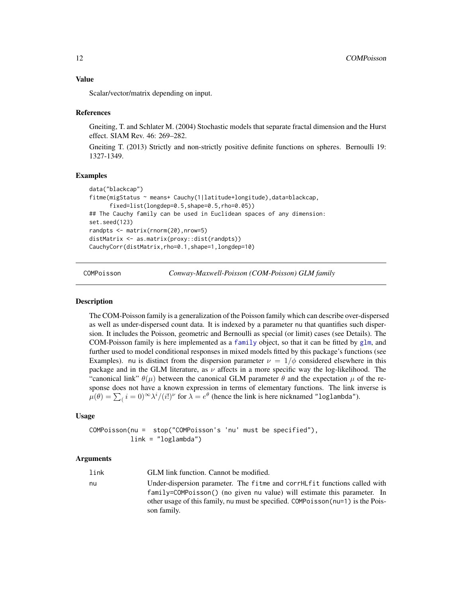<span id="page-11-0"></span>Scalar/vector/matrix depending on input.

#### References

Gneiting, T. and Schlater M. (2004) Stochastic models that separate fractal dimension and the Hurst effect. SIAM Rev. 46: 269–282.

Gneiting T. (2013) Strictly and non-strictly positive definite functions on spheres. Bernoulli 19: 1327-1349.

#### Examples

```
data("blackcap")
fitme(migStatus ~ means+ Cauchy(1|latitude+longitude),data=blackcap,
     fixed=list(longdep=0.5,shape=0.5,rho=0.05))
## The Cauchy family can be used in Euclidean spaces of any dimension:
set.seed(123)
randpts <- matrix(rnorm(20),nrow=5)
distMatrix <- as.matrix(proxy::dist(randpts))
CauchyCorr(distMatrix,rho=0.1,shape=1,longdep=10)
```
COMPoisson *Conway-Maxwell-Poisson (COM-Poisson) GLM family*

#### Description

The COM-Poisson family is a generalization of the Poisson family which can describe over-dispersed as well as under-dispersed count data. It is indexed by a parameter nu that quantifies such dispersion. It includes the Poisson, geometric and Bernoulli as special (or limit) cases (see Details). The COM-Poisson [family](#page-27-1) is here implemented as a family object, so that it can be fitted by  $g1m$ , and further used to model conditional responses in mixed models fitted by this package's functions (see Examples). nu is distinct from the dispersion parameter  $\nu = 1/\phi$  considered elsewhere in this package and in the GLM literature, as  $\nu$  affects in a more specific way the log-likelihood. The "canonical link"  $\theta(\mu)$  between the canonical GLM parameter  $\theta$  and the expectation  $\mu$  of the response does not have a known expression in terms of elementary functions. The link inverse is  $\mu(\theta) = \sum_i i = 0)^\infty \lambda^i / (i!)^\nu$  for  $\lambda = e^\theta$  (hence the link is here nicknamed "loglambda").

### Usage

COMPoisson(nu = stop("COMPoisson's 'nu' must be specified"), link = "loglambda")

| link | GLM link function. Cannot be modified.                                                                                                                   |
|------|----------------------------------------------------------------------------------------------------------------------------------------------------------|
| nu   | Under-dispersion parameter. The fitme and corrHLfit functions called with<br>$family$ =COMPoisson() (no given nu value) will estimate this parameter. In |
|      | other usage of this family, nu must be specified. COMPoisson (nu=1) is the Pois-<br>son family.                                                          |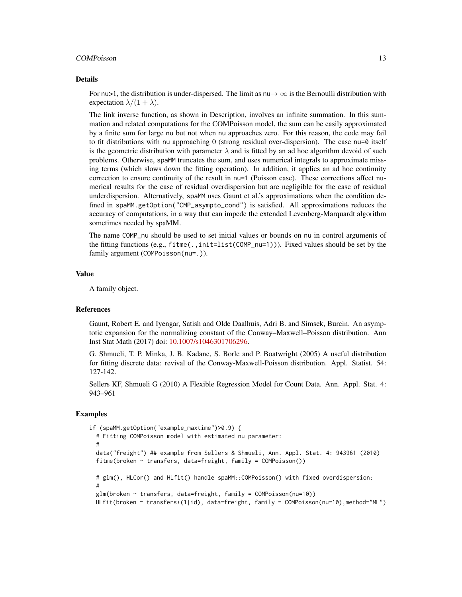#### COMPoisson 13

#### Details

For nu>1, the distribution is under-dispersed. The limit as  $nu \rightarrow \infty$  is the Bernoulli distribution with expectation  $\lambda/(1 + \lambda)$ .

The link inverse function, as shown in Description, involves an infinite summation. In this summation and related computations for the COMPoisson model, the sum can be easily approximated by a finite sum for large nu but not when nu approaches zero. For this reason, the code may fail to fit distributions with nu approaching  $0$  (strong residual over-dispersion). The case nu= $0$  itself is the geometric distribution with parameter  $\lambda$  and is fitted by an ad hoc algorithm devoid of such problems. Otherwise, spaMM truncates the sum, and uses numerical integrals to approximate missing terms (which slows down the fitting operation). In addition, it applies an ad hoc continuity correction to ensure continuity of the result in nu=1 (Poisson case). These corrections affect numerical results for the case of residual overdispersion but are negligible for the case of residual underdispersion. Alternatively, spaMM uses Gaunt et al.'s approximations when the condition defined in spaMM.getOption("CMP\_asympto\_cond") is satisfied. All approximations reduces the accuracy of computations, in a way that can impede the extended Levenberg-Marquardt algorithm sometimes needed by spaMM.

The name COMP\_nu should be used to set initial values or bounds on nu in control arguments of the fitting functions (e.g., fitme(.,init=list(COMP\_nu=1))). Fixed values should be set by the family argument (COMPoisson(nu=.)).

#### Value

A family object.

#### References

Gaunt, Robert E. and Iyengar, Satish and Olde Daalhuis, Adri B. and Simsek, Burcin. An asymptotic expansion for the normalizing constant of the Conway–Maxwell–Poisson distribution. Ann Inst Stat Math (2017) doi: [10.1007/s1046301706296.](https://doi.org/10.1007/s10463-017-0629-6)

G. Shmueli, T. P. Minka, J. B. Kadane, S. Borle and P. Boatwright (2005) A useful distribution for fitting discrete data: revival of the Conway-Maxwell-Poisson distribution. Appl. Statist. 54: 127-142.

Sellers KF, Shmueli G (2010) A Flexible Regression Model for Count Data. Ann. Appl. Stat. 4: 943–961

```
if (spaMM.getOption("example_maxtime")>0.9) {
 # Fitting COMPoisson model with estimated nu parameter:
  #
 data("freight") ## example from Sellers & Shmueli, Ann. Appl. Stat. 4: 943961 (2010)
 fitme(broken ~ transfers, data=freight, family = COMPoisson())
 # glm(), HLCor() and HLfit() handle spaMM::COMPoisson() with fixed overdispersion:
  #
 glm(broken ~ transfers, data=freight, family = COMPoisson(nu=10))
 HLfit(broken ~ transfers+(1|id), data=freight, family = COMPoisson(nu=10),method="ML")
```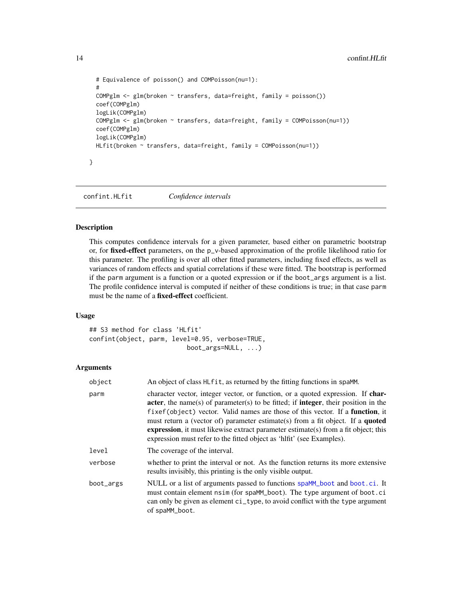```
# Equivalence of poisson() and COMPoisson(nu=1):
#
COMPglm <- glm(broken ~ transfers, data=freight, family = poisson())
coef(COMPglm)
logLik(COMPglm)
COMPglm <- glm(broken ~ transfers, data=freight, family = COMPoisson(nu=1))
coef(COMPglm)
logLik(COMPglm)
HLfit(broken ~ transfers, data=freight, family = COMPoisson(nu=1))
```
confint.HLfit *Confidence intervals*

# Description

}

This computes confidence intervals for a given parameter, based either on parametric bootstrap or, for fixed-effect parameters, on the p\_v-based approximation of the profile likelihood ratio for this parameter. The profiling is over all other fitted parameters, including fixed effects, as well as variances of random effects and spatial correlations if these were fitted. The bootstrap is performed if the parm argument is a function or a quoted expression or if the boot\_args argument is a list. The profile confidence interval is computed if neither of these conditions is true; in that case parm must be the name of a fixed-effect coefficient.

#### Usage

## S3 method for class 'HLfit' confint(object, parm, level=0.95, verbose=TRUE, boot\_args=NULL, ...)

| object    | An object of class HL fit, as returned by the fitting functions in spaMM.                                                                                                                                                                                                                                                                                                                                                                                                                                                              |
|-----------|----------------------------------------------------------------------------------------------------------------------------------------------------------------------------------------------------------------------------------------------------------------------------------------------------------------------------------------------------------------------------------------------------------------------------------------------------------------------------------------------------------------------------------------|
| parm      | character vector, integer vector, or function, or a quoted expression. If char-<br>acter, the name(s) of parameter(s) to be fitted; if <b>integer</b> , their position in the<br>fixef(object) vector. Valid names are those of this vector. If a <b>function</b> , it<br>must return a (vector of) parameter estimate(s) from a fit object. If a <b>quoted</b><br><b>expression</b> , it must likewise extract parameter estimate(s) from a fit object; this<br>expression must refer to the fitted object as 'hlfit' (see Examples). |
| level     | The coverage of the interval.                                                                                                                                                                                                                                                                                                                                                                                                                                                                                                          |
| verbose   | whether to print the interval or not. As the function returns its more extensive<br>results invisibly, this printing is the only visible output.                                                                                                                                                                                                                                                                                                                                                                                       |
| boot_args | NULL or a list of arguments passed to functions spaMM_boot and boot.ci. It<br>must contain element nsim (for spaMM_boot). The type argument of boot.ci<br>can only be given as element ci_type, to avoid conflict with the type argument<br>of spaMM_boot.                                                                                                                                                                                                                                                                             |

<span id="page-13-0"></span>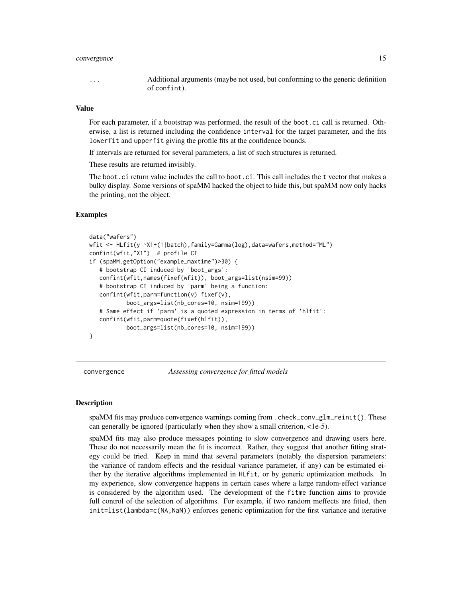#### <span id="page-14-0"></span>convergence 15

... Additional arguments (maybe not used, but conforming to the generic definition of confint).

# Value

For each parameter, if a bootstrap was performed, the result of the boot.ci call is returned. Otherwise, a list is returned including the confidence interval for the target parameter, and the fits lowerfit and upperfit giving the profile fits at the confidence bounds.

If intervals are returned for several parameters, a list of such structures is returned.

These results are returned invisibly.

The boot.ci return value includes the call to boot.ci. This call includes the t vector that makes a bulky display. Some versions of spaMM hacked the object to hide this, but spaMM now only hacks the printing, not the object.

#### Examples

```
data("wafers")
wfit <- HLfit(y ~X1+(1|batch),family=Gamma(log),data=wafers,method="ML")
confint(wfit,"X1") # profile CI
if (spaMM.getOption("example_maxtime")>30) {
   # bootstrap CI induced by 'boot_args':
   confint(wfit,names(fixef(wfit)), boot_args=list(nsim=99))
   # bootstrap CI induced by 'parm' being a function:
   confint(wfit,parm=function(v) fixef(v),
           boot_args=list(nb_cores=10, nsim=199))
   # Same effect if 'parm' is a quoted expression in terms of 'hlfit':
   confint(wfit,parm=quote(fixef(hlfit)),
          boot_args=list(nb_cores=10, nsim=199))
}
```
convergence *Assessing convergence for fitted models*

# **Description**

spaMM fits may produce convergence warnings coming from .check\_conv\_glm\_reinit(). These can generally be ignored (particularly when they show a small criterion, <1e-5).

spaMM fits may also produce messages pointing to slow convergence and drawing users here. These do not necessarily mean the fit is incorrect. Rather, they suggest that another fitting strategy could be tried. Keep in mind that several parameters (notably the dispersion parameters: the variance of random effects and the residual variance parameter, if any) can be estimated either by the iterative algorithms implemented in HLfit, or by generic optimization methods. In my experience, slow convergence happens in certain cases where a large random-effect variance is considered by the algorithm used. The development of the fitme function aims to provide full control of the selection of algorithms. For example, if two random meffects are fitted, then init=list(lambda=c(NA,NaN)) enforces generic optimization for the first variance and iterative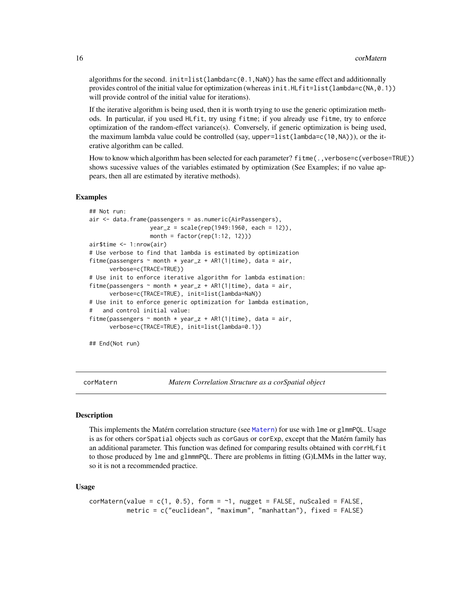<span id="page-15-0"></span>algorithms for the second.  $init = list(lambda = c(0.1, \text{NaN}))$  has the same effect and additionnally provides control of the initial value for optimization (whereas init.HLfit=list(lambda=c(NA,0.1)) will provide control of the initial value for iterations).

If the iterative algorithm is being used, then it is worth trying to use the generic optimization methods. In particular, if you used HLfit, try using fitme; if you already use fitme, try to enforce optimization of the random-effect variance(s). Conversely, if generic optimization is being used, the maximum lambda value could be controlled (say, upper=list(lambda=c(10,NA))), or the iterative algorithm can be called.

How to know which algorithm has been selected for each parameter? fitme(., verbose=c(verbose=TRUE)) shows sucessive values of the variables estimated by optimization (See Examples; if no value appears, then all are estimated by iterative methods).

#### Examples

```
## Not run:
air <- data.frame(passengers = as.numeric(AirPassengers),
                  year_z = scale(rep(1949:1960, each = 12)),
                  month = factor(rep(1:12, 12)))air$time <- 1:nrow(air)
# Use verbose to find that lambda is estimated by optimization
fitme(passengers \sim month * year_z + AR1(1|time), data = air,
      verbose=c(TRACE=TRUE))
# Use init to enforce iterative algorithm for lambda estimation:
fitme(passengers \sim month * year_z + AR1(1|time), data = air,
      verbose=c(TRACE=TRUE), init=list(lambda=NaN))
# Use init to enforce generic optimization for lambda estimation,
   and control initial value:
fitme(passengers \sim month * year_z + AR1(1|time), data = air,
     verbose=c(TRACE=TRUE), init=list(lambda=0.1))
```

```
## End(Not run)
```
corMatern *Matern Correlation Structure as a corSpatial object*

#### **Description**

This implements the Matérn correlation structure (see [Matern](#page-68-1)) for use with lme or glmmPQL. Usage is as for others corSpatial objects such as corGaus or corExp, except that the Matérn family has an additional parameter. This function was defined for comparing results obtained with corrHLfit to those produced by lme and glmmmPQL. There are problems in fitting (G)LMMs in the latter way, so it is not a recommended practice.

#### Usage

```
corMatern(value = c(1, 0.5), form = \sim 1, nugget = FALSE, nuScaled = FALSE,
          metric = c("euclidean", "maximum", "manhattan"), fixed = FALSE)
```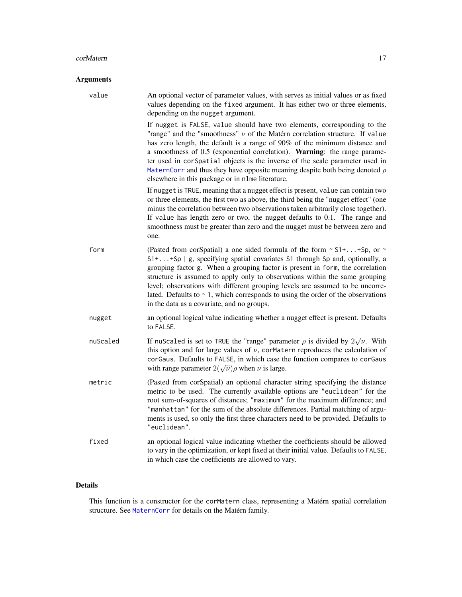#### corMatern 17

# Arguments

| value    | An optional vector of parameter values, with serves as initial values or as fixed<br>values depending on the fixed argument. It has either two or three elements,<br>depending on the nugget argument.                                                                                                                                                                                                                                                                                                                                                  |
|----------|---------------------------------------------------------------------------------------------------------------------------------------------------------------------------------------------------------------------------------------------------------------------------------------------------------------------------------------------------------------------------------------------------------------------------------------------------------------------------------------------------------------------------------------------------------|
|          | If nugget is FALSE, value should have two elements, corresponding to the<br>"range" and the "smoothness" $\nu$ of the Matérn correlation structure. If value<br>has zero length, the default is a range of 90% of the minimum distance and<br>a smoothness of 0.5 (exponential correlation). Warning: the range parame-<br>ter used in corspatial objects is the inverse of the scale parameter used in<br>MaternCorr and thus they have opposite meaning despite both being denoted $\rho$<br>elsewhere in this package or in n1me literature.         |
|          | If nugget is TRUE, meaning that a nugget effect is present, value can contain two<br>or three elements, the first two as above, the third being the "nugget effect" (one<br>minus the correlation between two observations taken arbitrarily close together).<br>If value has length zero or two, the nugget defaults to 0.1. The range and<br>smoothness must be greater than zero and the nugget must be between zero and<br>one.                                                                                                                     |
| form     | (Pasted from corSpatial) a one sided formula of the form $\sim$ S1++Sp, or $\sim$<br>S1++Sp   g, specifying spatial covariates S1 through Sp and, optionally, a<br>grouping factor g. When a grouping factor is present in form, the correlation<br>structure is assumed to apply only to observations within the same grouping<br>level; observations with different grouping levels are assumed to be uncorre-<br>lated. Defaults to $\sim$ 1, which corresponds to using the order of the observations<br>in the data as a covariate, and no groups. |
| nugget   | an optional logical value indicating whether a nugget effect is present. Defaults<br>to FALSE.                                                                                                                                                                                                                                                                                                                                                                                                                                                          |
| nuScaled | If nuScaled is set to TRUE the "range" parameter $\rho$ is divided by $2\sqrt{\nu}$ . With<br>this option and for large values of $\nu$ , corMatern reproduces the calculation of<br>corGaus. Defaults to FALSE, in which case the function compares to corGaus<br>with range parameter $2(\sqrt{\nu})\rho$ when $\nu$ is large.                                                                                                                                                                                                                        |
| metric   | (Pasted from corSpatial) an optional character string specifying the distance<br>metric to be used. The currently available options are "euclidean" for the<br>root sum-of-squares of distances; "maximum" for the maximum difference; and<br>"manhattan" for the sum of the absolute differences. Partial matching of argu-<br>ments is used, so only the first three characters need to be provided. Defaults to<br>"euclidean".                                                                                                                      |
| fixed    | an optional logical value indicating whether the coefficients should be allowed<br>to vary in the optimization, or kept fixed at their initial value. Defaults to FALSE,<br>in which case the coefficients are allowed to vary.                                                                                                                                                                                                                                                                                                                         |

# Details

This function is a constructor for the corMatern class, representing a Matérn spatial correlation structure. See [MaternCorr](#page-68-2) for details on the Matérn family.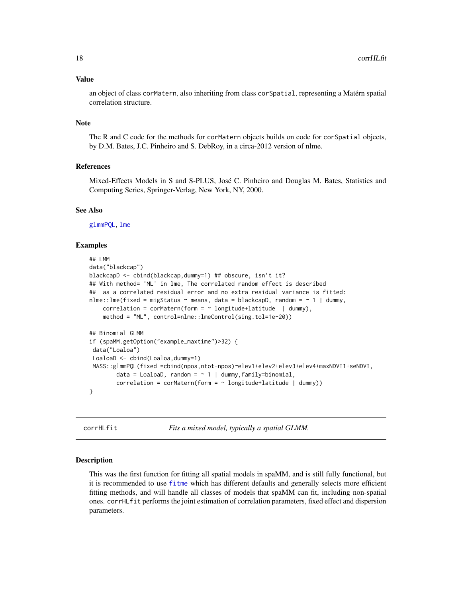#### <span id="page-17-0"></span>Value

an object of class corMatern, also inheriting from class corSpatial, representing a Matérn spatial correlation structure.

#### Note

The R and C code for the methods for corMatern objects builds on code for corSpatial objects, by D.M. Bates, J.C. Pinheiro and S. DebRoy, in a circa-2012 version of nlme.

# References

Mixed-Effects Models in S and S-PLUS, José C. Pinheiro and Douglas M. Bates, Statistics and Computing Series, Springer-Verlag, New York, NY, 2000.

#### See Also

[glmmPQL](#page-0-0), [lme](#page-0-0)

#### Examples

```
## LMM
data("blackcap")
blackcapD <- cbind(blackcap,dummy=1) ## obscure, isn't it?
## With method= 'ML' in lme, The correlated random effect is described
## as a correlated residual error and no extra residual variance is fitted:
nlme::lme(fixed = migStatus \sim means, data = blackcapD, random = \sim 1 | dummy,
   correlation = corMatern(form = \sim longitude+latitude | dummy),
   method = "ML", control=nlme::lmeControl(sing.tol=1e-20))
## Binomial GLMM
if (spaMM.getOption("example_maxtime")>32) {
data("Loaloa")
LoaloaD <- cbind(Loaloa,dummy=1)
MASS::glmmPQL(fixed =cbind(npos,ntot-npos)~elev1+elev2+elev3+elev4+maxNDVI1+seNDVI,
        data = LoaloaD, random = \sim 1 | dummy, family=binomial,
        correlation = corMatern(form = \sim longitude+latitude | dummy))
}
```
corrHLfit *Fits a mixed model, typically a spatial GLMM.*

#### Description

This was the first function for fitting all spatial models in spaMM, and is still fully functional, but it is recommended to use [fitme](#page-30-1) which has different defaults and generally selects more efficient fitting methods, and will handle all classes of models that spaMM can fit, including non-spatial ones. corrHLfit performs the joint estimation of correlation parameters, fixed effect and dispersion parameters.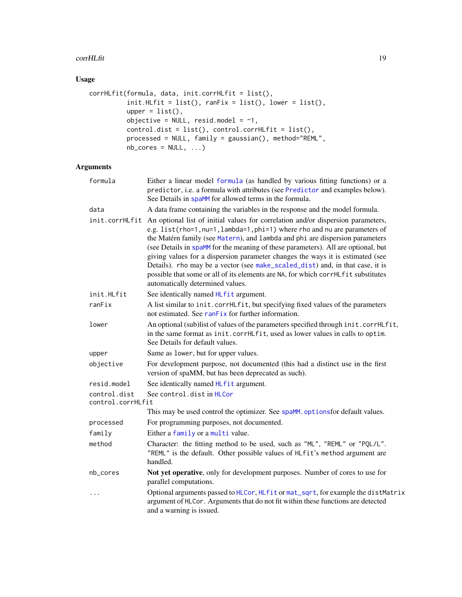#### corrHLfit 19

# Usage

```
corrHLfit(formula, data, init.corrHLfit = list(),
          init.HLfit = list(), rankix = list(), lower = list(),upper = list(),objective = NULL, resid.model = \sim1,
          control.dist = list(), control.corrHLfit = list(),
          processed = NULL, family = gaussian(), method="REML",
          nb\_cores = NULL, ...)
```

| formula                           | Either a linear model formula (as handled by various fitting functions) or a<br>predictor, i.e. a formula with attributes (see Predictor and examples below).<br>See Details in spaMM for allowed terms in the formula.                                                                                                                                                                                                                                                                                                                                                                                                         |
|-----------------------------------|---------------------------------------------------------------------------------------------------------------------------------------------------------------------------------------------------------------------------------------------------------------------------------------------------------------------------------------------------------------------------------------------------------------------------------------------------------------------------------------------------------------------------------------------------------------------------------------------------------------------------------|
| data                              | A data frame containing the variables in the response and the model formula.                                                                                                                                                                                                                                                                                                                                                                                                                                                                                                                                                    |
| init.corrHLfit                    | An optional list of initial values for correlation and/or dispersion parameters,<br>e.g. list(rho=1, nu=1, lambda=1, phi=1) where rho and nu are parameters of<br>the Matérn family (see Matern), and lambda and phi are dispersion parameters<br>(see Details in spaMM for the meaning of these parameters). All are optional, but<br>giving values for a dispersion parameter changes the ways it is estimated (see<br>Details). rho may be a vector (see make_scaled_dist) and, in that case, it is<br>possible that some or all of its elements are NA, for which corrHLfit substitutes<br>automatically determined values. |
| init.HLfit                        | See identically named HLfit argument.                                                                                                                                                                                                                                                                                                                                                                                                                                                                                                                                                                                           |
| ranFix                            | A list similar to init.corrHLfit, but specifying fixed values of the parameters<br>not estimated. See ranFix for further information.                                                                                                                                                                                                                                                                                                                                                                                                                                                                                           |
| lower                             | An optional (sub)list of values of the parameters specified through init.corrHLfit,<br>in the same format as init.corrHLfit, used as lower values in calls to optim.<br>See Details for default values.                                                                                                                                                                                                                                                                                                                                                                                                                         |
| upper                             | Same as lower, but for upper values.                                                                                                                                                                                                                                                                                                                                                                                                                                                                                                                                                                                            |
| objective                         | For development purpose, not documented (this had a distinct use in the first<br>version of spaMM, but has been deprecated as such).                                                                                                                                                                                                                                                                                                                                                                                                                                                                                            |
| resid.model                       | See identically named HLfit argument.                                                                                                                                                                                                                                                                                                                                                                                                                                                                                                                                                                                           |
| control.dist<br>control.corrHLfit | See control.dist in HLCor                                                                                                                                                                                                                                                                                                                                                                                                                                                                                                                                                                                                       |
|                                   | This may be used control the optimizer. See spaMM. options for default values.                                                                                                                                                                                                                                                                                                                                                                                                                                                                                                                                                  |
| processed                         | For programming purposes, not documented.                                                                                                                                                                                                                                                                                                                                                                                                                                                                                                                                                                                       |
| family                            | Either a family or a multi value.                                                                                                                                                                                                                                                                                                                                                                                                                                                                                                                                                                                               |
| method                            | Character: the fitting method to be used, such as "ML", "REML" or "PQL/L".<br>"REML" is the default. Other possible values of HLfit's method argument are<br>handled.                                                                                                                                                                                                                                                                                                                                                                                                                                                           |
| nb_cores                          | Not yet operative, only for development purposes. Number of cores to use for<br>parallel computations.                                                                                                                                                                                                                                                                                                                                                                                                                                                                                                                          |
| $\cdots$                          | Optional arguments passed to HLCor, HLfit or mat_sqrt, for example the distMatrix<br>argument of HLCor. Arguments that do not fit within these functions are detected<br>and a warning is issued.                                                                                                                                                                                                                                                                                                                                                                                                                               |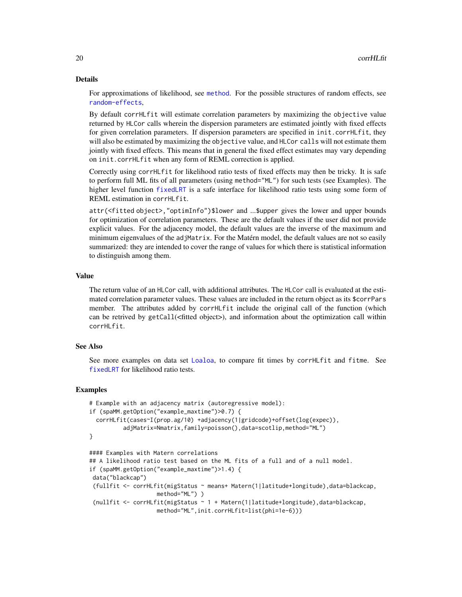#### Details

For approximations of likelihood, see [method](#page-70-1). For the possible structures of random effects, see [random-effects](#page-95-1),

By default corrHLfit will estimate correlation parameters by maximizing the objective value returned by HLCor calls wherein the dispersion parameters are estimated jointly with fixed effects for given correlation parameters. If dispersion parameters are specified in init.corrHLfit, they will also be estimated by maximizing the objective value, and HLCor calls will not estimate them jointly with fixed effects. This means that in general the fixed effect estimates may vary depending on init.corrHLfit when any form of REML correction is applied.

Correctly using corrHLfit for likelihood ratio tests of fixed effects may then be tricky. It is safe to perform full ML fits of all parameters (using method="ML") for such tests (see Examples). The higher level function [fixedLRT](#page-34-1) is a safe interface for likelihood ratio tests using some form of REML estimation in corrHLfit.

attr(<fitted object>,"optimInfo")\$lower and ...\$upper gives the lower and upper bounds for optimization of correlation parameters. These are the default values if the user did not provide explicit values. For the adjacency model, the default values are the inverse of the maximum and minimum eigenvalues of the adjMatrix. For the Matérn model, the default values are not so easily summarized: they are intended to cover the range of values for which there is statistical information to distinguish among them.

#### Value

The return value of an HLCor call, with additional attributes. The HLCor call is evaluated at the estimated correlation parameter values. These values are included in the return object as its \$corrPars member. The attributes added by corrHLfit include the original call of the function (which can be retrived by getCall(<fitted object>), and information about the optimization call within corrHLfit.

#### See Also

See more examples on data set [Loaloa](#page-58-1), to compare fit times by corrHLfit and fitme. See [fixedLRT](#page-34-1) for likelihood ratio tests.

```
# Example with an adjacency matrix (autoregressive model):
if (spaMM.getOption("example_maxtime")>0.7) {
 corrHLfit(cases~I(prop.ag/10) +adjacency(1|gridcode)+offset(log(expec)),
         adjMatrix=Nmatrix,family=poisson(),data=scotlip,method="ML")
}
#### Examples with Matern correlations
## A likelihood ratio test based on the ML fits of a full and of a null model.
if (spaMM.getOption("example_maxtime")>1.4) {
data("blackcap")
(fullfit <- corrHLfit(migStatus ~ means+ Matern(1|latitude+longitude),data=blackcap,
                   method="ML") )
 (nullfit <- corrHLfit(migStatus ~ 1 + Matern(1|latitude+longitude),data=blackcap,
                   method="ML",init.corrHLfit=list(phi=1e-6)))
```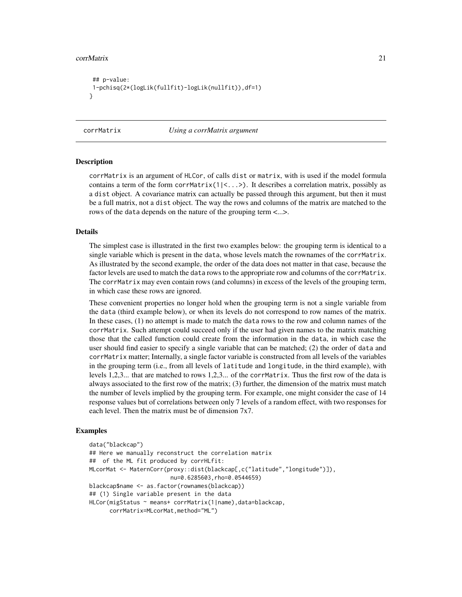#### <span id="page-20-0"></span>corrMatrix 21

```
## p-value:
1-pchisq(2*(logLik(fullfit)-logLik(nullfit)),df=1)
}
```
corrMatrix *Using a corrMatrix argument*

#### Description

corrMatrix is an argument of HLCor, of calls dist or matrix, with is used if the model formula contains a term of the form corrMatrix( $1\leq$ ...>). It describes a correlation matrix, possibly as a dist object. A covariance matrix can actually be passed through this argument, but then it must be a full matrix, not a dist object. The way the rows and columns of the matrix are matched to the rows of the data depends on the nature of the grouping term <...>.

## Details

The simplest case is illustrated in the first two examples below: the grouping term is identical to a single variable which is present in the data, whose levels match the rownames of the corrMatrix. As illustrated by the second example, the order of the data does not matter in that case, because the factor levels are used to match the data rows to the appropriate row and columns of the corrMatrix. The corrMatrix may even contain rows (and columns) in excess of the levels of the grouping term, in which case these rows are ignored.

These convenient properties no longer hold when the grouping term is not a single variable from the data (third example below), or when its levels do not correspond to row names of the matrix. In these cases, (1) no attempt is made to match the data rows to the row and column names of the corrMatrix. Such attempt could succeed only if the user had given names to the matrix matching those that the called function could create from the information in the data, in which case the user should find easier to specify a single variable that can be matched; (2) the order of data and corrMatrix matter; Internally, a single factor variable is constructed from all levels of the variables in the grouping term (i.e., from all levels of latitude and longitude, in the third example), with levels 1,2,3... that are matched to rows 1,2,3... of the corrMatrix. Thus the first row of the data is always associated to the first row of the matrix; (3) further, the dimension of the matrix must match the number of levels implied by the grouping term. For example, one might consider the case of 14 response values but of correlations between only 7 levels of a random effect, with two responses for each level. Then the matrix must be of dimension 7x7.

```
data("blackcap")
## Here we manually reconstruct the correlation matrix
## of the ML fit produced by corrHLfit:
MLcorMat <- MaternCorr(proxy::dist(blackcap[,c("latitude","longitude")]),
                        nu=0.6285603,rho=0.0544659)
blackcap$name <- as.factor(rownames(blackcap))
## (1) Single variable present in the data
HLCor(migStatus ~ means+ corrMatrix(1|name),data=blackcap,
     corrMatrix=MLcorMat,method="ML")
```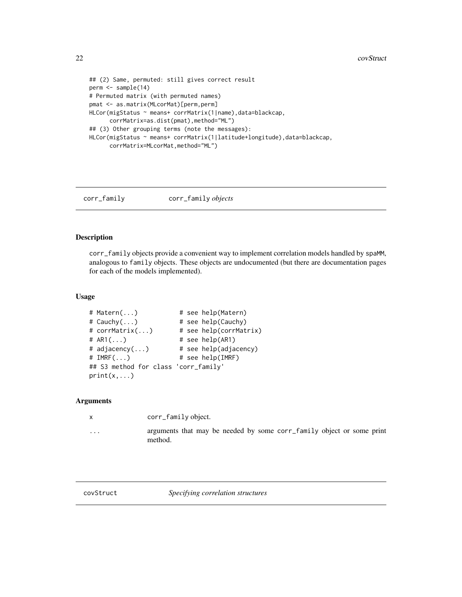```
## (2) Same, permuted: still gives correct result
perm <- sample(14)
# Permuted matrix (with permuted names)
pmat <- as.matrix(MLcorMat)[perm,perm]
HLCor(migStatus ~ means+ corrMatrix(1|name),data=blackcap,
      corrMatrix=as.dist(pmat),method="ML")
## (3) Other grouping terms (note the messages):
HLCor(migStatus ~ means+ corrMatrix(1|latitude+longitude),data=blackcap,
      corrMatrix=MLcorMat,method="ML")
```
# corr\_family corr\_family *objects*

# Description

corr\_family objects provide a convenient way to implement correlation models handled by spaMM, analogous to family objects. These objects are undocumented (but there are documentation pages for each of the models implemented).

#### Usage

```
# Matern(...) # see help(Matern)
# Cauchy(...) # see help(Cauchy)
# corrMatrix(...) # see help(corrMatrix)
# AR1(...) # see help(AR1)
# adjacency(...) # see help(adjacency)
#IMRF(...) # see help(IMRF)## S3 method for class 'corr_family'
print(x, \ldots)
```
#### Arguments

|         | corr_family object.                                                              |
|---------|----------------------------------------------------------------------------------|
| $\cdot$ | arguments that may be needed by some corr_family object or some print<br>method. |

<span id="page-21-1"></span>

covStruct *Specifying correlation structures*

<span id="page-21-0"></span>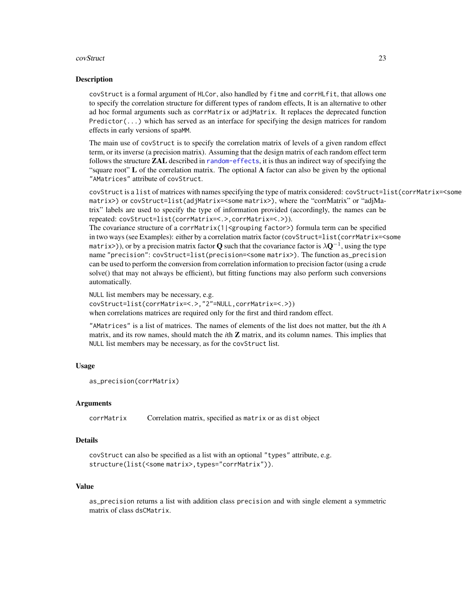#### covStruct 23

#### Description

covStruct is a formal argument of HLCor, also handled by fitme and corrHLfit, that allows one to specify the correlation structure for different types of random effects, It is an alternative to other ad hoc formal arguments such as corrMatrix or adjMatrix. It replaces the deprecated function Predictor( $\ldots$ ) which has served as an interface for specifying the design matrices for random effects in early versions of spaMM.

The main use of covStruct is to specify the correlation matrix of levels of a given random effect term, or its inverse (a precision matrix). Assuming that the design matrix of each random effect term follows the structure **ZAL** described in [random-effects](#page-95-1), it is thus an indirect way of specifying the "square root" L of the correlation matrix. The optional A factor can also be given by the optional "AMatrices" attribute of covStruct.

covStruct is a list of matrices with names specifying the type of matrix considered: covStruct=list(corrMatrix=<some matrix>) or covStruct=list(adjMatrix=<some matrix>), where the "corrMatrix" or "adjMatrix" labels are used to specify the type of information provided (accordingly, the names can be repeated: covStruct=list(corrMatrix=<.>,corrMatrix=<.>)).

The covariance structure of a corrMatrix(1|<grouping factor>) formula term can be specified in two ways (see Examples): either by a correlation matrix factor (covStruct=list(corrMatrix=<some matrix>)), or by a precision matrix factor  ${\bf Q}$  such that the covariance factor is  $\lambda {\bf Q}^{-1}$ , using the type name "precision": covStruct=list(precision=<some matrix>). The function as\_precision can be used to perform the conversion from correlation information to precision factor (using a crude solve() that may not always be efficient), but fitting functions may also perform such conversions automatically.

NULL list members may be necessary, e.g. covStruct=list(corrMatrix=<.>,"2"=NULL,corrMatrix=<.>)) when correlations matrices are required only for the first and third random effect.

"AMatrices" is a list of matrices. The names of elements of the list does not matter, but the *i*th A matrix, and its row names, should match the *i*th Z matrix, and its column names. This implies that NULL list members may be necessary, as for the covStruct list.

#### Usage

```
as_precision(corrMatrix)
```
#### Arguments

corrMatrix Correlation matrix, specified as matrix or as dist object

#### Details

```
covStruct can also be specified as a list with an optional "types" attribute, e.g.
structure(list(<some matrix>,types="corrMatrix")).
```
#### Value

as\_precision returns a list with addition class precision and with single element a symmetric matrix of class dsCMatrix.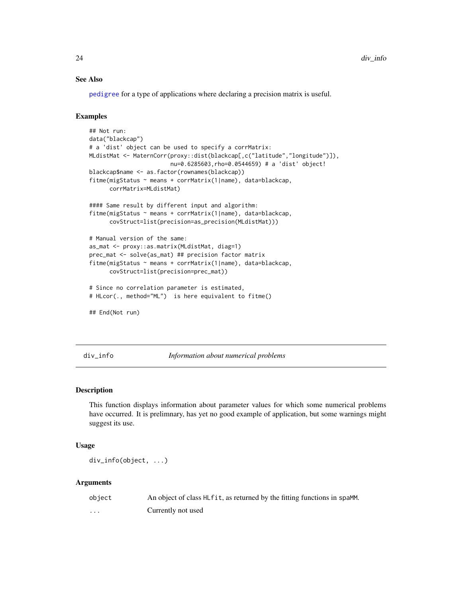### See Also

[pedigree](#page-82-1) for a type of applications where declaring a precision matrix is useful.

# Examples

```
## Not run:
data("blackcap")
# a 'dist' object can be used to specify a corrMatrix:
MLdistMat <- MaternCorr(proxy::dist(blackcap[,c("latitude","longitude")]),
                        nu=0.6285603,rho=0.0544659) # a 'dist' object!
blackcap$name <- as.factor(rownames(blackcap))
fitme(migStatus ~ means + corrMatrix(1|name), data=blackcap,
      corrMatrix=MLdistMat)
#### Same result by different input and algorithm:
fitme(migStatus ~ means + corrMatrix(1|name), data=blackcap,
      covStruct=list(precision=as_precision(MLdistMat)))
# Manual version of the same:
as_mat <- proxy::as.matrix(MLdistMat, diag=1)
prec_mat <- solve(as_mat) ## precision factor matrix
fitme(migStatus ~ means + corrMatrix(1|name), data=blackcap,
      covStruct=list(precision=prec_mat))
# Since no correlation parameter is estimated,
# HLcor(., method="ML") is here equivalent to fitme()
## End(Not run)
```
div\_info *Information about numerical problems*

## Description

This function displays information about parameter values for which some numerical problems have occurred. It is prelimnary, has yet no good example of application, but some warnings might suggest its use.

### Usage

div\_info(object, ...)

| object               | An object of class HL fit, as returned by the fitting functions in spaMM. |
|----------------------|---------------------------------------------------------------------------|
| $\ddot{\phantom{0}}$ | Currently not used                                                        |

<span id="page-23-0"></span>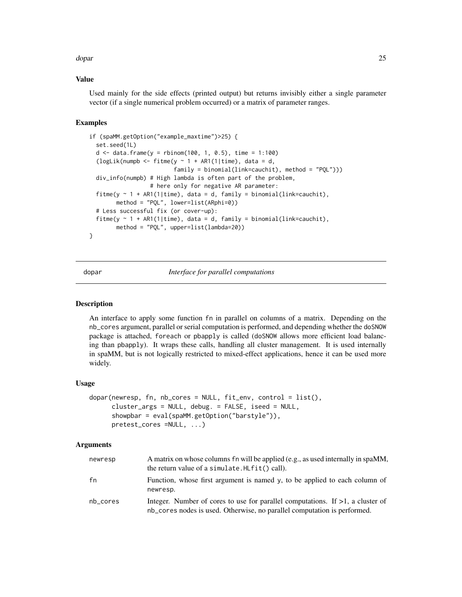<span id="page-24-0"></span>dopar 25 and 25 and 26 and 26 and 26 and 26 and 26 and 26 and 26 and 26 and 26 and 26 and 26 and 26 and 26 and

#### Value

Used mainly for the side effects (printed output) but returns invisibly either a single parameter vector (if a single numerical problem occurred) or a matrix of parameter ranges.

### Examples

```
if (spaMM.getOption("example_maxtime")>25) {
 set.seed(1L)
 d \le - data.frame(y = rbinom(100, 1, 0.5), time = 1:100)
  (logLik(numpb <- fitme(y \sim 1 + AR1(1|time), data = d,
                         family = binomial(link=cauchit), method = "PQL")))
 div_info(numpb) # High lambda is often part of the problem,
                  # here only for negative AR parameter:
 fitme(y \sim 1 + AR1(1|time), data = d, family = binomial(link=cauchit),
        method = "PQL", lower=list(ARphi=0))
 # Less successful fix (or cover-up):
 fitme(y \sim 1 + AR1(1|time), data = d, family = binomial(link=cauchit),
        method = "PQL", upper=list(lambda=20))
}
```
dopar *Interface for parallel computations*

#### Description

An interface to apply some function fn in parallel on columns of a matrix. Depending on the nb\_cores argument, parallel or serial computation is performed, and depending whether the doSNOW package is attached, foreach or pbapply is called (doSNOW allows more efficient load balancing than pbapply). It wraps these calls, handling all cluster management. It is used internally in spaMM, but is not logically restricted to mixed-effect applications, hence it can be used more widely.

#### Usage

```
dopar(newresp, fn, nb_cores = NULL, fit_env, control = list(),
     cluster_args = NULL, debug. = FALSE, iseed = NULL,
     showpbar = eval(spaMM.getOption("barstyle")),
     pretest_cores =NULL, ...)
```

| newresp  | A matrix on whose columns fn will be applied (e.g., as used internally in spaMM,<br>the return value of a simulate. HLfit() call).                            |
|----------|---------------------------------------------------------------------------------------------------------------------------------------------------------------|
| fn       | Function, whose first argument is named y, to be applied to each column of<br>newresp.                                                                        |
| nb cores | Integer. Number of cores to use for parallel computations. If $>1$ , a cluster of<br>nb_cores nodes is used. Otherwise, no parallel computation is performed. |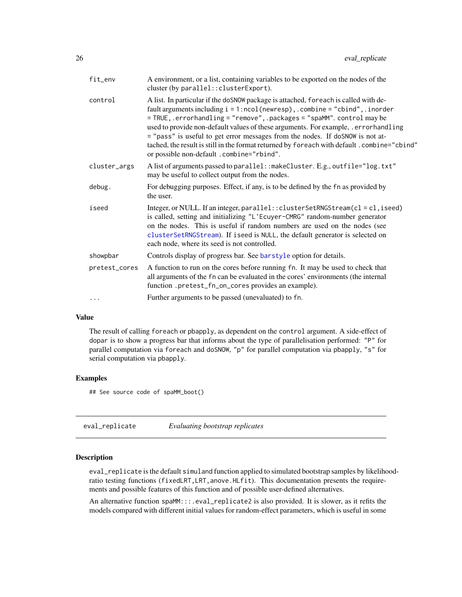<span id="page-25-0"></span>

| fit_env       | A environment, or a list, containing variables to be exported on the nodes of the<br>cluster (by parallel:: clusterExport).                                                                                                                                                                                                                                                                                                                                                                                                                                        |
|---------------|--------------------------------------------------------------------------------------------------------------------------------------------------------------------------------------------------------------------------------------------------------------------------------------------------------------------------------------------------------------------------------------------------------------------------------------------------------------------------------------------------------------------------------------------------------------------|
| control       | A list. In particular if the doSNOW package is attached, for each is called with de-<br>fault arguments including $i = 1$ : ncol(newresp), .combine = "cbind", .inorder<br>= TRUE, .errorhandling = "remove", .packages = "spaMM". control may be<br>used to provide non-default values of these arguments. For example, errorhandling<br>= "pass" is useful to get error messages from the nodes. If doSNOW is not at-<br>tached, the result is still in the format returned by foreach with default.combine="cbind"<br>or possible non-default .combine="rbind". |
| cluster_args  | A list of arguments passed to parallel: : makeCluster. E.g., outfile="log.txt"<br>may be useful to collect output from the nodes.                                                                                                                                                                                                                                                                                                                                                                                                                                  |
| debug.        | For debugging purposes. Effect, if any, is to be defined by the fn as provided by<br>the user.                                                                                                                                                                                                                                                                                                                                                                                                                                                                     |
| iseed         | Integer, or NULL. If an integer, $parallel$ : $clusterSetRNGStream(cl = cl, iseed)$<br>is called, setting and initializing "L'Ecuyer-CMRG" random-number generator<br>on the nodes. This is useful if random numbers are used on the nodes (see<br>clusterSetRNGStream). If iseed is NULL, the default generator is selected on<br>each node, where its seed is not controlled.                                                                                                                                                                                    |
| showpbar      | Controls display of progress bar. See barstyle option for details.                                                                                                                                                                                                                                                                                                                                                                                                                                                                                                 |
| pretest_cores | A function to run on the cores before running fn. It may be used to check that<br>all arguments of the fn can be evaluated in the cores' environments (the internal<br>function .pretest_fn_on_cores provides an example).                                                                                                                                                                                                                                                                                                                                         |
| $\cdots$      | Further arguments to be passed (unevaluated) to fn.                                                                                                                                                                                                                                                                                                                                                                                                                                                                                                                |

# Value

The result of calling foreach or pbapply, as dependent on the control argument. A side-effect of dopar is to show a progress bar that informs about the type of parallelisation performed: "P" for parallel computation via foreach and doSNOW, "p" for parallel computation via pbapply, "s" for serial computation via pbapply.

#### Examples

## See source code of spaMM\_boot()

| eval_replicate | Evaluating bootstrap replicates |  |
|----------------|---------------------------------|--|
|----------------|---------------------------------|--|

#### Description

eval\_replicate is the default simuland function applied to simulated bootstrap samples by likelihoodratio testing functions (fixedLRT, LRT, anove. HLfit). This documentation presents the requirements and possible features of this function and of possible user-defined alternatives.

An alternative function spaMM:::.eval\_replicate2 is also provided. It is slower, as it refits the models compared with different initial values for random-effect parameters, which is useful in some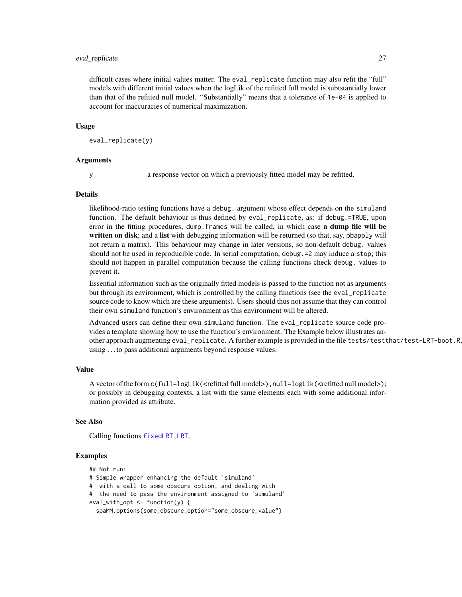#### eval\_replicate 27

difficult cases where initial values matter. The eval\_replicate function may also refit the "full" models with different initial values when the logLik of the refitted full model is subtstantially lower than that of the refitted null model. "Substantially" means that a tolerance of 1e-04 is applied to account for inaccuracies of numerical maximization.

#### Usage

```
eval_replicate(y)
```
#### Arguments

y a response vector on which a previously fitted model may be refitted.

#### Details

likelihood-ratio testing functions have a debug. argument whose effect depends on the simuland function. The default behaviour is thus defined by eval\_replicate, as: if debug.=TRUE, upon error in the fitting procedures, dump. frames will be called, in which case **a dump file will be** written on disk; and a list with debugging information will be returned (so that, say, pbapply will not return a matrix). This behaviour may change in later versions, so non-default debug. values should not be used in reproducible code. In serial computation, debug.=2 may induce a stop; this should not happen in parallel computation because the calling functions check debug. values to prevent it.

Essential information such as the originally fitted models is passed to the function not as arguments but through its environment, which is controlled by the calling functions (see the eval\_replicate source code to know which are these arguments). Users should thus not assume that they can control their own simuland function's environment as this environment will be altered.

Advanced users can define their own simuland function. The eval\_replicate source code provides a template showing how to use the function's environment. The Example below illustrates another approach augmenting eval\_replicate. A further example is provided in the file tests/testthat/test-LRT-boot.R, using . . . to pass additional arguments beyond response values.

#### Value

A vector of the form c(full=logLik(<refitted full model>),  $null = logList$ (<refitted null model>); or possibly in debugging contexts, a list with the same elements each with some additional information provided as attribute.

#### See Also

Calling functions [fixedLRT,](#page-34-1)[LRT](#page-60-1).

```
## Not run:
# Simple wrapper enhancing the default 'simuland'
# with a call to some obscure option, and dealing with
# the need to pass the environment assigned to 'simuland'
eval_with_opt <- function(y) {
 spaMM.options(some_obscure_option="some_obscure_value")
```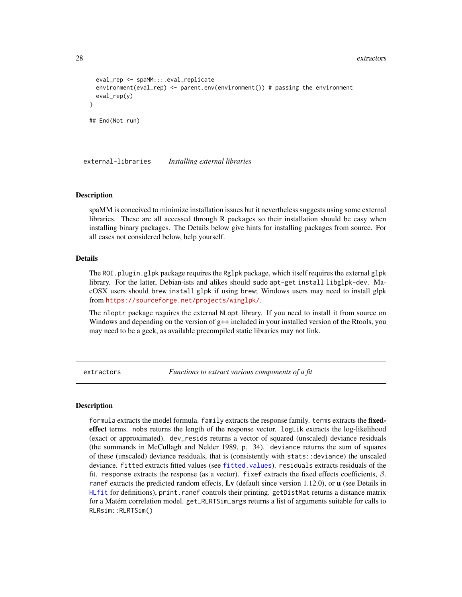```
eval_rep <- spaMM:::.eval_replicate
 environment(eval_rep) <- parent.env(environment()) # passing the environment
 eval_rep(y)
}
## End(Not run)
```
external-libraries *Installing external libraries*

#### Description

spaMM is conceived to minimize installation issues but it nevertheless suggests using some external libraries. These are all accessed through R packages so their installation should be easy when installing binary packages. The Details below give hints for installing packages from source. For all cases not considered below, help yourself.

#### Details

The ROI.plugin.glpk package requires the Rglpk package, which itself requires the external glpk library. For the latter, Debian-ists and alikes should sudo apt-get install libglpk-dev. MacOSX users should brew install glpk if using brew; Windows users may need to install glpk from <https://sourceforge.net/projects/winglpk/>.

The nloptr package requires the external NLopt library. If you need to install it from source on Windows and depending on the version of  $g++$  included in your installed version of the Rtools, you may need to be a geek, as available precompiled static libraries may not link.

extractors *Functions to extract various components of a fit*

#### <span id="page-27-1"></span>Description

formula extracts the model formula. family extracts the response family. terms extracts the fixedeffect terms. nobs returns the length of the response vector. logLik extracts the log-likelihood (exact or approximated). dev\_resids returns a vector of squared (unscaled) deviance residuals (the summands in McCullagh and Nelder 1989, p. 34). deviance returns the sum of squares of these (unscaled) deviance residuals, that is (consistently with stats::deviance) the unscaled deviance. fitted extracts fitted values (see [fitted.values](#page-0-0)). residuals extracts residuals of the fit. response extracts the response (as a vector). fixef extracts the fixed effects coefficients,  $\beta$ . ranef extracts the predicted random effects, Ly (default since version 1.12.0), or  $\bf{u}$  (see Details in [HLfit](#page-50-1) for definitions), print.ranef controls their printing. getDistMat returns a distance matrix for a Matérn correlation model. get\_RLRTSim\_args returns a list of arguments suitable for calls to RLRsim::RLRTSim()

<span id="page-27-0"></span>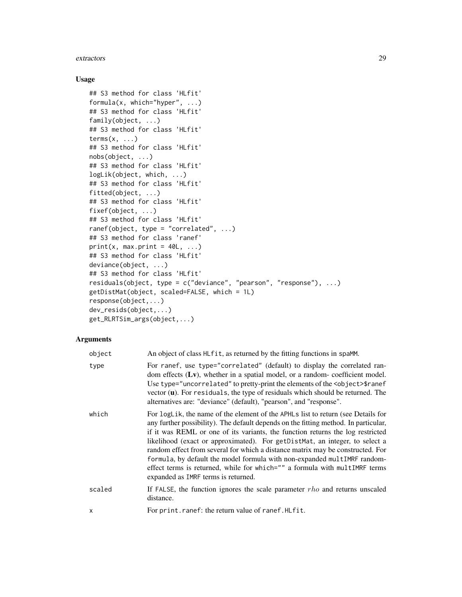#### extractors 29

#### Usage

```
## S3 method for class 'HLfit'
formula(x, which="hyper", ...)
## S3 method for class 'HLfit'
family(object, ...)
## S3 method for class 'HLfit'
terms(x, \ldots)## S3 method for class 'HLfit'
nobs(object, ...)
## S3 method for class 'HLfit'
logLik(object, which, ...)
## S3 method for class 'HLfit'
fitted(object, ...)
## S3 method for class 'HLfit'
fixef(object, ...)
## S3 method for class 'HLfit'
ranef(object, type = "correlated", ...)
## S3 method for class 'ranef'
print(x, max.print = 40L, ...)## S3 method for class 'HLfit'
deviance(object, ...)
## S3 method for class 'HLfit'
residuals(object, type = c("deviance", "pearson", "response"), ...)
getDistMat(object, scaled=FALSE, which = 1L)
response(object,...)
dev_resids(object,...)
get_RLRTSim_args(object,...)
```

| object | An object of class HLfit, as returned by the fitting functions in spaMM.                                                                                                                                                                                                                                                                                                                                                                                                                                                                                                                                                    |
|--------|-----------------------------------------------------------------------------------------------------------------------------------------------------------------------------------------------------------------------------------------------------------------------------------------------------------------------------------------------------------------------------------------------------------------------------------------------------------------------------------------------------------------------------------------------------------------------------------------------------------------------------|
| type   | For ranef, use type="correlated" (default) to display the correlated ran-<br>dom effects $(Lv)$ , whether in a spatial model, or a random-coefficient model.<br>Use type="uncorrelated" to pretty-print the elements of the <object>\$ranef<br/>vector (u). For residuals, the type of residuals which should be returned. The<br/>alternatives are: "deviance" (default), "pearson", and "response".</object>                                                                                                                                                                                                              |
| which  | For logLik, the name of the element of the APHLs list to return (see Details for<br>any further possibility). The default depends on the fitting method. In particular,<br>if it was REML or one of its variants, the function returns the log restricted<br>likelihood (exact or approximated). For getDistMat, an integer, to select a<br>random effect from several for which a distance matrix may be constructed. For<br>formula, by default the model formula with non-expanded multIMRF random-<br>effect terms is returned, while for which="" a formula with multIMRF terms<br>expanded as IMRF terms is returned. |
| scaled | If FALSE, the function ignores the scale parameter $rho$ and returns unscaled<br>distance.                                                                                                                                                                                                                                                                                                                                                                                                                                                                                                                                  |
| x      | For print.ranef: the return value of ranef.HLfit.                                                                                                                                                                                                                                                                                                                                                                                                                                                                                                                                                                           |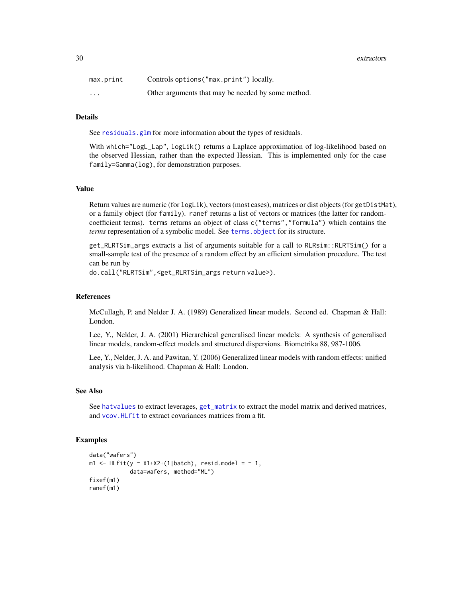30 extractors

| max.print | Controls options ("max.print") locally.            |
|-----------|----------------------------------------------------|
| .         | Other arguments that may be needed by some method. |

# Details

See [residuals.glm](#page-0-0) for more information about the types of residuals.

With which="LogL\_Lap", logLik() returns a Laplace approximation of log-likelihood based on the observed Hessian, rather than the expected Hessian. This is implemented only for the case family=Gamma(log), for demonstration purposes.

#### Value

Return values are numeric (for logLik), vectors (most cases), matrices or dist objects (for getDistMat), or a family object (for family). ranef returns a list of vectors or matrices (the latter for randomcoefficient terms). terms returns an object of class c("terms","formula") which contains the *terms* representation of a symbolic model. See [terms.object](#page-0-0) for its structure.

get\_RLRTSim\_args extracts a list of arguments suitable for a call to RLRsim::RLRTSim() for a small-sample test of the presence of a random effect by an efficient simulation procedure. The test can be run by

do.call("RLRTSim",<get\_RLRTSim\_args return value>).

#### References

McCullagh, P. and Nelder J. A. (1989) Generalized linear models. Second ed. Chapman & Hall: London.

Lee, Y., Nelder, J. A. (2001) Hierarchical generalised linear models: A synthesis of generalised linear models, random-effect models and structured dispersions. Biometrika 88, 987-1006.

Lee, Y., Nelder, J. A. and Pawitan, Y. (2006) Generalized linear models with random effects: unified analysis via h-likelihood. Chapman & Hall: London.

#### See Also

See [hatvalues](#page-46-1) to extract leverages, [get\\_matrix](#page-42-1) to extract the model matrix and derived matrices, and [vcov.HLfit](#page-120-1) to extract covariances matrices from a fit.

```
data("wafers")
m1 <- HLfit(y \sim X1+X2+(1|batch), resid.model = \sim 1,
            data=wafers, method="ML")
fixef(m1)
ranef(m1)
```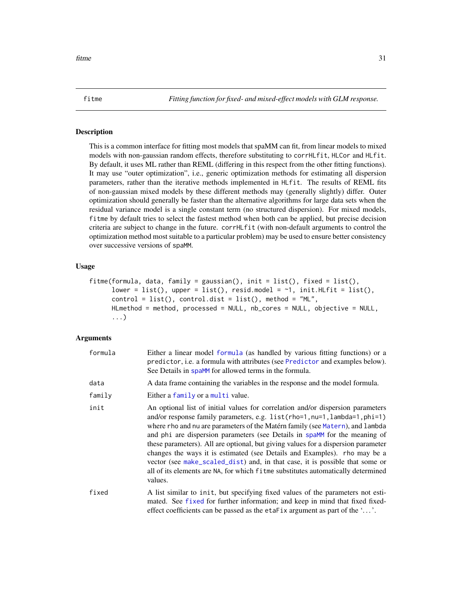<span id="page-30-1"></span><span id="page-30-0"></span>fitme *Fitting function for fixed- and mixed-effect models with GLM response.*

#### Description

This is a common interface for fitting most models that spaMM can fit, from linear models to mixed models with non-gaussian random effects, therefore substituting to corrHLfit, HLCor and HLfit. By default, it uses ML rather than REML (differing in this respect from the other fitting functions). It may use "outer optimization", i.e., generic optimization methods for estimating all dispersion parameters, rather than the iterative methods implemented in HLfit. The results of REML fits of non-gaussian mixed models by these different methods may (generally slightly) differ. Outer optimization should generally be faster than the alternative algorithms for large data sets when the residual variance model is a single constant term (no structured dispersion). For mixed models, fitme by default tries to select the fastest method when both can be applied, but precise decision criteria are subject to change in the future. corrHLfit (with non-default arguments to control the optimization method most suitable to a particular problem) may be used to ensure better consistency over successive versions of spaMM.

#### Usage

```
fitme(formula, data, family = gaussian(), init = list(), fixed = list(),
     lower = list(), upper = list(), resid.model = \neg1, init.HLfit = list(),
     control = list(), control.dist = list(), method = "ML",HLmethod = method, processed = NULL, nb_cores = NULL, objective = NULL,
      ...)
```

| formula | Either a linear model formula (as handled by various fitting functions) or a<br>predictor, i.e. a formula with attributes (see Predictor and examples below).<br>See Details in spaMM for allowed terms in the formula.                                                                                                                                                                                                                                                                                                                                                                                                                                                    |
|---------|----------------------------------------------------------------------------------------------------------------------------------------------------------------------------------------------------------------------------------------------------------------------------------------------------------------------------------------------------------------------------------------------------------------------------------------------------------------------------------------------------------------------------------------------------------------------------------------------------------------------------------------------------------------------------|
| data    | A data frame containing the variables in the response and the model formula.                                                                                                                                                                                                                                                                                                                                                                                                                                                                                                                                                                                               |
| family  | Either a family or a multi value.                                                                                                                                                                                                                                                                                                                                                                                                                                                                                                                                                                                                                                          |
| init    | An optional list of initial values for correlation and/or dispersion parameters<br>and/or response family parameters, e.g. list(rho=1,nu=1,lambda=1,phi=1)<br>where rho and nu are parameters of the Matérn family (see Matern), and lambda<br>and phi are dispersion parameters (see Details in spaMM for the meaning of<br>these parameters). All are optional, but giving values for a dispersion parameter<br>changes the ways it is estimated (see Details and Examples). The may be a<br>vector (see make_scaled_dist) and, in that case, it is possible that some or<br>all of its elements are NA, for which fitme substitutes automatically determined<br>values. |
| fixed   | A list similar to init, but specifying fixed values of the parameters not esti-<br>mated. See fixed for further information; and keep in mind that fixed fixed-<br>effect coefficients can be passed as the etaFix argument as part of the $\dots$ .                                                                                                                                                                                                                                                                                                                                                                                                                       |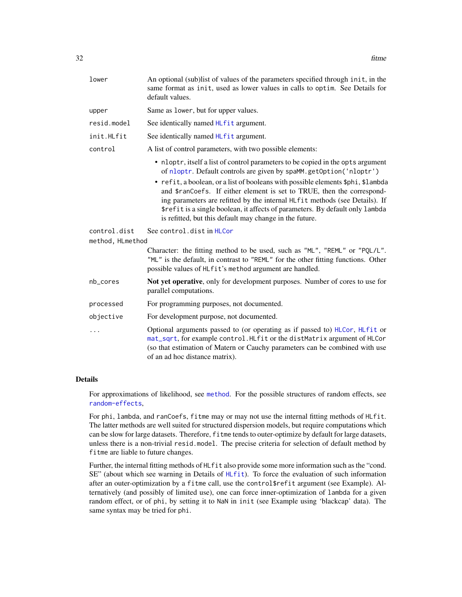| lower                            | An optional (sub)list of values of the parameters specified through init, in the<br>same format as init, used as lower values in calls to optim. See Details for<br>default values.                                                                                                               |
|----------------------------------|---------------------------------------------------------------------------------------------------------------------------------------------------------------------------------------------------------------------------------------------------------------------------------------------------|
| upper                            | Same as lower, but for upper values.                                                                                                                                                                                                                                                              |
| resid.model                      | See identically named HLfit argument.                                                                                                                                                                                                                                                             |
| init.HLfit                       | See identically named HLfit argument.                                                                                                                                                                                                                                                             |
| control                          | A list of control parameters, with two possible elements:                                                                                                                                                                                                                                         |
|                                  | • nloptr, itself a list of control parameters to be copied in the opts argument<br>of nloptr. Default controls are given by spaMM.getOption('nloptr')<br>• refit, a boolean, or a list of booleans with possible elements \$phi, \$lambda                                                         |
|                                  | and \$ranCoefs. If either element is set to TRUE, then the correspond-<br>ing parameters are refitted by the internal HLfit methods (see Details). If<br>\$refit is a single boolean, it affects of parameters. By default only lambda<br>is refitted, but this default may change in the future. |
| control.dist<br>method, HLmethod | See control.dist in HLCor                                                                                                                                                                                                                                                                         |
|                                  | Character: the fitting method to be used, such as "ML", "REML" or "PQL/L".<br>"ML" is the default, in contrast to "REML" for the other fitting functions. Other<br>possible values of HLfit's method argument are handled.                                                                        |
| nb_cores                         | Not yet operative, only for development purposes. Number of cores to use for<br>parallel computations.                                                                                                                                                                                            |
| processed                        | For programming purposes, not documented.                                                                                                                                                                                                                                                         |
| objective                        | For development purpose, not documented.                                                                                                                                                                                                                                                          |
| .                                | Optional arguments passed to (or operating as if passed to) HLCor, HLfit or<br>mat_sqrt, for example control.HLfit or the distMatrix argument of HLCor<br>(so that estimation of Matern or Cauchy parameters can be combined with use<br>of an ad hoc distance matrix).                           |

### Details

For approximations of likelihood, see [method](#page-70-1). For the possible structures of random effects, see [random-effects](#page-95-1),

For phi, lambda, and ranCoefs, fitme may or may not use the internal fitting methods of HLfit. The latter methods are well suited for structured dispersion models, but require computations which can be slow for large datasets. Therefore, fitme tends to outer-optimize by default for large datasets, unless there is a non-trivial resid.model. The precise criteria for selection of default method by fitme are liable to future changes.

Further, the internal fitting methods of HLfit also provide some more information such as the "cond. SE" (about which see warning in Details of [HLfit](#page-50-1)). To force the evaluation of such information after an outer-optimization by a fitme call, use the control\$refit argument (see Example). Alternatively (and possibly of limited use), one can force inner-optimization of lambda for a given random effect, or of phi, by setting it to NaN in init (see Example using 'blackcap' data). The same syntax may be tried for phi.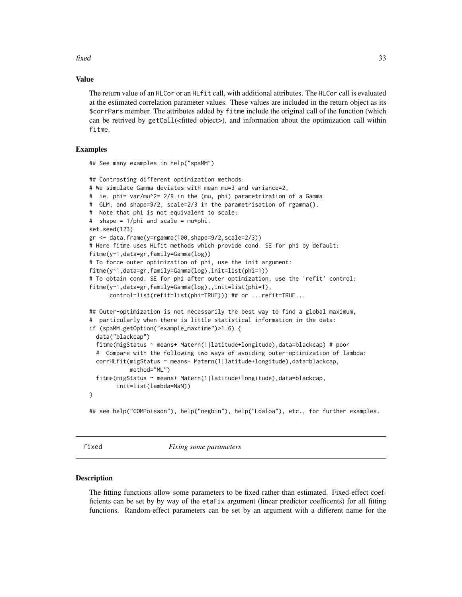<span id="page-32-0"></span>fixed 33

#### Value

The return value of an HLCor or an HLfit call, with additional attributes. The HLCor call is evaluated at the estimated correlation parameter values. These values are included in the return object as its \$corrPars member. The attributes added by fitme include the original call of the function (which can be retrived by getCall(<fitted object>), and information about the optimization call within fitme.

# Examples

## See many examples in help("spaMM")

```
## Contrasting different optimization methods:
# We simulate Gamma deviates with mean mu=3 and variance=2,
# ie. phi= var/mu^2= 2/9 in the (mu, phi) parametrization of a Gamma
# GLM; and shape=9/2, scale=2/3 in the parametrisation of rgamma().
# Note that phi is not equivalent to scale:
# shape = 1/phi and scale = mu*phi.
set.seed(123)
gr <- data.frame(y=rgamma(100,shape=9/2,scale=2/3))
# Here fitme uses HLfit methods which provide cond. SE for phi by default:
fitme(y~1,data=gr,family=Gamma(log))
# To force outer optimization of phi, use the init argument:
fitme(y~1,data=gr,family=Gamma(log),init=list(phi=1))
# To obtain cond. SE for phi after outer optimization, use the 'refit' control:
fitme(y~1,data=gr,family=Gamma(log),,init=list(phi=1),
     control=list(refit=list(phi=TRUE))) ## or ...refit=TRUE...
## Outer-optimization is not necessarily the best way to find a global maximum,
# particularly when there is little statistical information in the data:
if (spaMM.getOption("example_maxtime")>1.6) {
 data("blackcap")
 fitme(migStatus ~ means+ Matern(1|latitude+longitude),data=blackcap) # poor
 # Compare with the following two ways of avoiding outer-optimization of lambda:
 corrHLfit(migStatus ~ means+ Matern(1|latitude+longitude),data=blackcap,
            method="ML")
 fitme(migStatus ~ means+ Matern(1|latitude+longitude),data=blackcap,
        init=list(lambda=NaN))
}
## see help("COMPoisson"), help("negbin"), help("Loaloa"), etc., for further examples.
```
<span id="page-32-2"></span>fixed *Fixing some parameters*

#### <span id="page-32-1"></span>**Description**

The fitting functions allow some parameters to be fixed rather than estimated. Fixed-effect coefficients can be set by by way of the etaFix argument (linear predictor coefficents) for all fitting functions. Random-effect parameters can be set by an argument with a different name for the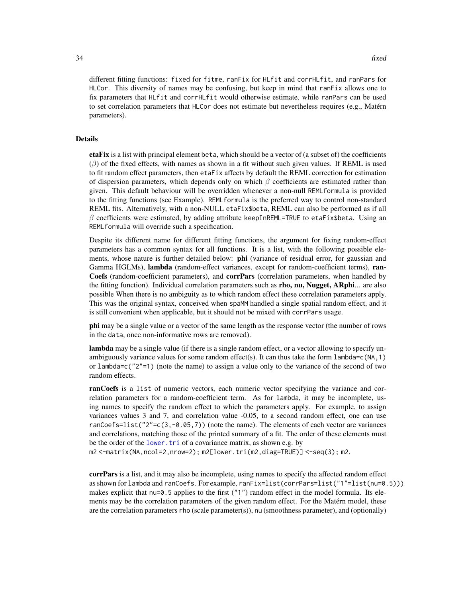different fitting functions: fixed for fitme, ranFix for HLfit and corrHLfit, and ranPars for HLCor. This diversity of names may be confusing, but keep in mind that ranFix allows one to fix parameters that HLfit and corrHLfit would otherwise estimate, while ranPars can be used to set correlation parameters that HLCor does not estimate but nevertheless requires (e.g., Matérn parameters).

#### Details

etaFix is a list with principal element beta, which should be a vector of (a subset of) the coefficients  $(\beta)$  of the fixed effects, with names as shown in a fit without such given values. If REML is used to fit random effect parameters, then etaFix affects by default the REML correction for estimation of dispersion parameters, which depends only on which  $\beta$  coefficients are estimated rather than given. This default behaviour will be overridden whenever a non-null REMLformula is provided to the fitting functions (see Example). REMLformula is the preferred way to control non-standard REML fits. Alternatively, with a non-NULL etaFix\$beta, REML can also be performed as if all  $\beta$  coefficients were estimated, by adding attribute keepInREML=TRUE to etaFix\$beta. Using an REMLformula will override such a specification.

Despite its different name for different fitting functions, the argument for fixing random-effect parameters has a common syntax for all functions. It is a list, with the following possible elements, whose nature is further detailed below: **phi** (variance of residual error, for gaussian and Gamma HGLMs), lambda (random-effect variances, except for random-coefficient terms), ran-Coefs (random-coefficient parameters), and corrPars (correlation parameters, when handled by the fitting function). Individual correlation parameters such as rho, nu, Nugget, ARphi... are also possible When there is no ambiguity as to which random effect these correlation parameters apply. This was the original syntax, conceived when spaMM handled a single spatial random effect, and it is still convenient when applicable, but it should not be mixed with corrPars usage.

phi may be a single value or a vector of the same length as the response vector (the number of rows in the data, once non-informative rows are removed).

**lambda** may be a single value (if there is a single random effect, or a vector allowing to specify unambiguously variance values for some random effect(s). It can thus take the form lambda=c(NA,1) or lambda=c("2"=1) (note the name) to assign a value only to the variance of the second of two random effects.

ranCoefs is a list of numeric vectors, each numeric vector specifying the variance and correlation parameters for a random-coefficient term. As for lambda, it may be incomplete, using names to specify the random effect to which the parameters apply. For example, to assign variances values 3 and 7, and correlation value -0.05, to a second random effect, one can use ranCoefs=list(" $2" = c(3, -0.05, 7)$ ) (note the name). The elements of each vector are variances and correlations, matching those of the printed summary of a fit. The order of these elements must be the order of the lower. tri of a covariance matrix, as shown e.g. by m2 <-matrix(NA,ncol=2,nrow=2); m2[lower.tri(m2,diag=TRUE)] <-seq(3); m2.

corrPars is a list, and it may also be incomplete, using names to specify the affected random effect as shown for lambda and ranCoefs. For example, ranFix=list(corrPars=list("1"=list(nu=0.5))) makes explicit that nu=0.5 applies to the first ("1") random effect in the model formula. Its elements may be the correlation parameters of the given random effect. For the Matérn model, these are the correlation parameters rho (scale parameter(s)), nu (smoothness parameter), and (optionally)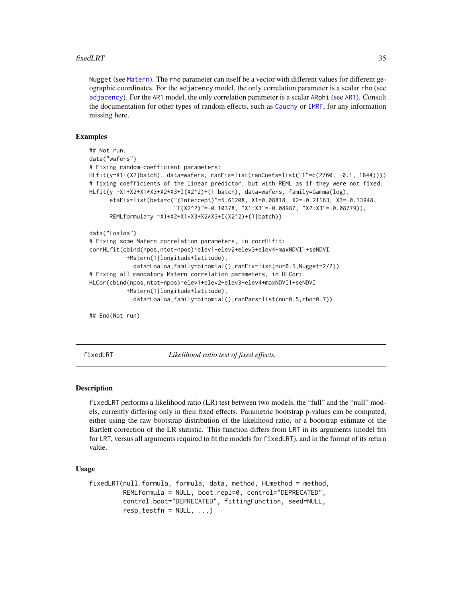#### <span id="page-34-0"></span>fixedLRT 35

Nugget (see [Matern](#page-68-1)). The rho parameter can itself be a vector with different values for different geographic coordinates. For the adjacency model, the only correlation parameter is a scalar rho (see [adjacency](#page-7-1)). For the AR1 model, the only correlation parameter is a scalar ARphi (see [AR1](#page-7-1)). Consult the documentation for other types of random effects, such as [Cauchy](#page-10-1) or [IMRF](#page-72-1), for any information missing here.

# Examples

```
## Not run:
data("wafers")
# Fixing random-coefficient parameters:
HLfit(y~X1+(X2|batch), data=wafers, ranFix=list(ranCoefs=list("1"=c(2760, -0.1, 1844))))
# fixing coefficients of the linear predictor, but with REML as if they were not fixed:
HLfit(y ~X1+X2+X1*X3+X2*X3+I(X2^2)+(1|batch), data=wafers, family=Gamma(log),
      etaFix=list(beta=c("(Intercept)"=5.61208, X1=0.08818, X2=-0.21163, X3=-0.13948,
                         "I(X2^2)"=-0.10378, "X1:X3"=-0.08987, "X2:X3"=-0.08779)),
      REMLformula=y ~X1+X2+X1*X3+X2*X3+I(X2^2)+(1|batch))
data("Loaloa")
# Fixing some Matern correlation parameters, in corrHLfit:
corrHLfit(cbind(npos,ntot-npos)~elev1+elev2+elev3+elev4+maxNDVI1+seNDVI
           +Matern(1|longitude+latitude),
             data=Loaloa,family=binomial(),ranFix=list(nu=0.5,Nugget=2/7))
# Fixing all mandatory Matern correlation parameters, in HLCor:
HLCor(cbind(npos,ntot-npos)~elev1+elev2+elev3+elev4+maxNDVI1+seNDVI
           +Matern(1|longitude+latitude),
             data=Loaloa,family=binomial(),ranPars=list(nu=0.5,rho=0.7))
## End(Not run)
```
<span id="page-34-1"></span>fixedLRT *Likelihood ratio test of fixed effects.*

### Description

fixedLRT performs a likelihood ratio (LR) test between two models, the "full" and the "null" models, currently differing only in their fixed effects. Parametric bootstrap p-values can be computed, either using the raw bootstrap distribution of the likelihood ratio, or a bootstrap estimate of the Bartlett correction of the LR statistic. This function differs from LRT in its arguments (model fits for LRT, versus all arguments required to fit the models for fixedLRT), and in the format of its return value.

#### Usage

```
fixedLRT(null.formula, formula, data, method, HLmethod = method,
         REMLformula = NULL, boot.repl=0, control="DEPRECATED",
         control.boot="DEPRECATED", fittingFunction, seed=NULL,
         resp\_testfn = NULL, ...)
```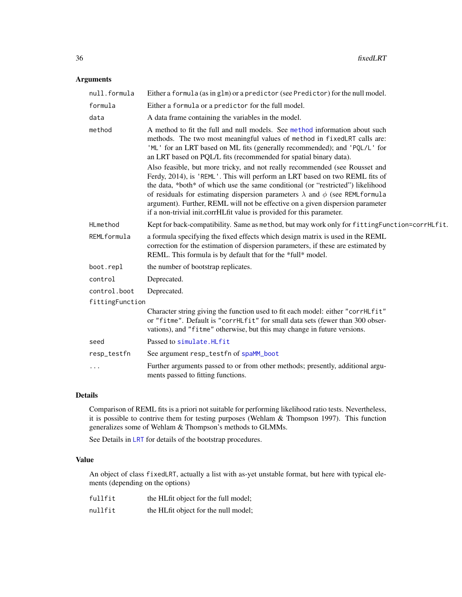# Arguments

| null.formula    | Either a formula (as in glm) or a predictor (see Predictor) for the null model.                                                                                                                                                                                                                                                                                                                                                                                                                                                                                                                                                                                                                                                                                                                                  |
|-----------------|------------------------------------------------------------------------------------------------------------------------------------------------------------------------------------------------------------------------------------------------------------------------------------------------------------------------------------------------------------------------------------------------------------------------------------------------------------------------------------------------------------------------------------------------------------------------------------------------------------------------------------------------------------------------------------------------------------------------------------------------------------------------------------------------------------------|
| formula         | Either a formula or a predictor for the full model.                                                                                                                                                                                                                                                                                                                                                                                                                                                                                                                                                                                                                                                                                                                                                              |
| data            | A data frame containing the variables in the model.                                                                                                                                                                                                                                                                                                                                                                                                                                                                                                                                                                                                                                                                                                                                                              |
| method          | A method to fit the full and null models. See method information about such<br>methods. The two most meaningful values of method in fixedLRT calls are:<br>'ML' for an LRT based on ML fits (generally recommended); and 'PQL/L' for<br>an LRT based on PQL/L fits (recommended for spatial binary data).<br>Also feasible, but more tricky, and not really recommended (see Rousset and<br>Ferdy, 2014), is 'REML'. This will perform an LRT based on two REML fits of<br>the data, *both* of which use the same conditional (or "restricted") likelihood<br>of residuals for estimating dispersion parameters $\lambda$ and $\phi$ (see REMLformula<br>argument). Further, REML will not be effective on a given dispersion parameter<br>if a non-trivial init.corrHLfit value is provided for this parameter. |
| HLmethod        | Kept for back-compatibility. Same as method, but may work only for fittingFunction=corrHLfit.                                                                                                                                                                                                                                                                                                                                                                                                                                                                                                                                                                                                                                                                                                                    |
| REMLformula     | a formula specifying the fixed effects which design matrix is used in the REML<br>correction for the estimation of dispersion parameters, if these are estimated by<br>REML. This formula is by default that for the *full* model.                                                                                                                                                                                                                                                                                                                                                                                                                                                                                                                                                                               |
| boot.repl       | the number of bootstrap replicates.                                                                                                                                                                                                                                                                                                                                                                                                                                                                                                                                                                                                                                                                                                                                                                              |
| control         | Deprecated.                                                                                                                                                                                                                                                                                                                                                                                                                                                                                                                                                                                                                                                                                                                                                                                                      |
| control.boot    | Deprecated.                                                                                                                                                                                                                                                                                                                                                                                                                                                                                                                                                                                                                                                                                                                                                                                                      |
| fittingFunction |                                                                                                                                                                                                                                                                                                                                                                                                                                                                                                                                                                                                                                                                                                                                                                                                                  |
|                 | Character string giving the function used to fit each model: either "corrHLfit"<br>or "fitme". Default is "corrHLfit" for small data sets (fewer than 300 obser-<br>vations), and "fitme" otherwise, but this may change in future versions.                                                                                                                                                                                                                                                                                                                                                                                                                                                                                                                                                                     |
| seed            | Passed to simulate. HLfit                                                                                                                                                                                                                                                                                                                                                                                                                                                                                                                                                                                                                                                                                                                                                                                        |
| resp_testfn     | See argument resp_testfn of spaMM_boot                                                                                                                                                                                                                                                                                                                                                                                                                                                                                                                                                                                                                                                                                                                                                                           |
|                 | Further arguments passed to or from other methods; presently, additional argu-<br>ments passed to fitting functions.                                                                                                                                                                                                                                                                                                                                                                                                                                                                                                                                                                                                                                                                                             |
|                 |                                                                                                                                                                                                                                                                                                                                                                                                                                                                                                                                                                                                                                                                                                                                                                                                                  |

# Details

Comparison of REML fits is a priori not suitable for performing likelihood ratio tests. Nevertheless, it is possible to contrive them for testing purposes (Wehlam & Thompson 1997). This function generalizes some of Wehlam & Thompson's methods to GLMMs.

See Details in [LRT](#page-60-1) for details of the bootstrap procedures.

# Value

An object of class fixedLRT, actually a list with as-yet unstable format, but here with typical elements (depending on the options)

| fullfit | the HLfit object for the full model; |
|---------|--------------------------------------|
| nullfit | the HLfit object for the null model; |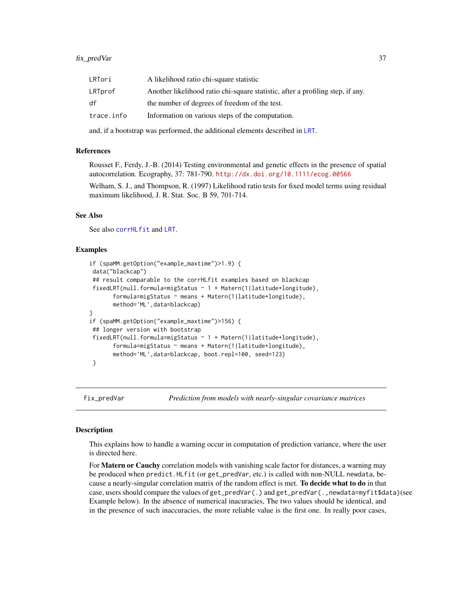## fix\_predVar 37

| LRTori     | A likelihood ratio chi-square statistic                                        |
|------------|--------------------------------------------------------------------------------|
| LRTprof    | Another likelihood ratio chi-square statistic, after a profiling step, if any. |
| df         | the number of degrees of freedom of the test.                                  |
| trace.info | Information on various steps of the computation.                               |
|            |                                                                                |

and, if a bootstrap was performed, the additional elements described in [LRT](#page-60-0).

### References

Rousset F., Ferdy, J.-B. (2014) Testing environmental and genetic effects in the presence of spatial autocorrelation. Ecography, 37: 781-790. <http://dx.doi.org/10.1111/ecog.00566>

Welham, S. J., and Thompson, R. (1997) Likelihood ratio tests for fixed model terms using residual maximum likelihood, J. R. Stat. Soc. B 59, 701-714.

# See Also

See also [corrHLfit](#page-17-0) and [LRT](#page-60-0).

### Examples

```
if (spaMM.getOption("example_maxtime")>1.9) {
data("blackcap")
## result comparable to the corrHLfit examples based on blackcap
fixedLRT(null.formula=migStatus ~ 1 + Matern(1|latitude+longitude),
      formula=migStatus ~ means + Matern(1|latitude+longitude),
      method='ML',data=blackcap)
}
if (spaMM.getOption("example_maxtime")>156) {
## longer version with bootstrap
fixedLRT(null.formula=migStatus ~ 1 + Matern(1|latitude+longitude),
      formula=migStatus ~ means + Matern(1|latitude+longitude),
      method='ML',data=blackcap, boot.repl=100, seed=123)
}
```
fix\_predVar *Prediction from models with nearly-singular covariance matrices*

### Description

This explains how to handle a warning occur in computation of prediction variance, where the user is directed here.

For **Matern or Cauchy** correlation models with vanishing scale factor for distances, a warning may be produced when predict.HLfit (or get\_predVar, etc.) is called with non-NULL newdata, because a nearly-singular correlation matrix of the random effect is met. To decide what to do in that case, users should compare the values of get\_predVar(.) and get\_predVar(.,newdata=myfit\$data)(see Example below). In the absence of numerical inacuracies, The two values should be identical, and in the presence of such inaccuracies, the more reliable value is the first one. In really poor cases,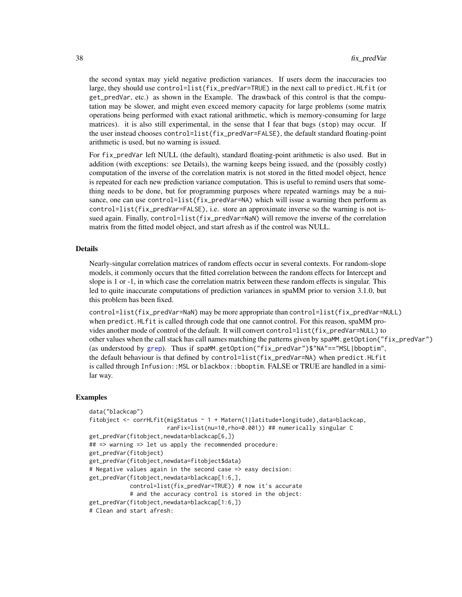the second syntax may yield negative prediction variances. If users deem the inaccuracies too large, they should use control=list(fix\_predVar=TRUE) in the next call to predict.HLfit (or get\_predVar, etc.) as shown in the Example. The drawback of this control is that the computation may be slower, and might even exceed memory capacity for large problems (some matrix operations being performed with exact rational arithmetic, which is memory-consuming for large matrices). it is also still experimental, in the sense that I fear that bugs (stop) may occur. If the user instead chooses control=list(fix\_predVar=FALSE), the default standard floating-point arithmetic is used, but no warning is issued.

For fix\_predVar left NULL (the default), standard floating-point arithmetic is also used. But in addition (with exceptions: see Details), the warning keeps being issued, and the (possibly costly) computation of the inverse of the correlation matrix is not stored in the fitted model object, hence is repeated for each new prediction variance computation. This is useful to remind users that something needs to be done, but for programming purposes where repeated warnings may be a nuisance, one can use control=list(fix\_predVar=NA) which will issue a warning then perform as control=list(fix\_predVar=FALSE), i.e. store an approximate inverse so the warning is not issued again. Finally, control=list(fix\_predVar=NaN) will remove the inverse of the correlation matrix from the fitted model object, and start afresh as if the control was NULL.

### Details

Nearly-singular correlation matrices of random effects occur in several contexts. For random-slope models, it commonly occurs that the fitted correlation between the random effects for Intercept and slope is 1 or -1, in which case the correlation matrix between these random effects is singular. This led to quite inaccurate computations of prediction variances in spaMM prior to version 3.1.0, but this problem has been fixed.

control=list(fix\_predVar=NaN) may be more appropriate than control=list(fix\_predVar=NULL) when predict. HLfit is called through code that one cannot control. For this reason, spaMM provides another mode of control of the default. It will convert control=list(fix\_predVar=NULL) to other values when the call stack has call names matching the patterns given by spaMM.getOption("fix\_predVar") (as understood by [grep](#page-0-0)). Thus if spaMM.getOption("fix\_predVar")\$"NA"=="MSL|bboptim", the default behaviour is that defined by control=list(fix\_predVar=NA) when predict.HLfit is called through Infusion:: MSL or blackbox:: bboptim. FALSE or TRUE are handled in a similar way.

```
data("blackcap")
fitobject <- corrHLfit(migStatus ~ 1 + Matern(1|latitude+longitude),data=blackcap,
                      ranFix=list(nu=10,rho=0.001)) ## numerically singular C
get_predVar(fitobject,newdata=blackcap[6,])
## => warning => let us apply the recommended procedure:
get_predVar(fitobject)
get_predVar(fitobject,newdata=fitobject$data)
# Negative values again in the second case => easy decision:
get_predVar(fitobject,newdata=blackcap[1:6,],
           control=list(fix_predVar=TRUE)) # now it's accurate
           # and the accuracy control is stored in the object:
get_predVar(fitobject,newdata=blackcap[1:6,])
# Clean and start afresh:
```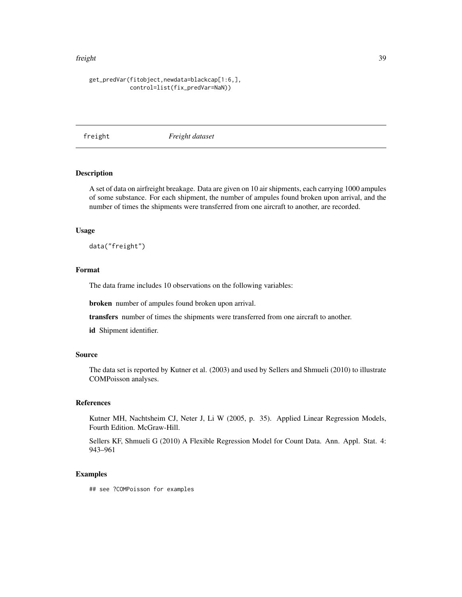### freight 39

## get\_predVar(fitobject,newdata=blackcap[1:6,], control=list(fix\_predVar=NaN))

freight *Freight dataset*

## Description

A set of data on airfreight breakage. Data are given on 10 air shipments, each carrying 1000 ampules of some substance. For each shipment, the number of ampules found broken upon arrival, and the number of times the shipments were transferred from one aircraft to another, are recorded.

### Usage

data("freight")

# Format

The data frame includes 10 observations on the following variables:

broken number of ampules found broken upon arrival.

transfers number of times the shipments were transferred from one aircraft to another.

id Shipment identifier.

## Source

The data set is reported by Kutner et al. (2003) and used by Sellers and Shmueli (2010) to illustrate COMPoisson analyses.

## References

Kutner MH, Nachtsheim CJ, Neter J, Li W (2005, p. 35). Applied Linear Regression Models, Fourth Edition. McGraw-Hill.

Sellers KF, Shmueli G (2010) A Flexible Regression Model for Count Data. Ann. Appl. Stat. 4: 943–961

## Examples

## see ?COMPoisson for examples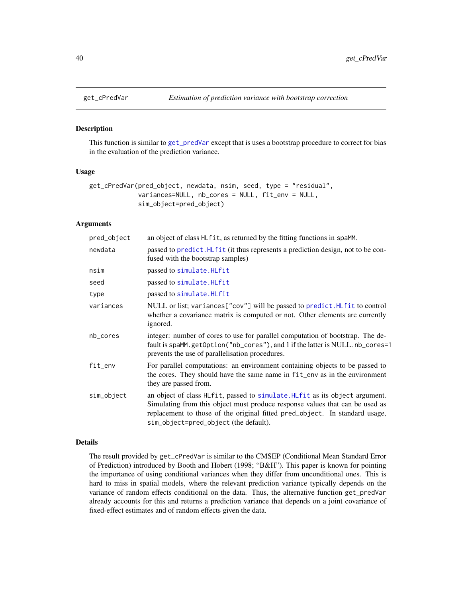### Description

This function is similar to [get\\_predVar](#page-90-0) except that is uses a bootstrap procedure to correct for bias in the evaluation of the prediction variance.

### Usage

```
get_cPredVar(pred_object, newdata, nsim, seed, type = "residual",
             variances=NULL, nb_cores = NULL, fit_env = NULL,
             sim_object=pred_object)
```
# Arguments

| pred_object | an object of class HL fit, as returned by the fitting functions in spaMM.                                                                                                                                                                                                           |
|-------------|-------------------------------------------------------------------------------------------------------------------------------------------------------------------------------------------------------------------------------------------------------------------------------------|
| newdata     | passed to predict. HLfit (it thus represents a prediction design, not to be con-<br>fused with the bootstrap samples)                                                                                                                                                               |
| nsim        | passed to simulate. HLfit                                                                                                                                                                                                                                                           |
| seed        | passed to simulate. HLfit                                                                                                                                                                                                                                                           |
| type        | passed to simulate. HLfit                                                                                                                                                                                                                                                           |
| variances   | NULL or list; variances["cov"] will be passed to predict. HLfit to control<br>whether a covariance matrix is computed or not. Other elements are currently<br>ignored.                                                                                                              |
| nb_cores    | integer: number of cores to use for parallel computation of bootstrap. The de-<br>fault is spaMM.getOption("nb_cores"), and 1 if the latter is NULL. nb_cores=1<br>prevents the use of parallelisation procedures.                                                                  |
| fit_env     | For parallel computations: an environment containing objects to be passed to<br>the cores. They should have the same name in fit_env as in the environment<br>they are passed from.                                                                                                 |
| sim_object  | an object of class HLfit, passed to simulate. HLfit as its object argument.<br>Simulating from this object must produce response values that can be used as<br>replacement to those of the original fitted pred_object. In standard usage,<br>sim_object=pred_object (the default). |

### Details

The result provided by get\_cPredVar is similar to the CMSEP (Conditional Mean Standard Error of Prediction) introduced by Booth and Hobert (1998; "B&H"). This paper is known for pointing the importance of using conditional variances when they differ from unconditional ones. This is hard to miss in spatial models, where the relevant prediction variance typically depends on the variance of random effects conditional on the data. Thus, the alternative function get\_predVar already accounts for this and returns a prediction variance that depends on a joint covariance of fixed-effect estimates and of random effects given the data.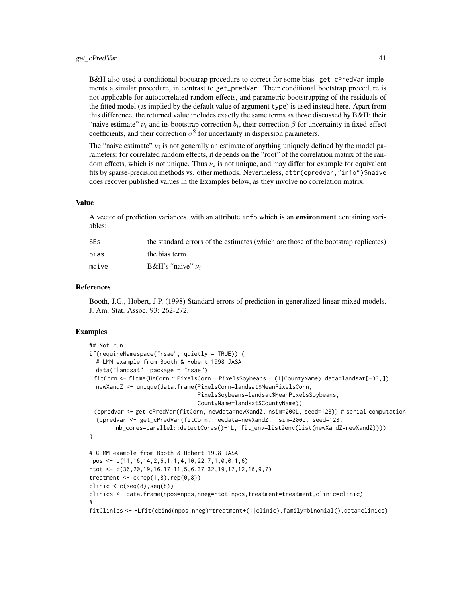### get\_cPredVar 41

B&H also used a conditional bootstrap procedure to correct for some bias. get\_cPredVar implements a similar procedure, in contrast to get\_predVar. Their conditional bootstrap procedure is not applicable for autocorrelated random effects, and parametric bootstrapping of the residuals of the fitted model (as implied by the default value of argument type) is used instead here. Apart from this difference, the returned value includes exactly the same terms as those discussed by B&H: their "naive estimate"  $\nu_i$  and its bootstrap correction  $b_i$ , their correction  $\beta$  for uncertainty in fixed-effect coefficients, and their correction  $\sigma^2$  for uncertainty in dispersion parameters.

The "naive estimate"  $\nu_i$  is not generally an estimate of anything uniquely defined by the model parameters: for correlated random effects, it depends on the "root" of the correlation matrix of the random effects, which is not unique. Thus  $\nu_i$  is not unique, and may differ for example for equivalent fits by sparse-precision methods vs. other methods. Nevertheless, attr(cpredvar, "info")\$naive does recover published values in the Examples below, as they involve no correlation matrix.

## Value

A vector of prediction variances, with an attribute info which is an environment containing variables:

| <b>SEs</b> | the standard errors of the estimates (which are those of the bootstrap replicates) |
|------------|------------------------------------------------------------------------------------|
| bias       | the bias term                                                                      |
| maive      | <b>B&amp;H</b> 's "naive" $\nu_i$                                                  |

## References

Booth, J.G., Hobert, J.P. (1998) Standard errors of prediction in generalized linear mixed models. J. Am. Stat. Assoc. 93: 262-272.

```
## Not run:
if(requireNamespace("rsae", quietly = TRUE)) {
  # LMM example from Booth & Hobert 1998 JASA
 data("landsat", package = "rsae")
 fitCorn <- fitme(HACorn ~ PixelsCorn + PixelsSoybeans + (1|CountyName),data=landsat[-33,])
 newXandZ <- unique(data.frame(PixelsCorn=landsat$MeanPixelsCorn,
                                 PixelsSoybeans=landsat$MeanPixelsSoybeans,
                                 CountyName=landsat$CountyName))
 (cpredvar <- get_cPredVar(fitCorn, newdata=newXandZ, nsim=200L, seed=123)) # serial computation
  (cpredvar <- get_cPredVar(fitCorn, newdata=newXandZ, nsim=200L, seed=123,
        nb_cores=parallel::detectCores()-1L, fit_env=list2env(list(newXandZ=newXandZ))))
}
# GLMM example from Booth & Hobert 1998 JASA
npos <- c(11,16,14,2,6,1,1,4,10,22,7,1,0,0,1,6)
ntot <- c(36,20,19,16,17,11,5,6,37,32,19,17,12,10,9,7)
treatment \leq c(rep(1,8),rep(0,8))
clinic \leq c(\text{seq}(8), \text{seq}(8))clinics <- data.frame(npos=npos,nneg=ntot-npos,treatment=treatment,clinic=clinic)
#
fitClinics <- HLfit(cbind(npos,nneg)~treatment+(1|clinic),family=binomial(),data=clinics)
```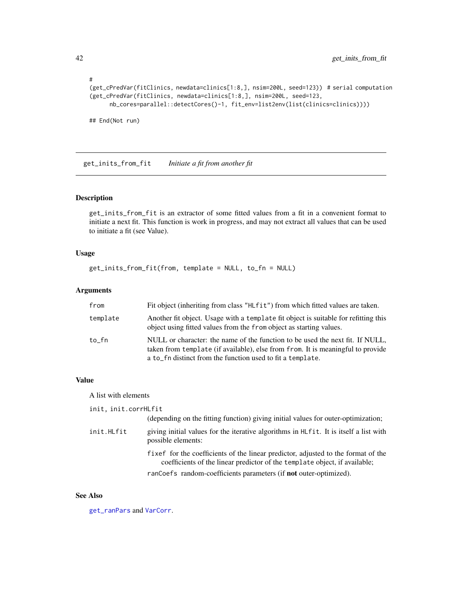```
#
(get_cPredVar(fitClinics, newdata=clinics[1:8,], nsim=200L, seed=123)) # serial computation
(get_cPredVar(fitClinics, newdata=clinics[1:8,], nsim=200L, seed=123,
     nb_cores=parallel::detectCores()-1, fit_env=list2env(list(clinics=clinics))))
```
## End(Not run)

<span id="page-41-0"></span>get\_inits\_from\_fit *Initiate a fit from another fit*

## Description

get\_inits\_from\_fit is an extractor of some fitted values from a fit in a convenient format to initiate a next fit. This function is work in progress, and may not extract all values that can be used to initiate a fit (see Value).

## Usage

```
get_inits_from_fit(from, template = NULL, to_fn = NULL)
```
# Arguments

| from     | Fit object (inheriting from class "HLfit") from which fitted values are taken.                                                                                                                                                 |
|----------|--------------------------------------------------------------------------------------------------------------------------------------------------------------------------------------------------------------------------------|
| template | Another fit object. Usage with a template fit object is suitable for refitting this<br>object using fitted values from the from object as starting values.                                                                     |
| to fn    | NULL or character: the name of the function to be used the next fit. If NULL,<br>taken from template (if available), else from from. It is meaningful to provide<br>a to fn distinct from the function used to fit a template. |

### Value

A list with elements

| init, init.corrHLfit |                                                                                                                                                                 |
|----------------------|-----------------------------------------------------------------------------------------------------------------------------------------------------------------|
|                      | (depending on the fitting function) giving initial values for outer-optimization;                                                                               |
| init.HLfit           | giving initial values for the iterative algorithms in HLf it. It is itself a list with<br>possible elements:                                                    |
|                      | fixef for the coefficients of the linear predictor, adjusted to the format of the<br>coefficients of the linear predictor of the template object, if available; |
|                      | ranCoefs random-coefficients parameters (if not outer-optimized).                                                                                               |

### See Also

[get\\_ranPars](#page-43-0) and [VarCorr](#page-120-0).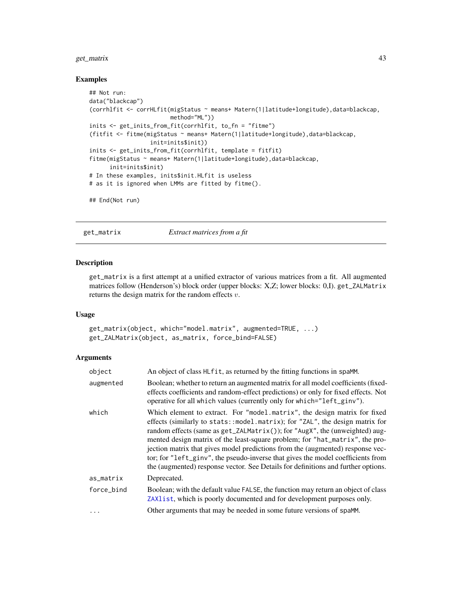# get\_matrix 43

### Examples

```
## Not run:
data("blackcap")
(corrhlfit <- corrHLfit(migStatus ~ means+ Matern(1|latitude+longitude),data=blackcap,
                       method="ML"))
inits <- get_inits_from_fit(corrhlfit, to_fn = "fitme")
(fitfit <- fitme(migStatus ~ means+ Matern(1|latitude+longitude),data=blackcap,
                 init=inits$init))
inits <- get_inits_from_fit(corrhlfit, template = fitfit)
fitme(migStatus ~ means+ Matern(1|latitude+longitude),data=blackcap,
     init=inits$init)
# In these examples, inits$init.HLfit is useless
# as it is ignored when LMMs are fitted by fitme().
## End(Not run)
```
get\_matrix *Extract matrices from a fit*

### <span id="page-42-0"></span>Description

get\_matrix is a first attempt at a unified extractor of various matrices from a fit. All augmented matrices follow (Henderson's) block order (upper blocks: X,Z; lower blocks: 0,I). get\_ZALMatrix returns the design matrix for the random effects  $v$ .

## Usage

```
get_matrix(object, which="model.matrix", augmented=TRUE, ...)
get_ZALMatrix(object, as_matrix, force_bind=FALSE)
```

| object     | An object of class HL fit, as returned by the fitting functions in spaMM.                                                                                                                                                                                                                                                                                                                                                                                                                                                                                                                  |
|------------|--------------------------------------------------------------------------------------------------------------------------------------------------------------------------------------------------------------------------------------------------------------------------------------------------------------------------------------------------------------------------------------------------------------------------------------------------------------------------------------------------------------------------------------------------------------------------------------------|
| augmented  | Boolean; whether to return an augmented matrix for all model coefficients (fixed-<br>effects coefficients and random-effect predictions) or only for fixed effects. Not<br>operative for all which values (currently only for which="left_ginv").                                                                                                                                                                                                                                                                                                                                          |
| which      | Which element to extract. For "model matrix", the design matrix for fixed<br>effects (similarly to stats::model.matrix); for "ZAL", the design matrix for<br>random effects (same as $get\_ZALMatrix()$ ); for " $AugX$ ", the (unweighted) aug-<br>mented design matrix of the least-square problem; for "hat_matrix", the pro-<br>jection matrix that gives model predictions from the (augmented) response vec-<br>tor; for "left_ginv", the pseudo-inverse that gives the model coefficients from<br>the (augmented) response vector. See Details for definitions and further options. |
| as_matrix  | Deprecated.                                                                                                                                                                                                                                                                                                                                                                                                                                                                                                                                                                                |
| force_bind | Boolean; with the default value FALSE, the function may return an object of class<br>ZAX1 ist, which is poorly documented and for development purposes only.                                                                                                                                                                                                                                                                                                                                                                                                                               |
| $\ddots$   | Other arguments that may be needed in some future versions of spaMM.                                                                                                                                                                                                                                                                                                                                                                                                                                                                                                                       |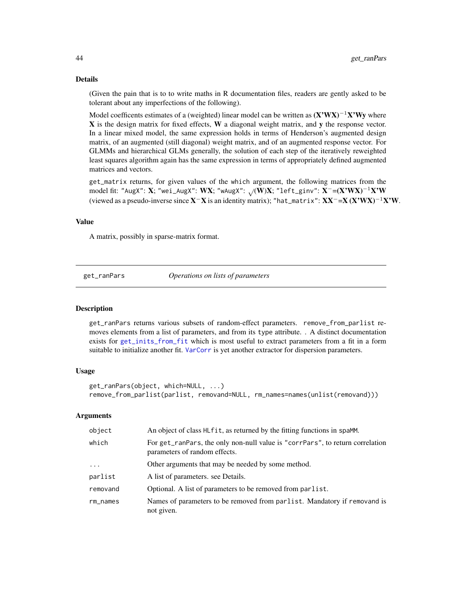### Details

(Given the pain that is to to write maths in R documentation files, readers are gently asked to be tolerant about any imperfections of the following).

Model coefficents estimates of a (weighted) linear model can be written as  $(X'WX)^{-1}X'Wy$  where X is the design matrix for fixed effects, W a diagonal weight matrix, and y the response vector. In a linear mixed model, the same expression holds in terms of Henderson's augmented design matrix, of an augmented (still diagonal) weight matrix, and of an augmented response vector. For GLMMs and hierarchical GLMs generally, the solution of each step of the iteratively reweighted least squares algorithm again has the same expression in terms of appropriately defined augmented matrices and vectors.

get\_matrix returns, for given values of the which argument, the following matrices from the model fit: "AugX": X; "wei\_AugX": WX; "wAugX":  $\sqrt{(W)}X$ ; "left\_ginv": X<sup>-</sup>=(X'WX)<sup>-1</sup>X'W (viewed as a pseudo-inverse since  $X^-X$  is an identity matrix); "hat\_matrix":  $XX^-=X (X'WX)^{-1}X'W$ .

#### Value

A matrix, possibly in sparse-matrix format.

<span id="page-43-0"></span>

get\_ranPars *Operations on lists of parameters*

#### **Description**

get\_ranPars returns various subsets of random-effect parameters. remove\_from\_parlist removes elements from a list of parameters, and from its type attribute. . A distinct documentation exists for [get\\_inits\\_from\\_fit](#page-41-0) which is most useful to extract parameters from a fit in a form suitable to initialize another fit. [VarCorr](#page-120-0) is yet another extractor for dispersion parameters.

### Usage

```
get_ranPars(object, which=NULL, ...)
remove_from_parlist(parlist, removand=NULL, rm_names=names(unlist(removand)))
```

| object     | An object of class HL fit, as returned by the fitting functions in spaMM.                                      |
|------------|----------------------------------------------------------------------------------------------------------------|
| which      | For get_ranPars, the only non-null value is "corrPars", to return correlation<br>parameters of random effects. |
| $\cdots$   | Other arguments that may be needed by some method.                                                             |
| parlist    | A list of parameters, see Details.                                                                             |
| removand   | Optional. A list of parameters to be removed from parlist.                                                     |
| $rm_names$ | Names of parameters to be removed from parlist. Mandatory if removand is<br>not given.                         |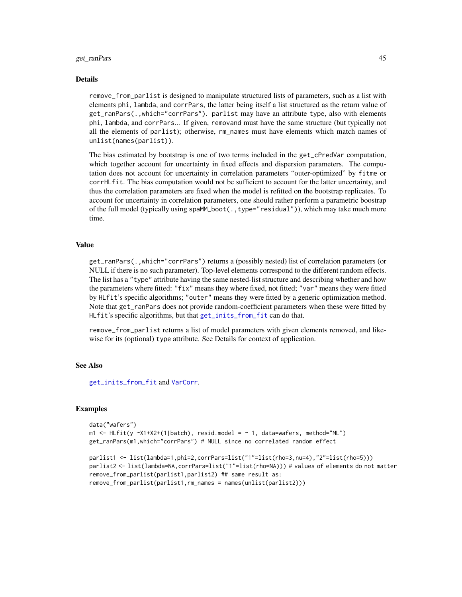### get\_ranPars 45

### Details

remove\_from\_parlist is designed to manipulate structured lists of parameters, such as a list with elements phi, lambda, and corrPars, the latter being itself a list structured as the return value of get\_ranPars(.,which="corrPars"). parlist may have an attribute type, also with elements phi, lambda, and corrPars... If given, removand must have the same structure (but typically not all the elements of parlist); otherwise, rm\_names must have elements which match names of unlist(names(parlist)).

The bias estimated by bootstrap is one of two terms included in the get\_cPredVar computation, which together account for uncertainty in fixed effects and dispersion parameters. The computation does not account for uncertainty in correlation parameters "outer-optimized" by fitme or corrHLfit. The bias computation would not be sufficient to account for the latter uncertainty, and thus the correlation parameters are fixed when the model is refitted on the bootstrap replicates. To account for uncertainty in correlation parameters, one should rather perform a parametric boostrap of the full model (typically using spaMM\_boot(.,type="residual")), which may take much more time.

# Value

get\_ranPars(.,which="corrPars") returns a (possibly nested) list of correlation parameters (or NULL if there is no such parameter). Top-level elements correspond to the different random effects. The list has a "type" attribute having the same nested-list structure and describing whether and how the parameters where fitted: "fix" means they where fixed, not fitted; "var" means they were fitted by HLfit's specific algorithms; "outer" means they were fitted by a generic optimization method. Note that get\_ranPars does not provide random-coefficient parameters when these were fitted by HLfit's specific algorithms, but that [get\\_inits\\_from\\_fit](#page-41-0) can do that.

remove\_from\_parlist returns a list of model parameters with given elements removed, and likewise for its (optional) type attribute. See Details for context of application.

### See Also

[get\\_inits\\_from\\_fit](#page-41-0) and [VarCorr](#page-120-0).

```
data("wafers")
m1 <- HLfit(y ~X1+X2+(1|batch), resid.model = ~ 1, data=wafers, method="ML")
get_ranPars(m1,which="corrPars") # NULL since no correlated random effect
```

```
parlist1 <- list(lambda=1,phi=2,corrPars=list("1"=list(rho=3,nu=4),"2"=list(rho=5)))
parlist2 <- list(lambda=NA,corrPars=list("1"=list(rho=NA))) # values of elements do not matter
remove_from_parlist(parlist1,parlist2) ## same result as:
remove_from_parlist(parlist1,rm_names = names(unlist(parlist2)))
```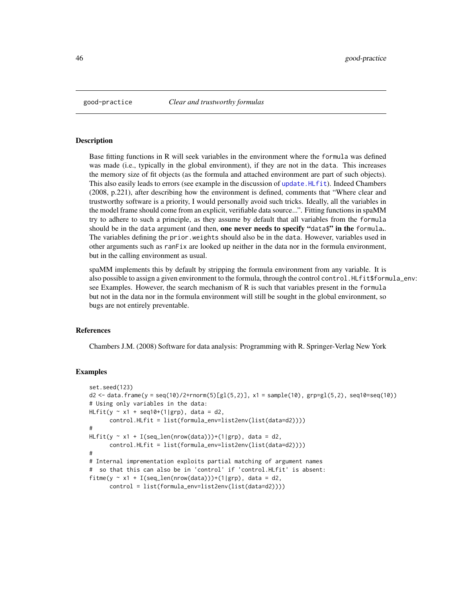#### Description

Base fitting functions in R will seek variables in the environment where the formula was defined was made (i.e., typically in the global environment), if they are not in the data. This increases the memory size of fit objects (as the formula and attached environment are part of such objects). This also easily leads to errors (see example in the discussion of [update.HLfit](#page-118-0)). Indeed Chambers (2008, p.221), after describing how the environment is defined, comments that "Where clear and trustworthy software is a priority, I would personally avoid such tricks. Ideally, all the variables in the model frame should come from an explicit, verifiable data source...". Fitting functions in spaMM try to adhere to such a principle, as they assume by default that all variables from the formula should be in the data argument (and then, one never needs to specify "data\$" in the formula.. The variables defining the prior.weights should also be in the data. However, variables used in other arguments such as ranFix are looked up neither in the data nor in the formula environment, but in the calling environment as usual.

spaMM implements this by default by stripping the formula environment from any variable. It is also possible to assign a given environment to the formula, through the control control. HLfit\$formula\_env: see Examples. However, the search mechanism of R is such that variables present in the formula but not in the data nor in the formula environment will still be sought in the global environment, so bugs are not entirely preventable.

## References

Chambers J.M. (2008) Software for data analysis: Programming with R. Springer-Verlag New York

```
set.seed(123)
d2 <- data.frame(y = seq(10)/2+rnorm(5)[gl(5,2)], x1 = sample(10), grp=gl(5,2), seq10=seq(10))
# Using only variables in the data:
HLfit(y \sim x1 + seq10+(1|grp)), data = d2,
      control.HLfit = list(formula_env=list2env(list(data=d2))))
#
HLfit(y \sim x1 + I(seq\_len(nrow(data)))+(1|grp), data = d2,
      control.HLfit = list(formula_env=list2env(list(data=d2))))
#
# Internal imprementation exploits partial matching of argument names
# so that this can also be in 'control' if 'control.HLfit' is absent:
fitme(y \sim x1 + I(seq_len(nrow(data)))+(1|grp), data = d2,
      control = list(formula_env=list2env(list(data=d2))))
```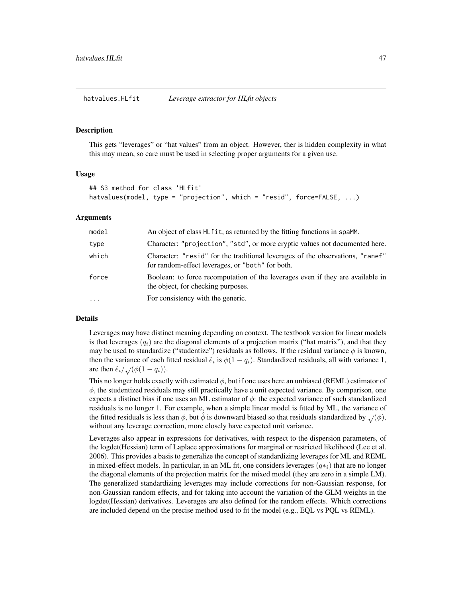hatvalues.HLfit *Leverage extractor for HLfit objects*

#### Description

This gets "leverages" or "hat values" from an object. However, ther is hidden complexity in what this may mean, so care must be used in selecting proper arguments for a given use.

### Usage

```
## S3 method for class 'HLfit'
hatvalues(model, type = "projection", which = "resid", force=FALSE, ...)
```
## Arguments

| model    | An object of class HL fit, as returned by the fitting functions in spaMM.                                                         |
|----------|-----------------------------------------------------------------------------------------------------------------------------------|
| type     | Character: "projection", "std", or more cryptic values not documented here.                                                       |
| which    | Character: "resid" for the traditional leverages of the observations, "ranef"<br>for random-effect leverages, or "both" for both. |
| force    | Boolean: to force recomputation of the leverages even if they are available in<br>the object, for checking purposes.              |
| $\cdots$ | For consistency with the generic.                                                                                                 |

## Details

Leverages may have distinct meaning depending on context. The textbook version for linear models is that leverages  $(q_i)$  are the diagonal elements of a projection matrix ("hat matrix"), and that they may be used to standardize ("studentize") residuals as follows. If the residual variance  $\phi$  is known, then the variance of each fitted residual  $\hat{e}_i$  is  $\phi(1-q_i)$ . Standardized residuals, all with variance 1, are then  $\hat{e}_i/\sqrt{(\phi(1-q_i))}$ .

This no longer holds exactly with estimated  $\phi$ , but if one uses here an unbiased (REML) estimator of  $\phi$ , the studentized residuals may still practically have a unit expected variance. By comparison, one expects a distinct bias if one uses an ML estimator of  $\phi$ : the expected variance of such standardized residuals is no longer 1. For example, when a simple linear model is fitted by ML, the variance of the fitted residuals is less than  $\phi$ , but  $\phi$  is downward biased so that residuals standardized by  $\sqrt{\phi}$ , without any leverage correction, more closely have expected unit variance.

Leverages also appear in expressions for derivatives, with respect to the dispersion parameters, of the logdet(Hessian) term of Laplace approximations for marginal or restricted likelihood (Lee et al. 2006). This provides a basis to generalize the concept of standardizing leverages for ML and REML in mixed-effect models. In particular, in an ML fit, one considers leverages  $(q\ast_i)$  that are no longer the diagonal elements of the projection matrix for the mixed model (they are zero in a simple LM). The generalized standardizing leverages may include corrections for non-Gaussian response, for non-Gaussian random effects, and for taking into account the variation of the GLM weights in the logdet(Hessian) derivatives. Leverages are also defined for the random effects. Which corrections are included depend on the precise method used to fit the model (e.g., EQL vs PQL vs REML).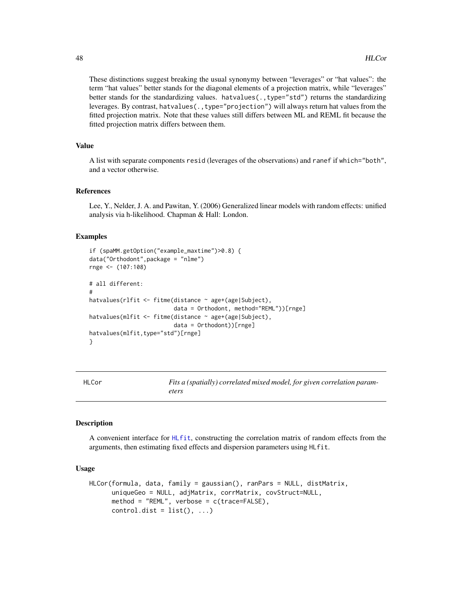These distinctions suggest breaking the usual synonymy between "leverages" or "hat values": the term "hat values" better stands for the diagonal elements of a projection matrix, while "leverages" better stands for the standardizing values. hatvalues(.,type="std") returns the standardizing leverages. By contrast, hatvalues(.,type="projection") will always return hat values from the fitted projection matrix. Note that these values still differs between ML and REML fit because the fitted projection matrix differs between them.

# Value

A list with separate components resid (leverages of the observations) and ranef if which="both", and a vector otherwise.

# References

Lee, Y., Nelder, J. A. and Pawitan, Y. (2006) Generalized linear models with random effects: unified analysis via h-likelihood. Chapman & Hall: London.

### Examples

```
if (spaMM.getOption("example_maxtime")>0.8) {
data("Orthodont",package = "nlme")
rnge <- (107:108)
# all different:
#
hatvalues(rlfit <- fitme(distance ~ age+(age|Subject),
                         data = Orthodont, method="REML"))[rnge]
hatvalues(mlfit <- fitme(distance ~ age+(age|Subject),
                         data = Orthodont))[rnge]
hatvalues(mlfit,type="std")[rnge]
}
```
<span id="page-47-0"></span>

HLCor *Fits a (spatially) correlated mixed model, for given correlation parameters*

### Description

A convenient interface for [HLfit](#page-50-0), constructing the correlation matrix of random effects from the arguments, then estimating fixed effects and dispersion parameters using HLfit.

## Usage

```
HLCor(formula, data, family = gaussian(), ranPars = NULL, distMatrix,
     uniqueGeo = NULL, adjMatrix, corrMatrix, covStruct=NULL,
     method = "REML", verbose = c(trace=FALSE),
     control.dist = list(), ...)
```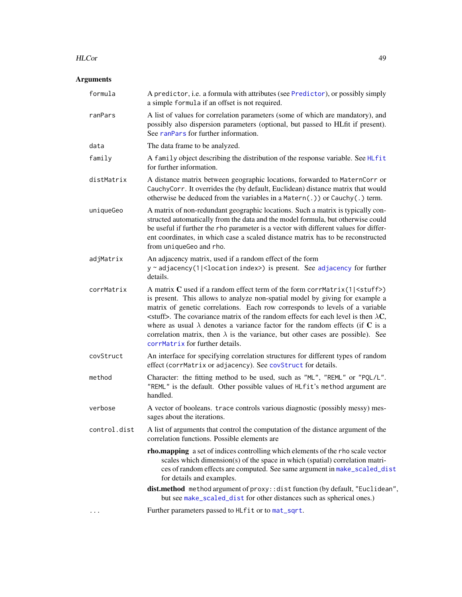### HLCor 49

| formula      | A predictor, i.e. a formula with attributes (see Predictor), or possibly simply<br>a simple formula if an offset is not required.                                                                                                                                                                                                                                                                                                                                                                                                                                               |
|--------------|---------------------------------------------------------------------------------------------------------------------------------------------------------------------------------------------------------------------------------------------------------------------------------------------------------------------------------------------------------------------------------------------------------------------------------------------------------------------------------------------------------------------------------------------------------------------------------|
| ranPars      | A list of values for correlation parameters (some of which are mandatory), and<br>possibly also dispersion parameters (optional, but passed to HLfit if present).<br>See ranPars for further information.                                                                                                                                                                                                                                                                                                                                                                       |
| data         | The data frame to be analyzed.                                                                                                                                                                                                                                                                                                                                                                                                                                                                                                                                                  |
| family       | A family object describing the distribution of the response variable. See HLfit<br>for further information.                                                                                                                                                                                                                                                                                                                                                                                                                                                                     |
| distMatrix   | A distance matrix between geographic locations, forwarded to MaternCorr or<br>CauchyCorr. It overrides the (by default, Euclidean) distance matrix that would<br>otherwise be deduced from the variables in a Matern $(.)$ ) or Cauchy $(.)$ term.                                                                                                                                                                                                                                                                                                                              |
| uniqueGeo    | A matrix of non-redundant geographic locations. Such a matrix is typically con-<br>structed automatically from the data and the model formula, but otherwise could<br>be useful if further the rho parameter is a vector with different values for differ-<br>ent coordinates, in which case a scaled distance matrix has to be reconstructed<br>from uniqueGeo and rho.                                                                                                                                                                                                        |
| adjMatrix    | An adjacency matrix, used if a random effect of the form<br>$y \sim$ adjacency(1  <location index="">) is present. See adjacency for further<br/>details.</location>                                                                                                                                                                                                                                                                                                                                                                                                            |
| corrMatrix   | A matrix $C$ used if a random effect term of the form corrMatrix(1  $\leq$ tuff>)<br>is present. This allows to analyze non-spatial model by giving for example a<br>matrix of genetic correlations. Each row corresponds to levels of a variable<br>$\le$ stuff>. The covariance matrix of the random effects for each level is then $\lambda$ <b>C</b> ,<br>where as usual $\lambda$ denotes a variance factor for the random effects (if C is a<br>correlation matrix, then $\lambda$ is the variance, but other cases are possible). See<br>corrMatrix for further details. |
| covStruct    | An interface for specifying correlation structures for different types of random<br>effect (corrMatrix or adjacency). See covStruct for details.                                                                                                                                                                                                                                                                                                                                                                                                                                |
| method       | Character: the fitting method to be used, such as "ML", "REML" or "PQL/L".<br>"REML" is the default. Other possible values of HLfit's method argument are<br>handled.                                                                                                                                                                                                                                                                                                                                                                                                           |
| verbose      | A vector of booleans. trace controls various diagnostic (possibly messy) mes-<br>sages about the iterations.                                                                                                                                                                                                                                                                                                                                                                                                                                                                    |
| control.dist | A list of arguments that control the computation of the distance argument of the<br>correlation functions. Possible elements are                                                                                                                                                                                                                                                                                                                                                                                                                                                |
|              | rho.mapping a set of indices controlling which elements of the rho scale vector<br>scales which dimension(s) of the space in which (spatial) correlation matri-<br>ces of random effects are computed. See same argument in make_scaled_dist<br>for details and examples.                                                                                                                                                                                                                                                                                                       |
|              | dist.method method argument of proxy: : dist function (by default, "Euclidean",<br>but see make_scaled_dist for other distances such as spherical ones.)                                                                                                                                                                                                                                                                                                                                                                                                                        |
|              | Further parameters passed to HLfit or to mat_sqrt.                                                                                                                                                                                                                                                                                                                                                                                                                                                                                                                              |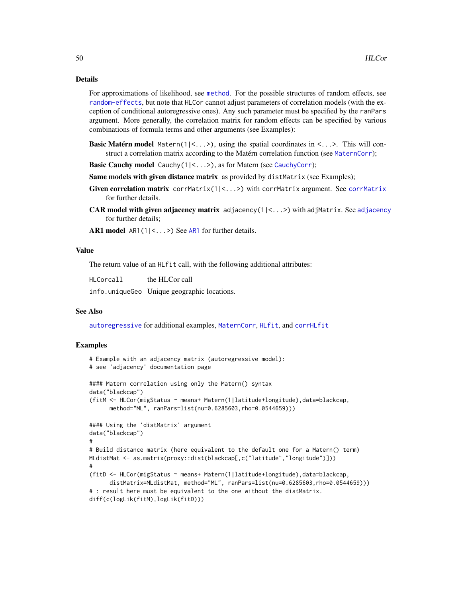### Details

For approximations of likelihood, see [method](#page-70-0). For the possible structures of random effects, see [random-effects](#page-95-0), but note that HLCor cannot adjust parameters of correlation models (with the exception of conditional autoregressive ones). Any such parameter must be specified by the ranPars argument. More generally, the correlation matrix for random effects can be specified by various combinations of formula terms and other arguments (see Examples):

- **Basic Matérn model** Matern( $1|<...>$ ), using the spatial coordinates in  $<...>$ . This will construct a correlation matrix according to the Matérn correlation function (see [MaternCorr](#page-68-0));
- Basic Cauchy model Cauchy(1|<...>), as for Matern (see [CauchyCorr](#page-10-0));
- Same models with given distance matrix as provided by distMatrix (see Examples);
- Given correlation matrix [corrMatrix](#page-20-0)(1|<...>) with corrMatrix argument. See corrMatrix for further details.
- CAR model with given [adjacency](#page-7-0) matrix  $adjacency(1|\langle... \rangle)$  with adjMatrix. See adjacency for further details;

[AR1](#page-7-0) model AR1(1|<...>) See AR1 for further details.

### Value

The return value of an HLfit call, with the following additional attributes:

HLCorcall the HLCor call

info.uniqueGeo Unique geographic locations.

### See Also

[autoregressive](#page-7-1) for additional examples, [MaternCorr](#page-68-0), [HLfit](#page-50-0), and [corrHLfit](#page-17-0)

```
# Example with an adjacency matrix (autoregressive model):
# see 'adjacency' documentation page
#### Matern correlation using only the Matern() syntax
data("blackcap")
(fitM <- HLCor(migStatus ~ means+ Matern(1|latitude+longitude),data=blackcap,
      method="ML", ranPars=list(nu=0.6285603,rho=0.0544659)))
#### Using the 'distMatrix' argument
data("blackcap")
#
# Build distance matrix (here equivalent to the default one for a Matern() term)
MLdistMat <- as.matrix(proxy::dist(blackcap[,c("latitude","longitude")]))
#
(fitD <- HLCor(migStatus ~ means+ Matern(1|latitude+longitude),data=blackcap,
      distMatrix=MLdistMat, method="ML", ranPars=list(nu=0.6285603,rho=0.0544659)))
# : result here must be equivalent to the one without the distMatrix.
diff(c(logLik(fitM),logLik(fitD)))
```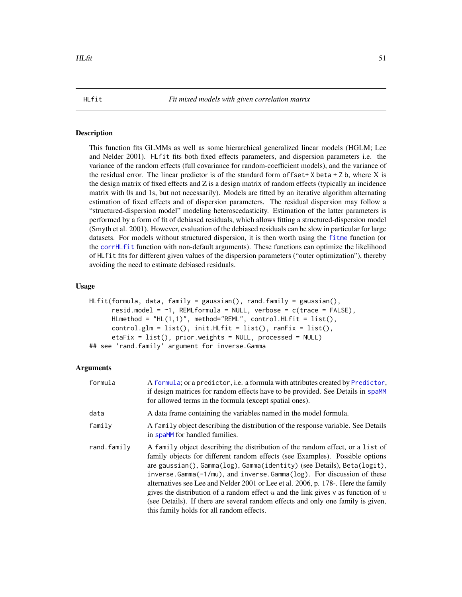<span id="page-50-0"></span>

## Description

This function fits GLMMs as well as some hierarchical generalized linear models (HGLM; Lee and Nelder 2001). HLfit fits both fixed effects parameters, and dispersion parameters i.e. the variance of the random effects (full covariance for random-coefficient models), and the variance of the residual error. The linear predictor is of the standard form of fset +  $X$  beta +  $Z$  b, where  $X$  is the design matrix of fixed effects and Z is a design matrix of random effects (typically an incidence matrix with 0s and 1s, but not necessarily). Models are fitted by an iterative algorithm alternating estimation of fixed effects and of dispersion parameters. The residual dispersion may follow a "structured-dispersion model" modeling heteroscedasticity. Estimation of the latter parameters is performed by a form of fit of debiased residuals, which allows fitting a structured-dispersion model (Smyth et al. 2001). However, evaluation of the debiased residuals can be slow in particular for large datasets. For models without structured dispersion, it is then worth using the [fitme](#page-30-0) function (or the [corrHLfit](#page-17-0) function with non-default arguments). These functions can optimize the likelihood of HLfit fits for different given values of the dispersion parameters ("outer optimization"), thereby avoiding the need to estimate debiased residuals.

## Usage

```
HLfit(formula, data, family = gaussian(), rand.family = gaussian(),
      resid.model = \sim1, REMLformula = NULL, verbose = c(trace = FALSE),
     HLmethod = "HL(1,1)", method="REML", control.HLfit = list(),
     control.glm = list(), init.HLfit = list(), rankist = list(),etaFix = list(), prior.weights = NULL, processed = NULL)
## see 'rand.family' argument for inverse.Gamma
```

| formula     | A formula; or a predictor, <i>i.e.</i> a formula with attributes created by Predictor,<br>if design matrices for random effects have to be provided. See Details in spaMM<br>for allowed terms in the formula (except spatial ones).                                                                                                                                                                                                                                                                                                                                                                                                        |
|-------------|---------------------------------------------------------------------------------------------------------------------------------------------------------------------------------------------------------------------------------------------------------------------------------------------------------------------------------------------------------------------------------------------------------------------------------------------------------------------------------------------------------------------------------------------------------------------------------------------------------------------------------------------|
| data        | A data frame containing the variables named in the model formula.                                                                                                                                                                                                                                                                                                                                                                                                                                                                                                                                                                           |
| family      | A family object describing the distribution of the response variable. See Details<br>in spaMM for handled families.                                                                                                                                                                                                                                                                                                                                                                                                                                                                                                                         |
| rand.family | A family object describing the distribution of the random effect, or a list of<br>family objects for different random effects (see Examples). Possible options<br>are gaussian(), Gamma(log), Gamma(identity) (see Details), Beta(logit),<br>inverse.Gamma( $-1/mu$ ), and inverse.Gamma( $log$ ). For discussion of these<br>alternatives see Lee and Nelder 2001 or Lee et al. 2006, p. 178-. Here the family<br>gives the distribution of a random effect $u$ and the link gives $v$ as function of $u$<br>(see Details). If there are several random effects and only one family is given,<br>this family holds for all random effects. |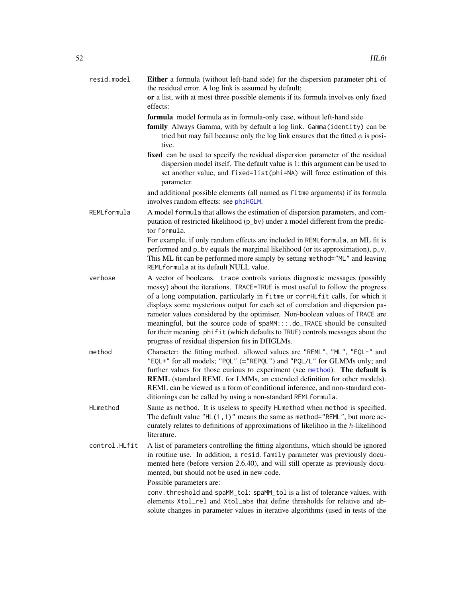| resid.model   | Either a formula (without left-hand side) for the dispersion parameter phi of<br>the residual error. A log link is assumed by default;                                                                                                                                                                                                                                                                                                                                                                                                                                                                                         |
|---------------|--------------------------------------------------------------------------------------------------------------------------------------------------------------------------------------------------------------------------------------------------------------------------------------------------------------------------------------------------------------------------------------------------------------------------------------------------------------------------------------------------------------------------------------------------------------------------------------------------------------------------------|
|               | or a list, with at most three possible elements if its formula involves only fixed<br>effects:                                                                                                                                                                                                                                                                                                                                                                                                                                                                                                                                 |
|               | formula model formula as in formula-only case, without left-hand side<br>family Always Gamma, with by default a log link. Gamma(identity) can be<br>tried but may fail because only the log link ensures that the fitted $\phi$ is posi-<br>tive.                                                                                                                                                                                                                                                                                                                                                                              |
|               | fixed can be used to specify the residual dispersion parameter of the residual<br>dispersion model itself. The default value is 1; this argument can be used to<br>set another value, and fixed=list(phi=NA) will force estimation of this<br>parameter.                                                                                                                                                                                                                                                                                                                                                                       |
|               | and additional possible elements (all named as fitme arguments) if its formula<br>involves random effects: see phiHGLM.                                                                                                                                                                                                                                                                                                                                                                                                                                                                                                        |
| REMLformula   | A model formula that allows the estimation of dispersion parameters, and com-<br>putation of restricted likelihood (p_bv) under a model different from the predic-<br>tor formula.                                                                                                                                                                                                                                                                                                                                                                                                                                             |
|               | For example, if only random effects are included in REMLformula, an ML fit is<br>performed and p_bv equals the marginal likelihood (or its approximation), p_v.<br>This ML fit can be performed more simply by setting method="ML" and leaving<br>REML formula at its default NULL value.                                                                                                                                                                                                                                                                                                                                      |
| verbose       | A vector of booleans. trace controls various diagnostic messages (possibly<br>messy) about the iterations. TRACE=TRUE is most useful to follow the progress<br>of a long computation, particularly in fitme or corrHLfit calls, for which it<br>displays some mysterious output for each set of correlation and dispersion pa-<br>rameter values considered by the optimiser. Non-boolean values of TRACE are<br>meaningful, but the source code of spaMM:::.do_TRACE should be consulted<br>for their meaning. phifit (which defaults to TRUE) controls messages about the<br>progress of residual dispersion fits in DHGLMs. |
| method        | Character: the fitting method. allowed values are "REML", "ML", "EQL-" and<br>"EQL+" for all models; "PQL" (="REPQL") and "PQL/L" for GLMMs only; and<br>further values for those curious to experiment (see method). The default is<br>REML (standard REML for LMMs, an extended definition for other models).<br>REML can be viewed as a form of conditional inference, and non-standard con-<br>ditionings can be called by using a non-standard REMLformula.                                                                                                                                                               |
| HLmethod      | Same as method. It is useless to specify HLmethod when method is specified.<br>The default value "HL(1,1)" means the same as method="REML", but more ac-<br>curately relates to definitions of approximations of likelihoo in the $h$ -likelihood<br>literature.                                                                                                                                                                                                                                                                                                                                                               |
| control.HLfit | A list of parameters controlling the fitting algorithms, which should be ignored<br>in routine use. In addition, a resid. family parameter was previously docu-<br>mented here (before version 2.6.40), and will still operate as previously docu-<br>mented, but should not be used in new code.                                                                                                                                                                                                                                                                                                                              |
|               | Possible parameters are:<br>conv. threshold and spaMM_tol: spaMM_tol is a list of tolerance values, with                                                                                                                                                                                                                                                                                                                                                                                                                                                                                                                       |
|               | elements Xtol_rel and Xtol_abs that define thresholds for relative and ab-<br>solute changes in parameter values in iterative algorithms (used in tests of the                                                                                                                                                                                                                                                                                                                                                                                                                                                                 |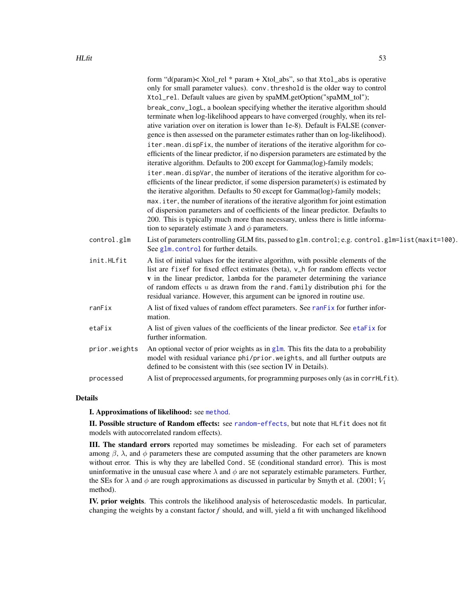|               | form "d(param)< Xtol_rel * param + Xtol_abs", so that Xtol_abs is operative<br>only for small parameter values). conv. threshold is the older way to control<br>Xtol_rel. Default values are given by spaMM.getOption("spaMM_tol");                                                                                                                                                                                 |
|---------------|---------------------------------------------------------------------------------------------------------------------------------------------------------------------------------------------------------------------------------------------------------------------------------------------------------------------------------------------------------------------------------------------------------------------|
|               | break_conv_logL, a boolean specifying whether the iterative algorithm should<br>terminate when log-likelihood appears to have converged (roughly, when its rel-<br>ative variation over on iteration is lower than 1e-8). Default is FALSE (conver-<br>gence is then assessed on the parameter estimates rather than on log-likelihood).                                                                            |
|               | iter.mean.dispFix, the number of iterations of the iterative algorithm for co-<br>efficients of the linear predictor, if no dispersion parameters are estimated by the<br>iterative algorithm. Defaults to 200 except for Gamma(log)-family models;                                                                                                                                                                 |
|               | iter.mean.dispVar, the number of iterations of the iterative algorithm for co-<br>efficients of the linear predictor, if some dispersion parameter(s) is estimated by<br>the iterative algorithm. Defaults to 50 except for Gamma(log)-family models;                                                                                                                                                               |
|               | max.iter, the number of iterations of the iterative algorithm for joint estimation<br>of dispersion parameters and of coefficients of the linear predictor. Defaults to<br>200. This is typically much more than necessary, unless there is little informa-<br>tion to separately estimate $\lambda$ and $\phi$ parameters.                                                                                         |
| control.glm   | List of parameters controlling GLM fits, passed to glm. control; e.g. control.glm=list(maxit=100).<br>See glm. control for further details.                                                                                                                                                                                                                                                                         |
| init.HLfit    | A list of initial values for the iterative algorithm, with possible elements of the<br>list are fixef for fixed effect estimates (beta), v_h for random effects vector<br>v in the linear predictor, lambda for the parameter determining the variance<br>of random effects $u$ as drawn from the rand. family distribution phi for the<br>residual variance. However, this argument can be ignored in routine use. |
| ranFix        | A list of fixed values of random effect parameters. See ranFix for further infor-<br>mation.                                                                                                                                                                                                                                                                                                                        |
| etaFix        | A list of given values of the coefficients of the linear predictor. See etaFix for<br>further information.                                                                                                                                                                                                                                                                                                          |
| prior.weights | An optional vector of prior weights as in $g \ln x$ . This fits the data to a probability<br>model with residual variance phi/prior.weights, and all further outputs are<br>defined to be consistent with this (see section IV in Details).                                                                                                                                                                         |
| processed     | A list of preprocessed arguments, for programming purposes only (as in corrHLfit).                                                                                                                                                                                                                                                                                                                                  |

## Details

### I. Approximations of likelihood: see [method](#page-70-0).

II. Possible structure of Random effects: see [random-effects](#page-95-0), but note that HLfit does not fit models with autocorrelated random effects).

III. The standard errors reported may sometimes be misleading. For each set of parameters among  $\beta$ ,  $\lambda$ , and  $\phi$  parameters these are computed assuming that the other parameters are known without error. This is why they are labelled Cond. SE (conditional standard error). This is most uninformative in the unusual case where  $\lambda$  and  $\phi$  are not separately estimable parameters. Further, the SEs for  $\lambda$  and  $\phi$  are rough approximations as discussed in particular by Smyth et al. (2001;  $V_1$ ) method).

IV. prior weights. This controls the likelihood analysis of heteroscedastic models. In particular, changing the weights by a constant factor *f* should, and will, yield a fit with unchanged likelihood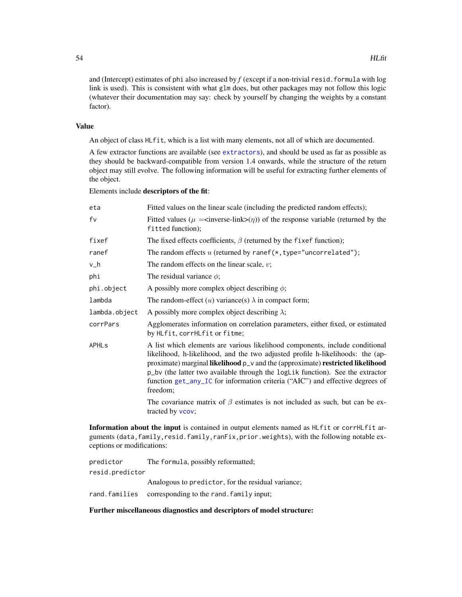and (Intercept) estimates of phi also increased by *f* (except if a non-trivial resid.formula with log link is used). This is consistent with what glm does, but other packages may not follow this logic (whatever their documentation may say: check by yourself by changing the weights by a constant factor).

## Value

An object of class HLfit, which is a list with many elements, not all of which are documented.

A few extractor functions are available (see [extractors](#page-27-1)), and should be used as far as possible as they should be backward-compatible from version 1.4 onwards, while the structure of the return object may still evolve. The following information will be useful for extracting further elements of the object.

## Elements include descriptors of the fit:

| eta                     | Fitted values on the linear scale (including the predicted random effects);                                                                                                                                                                                                                                                                                                                                                     |
|-------------------------|---------------------------------------------------------------------------------------------------------------------------------------------------------------------------------------------------------------------------------------------------------------------------------------------------------------------------------------------------------------------------------------------------------------------------------|
| fv                      | Fitted values ( $\mu =$ <inverse-link>(<math>\eta</math>)) of the response variable (returned by the<br/>fitted function);</inverse-link>                                                                                                                                                                                                                                                                                       |
| fixef                   | The fixed effects coefficients, $\beta$ (returned by the fixef function);                                                                                                                                                                                                                                                                                                                                                       |
| ranef                   | The random effects $u$ (returned by ranef( $\star$ , type="uncorrelated");                                                                                                                                                                                                                                                                                                                                                      |
| v_h                     | The random effects on the linear scale, $v$ ;                                                                                                                                                                                                                                                                                                                                                                                   |
| phi                     | The residual variance $\phi$ ;                                                                                                                                                                                                                                                                                                                                                                                                  |
| phi.object              | A possibly more complex object describing $\phi$ ;                                                                                                                                                                                                                                                                                                                                                                              |
| lambda                  | The random-effect $(u)$ variance(s) $\lambda$ in compact form;                                                                                                                                                                                                                                                                                                                                                                  |
| lambda.object           | A possibly more complex object describing $\lambda$ ;                                                                                                                                                                                                                                                                                                                                                                           |
| corrPars                | Agglomerates information on correlation parameters, either fixed, or estimated<br>by HLfit, corrHLfit or fitme;                                                                                                                                                                                                                                                                                                                 |
| <b>APHL<sub>S</sub></b> | A list which elements are various likelihood components, include conditional<br>likelihood, h-likelihood, and the two adjusted profile h-likelihoods: the (ap-<br>proximate) marginal likelihood p_v and the (approximate) restricted likelihood<br>p_bv (the latter two available through the logLik function). See the extractor<br>function get_any_IC for information criteria ("AIC") and effective degrees of<br>freedom; |
|                         | The covariance matrix of $\beta$ estimates is not included as such, but can be ex-<br>tracted by vcov;                                                                                                                                                                                                                                                                                                                          |
|                         |                                                                                                                                                                                                                                                                                                                                                                                                                                 |

Information about the input is contained in output elements named as HLfit or corrHLfit arguments (data, family, resid.family, ranFix, prior.weights), with the following notable exceptions or modifications:

| predictor       | The formula, possibly reformatted;                      |
|-----------------|---------------------------------------------------------|
| resid.predictor |                                                         |
|                 | Analogous to predictor, for the residual variance;      |
|                 | rand. families corresponding to the rand. family input; |

# Further miscellaneous diagnostics and descriptors of model structure: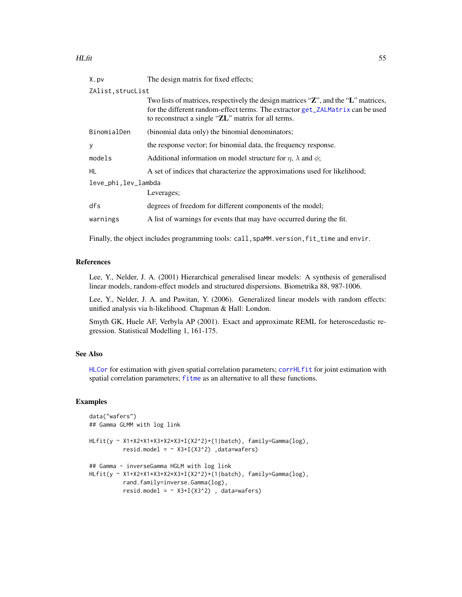| X.pv                | The design matrix for fixed effects;                                                                                                                                                                                       |
|---------------------|----------------------------------------------------------------------------------------------------------------------------------------------------------------------------------------------------------------------------|
| ZAlist, strucList   |                                                                                                                                                                                                                            |
|                     | Two lists of matrices, respectively the design matrices "Z", and the "L" matrices,<br>for the different random-effect terms. The extractor get_ZALMatrix can be used<br>to reconstruct a single "ZL" matrix for all terms. |
| BinomialDen         | (binomial data only) the binomial denominators;                                                                                                                                                                            |
| y                   | the response vector; for binomial data, the frequency response.                                                                                                                                                            |
| models              | Additional information on model structure for $\eta$ , $\lambda$ and $\phi$ ;                                                                                                                                              |
| HL.                 | A set of indices that characterize the approximations used for likelihood;                                                                                                                                                 |
| leve_phi,lev_lambda |                                                                                                                                                                                                                            |
|                     | Leverages;                                                                                                                                                                                                                 |
| dfs                 | degrees of freedom for different components of the model;                                                                                                                                                                  |
| warnings            | A list of warnings for events that may have occurred during the fit.                                                                                                                                                       |
|                     |                                                                                                                                                                                                                            |

Finally, the object includes programming tools: call, spaMM. version, fit\_time and envir.

## References

Lee, Y., Nelder, J. A. (2001) Hierarchical generalised linear models: A synthesis of generalised linear models, random-effect models and structured dispersions. Biometrika 88, 987-1006.

Lee, Y., Nelder, J. A. and Pawitan, Y. (2006). Generalized linear models with random effects: unified analysis via h-likelihood. Chapman & Hall: London.

Smyth GK, Huele AF, Verbyla AP (2001). Exact and approximate REML for heteroscedastic regression. Statistical Modelling 1, 161-175.

## See Also

[HLCor](#page-47-0) for estimation with given spatial correlation parameters; [corrHLfit](#page-17-0) for joint estimation with spatial correlation parameters; [fitme](#page-30-0) as an alternative to all these functions.

```
data("wafers")
## Gamma GLMM with log link
HLfit(y ~ X1+X2+X1*X3+X2*X3+I(X2^2)+(1|batch), family=Gamma(log),
          resid.model = \sim X3+I(X3^2) ,data=wafers)
## Gamma - inverseGamma HGLM with log link
HLfit(y ~ X1+X2+X1*X3+X2*X3+I(X2^2)+(1|batch), family=Gamma(log),
         rand.family=inverse.Gamma(log),
         resid.model = \sim X3+I(X3^2), data=wafers)
```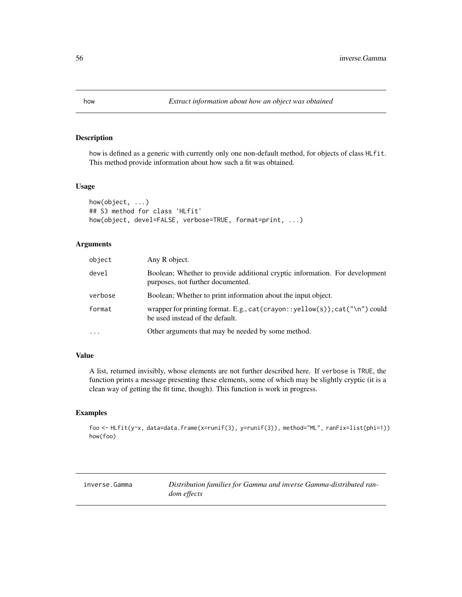# Description

how is defined as a generic with currently only one non-default method, for objects of class HLfit. This method provide information about how such a fit was obtained.

## Usage

```
how(object, ...)
## S3 method for class 'HLfit'
how(object, devel=FALSE, verbose=TRUE, format=print, ...)
```
# Arguments

| object    | Any R object.                                                                                                    |
|-----------|------------------------------------------------------------------------------------------------------------------|
| devel     | Boolean; Whether to provide additional cryptic information. For development<br>purposes, not further documented. |
| verbose   | Boolean; Whether to print information about the input object.                                                    |
| format    | wrapper for printing format. E.g., cat(crayon::yellow(s));cat("\n") could<br>be used instead of the default.     |
| $\ddotsc$ | Other arguments that may be needed by some method.                                                               |

## Value

A list, returned invisibly, whose elements are not further described here. If verbose is TRUE, the function prints a message presenting these elements, some of which may be slightly cryptic (it is a clean way of getting the fit time, though). This function is work in progress.

### Examples

foo <- HLfit(y~x, data=data.frame(x=runif(3), y=runif(3)), method="ML", ranFix=list(phi=1)) how(foo)

<span id="page-55-0"></span>

inverse.Gamma *Distribution families for Gamma and inverse Gamma-distributed random effects*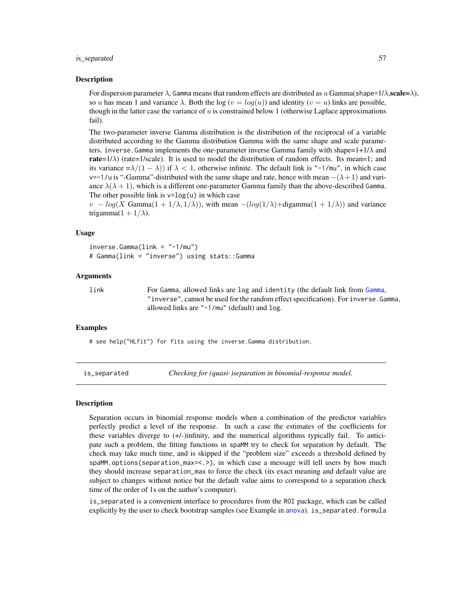### is\_separated 57

### Description

For dispersion parameter  $\lambda$ , Gamma means that random effects are distributed as u Gamma(shape=1/ $\lambda$ , scale= $\lambda$ ), so u has mean 1 and variance  $\lambda$ . Both the log  $(v = log(u))$  and identity  $(v = u)$  links are possible, though in the latter case the variance of  $u$  is constrained below 1 (otherwise Laplace approximations fail).

The two-parameter inverse Gamma distribution is the distribution of the reciprocal of a variable distributed according to the Gamma distribution Gamma with the same shape and scale parameters. inverse. Gamma implements the one-parameter inverse Gamma family with shape= $1+1/\lambda$  and rate= $1/\lambda$ ) (rate=1/scale). It is used to model the distribution of random effects. Its mean=1; and its variance  $=\lambda/(1-\lambda)$ ) if  $\lambda < 1$ , otherwise infinite. The default link is "-1/mu", in which case v=-1/u is "-Gamma"-distributed with the same shape and rate, hence with mean  $-(\lambda + 1)$  and variance  $\lambda(\lambda + 1)$ , which is a different one-parameter Gamma family than the above-described Gamma. The other possible link is  $v = log(u)$  in which case

 $v - log(X \text{ Gamma}(1 + 1/\lambda, 1/\lambda))$ , with mean  $-(log(1/\lambda)+digamma(1 + 1/\lambda))$  and variance trigamma $(1 + 1/\lambda)$ .

## Usage

```
inverse.Gamma(link = "1/mu")# Gamma(link = "inverse") using stats::Gamma
```
#### Arguments

link For Gamma, allowed links are log and identity (the default link from [Gamma](#page-55-0), "inverse", cannot be used for the random effect specification). For inverse.Gamma, allowed links are "-1/mu" (default) and log.

### Examples

# see help("HLfit") for fits using the inverse.Gamma distribution.

is\_separated *Checking for (quasi-)separation in binomial-response model.*

## **Description**

Separation occurs in binomial response models when a combination of the predictor variables perfectly predict a level of the response. In such a case the estimates of the coefficients for these variables diverge to (+/-)infinity, and the numerical algorithms typically fail. To anticipate such a problem, the fitting functions in spaMM try to check for separation by default. The check may take much time, and is skipped if the "problem size" exceeds a threshold defined by spaMM.options(separation\_max=<.>), in which case a message will tell users by how much they should increase separation\_max to force the check (its exact meaning and default value are subject to changes without notice but the default value aims to correspond to a separation check time of the order of 1s on the author's computer).

is\_separated is a convenient interface to procedures from the ROI package, which can be called explicitly by the user to check bootstrap samples (see Example in [anova](#page-60-1)). is\_separated.formula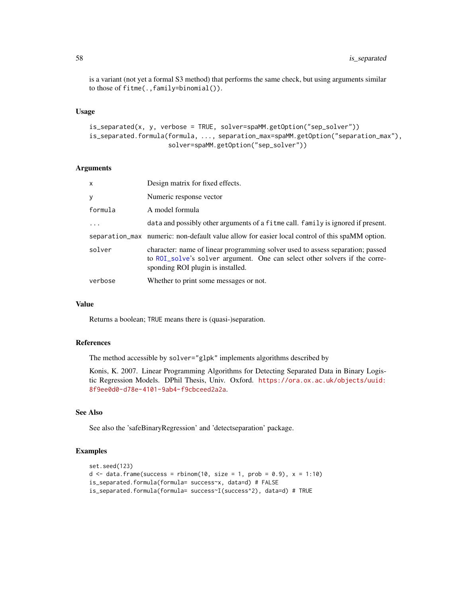is a variant (not yet a formal S3 method) that performs the same check, but using arguments similar to those of fitme(.,family=binomial()).

## Usage

```
is_separated(x, y, verbose = TRUE, solver=spaMM.getOption("sep_solver"))
is_separated.formula(formula, ..., separation_max=spaMM.getOption("separation_max"),
                     solver=spaMM.getOption("sep_solver"))
```
### Arguments

| x        | Design matrix for fixed effects.                                                                                                                                                                  |
|----------|---------------------------------------------------------------------------------------------------------------------------------------------------------------------------------------------------|
| y        | Numeric response vector                                                                                                                                                                           |
| formula  | A model formula                                                                                                                                                                                   |
| $\ddots$ | data and possibly other arguments of a fit me call. family is ignored if present.                                                                                                                 |
|          | separation_max numeric: non-default value allow for easier local control of this spaMM option.                                                                                                    |
| solver   | character: name of linear programming solver used to assess separation; passed<br>to ROI_solve's solver argument. One can select other solvers if the corre-<br>sponding ROI plugin is installed. |
| verbose  | Whether to print some messages or not.                                                                                                                                                            |

### Value

Returns a boolean; TRUE means there is (quasi-)separation.

## References

The method accessible by solver="glpk" implements algorithms described by

Konis, K. 2007. Linear Programming Algorithms for Detecting Separated Data in Binary Logistic Regression Models. DPhil Thesis, Univ. Oxford. [https://ora.ox.ac.uk/objects/uuid:](https://ora.ox.ac.uk/objects/uuid:8f9ee0d0-d78e-4101-9ab4-f9cbceed2a2a) [8f9ee0d0-d78e-4101-9ab4-f9cbceed2a2a](https://ora.ox.ac.uk/objects/uuid:8f9ee0d0-d78e-4101-9ab4-f9cbceed2a2a).

## See Also

See also the 'safeBinaryRegression' and 'detectseparation' package.

```
set.seed(123)
d \le data.frame(success = rbinom(10, size = 1, prob = 0.9), x = 1:10)
is_separated.formula(formula= success~x, data=d) # FALSE
is_separated.formula(formula= success~I(success^2), data=d) # TRUE
```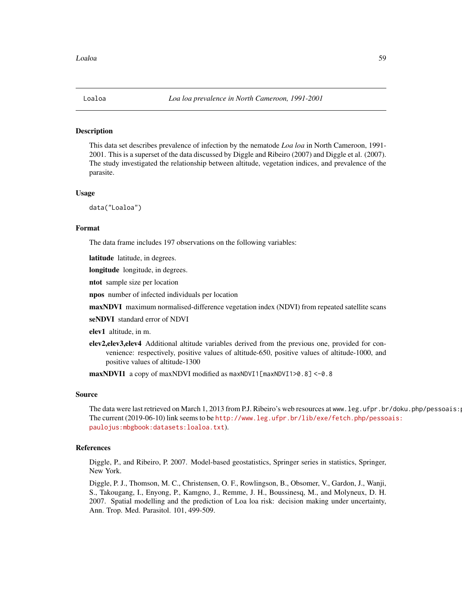<span id="page-58-0"></span>

#### Description

This data set describes prevalence of infection by the nematode *Loa loa* in North Cameroon, 1991- 2001. This is a superset of the data discussed by Diggle and Ribeiro (2007) and Diggle et al. (2007). The study investigated the relationship between altitude, vegetation indices, and prevalence of the parasite.

### Usage

data("Loaloa")

# Format

The data frame includes 197 observations on the following variables:

latitude latitude, in degrees.

longitude longitude, in degrees.

ntot sample size per location

npos number of infected individuals per location

maxNDVI maximum normalised-difference vegetation index (NDVI) from repeated satellite scans

seNDVI standard error of NDVI

elev1 altitude, in m.

elev2,elev3,elev4 Additional altitude variables derived from the previous one, provided for convenience: respectively, positive values of altitude-650, positive values of altitude-1000, and positive values of altitude-1300

 $maxNDV11$  a copy of maxNDVI modified as  $maxNDV11[maxNDV11>0.8] < -0.8$ 

### Source

The data were last retrieved on March 1, 2013 from P.J. Ribeiro's web resources at www.leg.ufpr.br/doku.php/pessoais: The current (2019-06-10) link seems to be [http://www.leg.ufpr.br/lib/exe/fetch.php/pesso](http://www.leg.ufpr.br/lib/exe/fetch.php/pessoais:paulojus:mbgbook:datasets:loaloa.txt)ais: [paulojus:mbgbook:datasets:loaloa.txt](http://www.leg.ufpr.br/lib/exe/fetch.php/pessoais:paulojus:mbgbook:datasets:loaloa.txt)).

## References

Diggle, P., and Ribeiro, P. 2007. Model-based geostatistics, Springer series in statistics, Springer, New York.

Diggle, P. J., Thomson, M. C., Christensen, O. F., Rowlingson, B., Obsomer, V., Gardon, J., Wanji, S., Takougang, I., Enyong, P., Kamgno, J., Remme, J. H., Boussinesq, M., and Molyneux, D. H. 2007. Spatial modelling and the prediction of Loa loa risk: decision making under uncertainty, Ann. Trop. Med. Parasitol. 101, 499-509.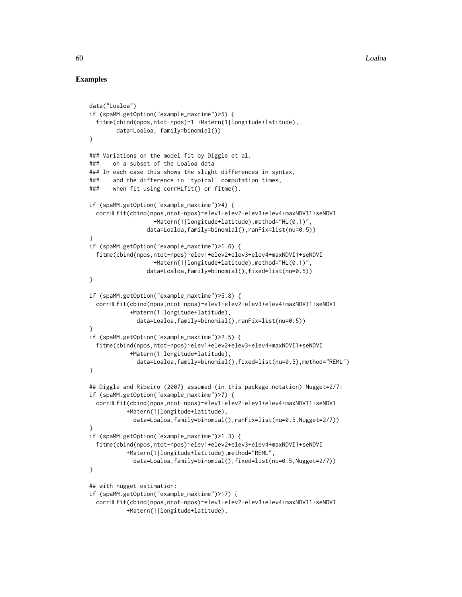```
data("Loaloa")
if (spaMM.getOption("example_maxtime")>5) {
 fitme(cbind(npos,ntot-npos)~1 +Matern(1|longitude+latitude),
        data=Loaloa, family=binomial())
}
### Variations on the model fit by Diggle et al.
### on a subset of the Loaloa data
### In each case this shows the slight differences in syntax,
### and the difference in 'typical' computation times,
### when fit using corrHLfit() or fitme().
if (spaMM.getOption("example_maxtime")>4) {
 corrHLfit(cbind(npos,ntot-npos)~elev1+elev2+elev3+elev4+maxNDVI1+seNDVI
                   +Matern(1|longitude+latitude),method="HL(0,1)",
                 data=Loaloa,family=binomial(),ranFix=list(nu=0.5))
}
if (spaMM.getOption("example_maxtime")>1.6) {
  fitme(cbind(npos,ntot-npos)~elev1+elev2+elev3+elev4+maxNDVI1+seNDVI
                   +Matern(1|longitude+latitude),method="HL(0,1)",
                 data=Loaloa,family=binomial(),fixed=list(nu=0.5))
}
if (spaMM.getOption("example_maxtime")>5.8) {
 corrHLfit(cbind(npos,ntot-npos)~elev1+elev2+elev3+elev4+maxNDVI1+seNDVI
           +Matern(1|longitude+latitude),
              data=Loaloa,family=binomial(),ranFix=list(nu=0.5))
}
if (spaMM.getOption("example_maxtime")>2.5) {
 fitme(cbind(npos,ntot-npos)~elev1+elev2+elev3+elev4+maxNDVI1+seNDVI
           +Matern(1|longitude+latitude),
              data=Loaloa,family=binomial(),fixed=list(nu=0.5),method="REML")
}
## Diggle and Ribeiro (2007) assumed (in this package notation) Nugget=2/7:
if (spaMM.getOption("example_maxtime")>7) {
 corrHLfit(cbind(npos,ntot-npos)~elev1+elev2+elev3+elev4+maxNDVI1+seNDVI
           +Matern(1|longitude+latitude),
             data=Loaloa,family=binomial(),ranFix=list(nu=0.5,Nugget=2/7))
}
if (spaMM.getOption("example_maxtime")>1.3) {
 fitme(cbind(npos,ntot-npos)~elev1+elev2+elev3+elev4+maxNDVI1+seNDVI
           +Matern(1|longitude+latitude),method="REML",
             data=Loaloa,family=binomial(),fixed=list(nu=0.5,Nugget=2/7))
}
## with nugget estimation:
if (spaMM.getOption("example_maxtime")>17) {
 corrHLfit(cbind(npos,ntot-npos)~elev1+elev2+elev3+elev4+maxNDVI1+seNDVI
          +Matern(1|longitude+latitude),
```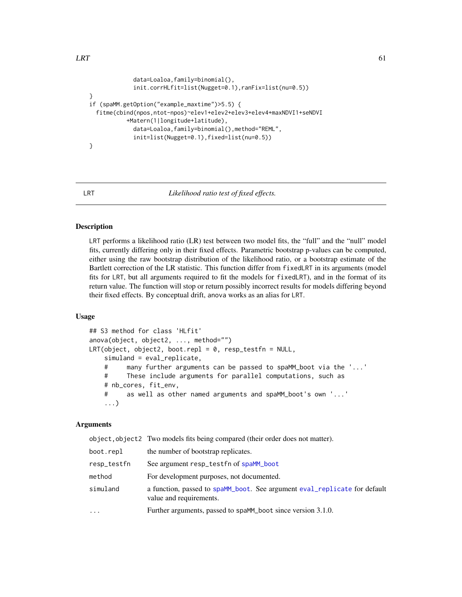```
data=Loaloa,family=binomial(),
             init.corrHLfit=list(Nugget=0.1),ranFix=list(nu=0.5))
}
if (spaMM.getOption("example_maxtime")>5.5) {
 fitme(cbind(npos,ntot-npos)~elev1+elev2+elev3+elev4+maxNDVI1+seNDVI
           +Matern(1|longitude+latitude),
             data=Loaloa,family=binomial(),method="REML",
             init=list(Nugget=0.1),fixed=list(nu=0.5))
}
```
<span id="page-60-0"></span>

#### LRT *Likelihood ratio test of fixed effects.*

#### <span id="page-60-1"></span>Description

LRT performs a likelihood ratio (LR) test between two model fits, the "full" and the "null" model fits, currently differing only in their fixed effects. Parametric bootstrap p-values can be computed, either using the raw bootstrap distribution of the likelihood ratio, or a bootstrap estimate of the Bartlett correction of the LR statistic. This function differ from fixedLRT in its arguments (model fits for LRT, but all arguments required to fit the models for fixedLRT), and in the format of its return value. The function will stop or return possibly incorrect results for models differing beyond their fixed effects. By conceptual drift, anova works as an alias for LRT.

### Usage

```
## S3 method for class 'HLfit'
anova(object, object2, ..., method="")
LRT(object, object2, boot.repl = 0, resp_testfn = NULL,
    simuland = eval_replicate,
    # many further arguments can be passed to spaMM_boot via the '...'
   # These include arguments for parallel computations, such as
    # nb_cores, fit_env,
    # as well as other named arguments and spaMM_boot's own '...'
    ...)
```
## Arguments

object,object2 Two models fits being compared (their order does not matter). boot.repl the number of bootstrap replicates. resp\_testfn See argument resp\_testfn of [spaMM\\_boot](#page-111-0) method For development purposes, not documented. simuland a function, passed to [spaMM\\_boot](#page-111-0). See argument [eval\\_replicate](#page-25-0) for default value and requirements. ... Further arguments, passed to spaMM\_boot since version 3.1.0.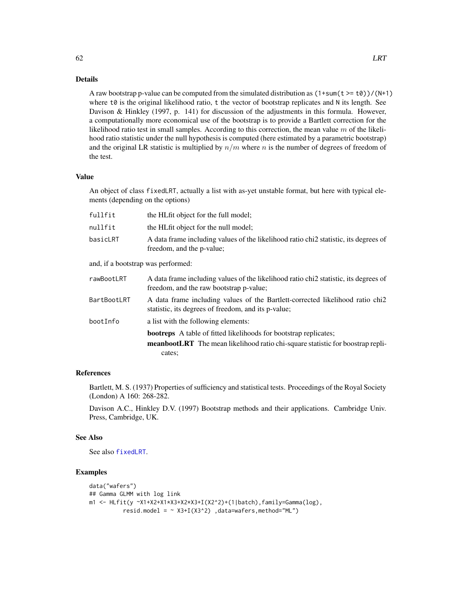## Details

A raw bootstrap p-value can be computed from the simulated distribution as  $(1+sum(t \geq t\theta))/(N+1)$ where t0 is the original likelihood ratio, t the vector of bootstrap replicates and N its length. See Davison & Hinkley (1997, p. 141) for discussion of the adjustments in this formula. However, a computationally more economical use of the bootstrap is to provide a Bartlett correction for the likelihood ratio test in small samples. According to this correction, the mean value  $m$  of the likelihood ratio statistic under the null hypothesis is computed (here estimated by a parametric bootstrap) and the original LR statistic is multiplied by  $n/m$  where n is the number of degrees of freedom of the test.

#### Value

An object of class fixedLRT, actually a list with as-yet unstable format, but here with typical elements (depending on the options)

| fullfit                            | the HLfit object for the full model;                                                                                                        |
|------------------------------------|---------------------------------------------------------------------------------------------------------------------------------------------|
| nullfit                            | the HLfit object for the null model;                                                                                                        |
| basicLRT                           | A data frame including values of the likelihood ratio chi <sub>2</sub> statistic, its degrees of<br>freedom, and the p-value;               |
| and, if a bootstrap was performed: |                                                                                                                                             |
| rawBootLRT                         | A data frame including values of the likelihood ratio chi <sub>2</sub> statistic, its degrees of<br>freedom, and the raw bootstrap p-value; |
| BartBootLRT                        | A data frame including values of the Bartlett-corrected likelihood ratio chi2<br>statistic, its degrees of freedom, and its p-value;        |
| bootInfo                           | a list with the following elements:                                                                                                         |
|                                    | <b>bootreps</b> A table of fitted likelihoods for bootstrap replicates;                                                                     |
|                                    | <b>meanbootLRT</b> The mean likelihood ratio chi-square statistic for boostrap repli-<br>cates:                                             |

# References

Bartlett, M. S. (1937) Properties of sufficiency and statistical tests. Proceedings of the Royal Society (London) A 160: 268-282.

Davison A.C., Hinkley D.V. (1997) Bootstrap methods and their applications. Cambridge Univ. Press, Cambridge, UK.

## See Also

See also [fixedLRT](#page-34-0).

# Examples

```
data("wafers")
## Gamma GLMM with log link
m1 <- HLfit(y ~X1+X2+X1*X3+X2*X3+I(X2^2)+(1|batch),family=Gamma(log),
         resid.model = ~ X3+I(X3^2) ,data=wafers,method="ML")
```
62 LRT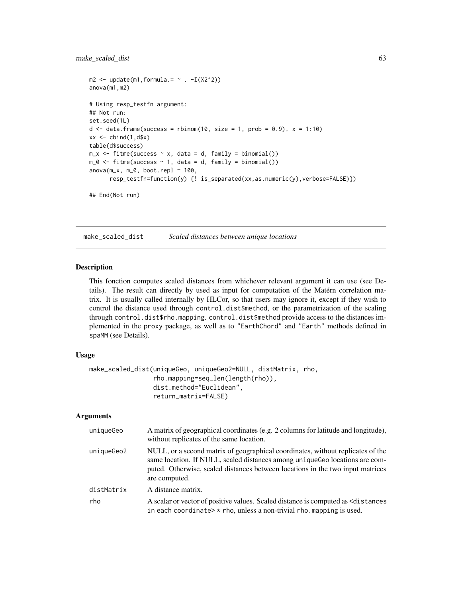# make\_scaled\_dist 63

```
m2 \leq update(m1, formula. = \sim . -I(X2^2))
anova(m1,m2)
# Using resp_testfn argument:
## Not run:
set.seed(1L)
d \leq - data.frame(success = rbinom(10, size = 1, prob = 0.9), x = 1:10)
xx \le cbind(1,d$x)
table(d$success)
m_x \le fitme(success \sim x, data = d, family = binomial())
m_0 \leftarrow fitme(success \sim 1, data = d, family = binomial())
anova(m_x, m_0, boot. repl = 100,resp_testfn=function(y) {! is_separated(xx,as.numeric(y),verbose=FALSE)})
```

```
## End(Not run)
```
<span id="page-62-0"></span>make\_scaled\_dist *Scaled distances between unique locations*

## Description

This fonction computes scaled distances from whichever relevant argument it can use (see Details). The result can directly by used as input for computation of the Matérn correlation matrix. It is usually called internally by HLCor, so that users may ignore it, except if they wish to control the distance used through control.dist\$method, or the parametrization of the scaling through control.dist\$rho.mapping. control.dist\$method provide access to the distances implemented in the proxy package, as well as to "EarthChord" and "Earth" methods defined in spaMM (see Details).

### Usage

```
make_scaled_dist(uniqueGeo, uniqueGeo2=NULL, distMatrix, rho,
                 rho.mapping=seq_len(length(rho)),
                 dist.method="Euclidean",
                 return_matrix=FALSE)
```

| uniqueGeo  | A matrix of geographical coordinates (e.g. 2 columns for latitude and longitude),<br>without replicates of the same location.                                                                                                                                     |
|------------|-------------------------------------------------------------------------------------------------------------------------------------------------------------------------------------------------------------------------------------------------------------------|
| uniqueGeo2 | NULL, or a second matrix of geographical coordinates, without replicates of the<br>same location. If NULL, scaled distances among uniqueGeo locations are com-<br>puted. Otherwise, scaled distances between locations in the two input matrices<br>are computed. |
| distMatrix | A distance matrix.                                                                                                                                                                                                                                                |
| rho        | A scalar or vector of positive values. Scaled distance is computed as $\leq d$ is tances<br>in each coordinate $\rightarrow$ rho, unless a non-trivial rho. mapping is used.                                                                                      |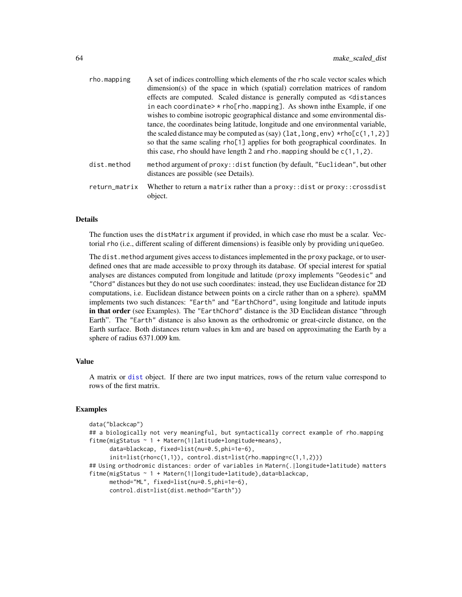| rho.mapping   | A set of indices controlling which elements of the rho scale vector scales which<br>dimension(s) of the space in which (spatial) correlation matrices of random<br>effects are computed. Scaled distance is generally computed as <distances<br>in each coordinate&gt; <math>\star</math> rho[rho.mapping]. As shown in the Example, if one<br/>wishes to combine isotropic geographical distance and some environmental dis-<br/>tance, the coordinates being latitude, longitude and one environmental variable,<br/>the scaled distance may be computed as (say) (<math>lat, long, env</math>) *rho<math>[c(1,1,2)]</math><br/>so that the same scaling rho[1] applies for both geographical coordinates. In<br/>this case, rho should have length 2 and rho. mapping should be <math>c(1,1,2)</math>.</distances<br> |
|---------------|--------------------------------------------------------------------------------------------------------------------------------------------------------------------------------------------------------------------------------------------------------------------------------------------------------------------------------------------------------------------------------------------------------------------------------------------------------------------------------------------------------------------------------------------------------------------------------------------------------------------------------------------------------------------------------------------------------------------------------------------------------------------------------------------------------------------------|
| dist.method   | method argument of proxy:: dist function (by default, "Euclidean", but other<br>distances are possible (see Details).                                                                                                                                                                                                                                                                                                                                                                                                                                                                                                                                                                                                                                                                                                    |
| return_matrix | Whether to return a matrix rather than a $prox$ : dist or $prox$ : : crossdist<br>object.                                                                                                                                                                                                                                                                                                                                                                                                                                                                                                                                                                                                                                                                                                                                |

## Details

The function uses the distMatrix argument if provided, in which case rho must be a scalar. Vectorial rho (i.e., different scaling of different dimensions) is feasible only by providing uniqueGeo.

The dist.method argument gives access to distances implemented in the proxy package, or to userdefined ones that are made accessible to proxy through its database. Of special interest for spatial analyses are distances computed from longitude and latitude (proxy implements "Geodesic" and "Chord" distances but they do not use such coordinates: instead, they use Euclidean distance for 2D computations, i.e. Euclidean distance between points on a circle rather than on a sphere). spaMM implements two such distances: "Earth" and "EarthChord", using longitude and latitude inputs in that order (see Examples). The "EarthChord" distance is the 3D Euclidean distance "through Earth". The "Earth" distance is also known as the orthodromic or great-circle distance, on the Earth surface. Both distances return values in km and are based on approximating the Earth by a sphere of radius 6371.009 km.

## Value

A matrix or [dist](#page-0-0) object. If there are two input matrices, rows of the return value correspond to rows of the first matrix.

```
data("blackcap")
## a biologically not very meaningful, but syntactically correct example of rho.mapping
fitme(migStatus ~ 1 + Matern(1|latitude+longitude+means),
      data=blackcap, fixed=list(nu=0.5,phi=1e-6),
      init=list(rho=c(1,1)), control.dist=list(rho.mapping=c(1,1,2)))
## Using orthodromic distances: order of variables in Matern(.|longitude+latitude) matters
fitme(migStatus ~ 1 + Matern(1|longitude+latitude),data=blackcap,
     method="ML", fixed=list(nu=0.5,phi=1e-6),
     control.dist=list(dist.method="Earth"))
```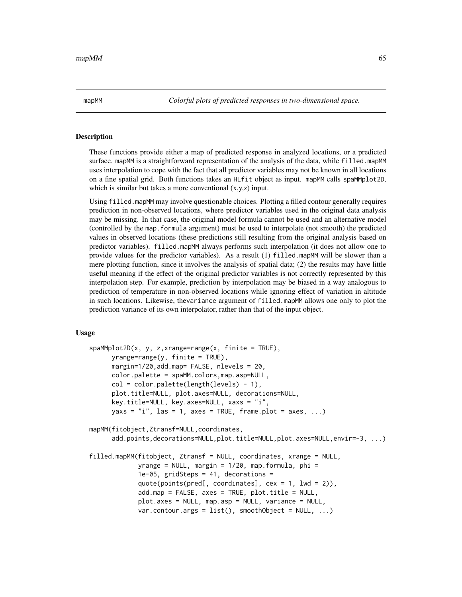mapMM *Colorful plots of predicted responses in two-dimensional space.*

## Description

These functions provide either a map of predicted response in analyzed locations, or a predicted surface. mapMM is a straightforward representation of the analysis of the data, while filled.mapMM uses interpolation to cope with the fact that all predictor variables may not be known in all locations on a fine spatial grid. Both functions takes an HLfit object as input. mapMM calls spaMMplot2D, which is similar but takes a more conventional  $(x,y,z)$  input.

Using filled.mapMM may involve questionable choices. Plotting a filled contour generally requires prediction in non-observed locations, where predictor variables used in the original data analysis may be missing. In that case, the original model formula cannot be used and an alternative model (controlled by the map.formula argument) must be used to interpolate (not smooth) the predicted values in observed locations (these predictions still resulting from the original analysis based on predictor variables). filled.mapMM always performs such interpolation (it does not allow one to provide values for the predictor variables). As a result (1) filled.mapMM will be slower than a mere plotting function, since it involves the analysis of spatial data; (2) the results may have little useful meaning if the effect of the original predictor variables is not correctly represented by this interpolation step. For example, prediction by interpolation may be biased in a way analogous to prediction of temperature in non-observed locations while ignoring effect of variation in altitude in such locations. Likewise, thevariance argument of filled.mapMM allows one only to plot the prediction variance of its own interpolator, rather than that of the input object.

## Usage

```
spanMplot2D(x, y, z, xrange = range(x, finite = TRUE),yrange=range(y, finite = TRUE),
     margin=1/20,add.map= FALSE, nlevels = 20,
     color.palette = spaMM.colors,map.asp=NULL,
     col = color.palette(length(levels) - 1),
     plot.title=NULL, plot.axes=NULL, decorations=NULL,
     key.title=NULL, key.axes=NULL, xaxs = "i",
     yaxs = "i", las = 1, axes = TRUE, frame.plot = axes, ...)
mapMM(fitobject,Ztransf=NULL,coordinates,
     add.points,decorations=NULL,plot.title=NULL,plot.axes=NULL,envir=-3, ...)
filled.mapMM(fitobject, Ztransf = NULL, coordinates, xrange = NULL,
             vrange = NULL, margin = 1/20, map.formula, phi =
             1e-05, gridSteps = 41, decorations =
             quote(points(pred[, coordinates], cex = 1, 1wd = 2)),
             add.map = FALSE, axes = TRUE, plot.title = NULL,
             plot.axes = NULL, map.asp = NULL, variance = NULL,
             var.contour.args = list(), smoothObject = NULL, ...)
```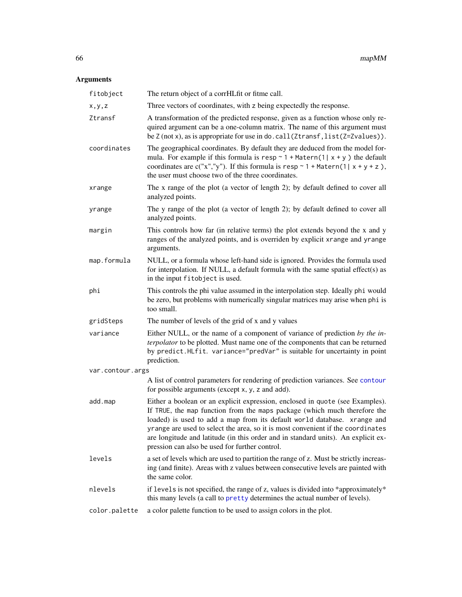| fitobject        | The return object of a corrHLfit or fitme call.                                                                                                                                                                                                                                                                                                                                                                                                                  |
|------------------|------------------------------------------------------------------------------------------------------------------------------------------------------------------------------------------------------------------------------------------------------------------------------------------------------------------------------------------------------------------------------------------------------------------------------------------------------------------|
| x,y,z            | Three vectors of coordinates, with z being expectedly the response.                                                                                                                                                                                                                                                                                                                                                                                              |
| Ztransf          | A transformation of the predicted response, given as a function whose only re-<br>quired argument can be a one-column matrix. The name of this argument must<br>be Z (not x), as is appropriate for use in do. call(Ztransf, list(Z=Zvalues)).                                                                                                                                                                                                                   |
| coordinates      | The geographical coordinates. By default they are deduced from the model for-<br>mula. For example if this formula is resp $\sim$ 1 + Matern(1  x + y) the default<br>coordinates are c("x","y"). If this formula is resp $\sim$ 1 + Matern(1  x + y + z),<br>the user must choose two of the three coordinates.                                                                                                                                                 |
| xrange           | The x range of the plot (a vector of length 2); by default defined to cover all<br>analyzed points.                                                                                                                                                                                                                                                                                                                                                              |
| yrange           | The y range of the plot (a vector of length 2); by default defined to cover all<br>analyzed points.                                                                                                                                                                                                                                                                                                                                                              |
| margin           | This controls how far (in relative terms) the plot extends beyond the x and y<br>ranges of the analyzed points, and is overriden by explicit xrange and yrange<br>arguments.                                                                                                                                                                                                                                                                                     |
| map.formula      | NULL, or a formula whose left-hand side is ignored. Provides the formula used<br>for interpolation. If NULL, a default formula with the same spatial effect(s) as<br>in the input fitobject is used.                                                                                                                                                                                                                                                             |
| phi              | This controls the phi value assumed in the interpolation step. Ideally phi would<br>be zero, but problems with numerically singular matrices may arise when phi is<br>too small.                                                                                                                                                                                                                                                                                 |
| gridSteps        | The number of levels of the grid of x and y values                                                                                                                                                                                                                                                                                                                                                                                                               |
| variance         | Either NULL, or the name of a component of variance of prediction by the in-<br>terpolator to be plotted. Must name one of the components that can be returned<br>by predict.HLfit. variance="predVar" is suitable for uncertainty in point<br>prediction.                                                                                                                                                                                                       |
| var.contour.args |                                                                                                                                                                                                                                                                                                                                                                                                                                                                  |
|                  | A list of control parameters for rendering of prediction variances. See contour<br>for possible arguments (except x, y, z and add).                                                                                                                                                                                                                                                                                                                              |
| add.map          | Either a boolean or an explicit expression, enclosed in quote (see Examples).<br>If TRUE, the map function from the maps package (which much therefore the<br>loaded) is used to add a map from its default world database. xrange and<br>yrange are used to select the area, so it is most convenient if the coordinates<br>are longitude and latitude (in this order and in standard units). An explicit ex-<br>pression can also be used for further control. |
| levels           | a set of levels which are used to partition the range of z. Must be strictly increas-<br>ing (and finite). Areas with z values between consecutive levels are painted with<br>the same color.                                                                                                                                                                                                                                                                    |
| nlevels          | if levels is not specified, the range of z, values is divided into *approximately*<br>this many levels (a call to pretty determines the actual number of levels).                                                                                                                                                                                                                                                                                                |
| color.palette    | a color palette function to be used to assign colors in the plot.                                                                                                                                                                                                                                                                                                                                                                                                |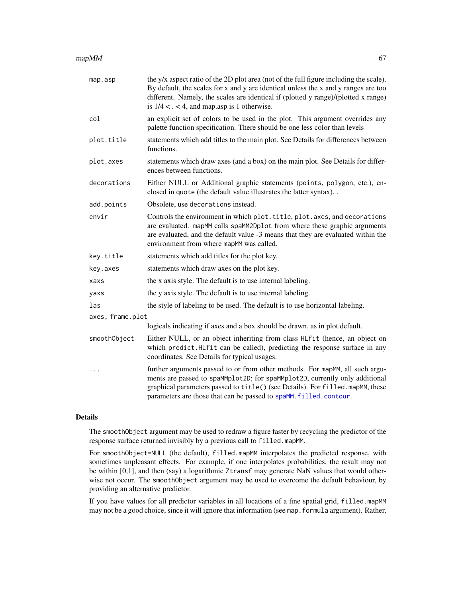### $mapMM$  67

| map.asp          | the y/x aspect ratio of the 2D plot area (not of the full figure including the scale).<br>By default, the scales for x and y are identical unless the x and y ranges are too<br>different. Namely, the scales are identical if (plotted y range)/(plotted x range)<br>is $1/4 < . < 4$ , and map asp is 1 otherwise. |
|------------------|----------------------------------------------------------------------------------------------------------------------------------------------------------------------------------------------------------------------------------------------------------------------------------------------------------------------|
| col              | an explicit set of colors to be used in the plot. This argument overrides any<br>palette function specification. There should be one less color than levels                                                                                                                                                          |
| plot.title       | statements which add titles to the main plot. See Details for differences between<br>functions.                                                                                                                                                                                                                      |
| plot.axes        | statements which draw axes (and a box) on the main plot. See Details for differ-<br>ences between functions.                                                                                                                                                                                                         |
| decorations      | Either NULL or Additional graphic statements (points, polygon, etc.), en-<br>closed in quote (the default value illustrates the latter syntax)                                                                                                                                                                       |
| add.points       | Obsolete, use decorations instead.                                                                                                                                                                                                                                                                                   |
| envir            | Controls the environment in which plot.title, plot.axes, and decorations<br>are evaluated. mapMM calls spaMM2Dp1ot from where these graphic arguments<br>are evaluated, and the default value -3 means that they are evaluated within the<br>environment from where mapMM was called.                                |
| key.title        | statements which add titles for the plot key.                                                                                                                                                                                                                                                                        |
| key.axes         | statements which draw axes on the plot key.                                                                                                                                                                                                                                                                          |
| xaxs             | the x axis style. The default is to use internal labeling.                                                                                                                                                                                                                                                           |
| yaxs             | the y axis style. The default is to use internal labeling.                                                                                                                                                                                                                                                           |
| las              | the style of labeling to be used. The default is to use horizontal labeling.                                                                                                                                                                                                                                         |
| axes, frame.plot |                                                                                                                                                                                                                                                                                                                      |
|                  | logicals indicating if axes and a box should be drawn, as in plot.default.                                                                                                                                                                                                                                           |
| smoothObject     | Either NULL, or an object inheriting from class HLfit (hence, an object on<br>which predict.HLfit can be called), predicting the response surface in any<br>coordinates. See Details for typical usages.                                                                                                             |
|                  | further arguments passed to or from other methods. For mapMM, all such argu-<br>ments are passed to spaMMplot2D; for spaMMplot2D, currently only additional<br>graphical parameters passed to title() (see Details). For filled. mapMM, these<br>parameters are those that can be passed to spaMM. filled. contour.  |
|                  |                                                                                                                                                                                                                                                                                                                      |

## Details

The smoothObject argument may be used to redraw a figure faster by recycling the predictor of the response surface returned invisibly by a previous call to filled.mapMM.

For smoothObject=NULL (the default), filled.mapMM interpolates the predicted response, with sometimes unpleasant effects. For example, if one interpolates probabilities, the result may not be within [0,1], and then (say) a logarithmic Ztransf may generate NaN values that would otherwise not occur. The smoothObject argument may be used to overcome the default behaviour, by providing an alternative predictor.

If you have values for all predictor variables in all locations of a fine spatial grid, filled.mapMM may not be a good choice, since it will ignore that information (see map.formula argument). Rather,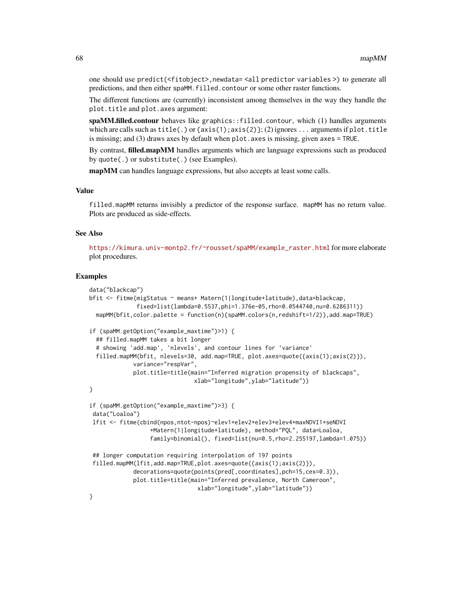one should use predict(<fitobject>, newdata= <all predictor variables >) to generate all predictions, and then either spaMM.filled.contour or some other raster functions.

The different functions are (currently) inconsistent among themselves in the way they handle the plot.title and plot.axes argument:

spaMM.filled.contour behaves like graphics::filled.contour, which (1) handles arguments which are calls such as  $title(.)$  or  $\{axis(1);axis(2)\};$  (2) ignores ... arguments if plot.title is missing; and (3) draws axes by default when plot. axes is missing, given axes = TRUE.

By contrast, **filled.mapMM** handles arguments which are language expressions such as produced by quote(.) or substitute(.) (see Examples).

mapMM can handles language expressions, but also accepts at least some calls.

#### Value

filled.mapMM returns invisibly a predictor of the response surface. mapMM has no return value. Plots are produced as side-effects.

### See Also

[https://kimura.univ-montp2.fr/~rousset/spaMM/example\\_raster.html](https://kimura.univ-montp2.fr/~rousset/spaMM/example_raster.html) for more elaborate plot procedures.

```
data("blackcap")
bfit <- fitme(migStatus ~ means+ Matern(1|longitude+latitude),data=blackcap,
              fixed=list(lambda=0.5537,phi=1.376e-05,rho=0.0544740,nu=0.6286311))
 mapMM(bfit,color.palette = function(n){spaMM.colors(n,redshift=1/2)},add.map=TRUE)
if (spaMM.getOption("example_maxtime")>1) {
  ## filled.mapMM takes a bit longer
  # showing 'add.map', 'nlevels', and contour lines for 'variance'
  filled.mapMM(bfit, nlevels=30, add.map=TRUE, plot.axes=quote({axis(1);axis(2)}),
             variance="respVar",
             plot.title=title(main="Inferred migration propensity of blackcaps",
                               xlab="longitude",ylab="latitude"))
}
if (spaMM.getOption("example_maxtime")>3) {
 data("Loaloa")
 lfit <- fitme(cbind(npos,ntot-npos)~elev1+elev2+elev3+elev4+maxNDVI1+seNDVI
                  +Matern(1|longitude+latitude), method="PQL", data=Loaloa,
                  family=binomial(), fixed=list(nu=0.5,rho=2.255197,lambda=1.075))
 ## longer computation requiring interpolation of 197 points
 filled.mapMM(lfit,add.map=TRUE,plot.axes=quote({axis(1);axis(2)}),
             decorations=quote(points(pred[,coordinates],pch=15,cex=0.3)),
             plot.title=title(main="Inferred prevalence, North Cameroon",
                                xlab="longitude",ylab="latitude"))
}
```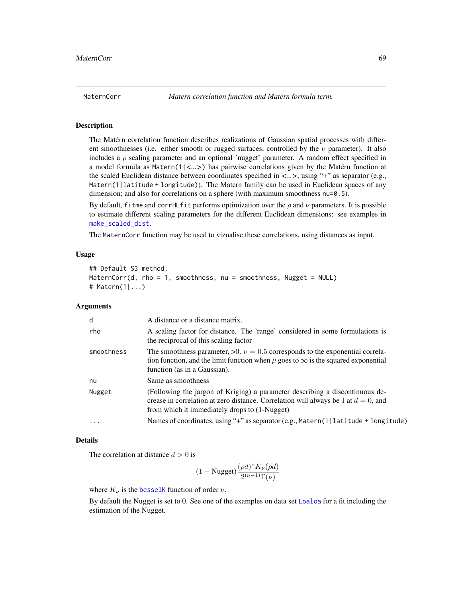<span id="page-68-0"></span>

### **Description**

The Matérn correlation function describes realizations of Gaussian spatial processes with different smoothnesses (i.e. either smooth or rugged surfaces, controlled by the  $\nu$  parameter). It also includes a  $\rho$  scaling parameter and an optional 'nugget' parameter. A random effect specified in a model formula as Matern(1|*<...>*) has pairwise correlations given by the Matérn function at the scaled Euclidean distance between coordinates specified in *<...>*, using "+" as separator (e.g., Matern(1|latitude + longitude)). The Matern family can be used in Euclidean spaces of any dimension; and also for correlations on a sphere (with maximum smoothness nu=0.5).

By default, fitme and corrHL fit performs optimization over the  $\rho$  and  $\nu$  parameters. It is possible to estimate different scaling parameters for the different Euclidean dimensions: see examples in [make\\_scaled\\_dist](#page-62-0).

The MaternCorr function may be used to vizualise these correlations, using distances as input.

#### Usage

```
## Default S3 method:
MaternCorr(d, rho = 1, smoothness, nu = smoothness, Nugget = NULL)
# Matern(1|...)
```
## Arguments

| d          | A distance or a distance matrix.                                                                                                                                                                                       |
|------------|------------------------------------------------------------------------------------------------------------------------------------------------------------------------------------------------------------------------|
| rho        | A scaling factor for distance. The 'range' considered in some formulations is<br>the reciprocal of this scaling factor                                                                                                 |
| smoothness | The smoothness parameter, $>0$ . $\nu = 0.5$ corresponds to the exponential correla-<br>tion function, and the limit function when $\mu$ goes to $\infty$ is the squared exponential<br>function (as in a Gaussian).   |
| nu         | Same as smoothness                                                                                                                                                                                                     |
| Nugget     | (Following the jargon of Kriging) a parameter describing a discontinuous de-<br>crease in correlation at zero distance. Correlation will always be 1 at $d = 0$ , and<br>from which it immediately drops to (1-Nugget) |
| $\ddotsc$  | Names of coordinates, using "+" as separator (e.g., Matern(1 latitude + longitude)                                                                                                                                     |

## Details

The correlation at distance  $d > 0$  is

$$
(1-\text{Nugget})\frac{(\rho d)^\nu K_\nu(\rho d)}{2^{(\nu-1)}\Gamma(\nu)}
$$

where  $K_{\nu}$  is the [besselK](#page-0-0) function of order  $\nu$ .

By default the Nugget is set to 0. See one of the examples on data set [Loaloa](#page-58-0) for a fit including the estimation of the Nugget.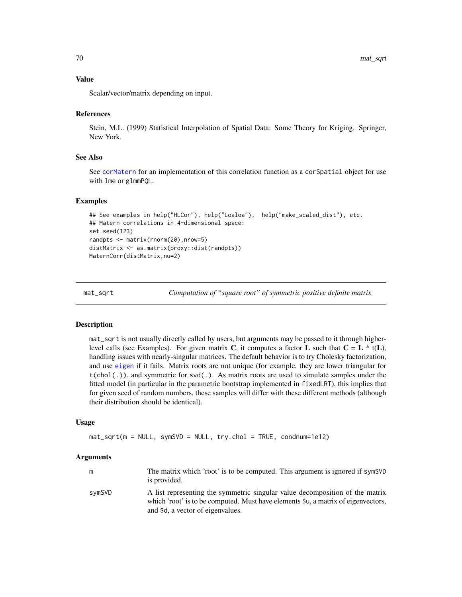### Value

Scalar/vector/matrix depending on input.

### References

Stein, M.L. (1999) Statistical Interpolation of Spatial Data: Some Theory for Kriging. Springer, New York.

## See Also

See [corMatern](#page-15-0) for an implementation of this correlation function as a corSpatial object for use with lme or glmmPQL.

#### Examples

```
## See examples in help("HLCor"), help("Loaloa"), help("make_scaled_dist"), etc.
## Matern correlations in 4-dimensional space:
set.seed(123)
randpts <- matrix(rnorm(20),nrow=5)
distMatrix <- as.matrix(proxy::dist(randpts))
MaternCorr(distMatrix,nu=2)
```
<span id="page-69-0"></span>mat\_sqrt *Computation of "square root" of symmetric positive definite matrix*

#### Description

mat\_sqrt is not usually directly called by users, but arguments may be passed to it through higherlevel calls (see Examples). For given matrix C, it computes a factor L such that  $C = L * t(L)$ , handling issues with nearly-singular matrices. The default behavior is to try Cholesky factorization, and use [eigen](#page-0-0) if it fails. Matrix roots are not unique (for example, they are lower triangular for  $t(chol(.)),$  and symmetric for  $svd(.)$ . As matrix roots are used to simulate samples under the fitted model (in particular in the parametric bootstrap implemented in fixedLRT), this implies that for given seed of random numbers, these samples will differ with these different methods (although their distribution should be identical).

## Usage

```
mat_sqrt(m = NULL, symSVD = NULL, try.chol = TRUE, condnum=1e12)
```

|        | The matrix which 'root' is to be computed. This argument is ignored if symSVD<br>is provided.                                                                                                          |
|--------|--------------------------------------------------------------------------------------------------------------------------------------------------------------------------------------------------------|
| svmSVD | A list representing the symmetric singular value decomposition of the matrix<br>which 'root' is to be computed. Must have elements \$u, a matrix of eigenvectors,<br>and \$d, a vector of eigenvalues. |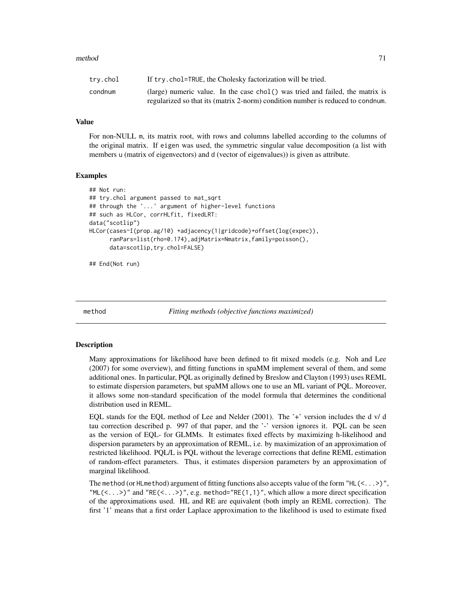### method 71

| trv.chol | If try. chol=TRUE, the Cholesky factorization will be tried.                    |
|----------|---------------------------------------------------------------------------------|
| condnum  | (large) numeric value. In the case chol() was tried and failed, the matrix is   |
|          | regularized so that its (matrix 2-norm) condition number is reduced to condium. |

### Value

For non-NULL m, its matrix root, with rows and columns labelled according to the columns of the original matrix. If eigen was used, the symmetric singular value decomposition (a list with members u (matrix of eigenvectors) and d (vector of eigenvalues)) is given as attribute.

### Examples

```
## Not run:
## try.chol argument passed to mat_sqrt
## through the '...' argument of higher-level functions
## such as HLCor, corrHLfit, fixedLRT:
data("scotlip")
HLCor(cases~I(prop.ag/10) +adjacency(1|gridcode)+offset(log(expec)),
     ranPars=list(rho=0.174),adjMatrix=Nmatrix,family=poisson(),
     data=scotlip,try.chol=FALSE)
```
## End(Not run)

<span id="page-70-0"></span>

method *Fitting methods (objective functions maximized)*

### Description

Many approximations for likelihood have been defined to fit mixed models (e.g. Noh and Lee (2007) for some overview), and fitting functions in spaMM implement several of them, and some additional ones. In particular, PQL as originally defined by Breslow and Clayton (1993) uses REML to estimate dispersion parameters, but spaMM allows one to use an ML variant of PQL. Moreover, it allows some non-standard specification of the model formula that determines the conditional distribution used in REML.

EQL stands for the EQL method of Lee and Nelder (2001). The '+' version includes the d v/ d tau correction described p. 997 of that paper, and the '-' version ignores it. PQL can be seen as the version of EQL- for GLMMs. It estimates fixed effects by maximizing h-likelihood and dispersion parameters by an approximation of REML, i.e. by maximization of an approximation of restricted likelihood. PQL/L is PQL without the leverage corrections that define REML estimation of random-effect parameters. Thus, it estimates dispersion parameters by an approximation of marginal likelihood.

The method (or HLmethod) argument of fitting functions also accepts value of the form "HL( $\langle \ldots \rangle$ ", "ML(<...>)" and "RE(<...>)", e.g. method="RE(1,1)", which allow a more direct specification of the approximations used. HL and RE are equivalent (both imply an REML correction). The first '1' means that a first order Laplace approximation to the likelihood is used to estimate fixed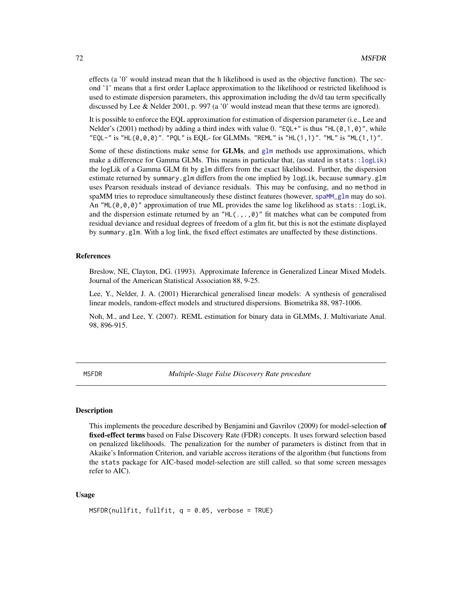effects (a '0' would instead mean that the h likelihood is used as the objective function). The second '1' means that a first order Laplace approximation to the likelihood or restricted likelihood is used to estimate dispersion parameters, this approximation including the dv/d tau term specifically discussed by Lee & Nelder 2001, p. 997 (a '0' would instead mean that these terms are ignored).

It is possible to enforce the EQL approximation for estimation of dispersion parameter (i.e., Lee and Nelder's (2001) method) by adding a third index with value 0. "EQL+" is thus "HL( $\emptyset$ , 1, $\emptyset$ )", while "EQL-" is "HL(0,0,0)". "PQL" is EQL- for GLMMs. "REML" is "HL(1,1)". "ML" is "ML(1,1)".

Some of these distinctions make sense for **GLMs**, and  $g1m$  methods use approximations, which make a difference for Gamma GLMs. This means in particular that, (as stated in  $stats::logLink$ ) the logLik of a Gamma GLM fit by glm differs from the exact likelihood. Further, the dispersion estimate returned by summary.glm differs from the one implied by logLik, because summary.glm uses Pearson residuals instead of deviance residuals. This may be confusing, and no method in spaMM tries to reproduce simultaneously these distinct features (however, [spaMM\\_glm](#page-113-0) may do so). An "ML $(0,0,0)$ " approximation of true ML provides the same log likelihood as stats:: $loglik$ , and the dispersion estimate returned by an "HL( $, \ldots, \emptyset$ )" fit matches what can be computed from residual deviance and residual degrees of freedom of a glm fit, but this is not the estimate displayed by summary.glm. With a log link, the fixed effect estimates are unaffected by these distinctions.

## References

Breslow, NE, Clayton, DG. (1993). Approximate Inference in Generalized Linear Mixed Models. Journal of the American Statistical Association 88, 9-25.

Lee, Y., Nelder, J. A. (2001) Hierarchical generalised linear models: A synthesis of generalised linear models, random-effect models and structured dispersions. Biometrika 88, 987-1006.

Noh, M., and Lee, Y. (2007). REML estimation for binary data in GLMMs, J. Multivariate Anal. 98, 896-915.

MSFDR *Multiple-Stage False Discovery Rate procedure*

### Description

This implements the procedure described by Benjamini and Gavrilov (2009) for model-selection of fixed-effect terms based on False Discovery Rate (FDR) concepts. It uses forward selection based on penalized likelihoods. The penalization for the number of parameters is distinct from that in Akaike's Information Criterion, and variable accross iterations of the algorithm (but functions from the stats package for AIC-based model-selection are still called, so that some screen messages refer to AIC).

### Usage

```
MSFDR(nullfit, fullfit, q = 0.05, verbose = TRUE)
```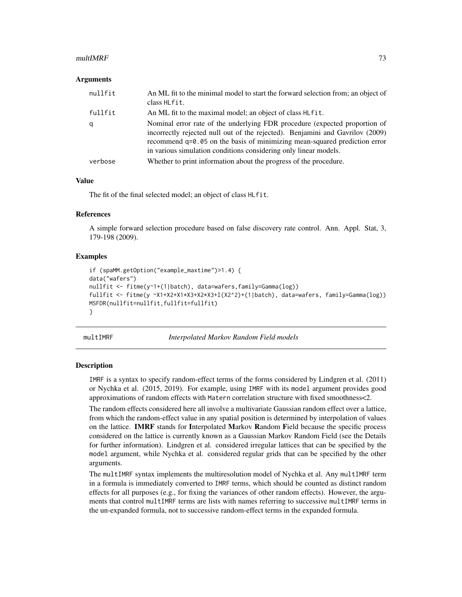## $multIMRF$  and the contract of the contract of the contract of the contract of the contract of the contract of the contract of the contract of the contract of the contract of the contract of the contract of the contract of th

#### Arguments

| nullfit | An ML fit to the minimal model to start the forward selection from; an object of<br>class HLfit.                                                                                                                                                                                                             |
|---------|--------------------------------------------------------------------------------------------------------------------------------------------------------------------------------------------------------------------------------------------------------------------------------------------------------------|
| fullfit | An ML fit to the maximal model; an object of class HL fit.                                                                                                                                                                                                                                                   |
| q       | Nominal error rate of the underlying FDR procedure (expected proportion of<br>incorrectly rejected null out of the rejected). Benjamini and Gavrilov (2009)<br>recommend q=0.05 on the basis of minimizing mean-squared prediction error<br>in various simulation conditions considering only linear models. |
| verbose | Whether to print information about the progress of the procedure.                                                                                                                                                                                                                                            |

## Value

The fit of the final selected model; an object of class HLfit.

## References

A simple forward selection procedure based on false discovery rate control. Ann. Appl. Stat, 3, 179-198 (2009).

## Examples

```
if (spaMM.getOption("example_maxtime")>1.4) {
data("wafers")
nullfit <- fitme(y~1+(1|batch), data=wafers,family=Gamma(log))
fullfit <- fitme(y ~X1+X2+X1*X3+X2*X3+I(X2^2)+(1|batch), data=wafers, family=Gamma(log))
MSFDR(nullfit=nullfit,fullfit=fullfit)
}
```
multIMRF *Interpolated Markov Random Field models*

## <span id="page-72-0"></span>**Description**

IMRF is a syntax to specify random-effect terms of the forms considered by Lindgren et al. (2011) or Nychka et al. (2015, 2019). For example, using IMRF with its model argument provides good approximations of random effects with Matern correlation structure with fixed smoothness<2.

The random effects considered here all involve a multivariate Gaussian random effect over a lattice, from which the random-effect value in any spatial position is determined by interpolation of values on the lattice. **IMRF** stands for Interpolated Markov Random Field because the specific process considered on the lattice is currently known as a Gaussian Markov Random Field (see the Details for further information). Lindgren et al. considered irregular lattices that can be specified by the model argument, while Nychka et al. considered regular grids that can be specified by the other arguments.

The multIMRF syntax implements the multiresolution model of Nychka et al. Any multIMRF term in a formula is immediately converted to IMRF terms, which should be counted as distinct random effects for all purposes (e.g., for fixing the variances of other random effects). However, the arguments that control multIMRF terms are lists with names referring to successive multIMRF terms in the un-expanded formula, not to successive random-effect terms in the expanded formula.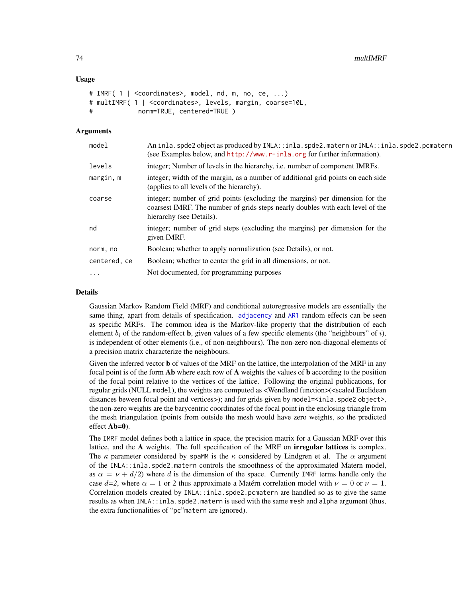## Usage

```
# IMRF( 1 | <coordinates>, model, nd, m, no, ce, ...)
# multIMRF( 1 | <coordinates>, levels, margin, coarse=10L,
# norm=TRUE, centered=TRUE )
```
#### Arguments

| levels<br>integer; Number of levels in the hierarchy, i.e. number of component IMRFs.<br>integer; width of the margin, as a number of additional grid points on each side<br>margin, m<br>(applies to all levels of the hierarchy).<br>integer; number of grid points (excluding the margins) per dimension for the<br>coarse<br>coarsest IMRF. The number of grids steps nearly doubles with each level of the<br>hierarchy (see Details).<br>integer; number of grid steps (excluding the margins) per dimension for the<br>nd<br>given IMRF.<br>Boolean; whether to apply normalization (see Details), or not.<br>norm, no<br>Boolean; whether to center the grid in all dimensions, or not.<br>centered, ce<br>Not documented, for programming purposes<br>$\ddots$ . | model | An inla.spde2 object as produced by INLA::inla.spde2.matern or INLA::inla.spde2.pcmatern<br>(see Examples below, and $http://www.r-inla.org$ for further information). |
|---------------------------------------------------------------------------------------------------------------------------------------------------------------------------------------------------------------------------------------------------------------------------------------------------------------------------------------------------------------------------------------------------------------------------------------------------------------------------------------------------------------------------------------------------------------------------------------------------------------------------------------------------------------------------------------------------------------------------------------------------------------------------|-------|------------------------------------------------------------------------------------------------------------------------------------------------------------------------|
|                                                                                                                                                                                                                                                                                                                                                                                                                                                                                                                                                                                                                                                                                                                                                                           |       |                                                                                                                                                                        |
|                                                                                                                                                                                                                                                                                                                                                                                                                                                                                                                                                                                                                                                                                                                                                                           |       |                                                                                                                                                                        |
|                                                                                                                                                                                                                                                                                                                                                                                                                                                                                                                                                                                                                                                                                                                                                                           |       |                                                                                                                                                                        |
|                                                                                                                                                                                                                                                                                                                                                                                                                                                                                                                                                                                                                                                                                                                                                                           |       |                                                                                                                                                                        |
|                                                                                                                                                                                                                                                                                                                                                                                                                                                                                                                                                                                                                                                                                                                                                                           |       |                                                                                                                                                                        |
|                                                                                                                                                                                                                                                                                                                                                                                                                                                                                                                                                                                                                                                                                                                                                                           |       |                                                                                                                                                                        |
|                                                                                                                                                                                                                                                                                                                                                                                                                                                                                                                                                                                                                                                                                                                                                                           |       |                                                                                                                                                                        |

### Details

Gaussian Markov Random Field (MRF) and conditional autoregressive models are essentially the same thing, apart from details of specification. [adjacency](#page-7-0) and [AR1](#page-7-0) random effects can be seen as specific MRFs. The common idea is the Markov-like property that the distribution of each element  $b_i$  of the random-effect **b**, given values of a few specific elements (the "neighbours" of i), is independent of other elements (i.e., of non-neighbours). The non-zero non-diagonal elements of a precision matrix characterize the neighbours.

Given the inferred vector **b** of values of the MRF on the lattice, the interpolation of the MRF in any focal point is of the form **Ab** where each row of **A** weights the values of **b** according to the position of the focal point relative to the vertices of the lattice. Following the original publications, for regular grids (NULL model), the weights are computed as <Wendland function>(<scaled Euclidean distances beween focal point and vertices>); and for grids given by model= $\le$ inla.spde2 object>, the non-zero weights are the barycentric coordinates of the focal point in the enclosing triangle from the mesh triangulation (points from outside the mesh would have zero weights, so the predicted effect Ab=0).

The IMRF model defines both a lattice in space, the precision matrix for a Gaussian MRF over this lattice, and the A weights. The full specification of the MRF on **irregular lattices** is complex. The  $\kappa$  parameter considered by spaMM is the  $\kappa$  considered by Lindgren et al. The  $\alpha$  argument of the INLA::inla.spde2.matern controls the smoothness of the approximated Matern model, as  $\alpha = \nu + d/2$ ) where d is the dimension of the space. Currently IMRF terms handle only the case  $d=2$ , where  $\alpha = 1$  or 2 thus approximate a Matérn correlation model with  $\nu = 0$  or  $\nu = 1$ . Correlation models created by INLA::inla.spde2.pcmatern are handled so as to give the same results as when INLA::inla.spde2.matern is used with the same mesh and alpha argument (thus, the extra functionalities of "pc"matern are ignored).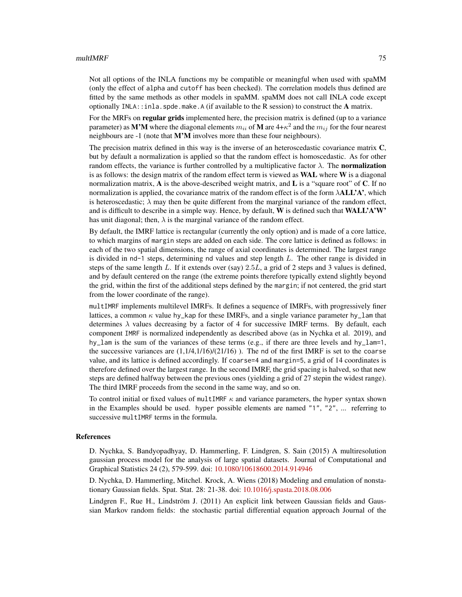## $multIMRF$  75

Not all options of the INLA functions my be compatible or meaningful when used with spaMM (only the effect of alpha and cutoff has been checked). The correlation models thus defined are fitted by the same methods as other models in spaMM. spaMM does not call INLA code except optionally INLA::inla.spde.make.A (if available to the R session) to construct the A matrix.

For the MRFs on **regular grids** implemented here, the precision matrix is defined (up to a variance parameter) as  $\bf M' M$  where the diagonal elements  $m_{ii}$  of  $\bf M$  are 4+ $\kappa^2$  and the  $m_{ij}$  for the four nearest neighbours are -1 (note that M'M involves more than these four neighbours).

The precision matrix defined in this way is the inverse of an heteroscedastic covariance matrix C, but by default a normalization is applied so that the random effect is homoscedastic. As for other random effects, the variance is further controlled by a multiplicative factor  $\lambda$ . The **normalization** is as follows: the design matrix of the random effect term is viewed as WAL where W is a diagonal normalization matrix,  $\bf{A}$  is the above-described weight matrix, and  $\bf{L}$  is a "square root" of  $\bf{C}$ . If no normalization is applied, the covariance matrix of the random effect is of the form  $\lambda ALL'A'$ , which is heteroscedastic;  $\lambda$  may then be quite different from the marginal variance of the random effect, and is difficult to describe in a simple way. Hence, by default, W is defined such that  $WALLA'W'$ has unit diagonal; then,  $\lambda$  is the marginal variance of the random effect.

By default, the IMRF lattice is rectangular (currently the only option) and is made of a core lattice, to which margins of margin steps are added on each side. The core lattice is defined as follows: in each of the two spatial dimensions, the range of axial coordinates is determined. The largest range is divided in nd-1 steps, determining nd values and step length L. The other range is divided in steps of the same length L. If it extends over (say) 2.5L, a grid of 2 steps and 3 values is defined, and by default centered on the range (the extreme points therefore typically extend slightly beyond the grid, within the first of the additional steps defined by the margin; if not centered, the grid start from the lower coordinate of the range).

multIMRF implements multilevel IMRFs. It defines a sequence of IMRFs, with progressively finer lattices, a common  $\kappa$  value hy\_kap for these IMRFs, and a single variance parameter hy\_lam that determines  $\lambda$  values decreasing by a factor of 4 for successive IMRF terms. By default, each component IMRF is normalized independently as described above (as in Nychka et al. 2019), and hy\_lam is the sum of the variances of these terms (e.g., if there are three levels and hy\_lam=1, the successive variances are  $(1,1/4,1/16)/(21/16)$ ). The nd of the first IMRF is set to the coarse value, and its lattice is defined accordingly. If coarse=4 and margin=5, a grid of 14 coordinates is therefore defined over the largest range. In the second IMRF, the grid spacing is halved, so that new steps are defined halfway between the previous ones (yielding a grid of 27 stepin the widest range). The third IMRF proceeds from the second in the same way, and so on.

To control initial or fixed values of multIMRF  $\kappa$  and variance parameters, the hyper syntax shown in the Examples should be used. hyper possible elements are named "1", "2", ... referring to successive multIMRF terms in the formula.

## References

D. Nychka, S. Bandyopadhyay, D. Hammerling, F. Lindgren, S. Sain (2015) A multiresolution gaussian process model for the analysis of large spatial datasets. Journal of Computational and Graphical Statistics 24 (2), 579-599. doi: [10.1080/10618600.2014.914946](https://doi.org/10.1080/10618600.2014.914946)

D. Nychka, D. Hammerling, Mitchel. Krock, A. Wiens (2018) Modeling and emulation of nonstationary Gaussian fields. Spat. Stat. 28: 21-38. doi: [10.1016/j.spasta.2018.08.006](https://doi.org/10.1016/j.spasta.2018.08.006)

Lindgren F., Rue H., Lindström J. (2011) An explicit link between Gaussian fields and Gaussian Markov random fields: the stochastic partial differential equation approach Journal of the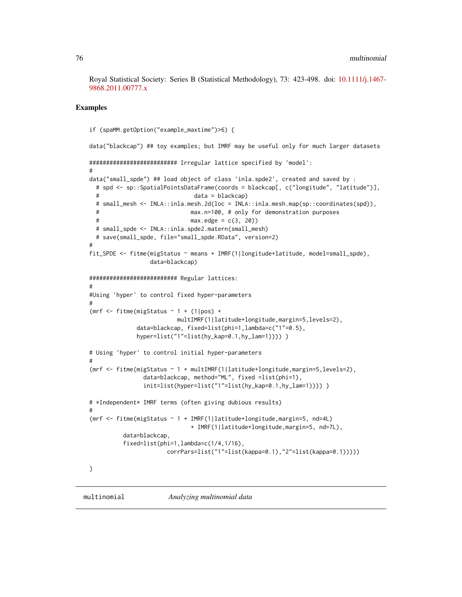Royal Statistical Society: Series B (Statistical Methodology), 73: 423-498. doi: [10.1111/j.1467-](https://doi.org/10.1111/j.1467-9868.2011.00777.x) [9868.2011.00777.x](https://doi.org/10.1111/j.1467-9868.2011.00777.x)

# **Examples**

```
if (spaMM.getOption("example_maxtime")>6) {
data("blackcap") ## toy examples; but IMRF may be useful only for much larger datasets
########################## Irregular lattice specified by 'model':
#
data("small_spde") ## load object of class 'inla.spde2', created and saved by :
 # spd <- sp::SpatialPointsDataFrame(coords = blackcap[, c("longitude", "latitude")],
                              data = blackcap)# small_mesh <- INLA::inla.mesh.2d(loc = INLA::inla.mesh.map(sp::coordinates(spd)),
 # max.n=100, # only for demonstration purposes
                             max.edge = c(3, 20)# small_spde <- INLA::inla.spde2.matern(small_mesh)
  # save(small_spde, file="small_spde.RData", version=2)
#
fit_SPDE <- fitme(migStatus ~ means + IMRF(1|longitude+latitude, model=small_spde),
                 data=blackcap)
########################## Regular lattices:
#
#Using 'hyper' to control fixed hyper-parameters
#
(mrf \le fitme(migStatus \sim 1 + (1|pos) +
                         multIMRF(1|latitude+longitude,margin=5,levels=2),
              data=blackcap, fixed=list(phi=1,lambda=c("1"=0.5),
             hyper=list("1"=list(hy_kap=0.1,hy_lam=1))))))
# Using 'hyper' to control initial hyper-parameters
#
(mrf <- fitme(migStatus ~ 1 + multIMRF(1|latitude+longitude,margin=5,levels=2),
                data=blackcap, method="ML", fixed =list(phi=1),
                init=list(hyper=list("1"=list(hy_kap=0.1,hy_lam=1)))) )
# *Independent* IMRF terms (often giving dubious results)
#
(mrf <- fitme(migStatus ~ 1 + IMRF(1|latitude+longitude,margin=5, nd=4L)
                             + IMRF(1|latitude+longitude,margin=5, nd=7L),
          data=blackcap,
          fixed=list(phi=1,lambda=c(1/4,1/16),
                      corrPars=list("1"=list(kappa=0.1),"2"=list(kappa=0.1)))))
}
```
<span id="page-75-0"></span>multinomial *Analyzing multinomial data*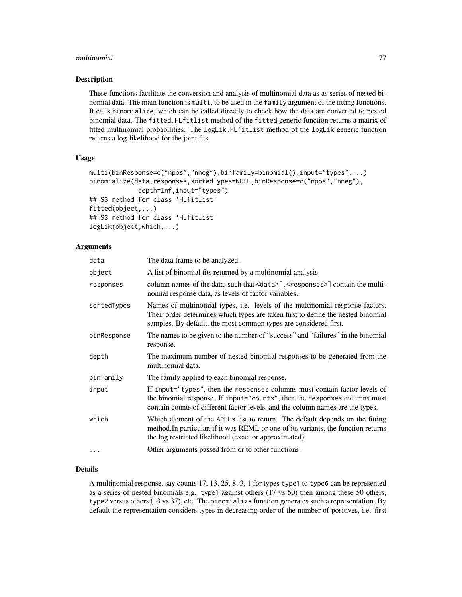## multinomial 77

## Description

These functions facilitate the conversion and analysis of multinomial data as as series of nested binomial data. The main function is multi, to be used in the family argument of the fitting functions. It calls binomialize, which can be called directly to check how the data are converted to nested binomial data. The fitted.HLfitlist method of the fitted generic function returns a matrix of fitted multinomial probabilities. The logLik.HLfitlist method of the logLik generic function returns a log-likelihood for the joint fits.

## Usage

```
multi(binResponse=c("npos","nneg"),binfamily=binomial(),input="types",...)
binomialize(data,responses,sortedTypes=NULL,binResponse=c("npos","nneg"),
             depth=Inf,input="types")
## S3 method for class 'HLfitlist'
fitted(object,...)
## S3 method for class 'HLfitlist'
logLik(object,which,...)
```
# Arguments

| data        | The data frame to be analyzed.                                                                                                                                                                                                            |
|-------------|-------------------------------------------------------------------------------------------------------------------------------------------------------------------------------------------------------------------------------------------|
| object      | A list of binomial fits returned by a multinomial analysis                                                                                                                                                                                |
| responses   | column names of the data, such that <data>[, <responses>] contain the multi-<br/>nomial response data, as levels of factor variables.</responses></data>                                                                                  |
| sortedTypes | Names of multinomial types, i.e. levels of the multinomial response factors.<br>Their order determines which types are taken first to define the nested binomial<br>samples. By default, the most common types are considered first.      |
| binResponse | The names to be given to the number of "success" and "failures" in the binomial<br>response.                                                                                                                                              |
| depth       | The maximum number of nested binomial responses to be generated from the<br>multinomial data.                                                                                                                                             |
| binfamily   | The family applied to each binomial response.                                                                                                                                                                                             |
| input       | If input="types", then the responses columns must contain factor levels of<br>the binomial response. If input="counts", then the responses columns must<br>contain counts of different factor levels, and the column names are the types. |
| which       | Which element of the APHLs list to return. The default depends on the fitting<br>method. In particular, if it was REML or one of its variants, the function returns<br>the log restricted likelihood (exact or approximated).             |
| $\cdots$    | Other arguments passed from or to other functions.                                                                                                                                                                                        |

## Details

A multinomial response, say counts 17, 13, 25, 8, 3, 1 for types type1 to type6 can be represented as a series of nested binomials e.g. type1 against others (17 vs 50) then among these 50 others, type2 versus others (13 vs 37), etc. The binomialize function generates such a representation. By default the representation considers types in decreasing order of the number of positives, i.e. first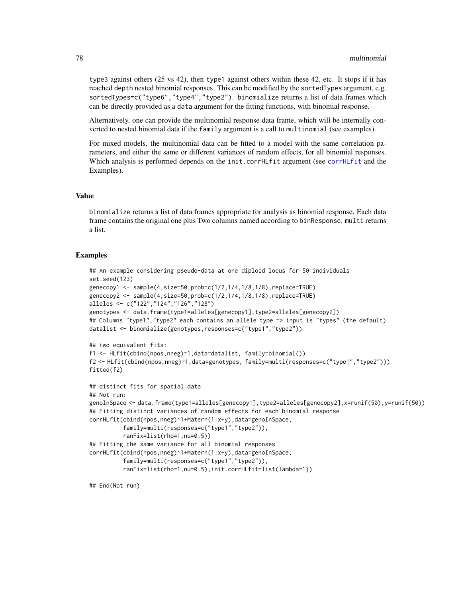type3 against others (25 vs 42), then type1 against others within these 42, etc. It stops if it has reached depth nested binomial responses. This can be modified by the sortedTypes argument, e.g. sortedTypes=c("type6","type4","type2"). binomialize returns a list of data frames which can be directly provided as a data argument for the fitting functions, with binomial response.

Alternatively, one can provide the multinomial response data frame, which will be internally converted to nested binomial data if the family argument is a call to multinomial (see examples).

For mixed models, the multinomial data can be fitted to a model with the same correlation parameters, and either the same or different variances of random effects, for all binomial responses. Which analysis is performed depends on the init.[corrHLfit](#page-17-0) argument (see corrHLfit and the Examples).

## Value

binomialize returns a list of data frames appropriate for analysis as binomial response. Each data frame contains the original one plus Two columns named according to binResponse. multi returns a list.

## Examples

```
## An example considering pseudo-data at one diploid locus for 50 individuals
set.seed(123)
genecopy1 <- sample(4,size=50,prob=c(1/2,1/4,1/8,1/8),replace=TRUE)
genecopy2 <- sample(4,size=50,prob=c(1/2,1/4,1/8,1/8),replace=TRUE)
alleles <- c("122","124","126","128")
genotypes <- data.frame(type1=alleles[genecopy1],type2=alleles[genecopy2])
## Columns "type1","type2" each contains an allele type => input is "types" (the default)
datalist <- binomialize(genotypes,responses=c("type1","type2"))
## two equivalent fits:
f1 <- HLfit(cbind(npos,nneg)~1,data=datalist, family=binomial())
f2 <- HLfit(cbind(npos,nneg)~1,data=genotypes, family=multi(responses=c("type1","type2")))
fitted(f2)
## distinct fits for spatial data
## Not run:
genoInSpace <- data.frame(type1=alleles[genecopy1],type2=alleles[genecopy2],x=runif(50),y=runif(50))
## Fitting distinct variances of random effects for each binomial response
corrHLfit(cbind(npos,nneg)~1+Matern(1|x+y),data=genoInSpace,
          family=multi(responses=c("type1","type2")),
          ranFix=list(rho=1,nu=0.5))
## Fitting the same variance for all binomial responses
corrHLfit(cbind(npos,nneg)~1+Matern(1|x+y),data=genoInSpace,
          family=multi(responses=c("type1","type2")),
          ranFix=list(rho=1,nu=0.5),init.corrHLfit=list(lambda=1))
```
## End(Not run)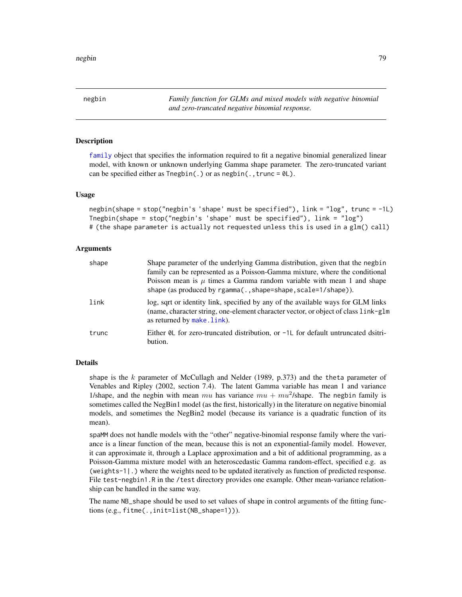<span id="page-78-0"></span>negbin *Family function for GLMs and mixed models with negative binomial and zero-truncated negative binomial response.*

# <span id="page-78-1"></span>Description

[family](#page-27-0) object that specifies the information required to fit a negative binomial generalized linear model, with known or unknown underlying Gamma shape parameter. The zero-truncated variant can be specified either as  $T = S(1)$ . or as  $negbin(.,true = 0)$ .

## Usage

```
negbin(shape = stop("negbin's 'shape' must be specified"), \text{link} = \text{"log"}, trunc = -1L)
Tnegbin(shape = stop("negbin's 'shape' must be specified"), link = "log")
# (the shape parameter is actually not requested unless this is used in a glm() call)
```
# Arguments

| shape | Shape parameter of the underlying Gamma distribution, given that the negbin<br>family can be represented as a Poisson-Gamma mixture, where the conditional<br>Poisson mean is $\mu$ times a Gamma random variable with mean 1 and shape<br>shape (as produced by rgamma(., shape=shape, scale=1/shape)). |
|-------|----------------------------------------------------------------------------------------------------------------------------------------------------------------------------------------------------------------------------------------------------------------------------------------------------------|
| link  | log, sqrt or identity link, specified by any of the available ways for GLM links<br>(name, character string, one-element character vector, or object of class link-glm<br>as returned by make.link).                                                                                                     |
| trunc | Either $\&$ L for zero-truncated distribution, or $-1$ L for default untruncated dsitri-<br>bution.                                                                                                                                                                                                      |

## Details

shape is the  $k$  parameter of McCullagh and Nelder (1989, p.373) and the theta parameter of Venables and Ripley (2002, section 7.4). The latent Gamma variable has mean 1 and variance 1/shape, and the negbin with mean mu has variance  $mu + mu^2$ /shape. The negbin family is sometimes called the NegBin1 model (as the first, historically) in the literature on negative binomial models, and sometimes the NegBin2 model (because its variance is a quadratic function of its mean).

spaMM does not handle models with the "other" negative-binomial response family where the variance is a linear function of the mean, because this is not an exponential-family model. However, it can approximate it, through a Laplace approximation and a bit of additional programming, as a Poisson-Gamma mixture model with an heteroscedastic Gamma random-effect, specified e.g. as (weights-1|.) where the weights need to be updated iteratively as function of predicted response. File test-negbin1.R in the /test directory provides one example. Other mean-variance relationship can be handled in the same way.

The name NB\_shape should be used to set values of shape in control arguments of the fitting functions (e.g., fitme(.,init=list(NB\_shape=1))).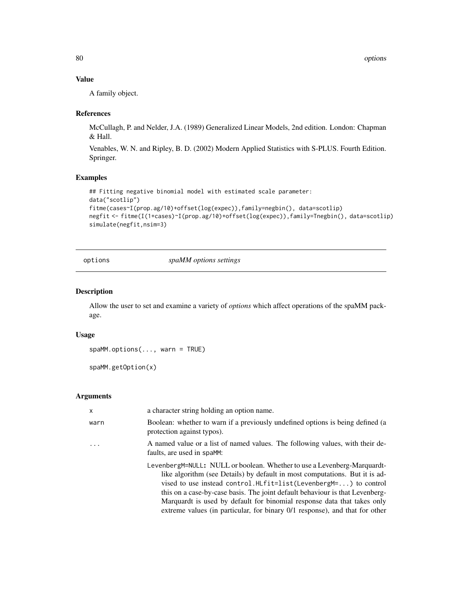# Value

A family object.

## References

McCullagh, P. and Nelder, J.A. (1989) Generalized Linear Models, 2nd edition. London: Chapman & Hall.

Venables, W. N. and Ripley, B. D. (2002) Modern Applied Statistics with S-PLUS. Fourth Edition. Springer.

# Examples

```
## Fitting negative binomial model with estimated scale parameter:
data("scotlip")
fitme(cases~I(prop.ag/10)+offset(log(expec)),family=negbin(), data=scotlip)
negfit <- fitme(I(1+cases)~I(prop.ag/10)+offset(log(expec)),family=Tnegbin(), data=scotlip)
simulate(negfit,nsim=3)
```
options *spaMM options settings*

# Description

Allow the user to set and examine a variety of *options* which affect operations of the spaMM package.

## Usage

```
spaMM.options(..., warn = TRUE)
```

```
spaMM.getOption(x)
```
#### Arguments

| $\mathsf{x}$ | a character string holding an option name.                                                                                                                                                                                                                                                                                                                                                                                                                                      |
|--------------|---------------------------------------------------------------------------------------------------------------------------------------------------------------------------------------------------------------------------------------------------------------------------------------------------------------------------------------------------------------------------------------------------------------------------------------------------------------------------------|
| warn         | Boolean: whether to warn if a previously undefined options is being defined (a<br>protection against typos).                                                                                                                                                                                                                                                                                                                                                                    |
|              | A named value or a list of named values. The following values, with their de-<br>faults, are used in spaMM:                                                                                                                                                                                                                                                                                                                                                                     |
|              | LevenbergM=NULL: NULL or boolean. Whether to use a Levenberg-Marquardt-<br>like algorithm (see Details) by default in most computations. But it is ad-<br>vised to use instead control.HLfit=list(Levenberg $M = \ldots$ ) to control<br>this on a case-by-case basis. The joint default behaviour is that Levenberg-<br>Marquardt is used by default for binomial response data that takes only<br>extreme values (in particular, for binary 0/1 response), and that for other |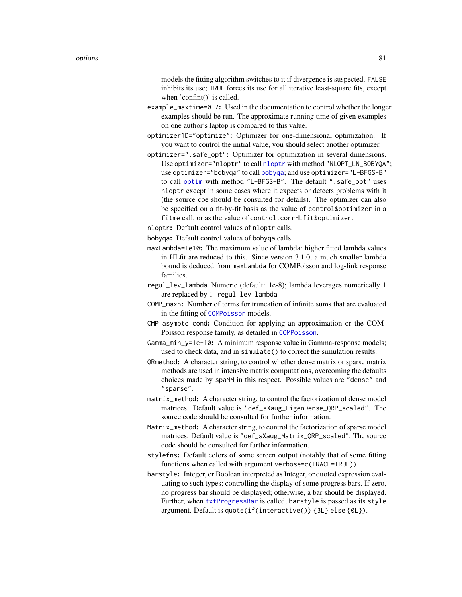models the fitting algorithm switches to it if divergence is suspected. FALSE inhibits its use; TRUE forces its use for all iterative least-square fits, except when 'confint()' is called.

- example\_maxtime=0.7: Used in the documentation to control whether the longer examples should be run. The approximate running time of given examples on one author's laptop is compared to this value.
- optimizer1D="optimize": Optimizer for one-dimensional optimization. If you want to control the initial value, you should select another optimizer.
- optimizer=".safe\_opt": Optimizer for optimization in several dimensions. Use optimizer="nloptr" to call [nloptr](#page-0-0) with method "NLOPT\_LN\_BOBYQA"; use optimizer="bobyqa" to call [bobyqa](#page-0-0); and use optimizer="L-BFGS-B" to call [optim](#page-0-0) with method "L-BFGS-B". The default ".safe\_opt" uses nloptr except in some cases where it expects or detects problems with it (the source coe should be consulted for details). The optimizer can also be specified on a fit-by-fit basis as the value of control\$optimizer in a fitme call, or as the value of control.corrHLfit\$optimizer.
- nloptr: Default control values of nloptr calls.
- bobyqa: Default control values of bobyqa calls.
- maxLambda=1e10: The maximum value of lambda: higher fitted lambda values in HLfit are reduced to this. Since version 3.1.0, a much smaller lambda bound is deduced from maxLambda for COMPoisson and log-link response families.
- regul\_lev\_lambda Numeric (default: 1e-8); lambda leverages numerically 1 are replaced by 1- regul\_lev\_lambda
- COMP\_maxn: Number of terms for truncation of infinite sums that are evaluated in the fitting of [COMPoisson](#page-11-0) models.
- CMP\_asympto\_cond: Condition for applying an approximation or the COM-Poisson response family, as detailed in [COMPoisson](#page-11-0).
- Gamma\_min\_y=1e-10: A minimum response value in Gamma-response models; used to check data, and in simulate() to correct the simulation results.
- QRmethod: A character string, to control whether dense matrix or sparse matrix methods are used in intensive matrix computations, overcoming the defaults choices made by spaMM in this respect. Possible values are "dense" and "sparse".
- matrix\_method: A character string, to control the factorization of dense model matrices. Default value is "def\_sXaug\_EigenDense\_QRP\_scaled". The source code should be consulted for further information.
- Matrix\_method: A character string, to control the factorization of sparse model matrices. Default value is "def\_sXaug\_Matrix\_QRP\_scaled". The source code should be consulted for further information.
- stylefns: Default colors of some screen output (notably that of some fitting functions when called with argument verbose=c(TRACE=TRUE))
- barstyle: Integer, or Boolean interpreted as Integer, or quoted expression evaluating to such types; controlling the display of some progress bars. If zero, no progress bar should be displayed; otherwise, a bar should be displayed. Further, when [txtProgressBar](#page-0-0) is called, barstyle is passed as its style argument. Default is quote(if(interactive()) {3L} else {0L}).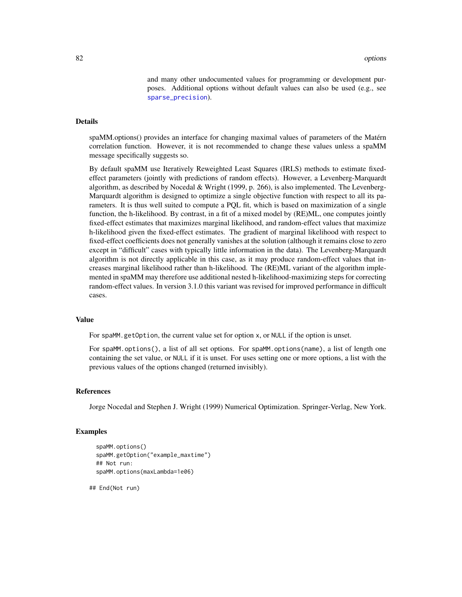and many other undocumented values for programming or development purposes. Additional options without default values can also be used (e.g., see [sparse\\_precision](#page-115-0)).

## Details

spaMM.options() provides an interface for changing maximal values of parameters of the Matérn correlation function. However, it is not recommended to change these values unless a spaMM message specifically suggests so.

By default spaMM use Iteratively Reweighted Least Squares (IRLS) methods to estimate fixedeffect parameters (jointly with predictions of random effects). However, a Levenberg-Marquardt algorithm, as described by Nocedal & Wright (1999, p. 266), is also implemented. The Levenberg-Marquardt algorithm is designed to optimize a single objective function with respect to all its parameters. It is thus well suited to compute a PQL fit, which is based on maximization of a single function, the h-likelihood. By contrast, in a fit of a mixed model by (RE)ML, one computes jointly fixed-effect estimates that maximizes marginal likelihood, and random-effect values that maximize h-likelihood given the fixed-effect estimates. The gradient of marginal likelihood with respect to fixed-effect coefficients does not generally vanishes at the solution (although it remains close to zero except in "difficult" cases with typically little information in the data). The Levenberg-Marquardt algorithm is not directly applicable in this case, as it may produce random-effect values that increases marginal likelihood rather than h-likelihood. The (RE)ML variant of the algorithm implemented in spaMM may therefore use additional nested h-likelihood-maximizing steps for correcting random-effect values. In version 3.1.0 this variant was revised for improved performance in difficult cases.

## Value

For spaMM.getOption, the current value set for option x, or NULL if the option is unset.

For spaMM.options(), a list of all set options. For spaMM.options(name), a list of length one containing the set value, or NULL if it is unset. For uses setting one or more options, a list with the previous values of the options changed (returned invisibly).

#### References

Jorge Nocedal and Stephen J. Wright (1999) Numerical Optimization. Springer-Verlag, New York.

## Examples

```
spaMM.options()
spaMM.getOption("example_maxtime")
## Not run:
spaMM.options(maxLambda=1e06)
```
## End(Not run)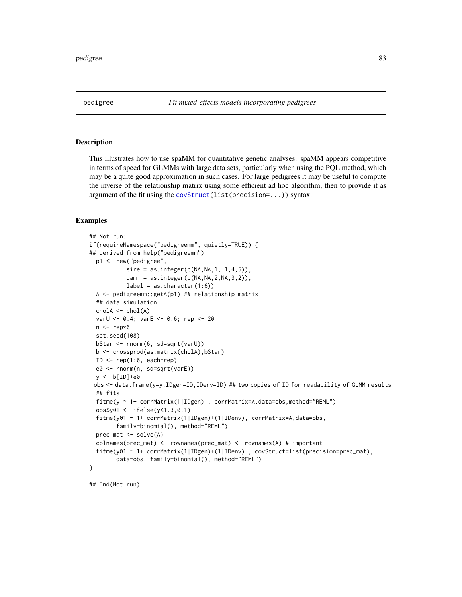This illustrates how to use spaMM for quantitative genetic analyses. spaMM appears competitive in terms of speed for GLMMs with large data sets, particularly when using the PQL method, which may be a quite good approximation in such cases. For large pedigrees it may be useful to compute the inverse of the relationship matrix using some efficient ad hoc algorithm, then to provide it as argument of the fit using the [covStruct\(](#page-21-0)list(precision=...)) syntax.

#### Examples

```
## Not run:
if(requireNamespace("pedigreemm", quietly=TRUE)) {
## derived from help("pedigreemm")
 p1 <- new("pedigree",
           sire = as.integer(c(NA, NA, 1, 1, 4, 5)),dam = as.integer(c(NA,NA,2,NA,3,2)),
           label = as.character(1:6))
 A <- pedigreemm::getA(p1) ## relationship matrix
 ## data simulation
 chola \leftarrow chol(A)varU <- 0.4; varE <- 0.6; rep <- 20
 n <- rep*6
 set.seed(108)
 bStar <- rnorm(6, sd=sqrt(varU))
 b <- crossprod(as.matrix(cholA),bStar)
 ID \leq rep(1:6, each=rep)
 e0 <- rnorm(n, sd=sqrt(varE))
 y <- b[ID]+e0
 obs <- data.frame(y=y,IDgen=ID,IDenv=ID) ## two copies of ID for readability of GLMM results
 ## fits
 fitme(y ~ 1+ corrMatrix(1|IDgen) , corrMatrix=A,data=obs,method="REML")
 obs$y01 <- ifelse(y<1.3,0,1)
 fitme(y01 ~ 1+ corrMatrix(1|IDgen)+(1|IDenv), corrMatrix=A,data=obs,
        family=binomial(), method="REML")
 prec_mat <- solve(A)
 colnames(prec_mat) <- rownames(prec_mat) <- rownames(A) # important
 fitme(y01 ~ 1+ corrMatrix(1|IDgen)+(1|IDenv) , covStruct=list(precision=prec_mat),
        data=obs, family=binomial(), method="REML")
}
```
## End(Not run)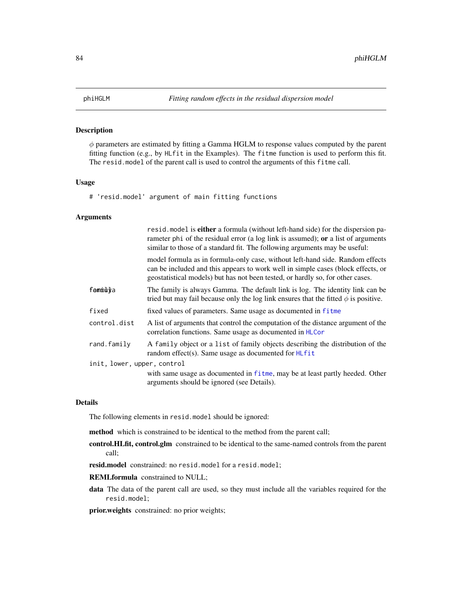$\phi$  parameters are estimated by fitting a Gamma HGLM to response values computed by the parent fitting function (e.g., by HLfit in the Examples). The fitme function is used to perform this fit. The resid.model of the parent call is used to control the arguments of this fitme call.

# Usage

# 'resid.model' argument of main fitting functions

## Arguments

|                             | resid. model is <b>either</b> a formula (without left-hand side) for the dispersion pa-<br>rameter phi of the residual error (a log link is assumed); or a list of arguments<br>similar to those of a standard fit. The following arguments may be useful: |
|-----------------------------|------------------------------------------------------------------------------------------------------------------------------------------------------------------------------------------------------------------------------------------------------------|
|                             | model formula as in formula-only case, without left-hand side. Random effects<br>can be included and this appears to work well in simple cases (block effects, or<br>geostatistical models) but has not been tested, or hardly so, for other cases.        |
| femmùl¥a                    | The family is always Gamma. The default link is log. The identity link can be<br>tried but may fail because only the log link ensures that the fitted $\phi$ is positive.                                                                                  |
| fixed                       | fixed values of parameters. Same usage as documented in fitme                                                                                                                                                                                              |
| control.dist                | A list of arguments that control the computation of the distance argument of the<br>correlation functions. Same usage as documented in HLCor                                                                                                               |
| rand.family                 | A family object or a list of family objects describing the distribution of the<br>random effect(s). Same usage as documented for HLfit                                                                                                                     |
| init, lower, upper, control |                                                                                                                                                                                                                                                            |
|                             | with same usage as documented in fit me, may be at least partly heeded. Other<br>arguments should be ignored (see Details).                                                                                                                                |

## Details

The following elements in resid.model should be ignored:

method which is constrained to be identical to the method from the parent call;

- control.HLfit, control.glm constrained to be identical to the same-named controls from the parent call;
- resid.model constrained: no resid.model for a resid.model;
- REMLformula constrained to NULL;
- data The data of the parent call are used, so they must include all the variables required for the resid.model;

prior.weights constrained: no prior weights;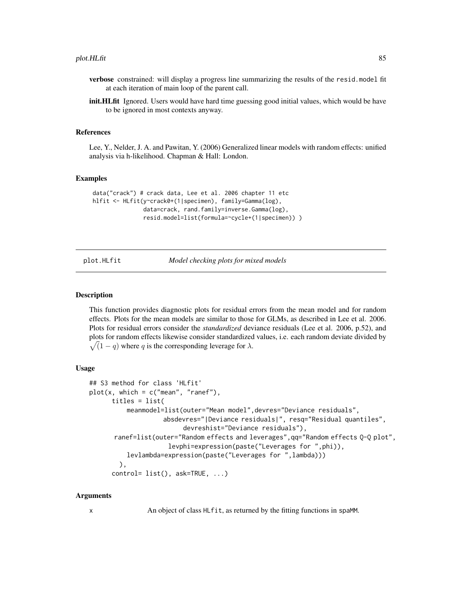- verbose constrained: will display a progress line summarizing the results of the resid.model fit at each iteration of main loop of the parent call.
- init.HLfit Ignored. Users would have hard time guessing good initial values, which would be have to be ignored in most contexts anyway.

# References

Lee, Y., Nelder, J. A. and Pawitan, Y. (2006) Generalized linear models with random effects: unified analysis via h-likelihood. Chapman & Hall: London.

## Examples

```
data("crack") # crack data, Lee et al. 2006 chapter 11 etc
hlfit <- HLfit(y~crack0+(1|specimen), family=Gamma(log),
               data=crack, rand.family=inverse.Gamma(log),
               resid.model=list(formula=~cycle+(1|specimen)) )
```
<span id="page-84-0"></span>

plot.HLfit *Model checking plots for mixed models*

## **Description**

This function provides diagnostic plots for residual errors from the mean model and for random effects. Plots for the mean models are similar to those for GLMs, as described in Lee et al. 2006. Plots for residual errors consider the *standardized* deviance residuals (Lee et al. 2006, p.52), and plots for random effects likewise consider standardized values, i.e. each random deviate divided by  $\sqrt{(1-q)}$  where q is the corresponding leverage for  $\lambda$ .

## Usage

```
## S3 method for class 'HLfit'
plot(x, which = c("mean", "ranef"),titles = list(
          meanmodel=list(outer="Mean model",devres="Deviance residuals",
                    absdevres="|Deviance residuals|", resq="Residual quantiles",
                         devreshist="Deviance residuals"),
      ranef=list(outer="Random effects and leverages",qq="Random effects Q-Q plot",
                     levphi=expression(paste("Leverages for ",phi)),
          levlambda=expression(paste("Leverages for ",lambda)))
        ),
      control= list(), ask=TRUE, ...)
```
#### Arguments

x An object of class HLfit, as returned by the fitting functions in spaMM.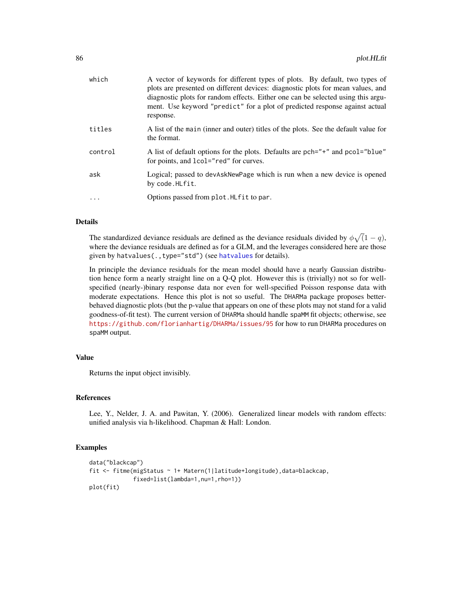| which   | A vector of keywords for different types of plots. By default, two types of<br>plots are presented on different devices: diagnostic plots for mean values, and<br>diagnostic plots for random effects. Either one can be selected using this argu-<br>ment. Use keyword "predict" for a plot of predicted response against actual<br>response. |
|---------|------------------------------------------------------------------------------------------------------------------------------------------------------------------------------------------------------------------------------------------------------------------------------------------------------------------------------------------------|
| titles  | A list of the main (inner and outer) titles of the plots. See the default value for<br>the format.                                                                                                                                                                                                                                             |
| control | A list of default options for the plots. Defaults are pch="+" and pcol="blue"<br>for points, and 1co1="red" for curves.                                                                                                                                                                                                                        |
| ask     | Logical; passed to devAskNewPage which is run when a new device is opened<br>by code.HLfit.                                                                                                                                                                                                                                                    |
| .       | Options passed from plot. HLfit to par.                                                                                                                                                                                                                                                                                                        |
|         |                                                                                                                                                                                                                                                                                                                                                |

## Details

The standardized deviance residuals are defined as the deviance residuals divided by  $\phi\sqrt{(1-q)}$ , where the deviance residuals are defined as for a GLM, and the leverages considered here are those given by [hatvalues](#page-46-0)(., type="std") (see hatvalues for details).

In principle the deviance residuals for the mean model should have a nearly Gaussian distribution hence form a nearly straight line on a Q-Q plot. However this is (trivially) not so for wellspecified (nearly-)binary response data nor even for well-specified Poisson response data with moderate expectations. Hence this plot is not so useful. The DHARMa package proposes betterbehaved diagnostic plots (but the p-value that appears on one of these plots may not stand for a valid goodness-of-fit test). The current version of DHARMa should handle spaMM fit objects; otherwise, see <https://github.com/florianhartig/DHARMa/issues/95> for how to run DHARMa procedures on spaMM output.

# Value

Returns the input object invisibly.

## References

Lee, Y., Nelder, J. A. and Pawitan, Y. (2006). Generalized linear models with random effects: unified analysis via h-likelihood. Chapman & Hall: London.

# Examples

```
data("blackcap")
fit <- fitme(migStatus ~ 1+ Matern(1|latitude+longitude),data=blackcap,
             fixed=list(lambda=1,nu=1,rho=1))
plot(fit)
```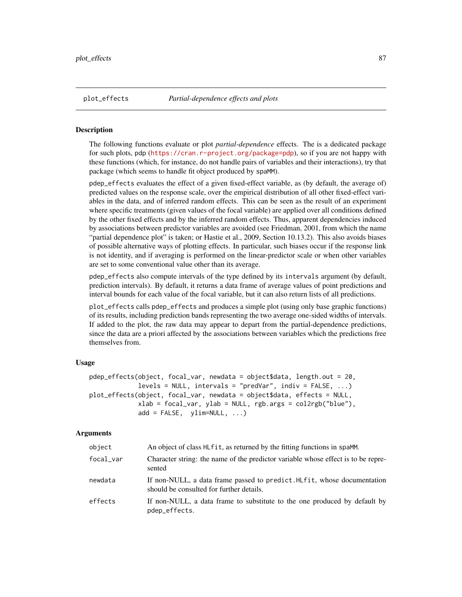The following functions evaluate or plot *partial-dependence* effects. The is a dedicated package for such plots, pdp (<https://cran.r-project.org/package=pdp>), so if you are not happy with these functions (which, for instance, do not handle pairs of variables and their interactions), try that package (which seems to handle fit object produced by spaMM).

pdep\_effects evaluates the effect of a given fixed-effect variable, as (by default, the average of) predicted values on the response scale, over the empirical distribution of all other fixed-effect variables in the data, and of inferred random effects. This can be seen as the result of an experiment where specific treatments (given values of the focal variable) are applied over all conditions defined by the other fixed effects and by the inferred random effects. Thus, apparent dependencies induced by associations between predictor variables are avoided (see Friedman, 2001, from which the name "partial dependence plot" is taken; or Hastie et al., 2009, Section 10.13.2). This also avoids biases of possible alternative ways of plotting effects. In particular, such biases occur if the response link is not identity, and if averaging is performed on the linear-predictor scale or when other variables are set to some conventional value other than its average.

pdep\_effects also compute intervals of the type defined by its intervals argument (by default, prediction intervals). By default, it returns a data frame of average values of point predictions and interval bounds for each value of the focal variable, but it can also return lists of all predictions.

plot\_effects calls pdep\_effects and produces a simple plot (using only base graphic functions) of its results, including prediction bands representing the two average one-sided widths of intervals. If added to the plot, the raw data may appear to depart from the partial-dependence predictions, since the data are a priori affected by the associations between variables which the predictions free themselves from.

# Usage

```
pdep_effects(object, focal_var, newdata = object$data, length.out = 20,
             levels = NULL, intervals = "predVar", indiv = FALSE, ...)plot_effects(object, focal_var, newdata = object$data, effects = NULL,
            xlab = focal_var, ylab = NULL, rgb.args = col2rgb("blue"),
            add = FALSE, ylim=NULL, ...)
```
## Arguments

| object    | An object of class HL fit, as returned by the fitting functions in spaMM.                                           |
|-----------|---------------------------------------------------------------------------------------------------------------------|
| focal var | Character string: the name of the predictor variable whose effect is to be repre-<br>sented                         |
| newdata   | If non-NULL, a data frame passed to predict. HLfit, whose documentation<br>should be consulted for further details. |
| effects   | If non-NULL, a data frame to substitute to the one produced by default by<br>pdep_effects.                          |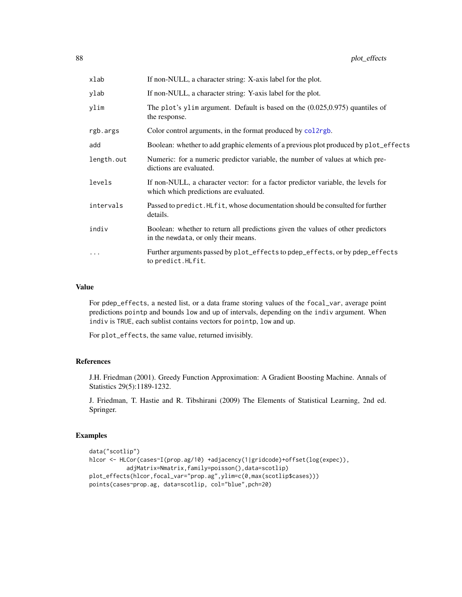| xlab       | If non-NULL, a character string: X-axis label for the plot.                                                                |
|------------|----------------------------------------------------------------------------------------------------------------------------|
| ylab       | If non-NULL, a character string: Y-axis label for the plot.                                                                |
| ylim       | The plot's ylim argument. Default is based on the $(0.025, 0.975)$ quantiles of<br>the response.                           |
| rgb.args   | Color control arguments, in the format produced by collargh.                                                               |
| add        | Boolean: whether to add graphic elements of a previous plot produced by plot_effects                                       |
| length.out | Numeric: for a numeric predictor variable, the number of values at which pre-<br>dictions are evaluated.                   |
| levels     | If non-NULL, a character vector: for a factor predictor variable, the levels for<br>which which predictions are evaluated. |
| intervals  | Passed to predict. HLfit, whose documentation should be consulted for further<br>details.                                  |
| indiv      | Boolean: whether to return all predictions given the values of other predictors<br>in the newdata, or only their means.    |
| .          | Further arguments passed by plot_effects to pdep_effects, or by pdep_effects<br>to predict. HLfit.                         |

## Value

For pdep\_effects, a nested list, or a data frame storing values of the focal\_var, average point predictions pointp and bounds low and up of intervals, depending on the indiv argument. When indiv is TRUE, each sublist contains vectors for pointp, low and up.

For plot\_effects, the same value, returned invisibly.

# References

J.H. Friedman (2001). Greedy Function Approximation: A Gradient Boosting Machine. Annals of Statistics 29(5):1189-1232.

J. Friedman, T. Hastie and R. Tibshirani (2009) The Elements of Statistical Learning, 2nd ed. Springer.

# Examples

```
data("scotlip")
hlcor <- HLCor(cases~I(prop.ag/10) +adjacency(1|gridcode)+offset(log(expec)),
          adjMatrix=Nmatrix,family=poisson(),data=scotlip)
plot_effects(hlcor,focal_var="prop.ag",ylim=c(0,max(scotlip$cases)))
points(cases~prop.ag, data=scotlip, col="blue",pch=20)
```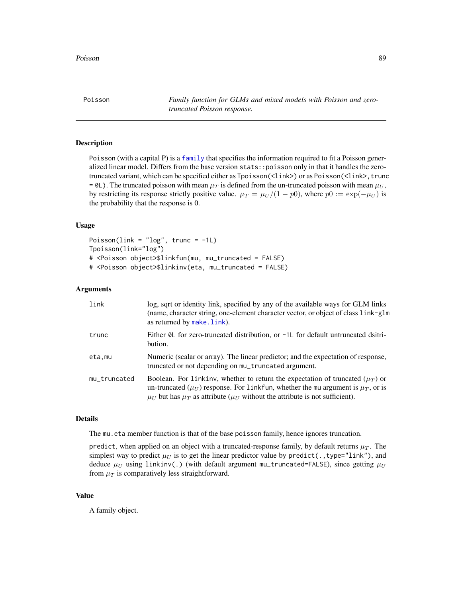Poisson *Family function for GLMs and mixed models with Poisson and zerotruncated Poisson response.*

# <span id="page-88-0"></span>Description

Poisson (with a capital P) is a [family](#page-27-0) that specifies the information required to fit a Poisson generalized linear model. Differs from the base version stats::poisson only in that it handles the zerotruncated variant, which can be specified either as Tpoisson(<link>) or as Poisson(<link>, trunc =  $\theta$ L). The truncated poisson with mean  $\mu_T$  is defined from the un-truncated poisson with mean  $\mu_U$ , by restricting its response strictly positive value.  $\mu_T = \mu_U/(1 - p_0)$ , where  $p_0 := \exp(-\mu_U)$  is the probability that the response is 0.

## Usage

Poisson(link =  $"log"$ , trunc =  $-1$ L) Tpoisson(link="log") # <Poisson object>\$linkfun(mu, mu\_truncated = FALSE) # <Poisson object>\$linkinv(eta, mu\_truncated = FALSE)

## Arguments

| link         | log, sqrt or identity link, specified by any of the available ways for GLM links<br>(name, character string, one-element character vector, or object of class link-glm<br>as returned by make.link).                                                                        |
|--------------|-----------------------------------------------------------------------------------------------------------------------------------------------------------------------------------------------------------------------------------------------------------------------------|
| trunc        | Either $\theta$ L for zero-truncated distribution, or $-1$ L for default untruncated dsitri-<br>bution.                                                                                                                                                                     |
| eta,mu       | Numeric (scalar or array). The linear predictor; and the expectation of response,<br>truncated or not depending on mu_truncated argument.                                                                                                                                   |
| mu_truncated | Boolean. For linkinv, whether to return the expectation of truncated $(\mu_T)$ or<br>un-truncated ( $\mu_U$ ) response. For linkfun, whether the mu argument is $\mu_T$ , or is<br>$\mu_U$ but has $\mu_T$ as attribute ( $\mu_U$ without the attribute is not sufficient). |

# Details

The mu.eta member function is that of the base poisson family, hence ignores truncation.

predict, when applied on an object with a truncated-response family, by default returns  $\mu_T$ . The simplest way to predict  $\mu_U$  is to get the linear predictor value by predict(., type="link"), and deduce  $\mu_U$  using linkinv(.) (with default argument mu\_truncated=FALSE), since getting  $\mu_U$ from  $\mu_T$  is comparatively less straightforward.

## Value

A family object.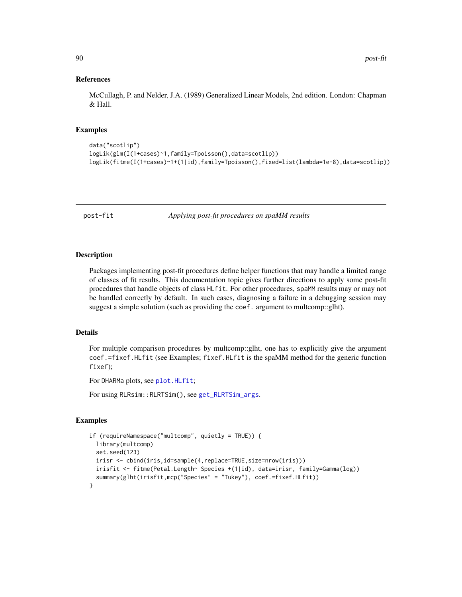## References

McCullagh, P. and Nelder, J.A. (1989) Generalized Linear Models, 2nd edition. London: Chapman & Hall.

## Examples

```
data("scotlip")
logLik(glm(I(1+cases)~1,family=Tpoisson(),data=scotlip))
logLik(fitme(I(1+cases)~1+(1|id),family=Tpoisson(),fixed=list(lambda=1e-8),data=scotlip))
```
post-fit *Applying post-fit procedures on spaMM results*

## **Description**

Packages implementing post-fit procedures define helper functions that may handle a limited range of classes of fit results. This documentation topic gives further directions to apply some post-fit procedures that handle objects of class HLfit. For other procedures, spaMM results may or may not be handled correctly by default. In such cases, diagnosing a failure in a debugging session may suggest a simple solution (such as providing the coef. argument to multcomp::glht).

# Details

For multiple comparison procedures by multcomp::glht, one has to explicitly give the argument coef.=fixef.HLfit (see Examples; fixef.HLfit is the spaMM method for the generic function fixef);

For DHARMa plots, see plot. HLfit;

For using RLRsim::RLRTSim(), see [get\\_RLRTSim\\_args](#page-27-0).

## Examples

```
if (requireNamespace("multcomp", quietly = TRUE)) {
 library(multcomp)
 set.seed(123)
 irisr <- cbind(iris,id=sample(4,replace=TRUE,size=nrow(iris)))
 irisfit <- fitme(Petal.Length~ Species +(1|id), data=irisr, family=Gamma(log))
  summary(glht(irisfit,mcp("Species" = "Tukey"), coef.=fixef.HLfit))
}
```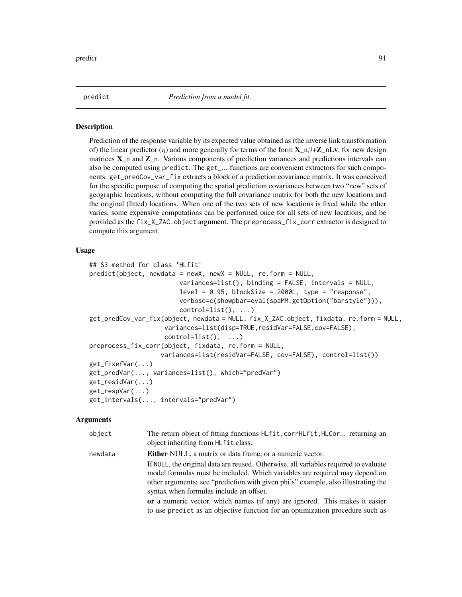<span id="page-90-0"></span>

predict *Prediction from a model fit.*

#### Description

Prediction of the response variable by its expected value obtained as (the inverse link transformation of) the linear predictor ( $\eta$ ) and more generally for terms of the form  $X_n\beta+Z_nLv$ , for new design matrices  $X$  n and  $Z$  n. Various components of prediction variances and predictions intervals can also be computed using predict. The get\_... functions are convenient extractors for such components. get\_predCov\_var\_fix extracts a block of a prediction covariance matrix. It was conceived for the specific purpose of computing the spatial prediction covariances between two "new" sets of geographic locations, without computing the full covariance matrix for both the new locations and the original (fitted) locations. When one of the two sets of new locations is fixed while the other varies, some expensive computations can be performed once for all sets of new locations, and be provided as the fix\_X\_ZAC.object argument. The preprocess\_fix\_corr extractor is designed to compute this argument.

## Usage

```
## S3 method for class 'HLfit'
predict(object, newdata = newX, newX = NULL, re.form = NULL,
                        variances=list(), binding = FALSE, intervals = NULL,
                        level = 0.95, blockSize = 2000L, type = "response",verbose=c(showpbar=eval(spaMM.getOption("barstyle"))),
                        control=list(), ...)
get_predCov_var_fix(object, newdata = NULL, fix_X_ZAC.object, fixdata, re.form = NULL,
                    variances=list(disp=TRUE,residVar=FALSE,cov=FALSE),
                    control=list(), ...)
preprocess_fix_corr(object, fixdata, re.form = NULL,
                   variances=list(residVar=FALSE, cov=FALSE), control=list())
get_fixefVar(...)
get_predVar(..., variances=list(), which="predVar")
get_residVar(...)
get_respVar(...)
get_intervals(..., intervals="predVar")
```
#### Arguments

| object  | The return object of fitting functions HLfit, corrHLfit, HLCor returning an<br>object inheriting from HLfit class.                                                                                                                                                                                  |
|---------|-----------------------------------------------------------------------------------------------------------------------------------------------------------------------------------------------------------------------------------------------------------------------------------------------------|
| newdata | Either NULL, a matrix or data frame, or a numeric vector.                                                                                                                                                                                                                                           |
|         | If NULL, the original data are reused. Otherwise, all variables required to evaluate<br>model formulas must be included. Which variables are required may depend on<br>other arguments: see "prediction with given phi's" example, also illustrating the<br>syntax when formulas include an offset. |
|         | or a numeric vector, which names (if any) are ignored. This makes it easier<br>to use predict as an objective function for an optimization procedure such as                                                                                                                                        |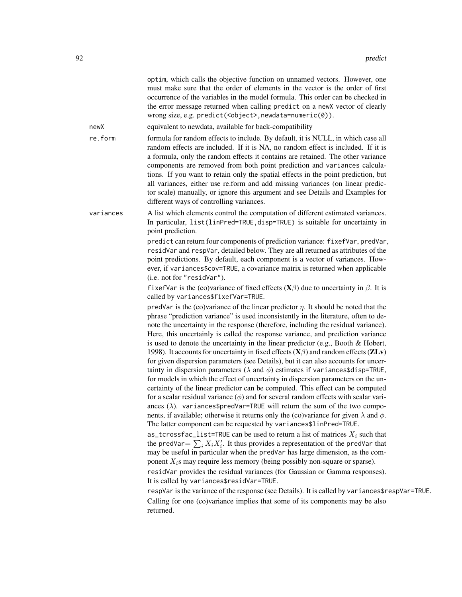|           | optim, which calls the objective function on unnamed vectors. However, one<br>must make sure that the order of elements in the vector is the order of first<br>occurrence of the variables in the model formula. This order can be checked in<br>the error message returned when calling predict on a newX vector of clearly<br>wrong size, e.g. predict( <object>, newdata=numeric(0)).</object>                                                                                                                                                                                                                                                                                                                                                                                                                                                                                                                                                                                                                                                                                                                                                                                                                                                                                                                                                  |
|-----------|----------------------------------------------------------------------------------------------------------------------------------------------------------------------------------------------------------------------------------------------------------------------------------------------------------------------------------------------------------------------------------------------------------------------------------------------------------------------------------------------------------------------------------------------------------------------------------------------------------------------------------------------------------------------------------------------------------------------------------------------------------------------------------------------------------------------------------------------------------------------------------------------------------------------------------------------------------------------------------------------------------------------------------------------------------------------------------------------------------------------------------------------------------------------------------------------------------------------------------------------------------------------------------------------------------------------------------------------------|
| newX      | equivalent to newdata, available for back-compatibility                                                                                                                                                                                                                                                                                                                                                                                                                                                                                                                                                                                                                                                                                                                                                                                                                                                                                                                                                                                                                                                                                                                                                                                                                                                                                            |
| re.form   | formula for random effects to include. By default, it is NULL, in which case all<br>random effects are included. If it is NA, no random effect is included. If it is<br>a formula, only the random effects it contains are retained. The other variance<br>components are removed from both point prediction and variances calcula-<br>tions. If you want to retain only the spatial effects in the point prediction, but<br>all variances, either use re.form and add missing variances (on linear predic-<br>tor scale) manually, or ignore this argument and see Details and Examples for<br>different ways of controlling variances.                                                                                                                                                                                                                                                                                                                                                                                                                                                                                                                                                                                                                                                                                                           |
| variances | A list which elements control the computation of different estimated variances.<br>In particular, list(linPred=TRUE, disp=TRUE) is suitable for uncertainty in<br>point prediction.                                                                                                                                                                                                                                                                                                                                                                                                                                                                                                                                                                                                                                                                                                                                                                                                                                                                                                                                                                                                                                                                                                                                                                |
|           | predict can return four components of prediction variance: fixefVar, predVar,<br>residVar and respVar, detailed below. They are all returned as attributes of the<br>point predictions. By default, each component is a vector of variances. How-<br>ever, if variances\$cov=TRUE, a covariance matrix is returned when applicable<br>(i.e. not for "residVar").                                                                                                                                                                                                                                                                                                                                                                                                                                                                                                                                                                                                                                                                                                                                                                                                                                                                                                                                                                                   |
|           | f ixefVar is the (co)variance of fixed effects $(X\beta)$ due to uncertainty in $\beta$ . It is<br>called by variances\$fixefVar=TRUE.                                                                                                                                                                                                                                                                                                                                                                                                                                                                                                                                                                                                                                                                                                                                                                                                                                                                                                                                                                                                                                                                                                                                                                                                             |
|           | predVar is the (co)variance of the linear predictor $\eta$ . It should be noted that the<br>phrase "prediction variance" is used inconsistently in the literature, often to de-<br>note the uncertainty in the response (therefore, including the residual variance).<br>Here, this uncertainly is called the response variance, and prediction variance<br>is used to denote the uncertainty in the linear predictor (e.g., Booth & Hobert,<br>1998). It accounts for uncertainty in fixed effects $(X\beta)$ and random effects $(ZLv)$<br>for given dispersion parameters (see Details), but it can also accounts for uncer-<br>tainty in dispersion parameters ( $\lambda$ and $\phi$ ) estimates if variances\$disp=TRUE,<br>for models in which the effect of uncertainty in dispersion parameters on the un-<br>certainty of the linear predictor can be computed. This effect can be computed<br>for a scalar residual variance $(\phi)$ and for several random effects with scalar vari-<br>ances $(\lambda)$ . variances\$predVar=TRUE will return the sum of the two compo-<br>nents, if available; otherwise it returns only the (co)variance for given $\lambda$ and $\phi$ .<br>The latter component can be requested by variances\$linPred=TRUE.<br>as_tcrossfac_list=TRUE can be used to return a list of matrices $X_i$ such that |
|           | the predVar = $\sum_i X_i X'_i$ . It thus provides a representation of the predVar that<br>may be useful in particular when the predVar has large dimension, as the com-<br>ponent $X_i$ s may require less memory (being possibly non-square or sparse).                                                                                                                                                                                                                                                                                                                                                                                                                                                                                                                                                                                                                                                                                                                                                                                                                                                                                                                                                                                                                                                                                          |
|           | residVar provides the residual variances (for Gaussian or Gamma responses).<br>It is called by variances\$residVar=TRUE.                                                                                                                                                                                                                                                                                                                                                                                                                                                                                                                                                                                                                                                                                                                                                                                                                                                                                                                                                                                                                                                                                                                                                                                                                           |
|           | respVar is the variance of the response (see Details). It is called by variances\$respVar=TRUE.<br>Calling for one (co)variance implies that some of its components may be also<br>returned.                                                                                                                                                                                                                                                                                                                                                                                                                                                                                                                                                                                                                                                                                                                                                                                                                                                                                                                                                                                                                                                                                                                                                       |
|           |                                                                                                                                                                                                                                                                                                                                                                                                                                                                                                                                                                                                                                                                                                                                                                                                                                                                                                                                                                                                                                                                                                                                                                                                                                                                                                                                                    |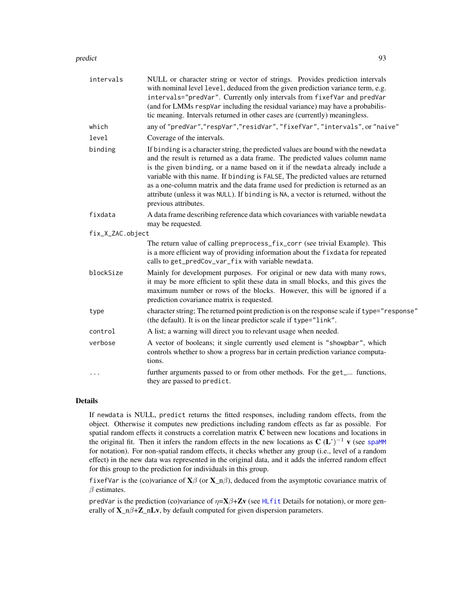## predict the set of the set of the set of the set of the set of the set of the set of the set of the set of the set of the set of the set of the set of the set of the set of the set of the set of the set of the set of the s

| intervals        | NULL or character string or vector of strings. Provides prediction intervals<br>with nominal level level, deduced from the given prediction variance term, e.g.<br>intervals="predVar". Currently only intervals from fixefVar and predVar<br>(and for LMMs respVar including the residual variance) may have a probabilis-<br>tic meaning. Intervals returned in other cases are (currently) meaningless.                                                                                                                             |
|------------------|----------------------------------------------------------------------------------------------------------------------------------------------------------------------------------------------------------------------------------------------------------------------------------------------------------------------------------------------------------------------------------------------------------------------------------------------------------------------------------------------------------------------------------------|
| which            | any of "predVar","respVar","residVar","fixefVar","intervals", or "naive"                                                                                                                                                                                                                                                                                                                                                                                                                                                               |
| level            | Coverage of the intervals.                                                                                                                                                                                                                                                                                                                                                                                                                                                                                                             |
| binding          | If binding is a character string, the predicted values are bound with the newdata<br>and the result is returned as a data frame. The predicted values column name<br>is the given binding, or a name based on it if the newdata already include a<br>variable with this name. If binding is FALSE, The predicted values are returned<br>as a one-column matrix and the data frame used for prediction is returned as an<br>attribute (unless it was NULL). If binding is NA, a vector is returned, without the<br>previous attributes. |
| fixdata          | A data frame describing reference data which covariances with variable newdata<br>may be requested.                                                                                                                                                                                                                                                                                                                                                                                                                                    |
| fix_X_ZAC.object |                                                                                                                                                                                                                                                                                                                                                                                                                                                                                                                                        |
|                  | The return value of calling preprocess_fix_corr (see trivial Example). This<br>is a more efficient way of providing information about the fixdata for repeated<br>calls to get_predCov_var_fix with variable newdata.                                                                                                                                                                                                                                                                                                                  |
| blockSize        | Mainly for development purposes. For original or new data with many rows,<br>it may be more efficient to split these data in small blocks, and this gives the<br>maximum number or rows of the blocks. However, this will be ignored if a<br>prediction covariance matrix is requested.                                                                                                                                                                                                                                                |
| type             | character string; The returned point prediction is on the response scale if type="response"<br>(the default). It is on the linear predictor scale if type="link".                                                                                                                                                                                                                                                                                                                                                                      |
| control          | A list; a warning will direct you to relevant usage when needed.                                                                                                                                                                                                                                                                                                                                                                                                                                                                       |
| verbose          | A vector of booleans; it single currently used element is "showpbar", which<br>controls whether to show a progress bar in certain prediction variance computa-<br>tions.                                                                                                                                                                                                                                                                                                                                                               |
|                  | further arguments passed to or from other methods. For the get_ functions,<br>they are passed to predict.                                                                                                                                                                                                                                                                                                                                                                                                                              |

# Details

If newdata is NULL, predict returns the fitted responses, including random effects, from the object. Otherwise it computes new predictions including random effects as far as possible. For spatial random effects it constructs a correlation matrix C between new locations and locations in the original fit. Then it infers the random effects in the new locations as  $C (L')^{-1} v$  (see [spaMM](#page-104-0) for notation). For non-spatial random effects, it checks whether any group (i.e., level of a random effect) in the new data was represented in the original data, and it adds the inferred random effect for this group to the prediction for individuals in this group.

fixefVar is the (co)variance of  $X\beta$  (or  $X_n\beta$ ), deduced from the asymptotic covariance matrix of  $\beta$  estimates.

predVar is the prediction (co)variance of  $\eta = \mathbf{X}\beta + \mathbf{Z}\mathbf{v}$  (see [HLfit](#page-50-0) Details for notation), or more generally of  $X_n \beta + Z_n Lv$ , by default computed for given dispersion parameters.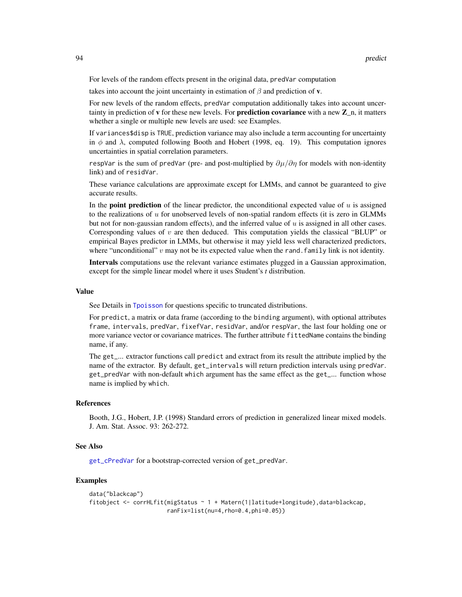For levels of the random effects present in the original data, predVar computation

takes into account the joint uncertainty in estimation of  $\beta$  and prediction of **v**.

For new levels of the random effects, predVar computation additionally takes into account uncertainty in prediction of **v** for these new levels. For **prediction covariance** with a new  $\mathbb{Z}_n$ , it matters whether a single or multiple new levels are used: see Examples.

If variances\$disp is TRUE, prediction variance may also include a term accounting for uncertainty in  $\phi$  and  $\lambda$ , computed following Booth and Hobert (1998, eq. 19). This computation ignores uncertainties in spatial correlation parameters.

respVar is the sum of predVar (pre- and post-multiplied by  $\partial \mu / \partial \eta$  for models with non-identity link) and of residVar.

These variance calculations are approximate except for LMMs, and cannot be guaranteed to give accurate results.

In the **point prediction** of the linear predictor, the unconditional expected value of  $u$  is assigned to the realizations of  $u$  for unobserved levels of non-spatial random effects (it is zero in GLMMs but not for non-gaussian random effects), and the inferred value of u is assigned in all other cases. Corresponding values of  $v$  are then deduced. This computation yields the classical "BLUP" or empirical Bayes predictor in LMMs, but otherwise it may yield less well characterized predictors, where "unconditional" v may not be its expected value when the rand. family link is not identity.

Intervals computations use the relevant variance estimates plugged in a Gaussian approximation, except for the simple linear model where it uses Student's *t* distribution.

# Value

See Details in [Tpoisson](#page-88-0) for questions specific to truncated distributions.

For predict, a matrix or data frame (according to the binding argument), with optional attributes frame, intervals, predVar, fixefVar, residVar, and/or respVar, the last four holding one or more variance vector or covariance matrices. The further attribute fittedName contains the binding name, if any.

The get\_... extractor functions call predict and extract from its result the attribute implied by the name of the extractor. By default, get\_intervals will return prediction intervals using predVar. get\_predVar with non-default which argument has the same effect as the get\_... function whose name is implied by which.

### References

Booth, J.G., Hobert, J.P. (1998) Standard errors of prediction in generalized linear mixed models. J. Am. Stat. Assoc. 93: 262-272.

## See Also

[get\\_cPredVar](#page-39-0) for a bootstrap-corrected version of get\_predVar.

# Examples

```
data("blackcap")
fitobject <- corrHLfit(migStatus ~ 1 + Matern(1|latitude+longitude),data=blackcap,
                       ranFix=list(nu=4,rho=0.4,phi=0.05))
```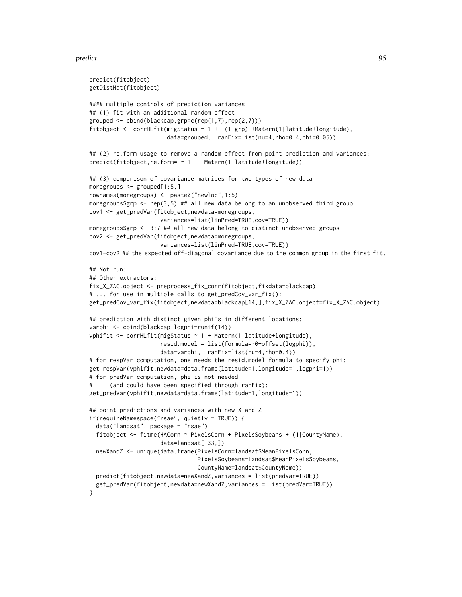#### predict the set of the set of the set of the set of the set of the set of the set of the set of the set of the set of the set of the set of the set of the set of the set of the set of the set of the set of the set of the s

```
predict(fitobject)
getDistMat(fitobject)
#### multiple controls of prediction variances
## (1) fit with an additional random effect
grouped \leq cbind(blackcap,grp=c(rep(1,7),rep(2,7)))
fitobject <- corrHLfit(migStatus ~ 1 + (1|grp) +Matern(1|latitude+longitude),
                       data=grouped, ranFix=list(nu=4,rho=0.4,phi=0.05))
## (2) re.form usage to remove a random effect from point prediction and variances:
predict(fitobject,re.form= ~ 1 + Matern(1|latitude+longitude))
## (3) comparison of covariance matrices for two types of new data
moregroups <- grouped[1:5,]
rownames(moregroups) <- paste0("newloc",1:5)
moregroups$grp <- rep(3,5) ## all new data belong to an unobserved third group
cov1 <- get_predVar(fitobject,newdata=moregroups,
                    variances=list(linPred=TRUE,cov=TRUE))
moregroups$grp <- 3:7 ## all new data belong to distinct unobserved groups
cov2 <- get_predVar(fitobject,newdata=moregroups,
                     variances=list(linPred=TRUE,cov=TRUE))
cov1-cov2 ## the expected off-diagonal covariance due to the common group in the first fit.
## Not run:
## Other extractors:
fix_X_ZAC.object <- preprocess_fix_corr(fitobject,fixdata=blackcap)
# ... for use in multiple calls to get_predCov_var_fix():
get_predCov_var_fix(fitobject,newdata=blackcap[14,],fix_X_ZAC.object=fix_X_ZAC.object)
## prediction with distinct given phi's in different locations:
varphi <- cbind(blackcap,logphi=runif(14))
vphifit <- corrHLfit(migStatus ~ 1 + Matern(1|latitude+longitude),
                     resid.model = list(formula=~0+offset(logphi)),
                     data=varphi, ranFix=list(nu=4,rho=0.4))
# for respVar computation, one needs the resid.model formula to specify phi:
get_respVar(vphifit,newdata=data.frame(latitude=1,longitude=1,logphi=1))
# for predVar computation, phi is not needed
# (and could have been specified through ranFix):
get_predVar(vphifit,newdata=data.frame(latitude=1,longitude=1))
## point predictions and variances with new X and Z
if(requireNamespace("rsae", quietly = TRUE)) {
 data("landsat", package = "rsae")
 fitobject <- fitme(HACorn ~ PixelsCorn + PixelsSoybeans + (1|CountyName),
                     data=landsat[-33,])
 newXandZ <- unique(data.frame(PixelsCorn=landsat$MeanPixelsCorn,
                                PixelsSoybeans=landsat$MeanPixelsSoybeans,
                                CountyName=landsat$CountyName))
 predict(fitobject,newdata=newXandZ,variances = list(predVar=TRUE))
 get_predVar(fitobject,newdata=newXandZ,variances = list(predVar=TRUE))
}
```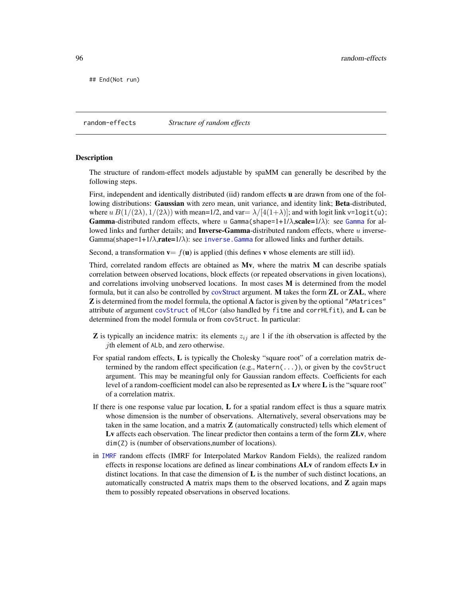## End(Not run)

<span id="page-95-0"></span>random-effects *Structure of random effects*

#### Description

The structure of random-effect models adjustable by spaMM can generally be described by the following steps.

First, independent and identically distributed (iid) random effects **u** are drawn from one of the following distributions: Gaussian with zero mean, unit variance, and identity link; Beta-distributed, where  $u B(1/(2\lambda), 1/(2\lambda))$  with mean=1/2, and var=  $\lambda/[4(1+\lambda)]$ ; and with logit link v=logit(u); **[Gamma](#page-55-0)-distributed random effects, where u Gamma(shape=1+1/** $\lambda$ **, scale=1/** $\lambda$ **): see Gamma for al**lowed links and further details; and **Inverse-Gamma**-distributed random effects, where u inverse-Gamma(shape=1+1/ $\lambda$ , rate=1/ $\lambda$ ): see inverse. Gamma for allowed links and further details.

Second, a transformation  $\mathbf{v} = f(\mathbf{u})$  is applied (this defines v whose elements are still iid).

Third, correlated random effects are obtained as  $Mv$ , where the matrix  $M$  can describe spatials correlation between observed locations, block effects (or repeated observations in given locations), and correlations involving unobserved locations. In most cases M is determined from the model formula, but it can also be controlled by [covStruct](#page-21-0) argument. M takes the form **ZL** or **ZAL**, where **Z** is determined from the model formula, the optional **A** factor is given by the optional "AMatrices" attribute of argument [covStruct](#page-21-0) of HLCor (also handled by fitme and corrHLfit), and L can be determined from the model formula or from covStruct. In particular:

- **Z** is typically an incidence matrix: its elements  $z_{ij}$  are 1 if the *i*th observation is affected by the jth element of ALb, and zero otherwise.
- For spatial random effects, L is typically the Cholesky "square root" of a correlation matrix determined by the random effect specification (e.g., Matern(...)), or given by the covStruct argument. This may be meaningful only for Gaussian random effects. Coefficients for each level of a random-coefficient model can also be represented as Lv where L is the "square root" of a correlation matrix.
- If there is one response value par location, L for a spatial random effect is thus a square matrix whose dimension is the number of observations. Alternatively, several observations may be taken in the same location, and a matrix  $\bf{Z}$  (automatically constructed) tells which element of Ly affects each observation. The linear predictor then contains a term of the form **ZLy**, where dim(Z) is (number of observations,number of locations).
- in [IMRF](#page-72-0) random effects (IMRF for Interpolated Markov Random Fields), the realized random effects in response locations are defined as linear combinations ALv of random effects Lv in distinct locations. In that case the dimension of  $L$  is the number of such distinct locations, an automatically constructed A matrix maps them to the observed locations, and  $\mathbb Z$  again maps them to possibly repeated observations in observed locations.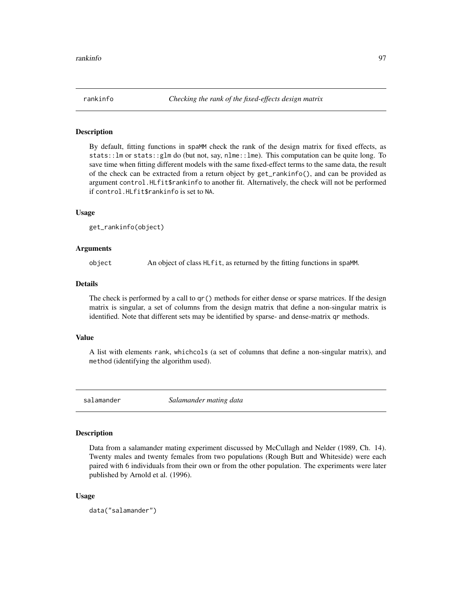By default, fitting functions in spaMM check the rank of the design matrix for fixed effects, as stats::lm or stats:: $glm$  do (but not, say, nlme::lme). This computation can be quite long. To save time when fitting different models with the same fixed-effect terms to the same data, the result of the check can be extracted from a return object by get\_rankinfo(), and can be provided as argument control.HLfit\$rankinfo to another fit. Alternatively, the check will not be performed if control.HLfit\$rankinfo is set to NA.

## Usage

```
get_rankinfo(object)
```
## Arguments

object An object of class HLfit, as returned by the fitting functions in spaMM.

#### Details

The check is performed by a call to qr() methods for either dense or sparse matrices. If the design matrix is singular, a set of columns from the design matrix that define a non-singular matrix is identified. Note that different sets may be identified by sparse- and dense-matrix qr methods.

## Value

A list with elements rank, whichcols (a set of columns that define a non-singular matrix), and method (identifying the algorithm used).

salamander *Salamander mating data*

# Description

Data from a salamander mating experiment discussed by McCullagh and Nelder (1989, Ch. 14). Twenty males and twenty females from two populations (Rough Butt and Whiteside) were each paired with 6 individuals from their own or from the other population. The experiments were later published by Arnold et al. (1996).

#### Usage

```
data("salamander")
```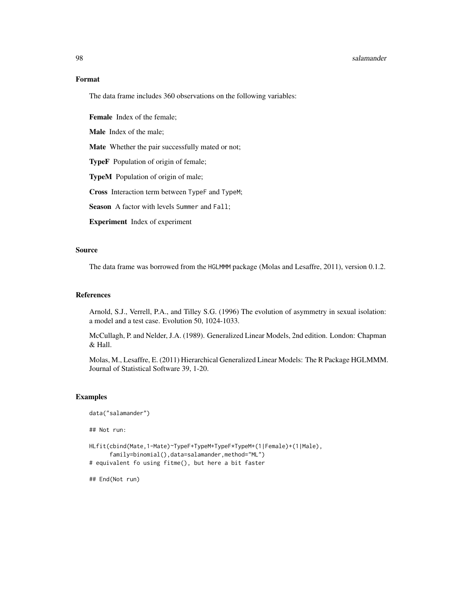#### en 1988 salamander i 1989 salamander i 1989 salamander i 1989 salamander i 1989 salamander i 1989 salamander i

# Format

The data frame includes 360 observations on the following variables:

Female Index of the female;

Male Index of the male;

Mate Whether the pair successfully mated or not;

TypeF Population of origin of female;

TypeM Population of origin of male;

Cross Interaction term between TypeF and TypeM;

Season A factor with levels Summer and Fall;

Experiment Index of experiment

# Source

The data frame was borrowed from the HGLMMM package (Molas and Lesaffre, 2011), version 0.1.2.

## References

Arnold, S.J., Verrell, P.A., and Tilley S.G. (1996) The evolution of asymmetry in sexual isolation: a model and a test case. Evolution 50, 1024-1033.

McCullagh, P. and Nelder, J.A. (1989). Generalized Linear Models, 2nd edition. London: Chapman & Hall.

Molas, M., Lesaffre, E. (2011) Hierarchical Generalized Linear Models: The R Package HGLMMM. Journal of Statistical Software 39, 1-20.

## Examples

```
data("salamander")
## Not run:
HLfit(cbind(Mate,1-Mate)~TypeF+TypeM+TypeF*TypeM+(1|Female)+(1|Male),
     family=binomial(),data=salamander,method="ML")
# equivalent fo using fitme(), but here a bit faster
```
## End(Not run)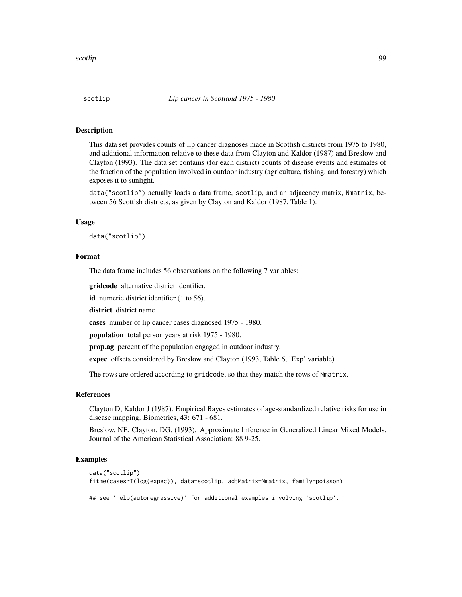This data set provides counts of lip cancer diagnoses made in Scottish districts from 1975 to 1980, and additional information relative to these data from Clayton and Kaldor (1987) and Breslow and Clayton (1993). The data set contains (for each district) counts of disease events and estimates of the fraction of the population involved in outdoor industry (agriculture, fishing, and forestry) which exposes it to sunlight.

data("scotlip") actually loads a data frame, scotlip, and an adjacency matrix, Nmatrix, between 56 Scottish districts, as given by Clayton and Kaldor (1987, Table 1).

#### Usage

data("scotlip")

## Format

The data frame includes 56 observations on the following 7 variables:

gridcode alternative district identifier.

id numeric district identifier (1 to 56).

district district name.

cases number of lip cancer cases diagnosed 1975 - 1980.

population total person years at risk 1975 - 1980.

prop.ag percent of the population engaged in outdoor industry.

expec offsets considered by Breslow and Clayton (1993, Table 6, 'Exp' variable)

The rows are ordered according to gridcode, so that they match the rows of Nmatrix.

# References

Clayton D, Kaldor J (1987). Empirical Bayes estimates of age-standardized relative risks for use in disease mapping. Biometrics, 43: 671 - 681.

Breslow, NE, Clayton, DG. (1993). Approximate Inference in Generalized Linear Mixed Models. Journal of the American Statistical Association: 88 9-25.

## Examples

```
data("scotlip")
fitme(cases~I(log(expec)), data=scotlip, adjMatrix=Nmatrix, family=poisson)
```
## see 'help(autoregressive)' for additional examples involving 'scotlip'.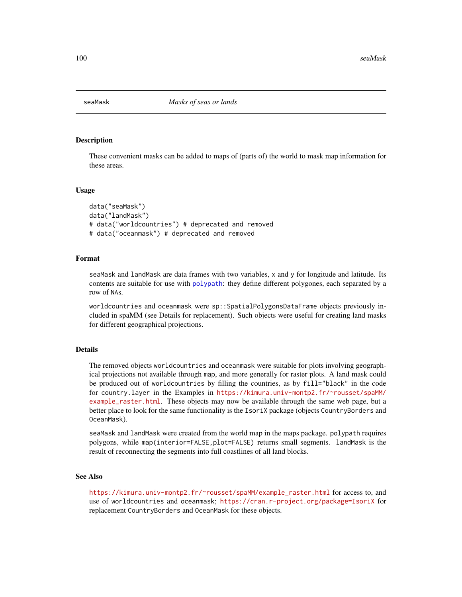These convenient masks can be added to maps of (parts of) the world to mask map information for these areas.

## Usage

```
data("seaMask")
data("landMask")
# data("worldcountries") # deprecated and removed
# data("oceanmask") # deprecated and removed
```
## Format

seaMask and landMask are data frames with two variables, x and y for longitude and latitude. Its contents are suitable for use with [polypath](#page-0-0): they define different polygones, each separated by a row of NAs.

worldcountries and oceanmask were sp::SpatialPolygonsDataFrame objects previously included in spaMM (see Details for replacement). Such objects were useful for creating land masks for different geographical projections.

# Details

The removed objects worldcountries and oceanmask were suitable for plots involving geographical projections not available through map, and more generally for raster plots. A land mask could be produced out of worldcountries by filling the countries, as by fill="black" in the code for country.layer in the Examples in [https://kimura.univ-montp2.fr/~rousset/spaMM/](https://kimura.univ-montp2.fr/~rousset/spaMM/example_raster.html) [example\\_raster.html](https://kimura.univ-montp2.fr/~rousset/spaMM/example_raster.html). These objects may now be available through the same web page, but a better place to look for the same functionality is the IsoriX package (objects CountryBorders and OceanMask).

seaMask and landMask were created from the world map in the maps package. polypath requires polygons, while map(interior=FALSE,plot=FALSE) returns small segments. landMask is the result of reconnecting the segments into full coastlines of all land blocks.

# See Also

[https://kimura.univ-montp2.fr/~rousset/spaMM/example\\_raster.html](https://kimura.univ-montp2.fr/~rousset/spaMM/example_raster.html) for access to, and use of worldcountries and oceanmask; <https://cran.r-project.org/package=IsoriX> for replacement CountryBorders and OceanMask for these objects.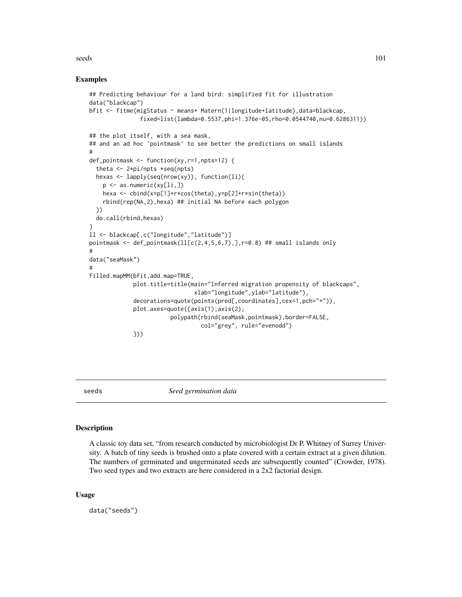#### seeds and the second second second second second second second second second second second second second second second second second second second second second second second second second second second second second secon

## Examples

```
## Predicting behaviour for a land bird: simplified fit for illustration
data("blackcap")
bfit <- fitme(migStatus ~ means+ Matern(1|longitude+latitude),data=blackcap,
               fixed=list(lambda=0.5537,phi=1.376e-05,rho=0.0544740,nu=0.6286311))
## the plot itself, with a sea mask,
## and an ad hoc 'pointmask' to see better the predictions on small islands
#
def_pointmask <- function(xy,r=1,npts=12) {
 theta <- 2*pi/npts *seq(npts)
 hexas <- lapply(seq(nrow(xy)), function(li){
   p <- as.numeric(xy[li,])
   hexa <- cbind(x=p[1]+r*cos(theta),y=p[2]+r*sin(theta))
    rbind(rep(NA,2),hexa) ## initial NA before each polygon
 })
 do.call(rbind,hexas)
}
ll <- blackcap[,c("longitude","latitude")]
pointmask \leq def_pointmask(11[c(2,4,5,6,7),], r=0.8) ## small islands only
#
data("seaMask")
#
filled.mapMM(bfit,add.map=TRUE,
             plot.title=title(main="Inferred migration propensity of blackcaps",
                               xlab="longitude",ylab="latitude"),
             decorations=quote(points(pred[,coordinates],cex=1,pch="+")),
             plot.axes=quote({axis(1);axis(2);
                        polypath(rbind(seaMask,pointmask),border=FALSE,
                                 col="grey", rule="evenodd")
             }))
```
seeds *Seed germination data*

## Description

A classic toy data set, "from research conducted by microbiologist Dr P. Whitney of Surrey University. A batch of tiny seeds is brushed onto a plate covered with a certain extract at a given dilution. The numbers of germinated and ungerminated seeds are subsequently counted" (Crowder, 1978). Two seed types and two extracts are here considered in a 2x2 factorial design.

#### Usage

data("seeds")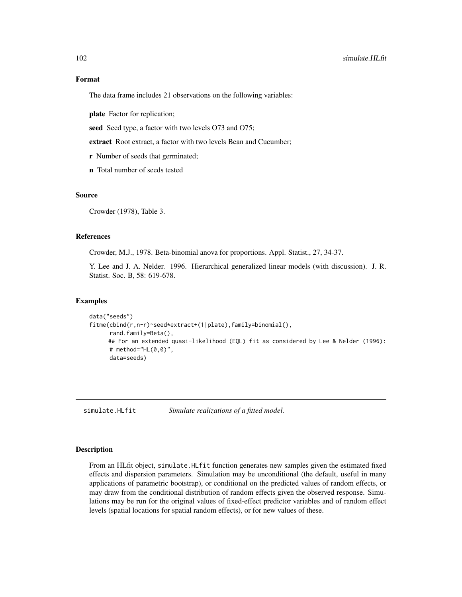# Format

The data frame includes 21 observations on the following variables:

plate Factor for replication;

seed Seed type, a factor with two levels O73 and O75;

extract Root extract, a factor with two levels Bean and Cucumber;

r Number of seeds that germinated;

n Total number of seeds tested

# Source

Crowder (1978), Table 3.

## References

Crowder, M.J., 1978. Beta-binomial anova for proportions. Appl. Statist., 27, 34-37.

Y. Lee and J. A. Nelder. 1996. Hierarchical generalized linear models (with discussion). J. R. Statist. Soc. B, 58: 619-678.

## Examples

```
data("seeds")
fitme(cbind(r,n-r)~seed*extract+(1|plate),family=binomial(),
      rand.family=Beta(),
     ## For an extended quasi-likelihood (EQL) fit as considered by Lee & Nelder (1996):
      # method="HL(0, 0)",
      data=seeds)
```
simulate.HLfit *Simulate realizations of a fitted model.*

#### <span id="page-101-0"></span>**Description**

From an HLfit object, simulate.HLfit function generates new samples given the estimated fixed effects and dispersion parameters. Simulation may be unconditional (the default, useful in many applications of parametric bootstrap), or conditional on the predicted values of random effects, or may draw from the conditional distribution of random effects given the observed response. Simulations may be run for the original values of fixed-effect predictor variables and of random effect levels (spatial locations for spatial random effects), or for new values of these.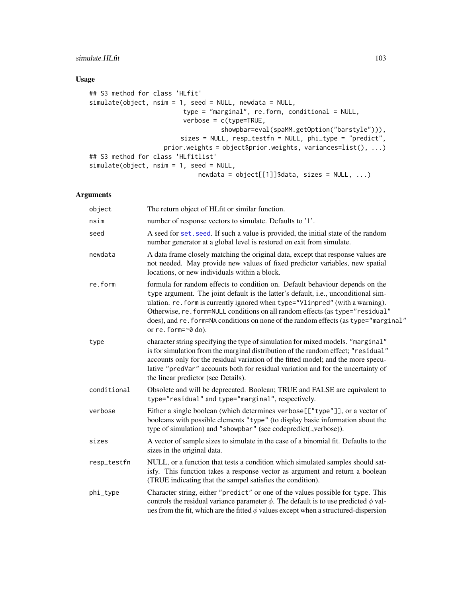# simulate. HLfit 103

# Usage

```
## S3 method for class 'HLfit'
simulate(object, nsim = 1, seed = NULL, newdata = NULL,
                         type = "marginal", re.form, conditional = NULL,
                         verbose = c(type=TRUE,
                                   showpbar=eval(spaMM.getOption("barstyle"))),
                        sizes = NULL, resp_testfn = NULL, phi_type = "predict",
                   prior.weights = object$prior.weights, variances=list(), ...)
## S3 method for class 'HLfitlist'
simulate(object, nsim = 1, seed = NULL,
                             newdata = object[[1]]$data, sizes = NULL, ...)
```
# Arguments

| object      | The return object of HLfit or similar function.                                                                                                                                                                                                                                                                                                                                                                                                                |
|-------------|----------------------------------------------------------------------------------------------------------------------------------------------------------------------------------------------------------------------------------------------------------------------------------------------------------------------------------------------------------------------------------------------------------------------------------------------------------------|
| nsim        | number of response vectors to simulate. Defaults to '1'.                                                                                                                                                                                                                                                                                                                                                                                                       |
| seed        | A seed for set. seed. If such a value is provided, the initial state of the random<br>number generator at a global level is restored on exit from simulate.                                                                                                                                                                                                                                                                                                    |
| newdata     | A data frame closely matching the original data, except that response values are<br>not needed. May provide new values of fixed predictor variables, new spatial<br>locations, or new individuals within a block.                                                                                                                                                                                                                                              |
| re.form     | formula for random effects to condition on. Default behaviour depends on the<br>type argument. The joint default is the latter's default, i.e., unconditional sim-<br>ulation. re. form is currently ignored when type="Vlinpred" (with a warning).<br>Otherwise, re. form=NULL conditions on all random effects (as type="residual"<br>does), and re. form=NA conditions on none of the random effects (as type="marginal"<br>or $re.form = \neg \theta$ do). |
| type        | character string specifying the type of simulation for mixed models. "marginal"<br>is for simulation from the marginal distribution of the random effect; "residual"<br>accounts only for the residual variation of the fitted model; and the more specu-<br>lative "predVar" accounts both for residual variation and for the uncertainty of<br>the linear predictor (see Details).                                                                           |
| conditional | Obsolete and will be deprecated. Boolean; TRUE and FALSE are equivalent to<br>type="residual" and type="marginal", respectively.                                                                                                                                                                                                                                                                                                                               |
| verbose     | Either a single boolean (which determines verbose[["type"]], or a vector of<br>booleans with possible elements "type" (to display basic information about the<br>type of simulation) and "showpbar" (see codepredict(.,verbose)).                                                                                                                                                                                                                              |
| sizes       | A vector of sample sizes to simulate in the case of a binomial fit. Defaults to the<br>sizes in the original data.                                                                                                                                                                                                                                                                                                                                             |
| resp_testfn | NULL, or a function that tests a condition which simulated samples should sat-<br>isfy. This function takes a response vector as argument and return a boolean<br>(TRUE indicating that the sampel satisfies the condition).                                                                                                                                                                                                                                   |
| phi_type    | Character string, either "predict" or one of the values possible for type. This<br>controls the residual variance parameter $\phi$ . The default is to use predicted $\phi$ val-<br>ues from the fit, which are the fitted $\phi$ values except when a structured-dispersion                                                                                                                                                                                   |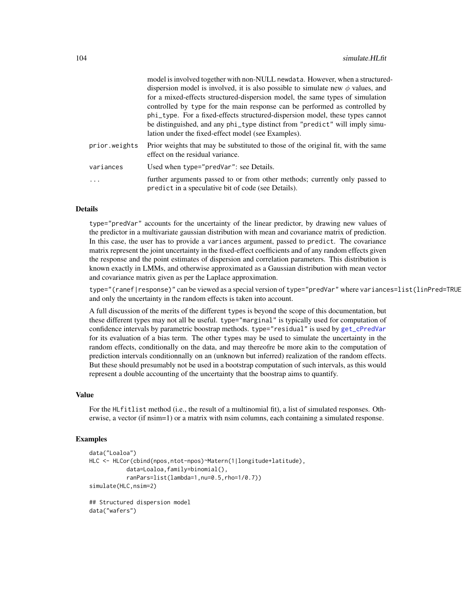|               | model is involved together with non-NULL newdata. However, when a structured-                                                      |
|---------------|------------------------------------------------------------------------------------------------------------------------------------|
|               | dispersion model is involved, it is also possible to simulate new $\phi$ values, and                                               |
|               | for a mixed-effects structured-dispersion model, the same types of simulation                                                      |
|               | controlled by type for the main response can be performed as controlled by                                                         |
|               | phi_type. For a fixed-effects structured-dispersion model, these types cannot                                                      |
|               | be distinguished, and any phi_type distinct from "predict" will imply simu-                                                        |
|               | lation under the fixed-effect model (see Examples).                                                                                |
| prior.weights | Prior weights that may be substituted to those of the original fit, with the same<br>effect on the residual variance.              |
| variances     | Used when type="predVar": see Details.                                                                                             |
| .             | further arguments passed to or from other methods; currently only passed to<br>predict in a speculative bit of code (see Details). |

#### Details

type="predVar" accounts for the uncertainty of the linear predictor, by drawing new values of the predictor in a multivariate gaussian distribution with mean and covariance matrix of prediction. In this case, the user has to provide a variances argument, passed to predict. The covariance matrix represent the joint uncertainty in the fixed-effect coefficients and of any random effects given the response and the point estimates of dispersion and correlation parameters. This distribution is known exactly in LMMs, and otherwise approximated as a Gaussian distribution with mean vector and covariance matrix given as per the Laplace approximation.

type="(ranef|response)" can be viewed as a special version of type="predVar" where variances=list(linPred=TRUE and only the uncertainty in the random effects is taken into account.

A full discussion of the merits of the different types is beyond the scope of this documentation, but these different types may not all be useful. type="marginal" is typically used for computation of confidence intervals by parametric boostrap methods. type="residual" is used by [get\\_cPredVar](#page-39-0) for its evaluation of a bias term. The other types may be used to simulate the uncertainty in the random effects, conditionally on the data, and may thereofre be more akin to the computation of prediction intervals conditionnally on an (unknown but inferred) realization of the random effects. But these should presumably not be used in a bootstrap computation of such intervals, as this would represent a double accounting of the uncertainty that the boostrap aims to quantify.

#### Value

For the HLfitlist method (i.e., the result of a multinomial fit), a list of simulated responses. Otherwise, a vector (if nsim=1) or a matrix with nsim columns, each containing a simulated response.

## Examples

```
data("Loaloa")
HLC <- HLCor(cbind(npos,ntot-npos)~Matern(1|longitude+latitude),
           data=Loaloa,family=binomial(),
           ranPars=list(lambda=1,nu=0.5,rho=1/0.7))
simulate(HLC,nsim=2)
## Structured dispersion model
data("wafers")
```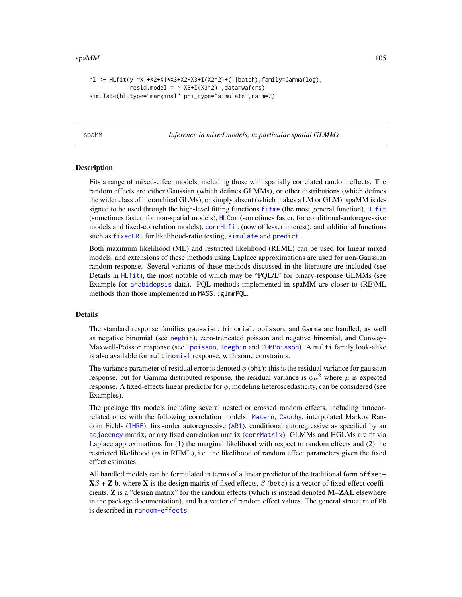#### $spaMM$  105

```
hl <- HLfit(y ~X1+X2+X1*X3+X2*X3+I(X2^2)+(1|batch),family=Gamma(log),
            resid.model = \sim X3+I(X3^2) ,data=wafers)
simulate(hl,type="marginal",phi_type="simulate",nsim=2)
```
<span id="page-104-0"></span>spaMM *Inference in mixed models, in particular spatial GLMMs*

## Description

Fits a range of mixed-effect models, including those with spatially correlated random effects. The random effects are either Gaussian (which defines GLMMs), or other distributions (which defines the wider class of hierarchical GLMs), or simply absent (which makes a LM or GLM). spaMM is designed to be used through the high-level fitting functions [fitme](#page-30-0) (the most general function), [HLfit](#page-50-0) (sometimes faster, for non-spatial models), [HLCor](#page-47-0) (sometimes faster, for conditional-autoregressive models and fixed-correlation models), [corrHLfit](#page-17-0) (now of lesser interest); and additional functions such as [fixedLRT](#page-34-0) for likelihood-ratio testing, [simulate](#page-101-0) and [predict](#page-90-0).

Both maximum likelihood (ML) and restricted likelihood (REML) can be used for linear mixed models, and extensions of these methods using Laplace approximations are used for non-Gaussian random response. Several variants of these methods discussed in the literature are included (see Details in [HLfit](#page-50-0)), the most notable of which may be "PQL/L" for binary-response GLMMs (see Example for [arabidopsis](#page-6-0) data). PQL methods implemented in spaMM are closer to (RE)ML methods than those implemented in MASS::glmmPQL.

## Details

The standard response families gaussian, binomial, poisson, and Gamma are handled, as well as negative binomial (see [negbin](#page-78-0)), zero-truncated poisson and negative binomial, and Conway-Maxwell-Poisson response (see [Tpoisson](#page-88-0), [Tnegbin](#page-78-1) and [COMPoisson](#page-11-0)). A multi family look-alike is also available for [multinomial](#page-75-0) response, with some constraints.

The variance parameter of residual error is denoted  $\phi$  (phi): this is the residual variance for gaussian response, but for Gamma-distributed response, the residual variance is  $\phi \mu^2$  where  $\mu$  is expected response. A fixed-effects linear predictor for  $\phi$ , modeling heteroscedasticity, can be considered (see Examples).

The package fits models including several nested or crossed random effects, including autocorrelated ones with the following correlation models: [Matern](#page-68-0), [Cauchy](#page-10-0), interpolated Markov Random Fields ([IMRF](#page-72-0)), first-order autoregressive ([AR1](#page-7-0)), conditional autoregressive as specified by an [adjacency](#page-7-0) matrix, or any fixed correlation matrix ([corrMatrix](#page-20-0)). GLMMs and HGLMs are fit via Laplace approximations for (1) the marginal likelihood with respect to random effects and (2) the restricted likelihood (as in REML), i.e. the likelihood of random effect parameters given the fixed effect estimates.

All handled models can be formulated in terms of a linear predictor of the traditional form offset+  $X\beta + Z$  b, where X is the design matrix of fixed effects,  $\beta$  (beta) is a vector of fixed-effect coefficients,  $Z$  is a "design matrix" for the random effects (which is instead denoted  $M=ZAL$  elsewhere in the package documentation), and **b** a vector of random effect values. The general structure of Mb is described in [random-effects](#page-95-0).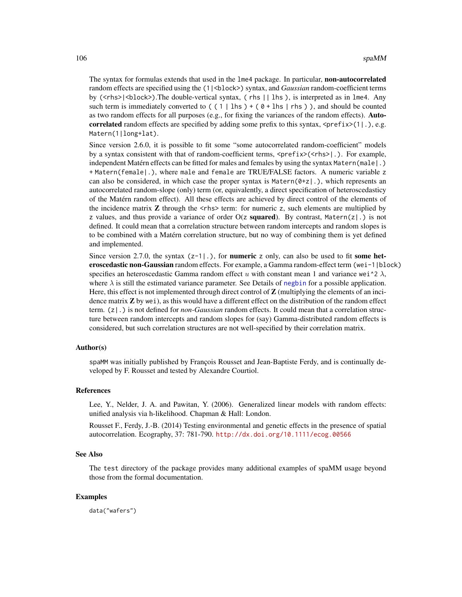The syntax for formulas extends that used in the 1me4 package. In particular, non-autocorrelated random effects are specified using the (1|<block>) syntax, and *Gaussian* random-coefficient terms by ( $\langle$ rhs> $|\langle$ block>).The double-vertical syntax, (rhs  $| \cdot |$  lhs ), is interpreted as in lme4. Any such term is immediately converted to  $( (1 | \text{lhs}) + (0 + \text{lhs} \text{lhs}) )$ , and should be counted as two random effects for all purposes (e.g., for fixing the variances of the random effects). Autocorrelated random effects are specified by adding some prefix to this syntax,  $\langle \text{prefix}(1 | .), \text{e.g.} \rangle$ Matern(1|long+lat).

Since version 2.6.0, it is possible to fit some "some autocorrelated random-coefficient" models by a syntax consistent with that of random-coefficient terms, <prefix>(<rhs>|.). For example, independent Matérn effects can be fitted for males and females by using the syntax Matern(male|.) + Matern(female|.), where male and female are TRUE/FALSE factors. A numeric variable z can also be considered, in which case the proper syntax is Matern $(0+z)$ ., which represents an autocorrelated random-slope (only) term (or, equivalently, a direct specification of heteroscedasticy of the Matérn random effect). All these effects are achieved by direct control of the elements of the incidence matrix  $Z$  through the  $\langle$ rhs $\rangle$  term: for numeric z, such elements are multiplied by z values, and thus provide a variance of order  $O(z \text{ squared})$ . By contrast, Matern(z|.) is not defined. It could mean that a correlation structure between random intercepts and random slopes is to be combined with a Matérn correlation structure, but no way of combining them is yet defined and implemented.

Since version 2.7.0, the syntax  $(z-1)$ .), for **numeric** z only, can also be used to fit **some het**eroscedastic non-Gaussian random effects. For example, a Gamma random-effect term (wei-1|block) specifies an heteroscedastic Gamma random effect u with constant mean 1 and variance wei<sup> $\lambda$ </sup>. where  $\lambda$  is still the estimated variance parameter. See Details of [negbin](#page-78-0) for a possible application. Here, this effect is not implemented through direct control of  $Z$  (multiplying the elements of an incidence matrix  $Z$  by wei), as this would have a different effect on the distribution of the random effect term. (z|.) is not defined for *non-Gaussian* random effects. It could mean that a correlation structure between random intercepts and random slopes for (say) Gamma-distributed random effects is considered, but such correlation structures are not well-specified by their correlation matrix.

# Author(s)

spaMM was initially published by François Rousset and Jean-Baptiste Ferdy, and is continually developed by F. Rousset and tested by Alexandre Courtiol.

## References

Lee, Y., Nelder, J. A. and Pawitan, Y. (2006). Generalized linear models with random effects: unified analysis via h-likelihood. Chapman & Hall: London.

Rousset F., Ferdy, J.-B. (2014) Testing environmental and genetic effects in the presence of spatial autocorrelation. Ecography, 37: 781-790. <http://dx.doi.org/10.1111/ecog.00566>

#### See Also

The test directory of the package provides many additional examples of spaMM usage beyond those from the formal documentation.

## Examples

data("wafers")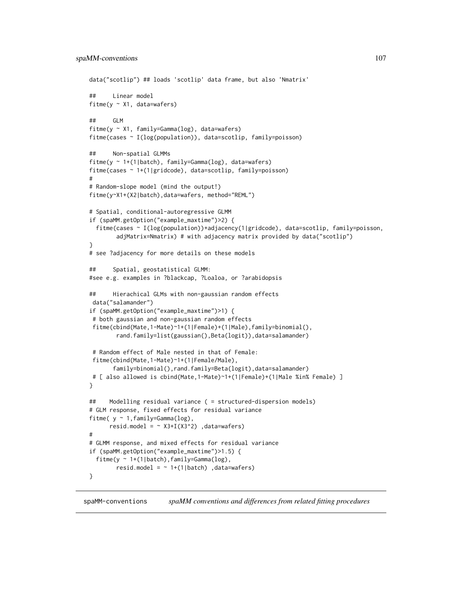```
data("scotlip") ## loads 'scotlip' data frame, but also 'Nmatrix'
## Linear model
fitme(y \sim X1, data=wafers)
## GLM
fitme(y ~ X1, family=Gamma(log), data=wafers)
fitme(cases ~ I(log(population)), data=scotlip, family=poisson)
## Non-spatial GLMMs
fitme(y \sim 1+(1|batch), family=Gamma(log), data=wafers)
fitme(cases ~ 1+(1|gridcode), data=scotlip, family=poisson)
#
# Random-slope model (mind the output!)
fitme(y~X1+(X2|batch),data=wafers, method="REML")
# Spatial, conditional-autoregressive GLMM
if (spaMM.getOption("example_maxtime")>2) {
 fitme(cases ~ I(log(population))+adjacency(1|gridcode), data=scotlip, family=poisson,
        adjMatrix=Nmatrix) # with adjacency matrix provided by data("scotlip")
}
# see ?adjacency for more details on these models
## Spatial, geostatistical GLMM:
#see e.g. examples in ?blackcap, ?Loaloa, or ?arabidopsis
## Hierachical GLMs with non-gaussian random effects
data("salamander")
if (spaMM.getOption("example_maxtime")>1) {
 # both gaussian and non-gaussian random effects
 fitme(cbind(Mate,1-Mate)~1+(1|Female)+(1|Male),family=binomial(),
        rand.family=list(gaussian(),Beta(logit)),data=salamander)
 # Random effect of Male nested in that of Female:
 fitme(cbind(Mate,1-Mate)~1+(1|Female/Male),
       family=binomial(),rand.family=Beta(logit),data=salamander)
# [ also allowed is cbind(Mate,1-Mate)~1+(1|Female)+(1|Male %in% Female) ]
}
## Modelling residual variance ( = structured-dispersion models)
# GLM response, fixed effects for residual variance
fitme( y \sim 1, family=Gamma(log),
      resid.model = \sim X3+I(X3^2) ,data=wafers)
#
# GLMM response, and mixed effects for residual variance
if (spaMM.getOption("example_maxtime")>1.5) {
 fitme(y \sim 1+(1|\text{batch}), family=Gamma(log),
       resid.model = \sim 1+(1|batch) ,data=wafers)
}
```
spaMM-conventions *spaMM conventions and differences from related fitting procedures*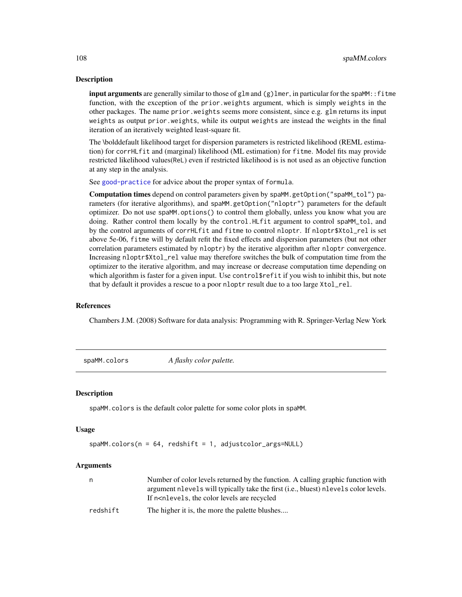input arguments are generally similar to those of glm and  $(g)$ lmer, in particular for the spaMM:: fitme function, with the exception of the prior.weights argument, which is simply weights in the other packages. The name prior.weights seems more consistent, since e.g. glm returns its input weights as output prior.weights, while its output weights are instead the weights in the final iteration of an iteratively weighted least-square fit.

The \bolddefault likelihood target for dispersion parameters is restricted likelihood (REML estimation) for corrHLfit and (marginal) likelihood (ML estimation) for fitme. Model fits may provide restricted likelihood values(ReL) even if restricted likelihood is is not used as an objective function at any step in the analysis.

See [good-practice](#page-45-0) for advice about the proper syntax of formula.

Computation times depend on control parameters given by spaMM.getOption("spaMM\_tol") parameters (for iterative algorithms), and spaMM.getOption("nloptr") parameters for the default optimizer. Do not use spaMM.options() to control them globally, unless you know what you are doing. Rather control them locally by the control.HLfit argument to control spaMM\_tol, and by the control arguments of corrHLfit and fitme to control nloptr. If nloptr\$Xtol\_rel is set above 5e-06, fitme will by default refit the fixed effects and dispersion parameters (but not other correlation parameters estimated by nloptr) by the iterative algorithm after nloptr convergence. Increasing nloptr\$Xtol\_rel value may therefore switches the bulk of computation time from the optimizer to the iterative algorithm, and may increase or decrease computation time depending on which algorithm is faster for a given input. Use control\$refit if you wish to inhibit this, but note that by default it provides a rescue to a poor nloptr result due to a too large Xtol\_rel.

## References

Chambers J.M. (2008) Software for data analysis: Programming with R. Springer-Verlag New York

spaMM.colors *A flashy color palette.*

#### Description

spaMM.colors is the default color palette for some color plots in spaMM.

#### Usage

```
spaMM.colors(n = 64, redshift = 1, adjustcolor_args=NULL)
```
#### Arguments

|          | Number of color levels returned by the function. A calling graphic function with<br>argument nevels will typically take the first (i.e., bluest) nevels color levels.<br>If n <nlevels, are="" color="" levels="" recycled<="" th="" the=""></nlevels,> |
|----------|---------------------------------------------------------------------------------------------------------------------------------------------------------------------------------------------------------------------------------------------------------|
| redshift | The higher it is, the more the palette blushes                                                                                                                                                                                                          |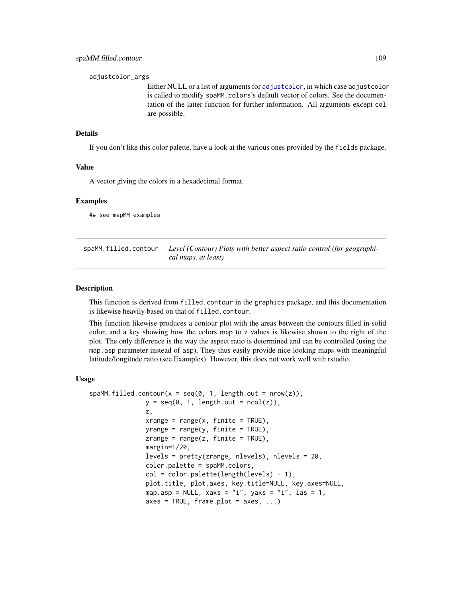<span id="page-108-0"></span>adjustcolor\_args

Either NULL or a list of arguments for [adjustcolor](#page-0-0), in which case adjustcolor is called to modify spaMM.colors's default vector of colors. See the documentation of the latter function for further information. All arguments except col are possible.

# Details

If you don't like this color palette, have a look at the various ones provided by the fields package.

#### Value

A vector giving the colors in a hexadecimal format.

#### Examples

## see mapMM examples

spaMM.filled.contour *Level (Contour) Plots with better aspect ratio control (for geographical maps, at least)*

#### Description

This function is derived from filled.contour in the graphics package, and this documentation is likewise heavily based on that of filled.contour.

This function likewise produces a contour plot with the areas between the contours filled in solid color, and a key showing how the colors map to z values is likewise shown to the right of the plot. The only difference is the way the aspect ratio is determined and can be controlled (using the map.asp parameter instead of asp), They thus easily provide nice-looking maps with meaningful latitude/longitude ratio (see Examples). However, this does not work well with rstudio.

#### Usage

```
spanM.filled.contour(x = seq(0, 1, length.out = nrow(z)),
               y = seq(0, 1, length.out = ncol(z)),z,
               xrange = range(x, \text{ finite} = \text{TRUE}),yrange = range(y, finite = TRUE),zrange = range(z, finite = TRUE),
               margin=1/20,
               levels = pretty(zrange, nlevels), nlevels = 20,
               color.palette = spaMM.colors,
               col = color.palette(length(levels) - 1),
               plot.title, plot.axes, key.title=NULL, key.axes=NULL,
               map.asp = NULL, xaxs = "i", yaxs = "i", las = 1,
               axes = TRUE, frame.plot = axes, ...)
```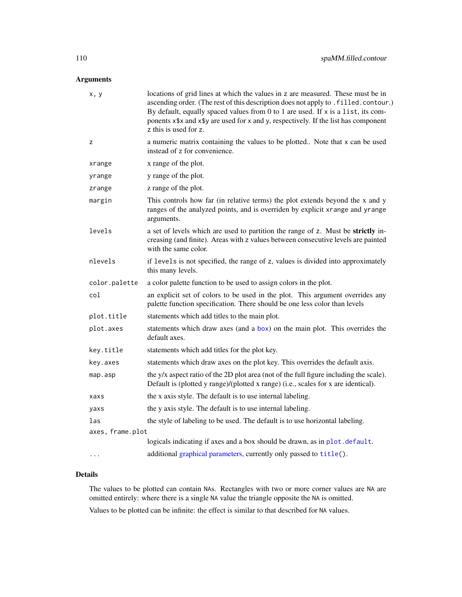# <span id="page-109-0"></span>Arguments

| x, y             | locations of grid lines at which the values in z are measured. These must be in<br>ascending order. (The rest of this description does not apply to . filled. contour.)<br>By default, equally spaced values from 0 to 1 are used. If x is a list, its com-<br>ponents x\$x and x\$y are used for x and y, respectively. If the list has component<br>z this is used for z. |
|------------------|-----------------------------------------------------------------------------------------------------------------------------------------------------------------------------------------------------------------------------------------------------------------------------------------------------------------------------------------------------------------------------|
| z                | a numeric matrix containing the values to be plotted Note that x can be used<br>instead of z for convenience.                                                                                                                                                                                                                                                               |
| xrange           | x range of the plot.                                                                                                                                                                                                                                                                                                                                                        |
| yrange           | y range of the plot.                                                                                                                                                                                                                                                                                                                                                        |
| zrange           | z range of the plot.                                                                                                                                                                                                                                                                                                                                                        |
| margin           | This controls how far (in relative terms) the plot extends beyond the x and y<br>ranges of the analyzed points, and is overriden by explicit xrange and yrange<br>arguments.                                                                                                                                                                                                |
| levels           | a set of levels which are used to partition the range of z. Must be strictly in-<br>creasing (and finite). Areas with z values between consecutive levels are painted<br>with the same color.                                                                                                                                                                               |
| nlevels          | if levels is not specified, the range of z, values is divided into approximately<br>this many levels.                                                                                                                                                                                                                                                                       |
| color.palette    | a color palette function to be used to assign colors in the plot.                                                                                                                                                                                                                                                                                                           |
| col              | an explicit set of colors to be used in the plot. This argument overrides any<br>palette function specification. There should be one less color than levels                                                                                                                                                                                                                 |
| plot.title       | statements which add titles to the main plot.                                                                                                                                                                                                                                                                                                                               |
| plot.axes        | statements which draw axes (and a box) on the main plot. This overrides the<br>default axes.                                                                                                                                                                                                                                                                                |
| key.title        | statements which add titles for the plot key.                                                                                                                                                                                                                                                                                                                               |
| key.axes         | statements which draw axes on the plot key. This overrides the default axis.                                                                                                                                                                                                                                                                                                |
| map.asp          | the y/x aspect ratio of the 2D plot area (not of the full figure including the scale).<br>Default is (plotted y range)/(plotted x range) (i.e., scales for x are identical).                                                                                                                                                                                                |
| xaxs             | the x axis style. The default is to use internal labeling.                                                                                                                                                                                                                                                                                                                  |
| yaxs             | the y axis style. The default is to use internal labeling.                                                                                                                                                                                                                                                                                                                  |
| las              | the style of labeling to be used. The default is to use horizontal labeling.                                                                                                                                                                                                                                                                                                |
| axes, frame.plot |                                                                                                                                                                                                                                                                                                                                                                             |
|                  | logicals indicating if axes and a box should be drawn, as in plot.default.                                                                                                                                                                                                                                                                                                  |
| $\ddotsc$        | additional graphical parameters, currently only passed to title().                                                                                                                                                                                                                                                                                                          |

# Details

The values to be plotted can contain NAs. Rectangles with two or more corner values are NA are omitted entirely: where there is a single NA value the triangle opposite the NA is omitted.

Values to be plotted can be infinite: the effect is similar to that described for NA values.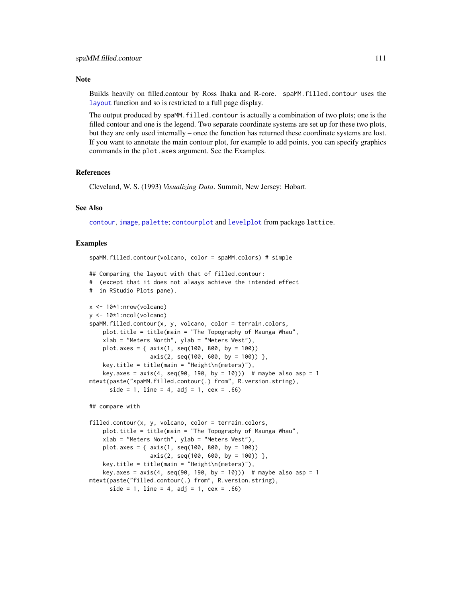#### <span id="page-110-0"></span>**Note**

Builds heavily on filled.contour by Ross Ihaka and R-core. spaMM.filled.contour uses the [layout](#page-0-0) function and so is restricted to a full page display.

The output produced by spaMM.filled.contour is actually a combination of two plots; one is the filled contour and one is the legend. Two separate coordinate systems are set up for these two plots, but they are only used internally – once the function has returned these coordinate systems are lost. If you want to annotate the main contour plot, for example to add points, you can specify graphics commands in the plot.axes argument. See the Examples.

#### References

Cleveland, W. S. (1993) *Visualizing Data*. Summit, New Jersey: Hobart.

spaMM.filled.contour(volcano, color = spaMM.colors) # simple

#### See Also

[contour](#page-0-0), [image](#page-0-0), [palette](#page-0-0); [contourplot](#page-0-0) and [levelplot](#page-0-0) from package lattice.

#### Examples

```
## Comparing the layout with that of filled.contour:
# (except that it does not always achieve the intended effect
# in RStudio Plots pane).
x <- 10*1:nrow(volcano)
y <- 10*1:ncol(volcano)
spaMM.filled.contour(x, y, volcano, color = terrain.colors,
    plot.title = title(main = "The Topography of Maunga Whau",
    xlab = "Meters North", ylab = "Meters West"),plot.axes = { axis(1, seq(100, 800, by = 100))
                  axis(2, seq(100, 600, by = 100)),
    key.title = title(main = "Height\n(meters)"),
    key.axes = axis(4, seq(90, 190, by = 10))) # maybe also asp = 1
mtext(paste("spaMM.filled.contour(.) from", R.version.string),
      side = 1, line = 4, adj = 1, cex = .66)
```
## compare with

```
filled.contour(x, y, volcano, color = terrain.colors,
   plot.title = title(main = "The Topography of Maunga Whau",
   xlab = "Meters North", ylab = "Meters West"),plot.axes = { axis(1, seq(100, 800, by = 100))axis(2, seq(100, 600, by = 100)),
   key.title = title(main = "Height\n(meters)"),
   key.axes = axis(4, seq(90, 190, by = 10))) # maybe also asp = 1
mtext(paste("filled.contour(.) from", R.version.string),
     side = 1, line = 4, adj = 1, cex = .66)
```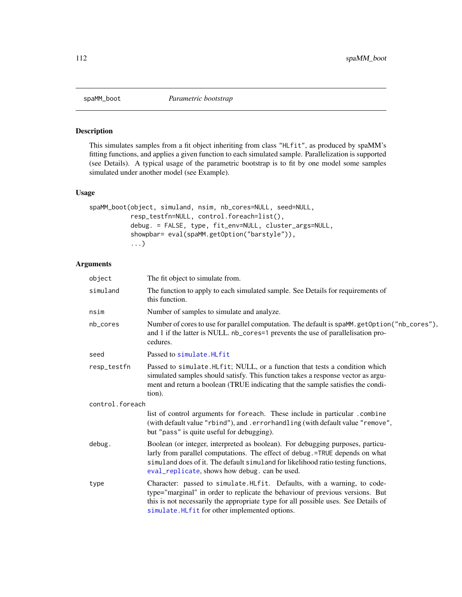<span id="page-111-0"></span>

# Description

This simulates samples from a fit object inheriting from class "HLfit", as produced by spaMM's fitting functions, and applies a given function to each simulated sample. Parallelization is supported (see Details). A typical usage of the parametric bootstrap is to fit by one model some samples simulated under another model (see Example).

### Usage

```
spaMM_boot(object, simuland, nsim, nb_cores=NULL, seed=NULL,
           resp_testfn=NULL, control.foreach=list(),
           debug. = FALSE, type, fit_env=NULL, cluster_args=NULL,
           showpbar= eval(spaMM.getOption("barstyle")),
           ...)
```
# Arguments

| object          | The fit object to simulate from.                                                                                                                                                                                                                                                                    |
|-----------------|-----------------------------------------------------------------------------------------------------------------------------------------------------------------------------------------------------------------------------------------------------------------------------------------------------|
| simuland        | The function to apply to each simulated sample. See Details for requirements of<br>this function.                                                                                                                                                                                                   |
| nsim            | Number of samples to simulate and analyze.                                                                                                                                                                                                                                                          |
| nb_cores        | Number of cores to use for parallel computation. The default is spaMM.getOption("nb_cores"),<br>and 1 if the latter is NULL. nb_cores=1 prevents the use of parallelisation pro-<br>cedures.                                                                                                        |
| seed            | Passed to simulate. HLfit                                                                                                                                                                                                                                                                           |
| resp_testfn     | Passed to simulate. HLfit; NULL, or a function that tests a condition which<br>simulated samples should satisfy. This function takes a response vector as argu-<br>ment and return a boolean (TRUE indicating that the sample satisfies the condi-<br>tion).                                        |
| control.foreach |                                                                                                                                                                                                                                                                                                     |
|                 | list of control arguments for foreach. These include in particular .combine<br>(with default value "rbind"), and .errorhandling (with default value "remove",<br>but "pass" is quite useful for debugging).                                                                                         |
| debug.          | Boolean (or integer, interpreted as boolean). For debugging purposes, particu-<br>larly from parallel computations. The effect of debug.=TRUE depends on what<br>simuland does of it. The default simuland for likelihood ratio testing functions,<br>eval_replicate, shows how debug. can be used. |
| type            | Character: passed to simulate.HLfit. Defaults, with a warning, to code-<br>type="marginal" in order to replicate the behaviour of previous versions. But<br>this is not necessarily the appropriate type for all possible uses. See Details of<br>simulate.HLfit for other implemented options.     |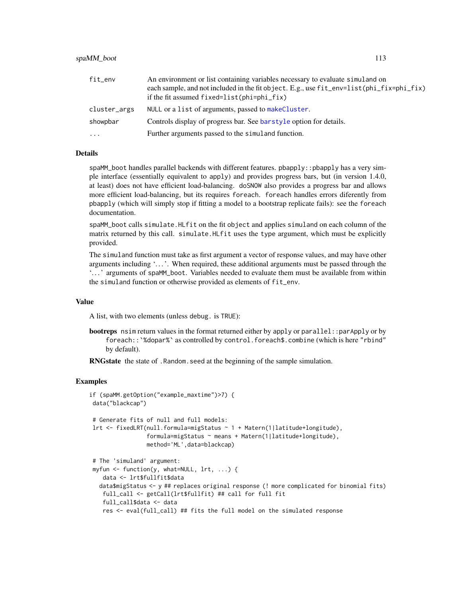#### <span id="page-112-0"></span>spaMM\_boot 113

| fit_env      | An environment or list containing variables necessary to evaluate simuland on            |
|--------------|------------------------------------------------------------------------------------------|
|              | each sample, and not included in the fit object. E.g., use fit_env=list(phi_fix=phi_fix) |
|              | if the fit assumed $fixed=list(phi=phi_fix)$                                             |
| cluster_args | NULL or a list of arguments, passed to make Cluster.                                     |
| showpbar     | Controls display of progress bar. See barstyle option for details.                       |
| $\cdots$     | Further arguments passed to the simuland function.                                       |

# Details

spaMM\_boot handles parallel backends with different features. pbapply::pbapply has a very simple interface (essentially equivalent to apply) and provides progress bars, but (in version 1.4.0, at least) does not have efficient load-balancing. doSNOW also provides a progress bar and allows more efficient load-balancing, but its requires foreach. foreach handles errors diferently from pbapply (which will simply stop if fitting a model to a bootstrap replicate fails): see the foreach documentation.

spaMM\_boot calls simulate.HLfit on the fit object and applies simuland on each column of the matrix returned by this call. simulate.HLfit uses the type argument, which must be explicitly provided.

The simuland function must take as first argument a vector of response values, and may have other arguments including '. . . '. When required, these additional arguments must be passed through the '. . . ' arguments of spaMM\_boot. Variables needed to evaluate them must be available from within the simuland function or otherwise provided as elements of fit\_env.

#### Value

A list, with two elements (unless debug. is TRUE):

bootreps nsim return values in the format returned either by apply or parallel::parApply or by foreach::`%dopar%` as controlled by control.foreach\$.combine (which is here "rbind" by default).

RNGstate the state of . Random. seed at the beginning of the sample simulation.

#### Examples

```
if (spaMM.getOption("example_maxtime")>7) {
data("blackcap")
# Generate fits of null and full models:
lrt <- fixedLRT(null.formula=migStatus ~ 1 + Matern(1|latitude+longitude),
                formula=migStatus ~ means + Matern(1|latitude+longitude),
                method='ML',data=blackcap)
# The 'simuland' argument:
myfun <- function(y, what=NULL, lrt, ...) {
   data <- lrt$fullfit$data
  data$migStatus <- y ## replaces original response (! more complicated for binomial fits)
   full_call <- getCall(lrt$fullfit) ## call for full fit
   full_call$data <- data
   res <- eval(full_call) ## fits the full model on the simulated response
```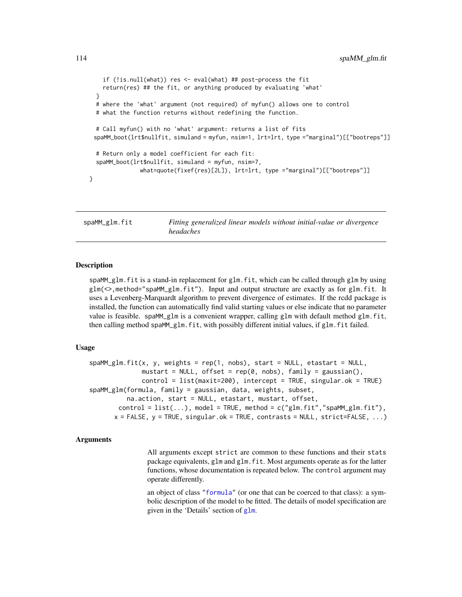```
if (!is.null(what)) res <- eval(what) ## post-process the fit
    return(res) ## the fit, or anything produced by evaluating 'what'
 }
 # where the 'what' argument (not required) of myfun() allows one to control
 # what the function returns without redefining the function.
 # Call myfun() with no 'what' argument: returns a list of fits
 spaMM_boot(lrt$nullfit, simuland = myfun, nsim=1, lrt=lrt, type ="marginal")[["bootreps"]]
 # Return only a model coefficient for each fit:
 spaMM_boot(lrt$nullfit, simuland = myfun, nsim=7,
               what=quote(fixef(res)[2L]), lrt=lrt, type ="marginal")[["bootreps"]]
}
```
spaMM\_glm.fit *Fitting generalized linear models without initial-value or divergence headaches*

#### Description

spaMM\_glm.fit is a stand-in replacement for glm.fit, which can be called through glm by using glm(<>,method="spaMM\_glm.fit"). Input and output structure are exactly as for glm.fit. It uses a Levenberg-Marquardt algorithm to prevent divergence of estimates. If the rcdd package is installed, the function can automatically find valid starting values or else indicate that no parameter value is feasible. spaMM\_glm is a convenient wrapper, calling glm with default method glm.fit, then calling method spaMM\_glm.fit, with possibly different initial values, if glm.fit failed.

#### Usage

```
spanM\_glm.fit(x, y, weights = rep(1, nobs), start = NULL, etastart = NULL,mustart = NULL, offset = rep(0, nobs), family = gaussian(),
              control = list(maxit=200), intercept = TRUE, singular.ok = TRUE)
spaMM_glm(formula, family = gaussian, data, weights, subset,
         na.action, start = NULL, etastart, mustart, offset,
       control = list(...), model = TRUE, method = c("glm.fit", "spaMM_glm.fit",x = FALSE, y = TRUE, singular.ok = TRUE, contrasts = NULL, strict=FALSE, ...)
```
#### Arguments

All arguments except strict are common to these functions and their stats package equivalents, glm and glm.fit. Most arguments operate as for the latter functions, whose documentation is repeated below. The control argument may operate differently.

an object of class ["formula"](#page-27-0) (or one that can be coerced to that class): a symbolic description of the model to be fitted. The details of model specification are given in the 'Details' section of [glm](#page-0-0).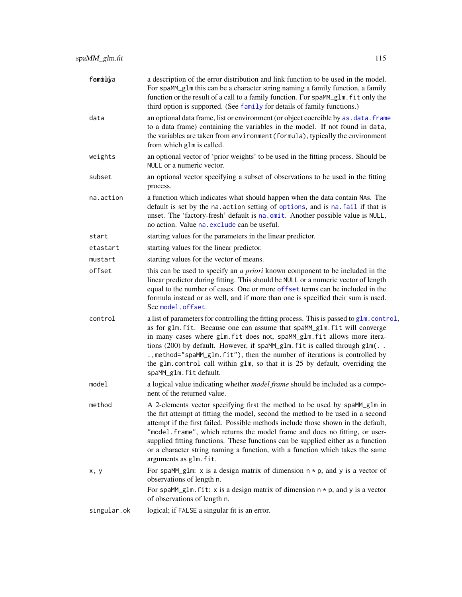<span id="page-114-0"></span>

| femmuya     | a description of the error distribution and link function to be used in the model.<br>For spaMM_g1m this can be a character string naming a family function, a family<br>function or the result of a call to a family function. For spaMM_glm. fit only the<br>third option is supported. (See family for details of family functions.)                                                                                                                                                                                        |
|-------------|--------------------------------------------------------------------------------------------------------------------------------------------------------------------------------------------------------------------------------------------------------------------------------------------------------------------------------------------------------------------------------------------------------------------------------------------------------------------------------------------------------------------------------|
| data        | an optional data frame, list or environment (or object coercible by as . data. frame<br>to a data frame) containing the variables in the model. If not found in data,<br>the variables are taken from environment (formula), typically the environment<br>from which glm is called.                                                                                                                                                                                                                                            |
| weights     | an optional vector of 'prior weights' to be used in the fitting process. Should be<br>NULL or a numeric vector.                                                                                                                                                                                                                                                                                                                                                                                                                |
| subset      | an optional vector specifying a subset of observations to be used in the fitting<br>process.                                                                                                                                                                                                                                                                                                                                                                                                                                   |
| na.action   | a function which indicates what should happen when the data contain NAs. The<br>default is set by the na. action setting of options, and is na. fail if that is<br>unset. The 'factory-fresh' default is na.omit. Another possible value is NULL,<br>no action. Value na. exclude can be useful.                                                                                                                                                                                                                               |
| start       | starting values for the parameters in the linear predictor.                                                                                                                                                                                                                                                                                                                                                                                                                                                                    |
| etastart    | starting values for the linear predictor.                                                                                                                                                                                                                                                                                                                                                                                                                                                                                      |
| mustart     | starting values for the vector of means.                                                                                                                                                                                                                                                                                                                                                                                                                                                                                       |
| offset      | this can be used to specify an <i>a priori</i> known component to be included in the<br>linear predictor during fitting. This should be NULL or a numeric vector of length<br>equal to the number of cases. One or more offset terms can be included in the<br>formula instead or as well, and if more than one is specified their sum is used.<br>See model.offset.                                                                                                                                                           |
| control     | a list of parameters for controlling the fitting process. This is passed to glm. control,<br>as for glm. fit. Because one can assume that spaMM_glm. fit will converge<br>in many cases where glm. fit does not, spaMM_glm. fit allows more itera-<br>tions (200) by default. However, if spaMM_glm.fit is called through glm(<br>., method="spaMM_glm.fit"), then the number of iterations is controlled by<br>the glm. control call within glm, so that it is 25 by default, overriding the<br>spaMM_glm.fit default.        |
| model       | a logical value indicating whether <i>model frame</i> should be included as a compo-<br>nent of the returned value.                                                                                                                                                                                                                                                                                                                                                                                                            |
| method      | A 2-elements vector specifying first the method to be used by spaMM_glm in<br>the firt attempt at fitting the model, second the method to be used in a second<br>attempt if the first failed. Possible methods include those shown in the default,<br>"model.frame", which returns the model frame and does no fitting, or user-<br>supplied fitting functions. These functions can be supplied either as a function<br>or a character string naming a function, with a function which takes the same<br>arguments as glm.fit. |
| x, y        | For spaMM_glm: x is a design matrix of dimension $n * p$ , and y is a vector of<br>observations of length n.<br>For spaMM_glm.fit: x is a design matrix of dimension $n * p$ , and y is a vector<br>of observations of length n.                                                                                                                                                                                                                                                                                               |
| singular.ok | logical; if FALSE a singular fit is an error.                                                                                                                                                                                                                                                                                                                                                                                                                                                                                  |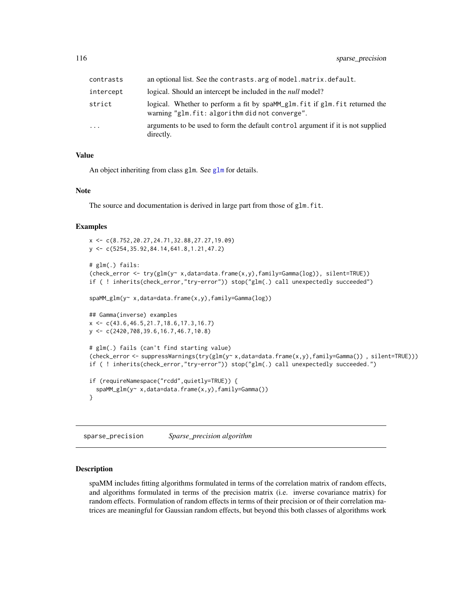<span id="page-115-0"></span>

| contrasts  | an optional list. See the contrasts arg of model matrix default.                                                               |
|------------|--------------------------------------------------------------------------------------------------------------------------------|
| intercept  | logical. Should an intercept be included in the <i>null</i> model?                                                             |
| strict     | logical. Whether to perform a fit by spaMM_glm. fit if glm. fit returned the<br>warning "glm.fit: algorithm did not converge". |
| $\ddots$ . | arguments to be used to form the default control argument if it is not supplied<br>directly.                                   |

#### Value

An object inheriting from class [glm](#page-0-0). See glm for details.

#### Note

The source and documentation is derived in large part from those of glm.fit.

#### Examples

```
x <- c(8.752,20.27,24.71,32.88,27.27,19.09)
y <- c(5254,35.92,84.14,641.8,1.21,47.2)
# glm(.) fails:
(check_error <- try(glm(y~ x,data=data.frame(x,y),family=Gamma(log)), silent=TRUE))
if ( ! inherits(check_error,"try-error")) stop("glm(.) call unexpectedly succeeded")
spaMM_glm(y~ x,data=data.frame(x,y),family=Gamma(log))
## Gamma(inverse) examples
x <- c(43.6,46.5,21.7,18.6,17.3,16.7)
y <- c(2420,708,39.6,16.7,46.7,10.8)
# glm(.) fails (can't find starting value)
(check_error <- suppressWarnings(try(glm(y~ x,data=data.frame(x,y),family=Gamma()) , silent=TRUE)))
if ( ! inherits(check_error,"try-error")) stop("glm(.) call unexpectedly succeeded.")
if (requireNamespace("rcdd",quietly=TRUE)) {
  spaMM_glm(y~ x,data=data.frame(x,y),family=Gamma())
}
```
sparse\_precision *Sparse\_precision algorithm*

#### Description

spaMM includes fitting algorithms formulated in terms of the correlation matrix of random effects, and algorithms formulated in terms of the precision matrix (i.e. inverse covariance matrix) for random effects. Formulation of random effects in terms of their precision or of their correlation matrices are meaningful for Gaussian random effects, but beyond this both classes of algorithms work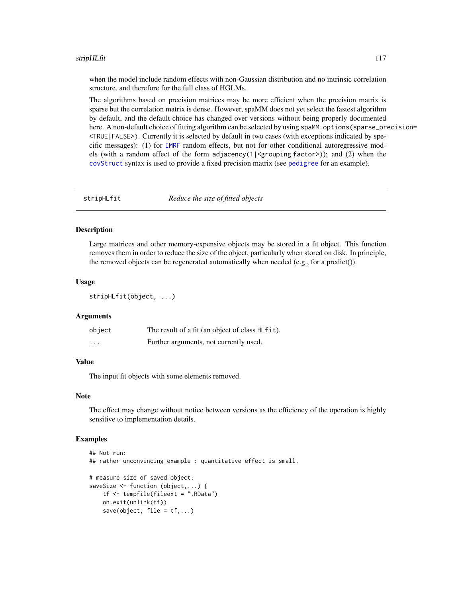#### <span id="page-116-0"></span>stripHLfit 117

when the model include random effects with non-Gaussian distribution and no intrinsic correlation structure, and therefore for the full class of HGLMs.

The algorithms based on precision matrices may be more efficient when the precision matrix is sparse but the correlation matrix is dense. However, spaMM does not yet select the fastest algorithm by default, and the default choice has changed over versions without being properly documented here. A non-default choice of fitting algorithm can be selected by using spaMM.options (sparse\_precision= <TRUE|FALSE>). Currently it is selected by default in two cases (with exceptions indicated by specific messages): (1) for [IMRF](#page-72-0) random effects, but not for other conditional autoregressive models (with a random effect of the form adjacency(1|<grouping factor>)); and (2) when the [covStruct](#page-21-0) syntax is used to provide a fixed precision matrix (see [pedigree](#page-82-0) for an example).

stripHLfit *Reduce the size of fitted objects*

### Description

Large matrices and other memory-expensive objects may be stored in a fit object. This function removes them in order to reduce the size of the object, particularly when stored on disk. In principle, the removed objects can be regenerated automatically when needed (e.g., for a predict()).

#### Usage

stripHLfit(object, ...)

#### Arguments

| object   | The result of a fit (an object of class HLfit). |
|----------|-------------------------------------------------|
| $\cdots$ | Further arguments, not currently used.          |

### Value

The input fit objects with some elements removed.

#### Note

The effect may change without notice between versions as the efficiency of the operation is highly sensitive to implementation details.

## Examples

```
## Not run:
## rather unconvincing example : quantitative effect is small.
# measure size of saved object:
saveSize <- function (object,...) {
    tf <- tempfile(fileext = ".RData")
   on.exit(unlink(tf))
    save(object, file = tf,...)
```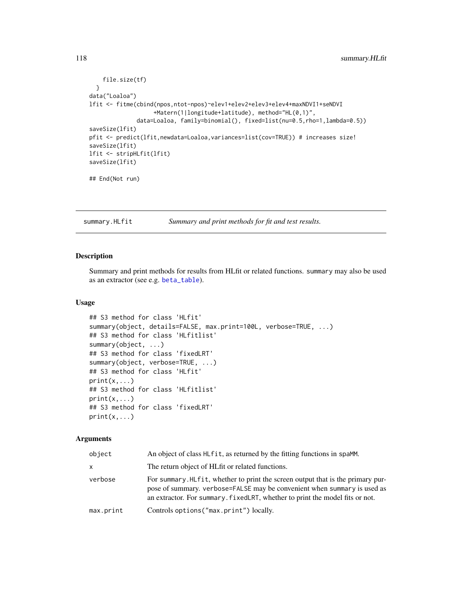```
file.size(tf)
  }
data("Loaloa")
lfit <- fitme(cbind(npos,ntot-npos)~elev1+elev2+elev3+elev4+maxNDVI1+seNDVI
                   +Matern(1|longitude+latitude), method="HL(0,1)",
              data=Loaloa, family=binomial(), fixed=list(nu=0.5,rho=1,lambda=0.5))
saveSize(lfit)
pfit <- predict(lfit,newdata=Loaloa,variances=list(cov=TRUE)) # increases size!
saveSize(lfit)
lfit <- stripHLfit(lfit)
saveSize(lfit)
## End(Not run)
```
summary.HLfit *Summary and print methods for fit and test results.*

#### Description

Summary and print methods for results from HLfit or related functions. summary may also be used as an extractor (see e.g. [beta\\_table](#page-120-0)).

#### Usage

```
## S3 method for class 'HLfit'
summary(object, details=FALSE, max.print=100L, verbose=TRUE, ...)
## S3 method for class 'HLfitlist'
summary(object, ...)
## S3 method for class 'fixedLRT'
summary(object, verbose=TRUE, ...)
## S3 method for class 'HLfit'
print(x, \ldots)## S3 method for class 'HLfitlist'
print(x, \ldots)## S3 method for class 'fixedLRT'
print(x, \ldots)
```
#### Arguments

| object    | An object of class HL fit, as returned by the fitting functions in spaMM.                                                                                                                                                                    |
|-----------|----------------------------------------------------------------------------------------------------------------------------------------------------------------------------------------------------------------------------------------------|
| x         | The return object of HLfit or related functions.                                                                                                                                                                                             |
| verbose   | For summary. HLfit, whether to print the screen output that is the primary pur-<br>pose of summary. verbose=FALSE may be convenient when summary is used as<br>an extractor. For summary, fixed LRT, whether to print the model fits or not. |
| max.print | Controls options ("max.print") locally.                                                                                                                                                                                                      |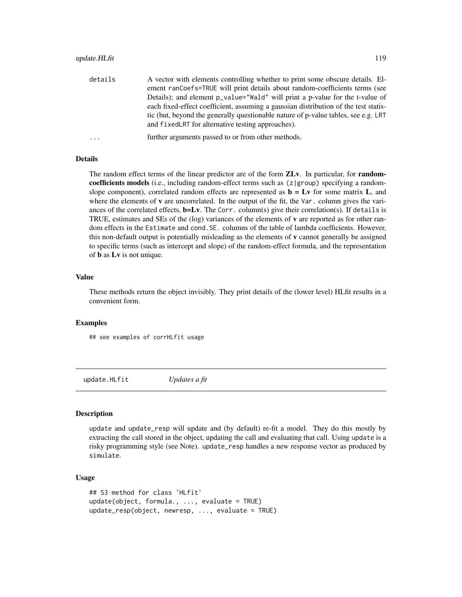# <span id="page-118-0"></span>update.HLfit 119

| details    | A vector with elements controlling whether to print some obscure details. El-       |
|------------|-------------------------------------------------------------------------------------|
|            | ement ranCoefs=TRUE will print details about random-coefficients terms (see         |
|            | Details); and element p_value="Wald" will print a p-value for the t-value of        |
|            | each fixed-effect coefficient, assuming a gaussian distribution of the test statis- |
|            | tic (but, beyond the generally questionable nature of p-value tables, see e.g. LRT  |
|            | and fixed LRT for alternative testing approaches).                                  |
| $\ddots$ . | further arguments passed to or from other methods.                                  |

#### Details

The random effect terms of the linear predictor are of the form **ZLv**. In particular, for **random**coefficients models (i.e., including random-effect terms such as (z|group) specifying a randomslope component), correlated random effects are represented as  $\mathbf{b} = \mathbf{L} \mathbf{v}$  for some matrix  $\mathbf{L}$ , and where the elements of  $\bf{v}$  are uncorrelated. In the output of the fit, the Var. column gives the variances of the correlated effects,  $\mathbf{b} = L\mathbf{v}$ . The Corr. column(s) give their correlation(s). If details is TRUE, estimates and SEs of the (log) variances of the elements of v are reported as for other random effects in the Estimate and cond.SE. columns of the table of lambda coefficients. However, this non-default output is potentially misleading as the elements of v cannot generally be assigned to specific terms (such as intercept and slope) of the random-effect formula, and the representation of b as Lv is not unique.

# Value

These methods return the object invisibly. They print details of the (lower level) HLfit results in a convenient form.

# Examples

## see examples of corrHLfit usage

update.HLfit *Updates a fit*

#### Description

update and update\_resp will update and (by default) re-fit a model. They do this mostly by extracting the call stored in the object, updating the call and evaluating that call. Using update is a risky programming style (see Note). update\_resp handles a new response vector as produced by simulate.

#### Usage

```
## S3 method for class 'HLfit'
update(object, formula., ..., evaluate = TRUE)
update_resp(object, newresp, ..., evaluate = TRUE)
```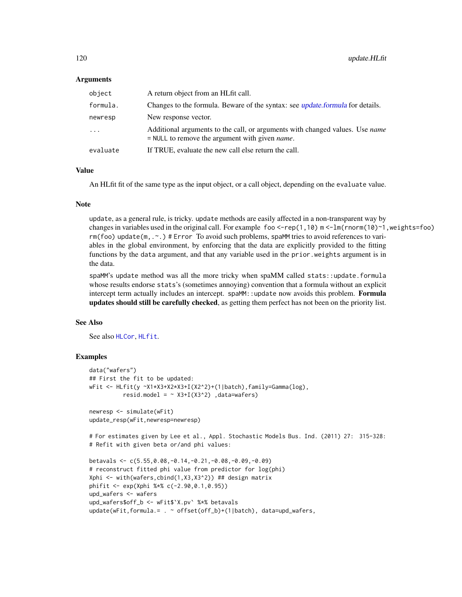#### <span id="page-119-0"></span>Arguments

| object                  | A return object from an HLfit call.                                                                                                             |
|-------------------------|-------------------------------------------------------------------------------------------------------------------------------------------------|
| formula.                | Changes to the formula. Beware of the syntax: see <i>update.formula</i> for details.                                                            |
| newresp                 | New response vector.                                                                                                                            |
| $\cdot$ $\cdot$ $\cdot$ | Additional arguments to the call, or arguments with changed values. Use <i>name</i><br>$=$ NULL to remove the argument with given <i>name</i> . |
| evaluate                | If TRUE, evaluate the new call else return the call.                                                                                            |

#### Value

An HLfit fit of the same type as the input object, or a call object, depending on the evaluate value.

#### Note

update, as a general rule, is tricky. update methods are easily affected in a non-transparent way by changes in variables used in the original call. For example foo <-rep(1,10) m <-lm(rnorm(10)~1,weights=foo) rm(foo) update(m, .~.) # Error To avoid such problems, spaMM tries to avoid references to variables in the global environment, by enforcing that the data are explicitly provided to the fitting functions by the data argument, and that any variable used in the prior.weights argument is in the data.

spaMM's update method was all the more tricky when spaMM called stats::update.formula whose results endorse stats's (sometimes annoying) convention that a formula without an explicit intercept term actually includes an intercept. spaMM: : update now avoids this problem. Formula updates should still be carefully checked, as getting them perfect has not been on the priority list.

# See Also

See also [HLCor](#page-47-0), [HLfit](#page-50-0).

# Examples

```
data("wafers")
## First the fit to be updated:
wFit <- HLfit(y ~X1*X3+X2*X3+I(X2^2)+(1|batch),family=Gamma(log),
         resid.model = \sim X3+I(X3^2) ,data=wafers)
newresp <- simulate(wFit)
update_resp(wFit,newresp=newresp)
# For estimates given by Lee et al., Appl. Stochastic Models Bus. Ind. (2011) 27: 315-328:
# Refit with given beta or/and phi values:
betavals <- c(5.55,0.08,-0.14,-0.21,-0.08,-0.09,-0.09)
# reconstruct fitted phi value from predictor for log(phi)
Xphi <- with(wafers,cbind(1,X3,X3^2)) ## design matrix
phifit <- exp(Xphi %*% c(-2.90,0.1,0.95))
upd_wafers <- wafers
upd_wafers$off_b <- wFit$`X.pv` %*% betavals
update(wFit,formula.= . ~ offset(off_b)+(1|batch), data=upd_wafers,
```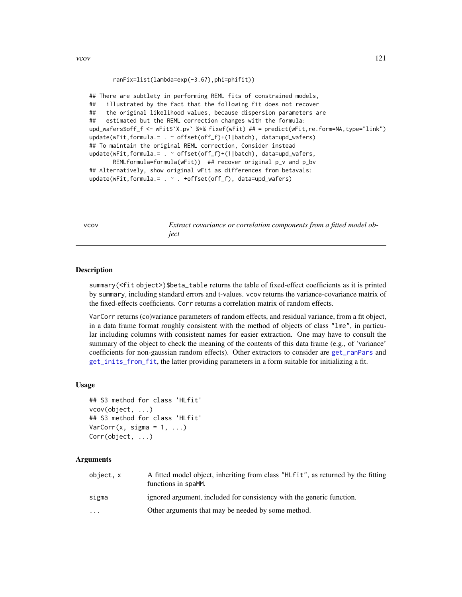```
ranFix=list(lambda=exp(-3.67),phi=phifit))
```
<span id="page-120-1"></span>## There are subtlety in performing REML fits of constrained models, ## illustrated by the fact that the following fit does not recover ## the original likelihood values, because dispersion parameters are ## estimated but the REML correction changes with the formula: upd\_wafers\$off\_f <- wFit\$`X.pv` %\*% fixef(wFit) ## = predict(wFit,re.form=NA,type="link") update(wFit,formula.= . ~ offset(off\_f)+(1|batch), data=upd\_wafers) ## To maintain the original REML correction, Consider instead update(wFit,formula.= . ~ offset(off\_f)+(1|batch), data=upd\_wafers, REMLformula=formula(wFit)) ## recover original p\_v and p\_bv ## Alternatively, show original wFit as differences from betavals:

update(wFit,formula.= . ~ . +offset(off\_f), data=upd\_wafers)

vcov *Extract covariance or correlation components from a fitted model object*

#### <span id="page-120-0"></span>Description

summary(<fit object>)\$beta\_table returns the table of fixed-effect coefficients as it is printed by summary, including standard errors and t-values. vcov returns the variance-covariance matrix of the fixed-effects coefficients. Corr returns a correlation matrix of random effects.

VarCorr returns (co)variance parameters of random effects, and residual variance, from a fit object, in a data frame format roughly consistent with the method of objects of class "lme", in particular including columns with consistent names for easier extraction. One may have to consult the summary of the object to check the meaning of the contents of this data frame (e.g., of 'variance' coefficients for non-gaussian random effects). Other extractors to consider are [get\\_ranPars](#page-43-0) and [get\\_inits\\_from\\_fit](#page-41-0), the latter providing parameters in a form suitable for initializing a fit.

# Usage

```
## S3 method for class 'HLfit'
vcov(object, ...)
## S3 method for class 'HLfit'
VarCorr(x, sigma = 1, ...)Corr(object, ...)
```
# Arguments

| object, x | A fitted model object, inheriting from class "HLfit", as returned by the fitting<br>functions in spaMM. |
|-----------|---------------------------------------------------------------------------------------------------------|
| sigma     | ignored argument, included for consistency with the generic function.                                   |
| $\ddotsc$ | Other arguments that may be needed by some method.                                                      |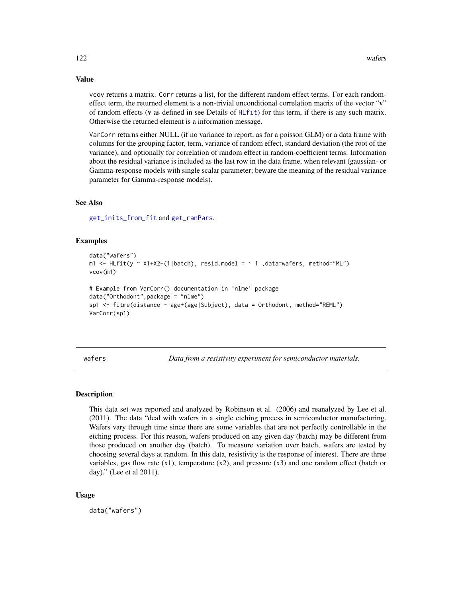vcov returns a matrix. Corr returns a list, for the different random effect terms. For each randomeffect term, the returned element is a non-trivial unconditional correlation matrix of the vector "v" of random effects (v as defined in see Details of [HLfit](#page-50-0)) for this term, if there is any such matrix. Otherwise the returned element is a information message.

VarCorr returns either NULL (if no variance to report, as for a poisson GLM) or a data frame with columns for the grouping factor, term, variance of random effect, standard deviation (the root of the variance), and optionally for correlation of random effect in random-coefficient terms. Information about the residual variance is included as the last row in the data frame, when relevant (gaussian- or Gamma-response models with single scalar parameter; beware the meaning of the residual variance parameter for Gamma-response models).

### See Also

[get\\_inits\\_from\\_fit](#page-41-0) and [get\\_ranPars](#page-43-0).

### Examples

```
data("wafers")
m1 <- HLfit(y ~ X1+X2+(1|batch), resid.model = \sim 1, data=wafers, method="ML")
vcov(m1)
# Example from VarCorr() documentation in 'nlme' package
data("Orthodont",package = "nlme")
sp1 <- fitme(distance ~ age+(age|Subject), data = Orthodont, method="REML")
```
VarCorr(sp1)

wafers *Data from a resistivity experiment for semiconductor materials.*

#### Description

This data set was reported and analyzed by Robinson et al. (2006) and reanalyzed by Lee et al. (2011). The data "deal with wafers in a single etching process in semiconductor manufacturing. Wafers vary through time since there are some variables that are not perfectly controllable in the etching process. For this reason, wafers produced on any given day (batch) may be different from those produced on another day (batch). To measure variation over batch, wafers are tested by choosing several days at random. In this data, resistivity is the response of interest. There are three variables, gas flow rate  $(x1)$ , temperature  $(x2)$ , and pressure  $(x3)$  and one random effect (batch or day)." (Lee et al 2011).

#### Usage

data("wafers")

# <span id="page-121-0"></span>Value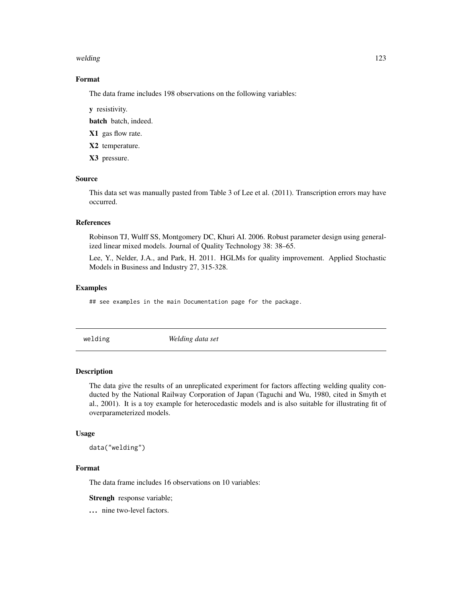#### <span id="page-122-0"></span>welding the contract of the contract of the contract of the contract of the contract of the contract of the contract of the contract of the contract of the contract of the contract of the contract of the contract of the co

# Format

The data frame includes 198 observations on the following variables:

y resistivity.

batch batch, indeed.

X1 gas flow rate.

X2 temperature.

X3 pressure.

# Source

This data set was manually pasted from Table 3 of Lee et al. (2011). Transcription errors may have occurred.

#### References

Robinson TJ, Wulff SS, Montgomery DC, Khuri AI. 2006. Robust parameter design using generalized linear mixed models. Journal of Quality Technology 38: 38–65.

Lee, Y., Nelder, J.A., and Park, H. 2011. HGLMs for quality improvement. Applied Stochastic Models in Business and Industry 27, 315-328.

#### Examples

## see examples in the main Documentation page for the package.

welding *Welding data set*

# Description

The data give the results of an unreplicated experiment for factors affecting welding quality conducted by the National Railway Corporation of Japan (Taguchi and Wu, 1980, cited in Smyth et al., 2001). It is a toy example for heterocedastic models and is also suitable for illustrating fit of overparameterized models.

#### Usage

data("welding")

# Format

The data frame includes 16 observations on 10 variables:

Strengh response variable;

... nine two-level factors.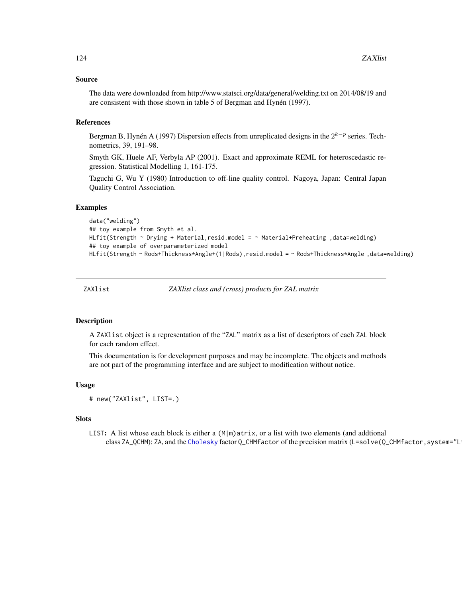#### <span id="page-123-0"></span>Source

The data were downloaded from http://www.statsci.org/data/general/welding.txt on 2014/08/19 and are consistent with those shown in table 5 of Bergman and Hynén (1997).

# References

Bergman B, Hynén A (1997) Dispersion effects from unreplicated designs in the  $2^{k-p}$  series. Technometrics, 39, 191–98.

Smyth GK, Huele AF, Verbyla AP (2001). Exact and approximate REML for heteroscedastic regression. Statistical Modelling 1, 161-175.

Taguchi G, Wu Y (1980) Introduction to off-line quality control. Nagoya, Japan: Central Japan Quality Control Association.

#### Examples

```
data("welding")
## toy example from Smyth et al.
HLfit(Strength ~ Drying + Material, resid.model = ~ Material+Preheating, data=welding)
## toy example of overparameterized model
HLfit(Strength ~ Rods+Thickness*Angle+(1|Rods), resid.model = ~ Rods+Thickness*Angle, data=welding)
```
ZAXlist *ZAXlist class and (cross) products for ZAL matrix*

#### Description

A ZAXlist object is a representation of the "ZAL" matrix as a list of descriptors of each ZAL block for each random effect.

This documentation is for development purposes and may be incomplete. The objects and methods are not part of the programming interface and are subject to modification without notice.

# Usage

```
# new("ZAXlist", LIST=.)
```
### **Slots**

LIST: A list whose each block is either a  $(M|m)$ atrix, or a list with two elements (and addtional class ZA\_QCHM): ZA, and the [Cholesky](#page-0-0) factor Q\_CHMfactor of the precision matrix (L=solve(Q\_CHMfactor, system="L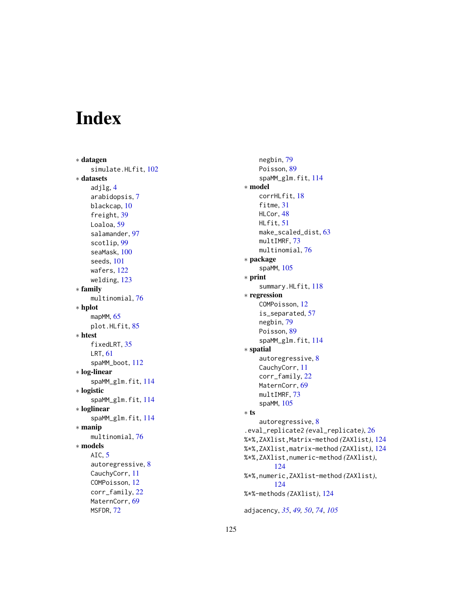# Index

∗ datagen simulate.HLfit, [102](#page-101-1) ∗ datasets adjlg , [4](#page-3-0) arabidopsis , [7](#page-6-0) blackcap , [10](#page-9-0) freight, [39](#page-38-0) Loaloa, [59](#page-58-0) salamander , [97](#page-96-0) scotlip , [99](#page-98-0) seaMask, [100](#page-99-0) seeds , [101](#page-100-0) wafers, [122](#page-121-0) welding , [123](#page-122-0) ∗ family multinomial , [76](#page-75-0) ∗ hplot mapMM, [65](#page-64-0) plot.HLfit, [85](#page-84-0) ∗ htest fixedLRT, [35](#page-34-0) LRT , [61](#page-60-0) spaMM\_boot , [112](#page-111-0) ∗ log-linear spaMM\_glm.fit , [114](#page-113-0) ∗ logistic spaMM\_glm.fit , [114](#page-113-0) ∗ loglinear spaMM\_glm.fit , [114](#page-113-0) ∗ manip multinomial , [76](#page-75-0) ∗ models AIC,  $5$ autoregressive , [8](#page-7-0) CauchyCorr , [11](#page-10-0) COMPoisson , [12](#page-11-0) corr\_family , [22](#page-21-1) MaternCorr, [69](#page-68-0) MSFDR , [72](#page-71-0)

negbin , [79](#page-78-0) Poisson, [89](#page-88-0) spaMM\_glm.fit , [114](#page-113-0) ∗ model corrHLfit , [18](#page-17-0) fitme, [31](#page-30-0) HLCor, [48](#page-47-1) HLfit , [51](#page-50-1) make\_scaled\_dist , [63](#page-62-0) multIMRF, [73](#page-72-1) multinomial , [76](#page-75-0) ∗ package spaMM , [105](#page-104-0) ∗ print summary.HLfit, [118](#page-117-0) ∗ regression COMPoisson , [12](#page-11-0) is\_separated , [57](#page-56-0) negbin , [79](#page-78-0) Poisson, [89](#page-88-0) spaMM\_glm.fit , [114](#page-113-0) ∗ spatial autoregressive , [8](#page-7-0) CauchyCorr, [11](#page-10-0) corr\_family , [22](#page-21-1) MaternCorr, <mark>[69](#page-68-0)</mark> multIMRF,[73](#page-72-1) spaMM , [105](#page-104-0) ∗ ts autoregressive , [8](#page-7-0) .eval\_replicate2 *(*eval\_replicate *)* , [26](#page-25-1) %\*%,ZAXlist,Matrix-method *(*ZAXlist *)* , [124](#page-123-0) %\*%,ZAXlist,matrix-method *(*ZAXlist *)* , [124](#page-123-0) %\*%,ZAXlist,numeric-method *(*ZAXlist *)* , [124](#page-123-0) %\*%,numeric,ZAXlist-method *(*ZAXlist *)* , [124](#page-123-0) %\*%-methods *(*ZAXlist *)* , [124](#page-123-0) adjacency , *[35](#page-34-0)* , *[49](#page-48-0) , [50](#page-49-0)* , *[74](#page-73-0)* , *[105](#page-104-0)*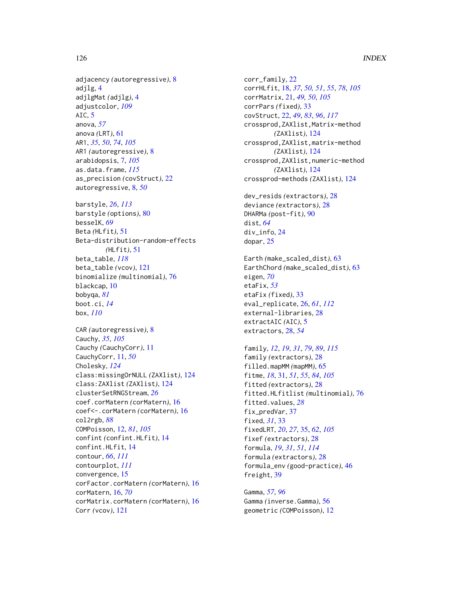adjacency *(*autoregressive*)*, [8](#page-7-0) adjlg, [4](#page-3-0) adjlgMat *(*adjlg*)*, [4](#page-3-0) adjustcolor, *[109](#page-108-0)* AIC, [5](#page-4-0) anova, *[57](#page-56-0)* anova *(*LRT*)*, [61](#page-60-0) AR1, *[35](#page-34-0)*, *[50](#page-49-0)*, *[74](#page-73-0)*, *[105](#page-104-0)* AR1 *(*autoregressive*)*, [8](#page-7-0) arabidopsis, [7,](#page-6-0) *[105](#page-104-0)* as.data.frame, *[115](#page-114-0)* as\_precision *(*covStruct*)*, [22](#page-21-1) autoregressive, [8,](#page-7-0) *[50](#page-49-0)*

barstyle, *[26](#page-25-1)*, *[113](#page-112-0)* barstyle *(*options*)*, [80](#page-79-2) besselK, *[69](#page-68-0)* Beta *(*HLfit*)*, [51](#page-50-1) Beta-distribution-random-effects *(*HLfit*)*, [51](#page-50-1) beta\_table, *[118](#page-117-0)* beta\_table *(*vcov*)*, [121](#page-120-1) binomialize *(*multinomial*)*, [76](#page-75-0) blackcap, [10](#page-9-0) bobyqa, *[81](#page-80-0)* boot.ci, *[14](#page-13-0)* box, *[110](#page-109-0)*

CAR *(*autoregressive*)*, [8](#page-7-0) Cauchy, *[35](#page-34-0)*, *[105](#page-104-0)* Cauchy *(*CauchyCorr*)*, [11](#page-10-0) CauchyCorr, [11,](#page-10-0) *[50](#page-49-0)* Cholesky, *[124](#page-123-0)* class:missingOrNULL *(*ZAXlist*)*, [124](#page-123-0) class:ZAXlist *(*ZAXlist*)*, [124](#page-123-0) clusterSetRNGStream, *[26](#page-25-1)* coef.corMatern *(*corMatern*)*, [16](#page-15-0) coef<-.corMatern *(*corMatern*)*, [16](#page-15-0) col2rgb, *[88](#page-87-0)* COMPoisson, [12,](#page-11-0) *[81](#page-80-0)*, *[105](#page-104-0)* confint *(*confint.HLfit*)*, [14](#page-13-0) confint.HLfit, [14](#page-13-0) contour, *[66](#page-65-0)*, *[111](#page-110-0)* contourplot, *[111](#page-110-0)* convergence, [15](#page-14-0) corFactor.corMatern *(*corMatern*)*, [16](#page-15-0) corMatern, [16,](#page-15-0) *[70](#page-69-0)* corMatrix.corMatern *(*corMatern*)*, [16](#page-15-0) Corr *(*vcov*)*, [121](#page-120-1)

corr\_family, [22](#page-21-1) corrHLfit, [18,](#page-17-0) *[37](#page-36-0)*, *[50,](#page-49-0) [51](#page-50-1)*, *[55](#page-54-0)*, *[78](#page-77-0)*, *[105](#page-104-0)* corrMatrix, [21,](#page-20-0) *[49,](#page-48-0) [50](#page-49-0)*, *[105](#page-104-0)* corrPars *(*fixed*)*, [33](#page-32-0) covStruct, [22,](#page-21-1) *[49](#page-48-0)*, *[83](#page-82-1)*, *[96](#page-95-0)*, *[117](#page-116-0)* crossprod,ZAXlist,Matrix-method *(*ZAXlist*)*, [124](#page-123-0) crossprod,ZAXlist,matrix-method *(*ZAXlist*)*, [124](#page-123-0) crossprod,ZAXlist,numeric-method *(*ZAXlist*)*, [124](#page-123-0) crossprod-methods *(*ZAXlist*)*, [124](#page-123-0)

dev\_resids *(*extractors*)*, [28](#page-27-1) deviance *(*extractors*)*, [28](#page-27-1) DHARMa *(*post-fit*)*, [90](#page-89-0) dist, *[64](#page-63-0)* div\_info, [24](#page-23-0) dopar, [25](#page-24-0)

Earth *(*make\_scaled\_dist*)*, [63](#page-62-0) EarthChord *(*make\_scaled\_dist*)*, [63](#page-62-0) eigen, *[70](#page-69-0)* etaFix, *[53](#page-52-0)* etaFix *(*fixed*)*, [33](#page-32-0) eval\_replicate, [26,](#page-25-1) *[61](#page-60-0)*, *[112](#page-111-0)* external-libraries, [28](#page-27-1) extractAIC *(*AIC*)*, [5](#page-4-0) extractors, [28,](#page-27-1) *[54](#page-53-0)*

family, *[12](#page-11-0)*, *[19](#page-18-0)*, *[31](#page-30-0)*, *[79](#page-78-0)*, *[89](#page-88-0)*, *[115](#page-114-0)* family *(*extractors*)*, [28](#page-27-1) filled.mapMM *(*mapMM*)*, [65](#page-64-0) fitme, *[18](#page-17-0)*, [31,](#page-30-0) *[51](#page-50-1)*, *[55](#page-54-0)*, *[84](#page-83-0)*, *[105](#page-104-0)* fitted *(*extractors*)*, [28](#page-27-1) fitted.HLfitlist *(*multinomial*)*, [76](#page-75-0) fitted.values, *[28](#page-27-1)* fix\_predVar, [37](#page-36-0) fixed, *[31](#page-30-0)*, [33](#page-32-0) fixedLRT, *[20](#page-19-0)*, *[27](#page-26-0)*, [35,](#page-34-0) *[62](#page-61-0)*, *[105](#page-104-0)* fixef *(*extractors*)*, [28](#page-27-1) formula, *[19](#page-18-0)*, *[31](#page-30-0)*, *[51](#page-50-1)*, *[114](#page-113-0)* formula *(*extractors*)*, [28](#page-27-1) formula\_env *(*good-practice*)*, [46](#page-45-0) freight, [39](#page-38-0)

Gamma, *[57](#page-56-0)*, *[96](#page-95-0)* Gamma *(*inverse.Gamma*)*, [56](#page-55-0) geometric *(*COMPoisson*)*, [12](#page-11-0)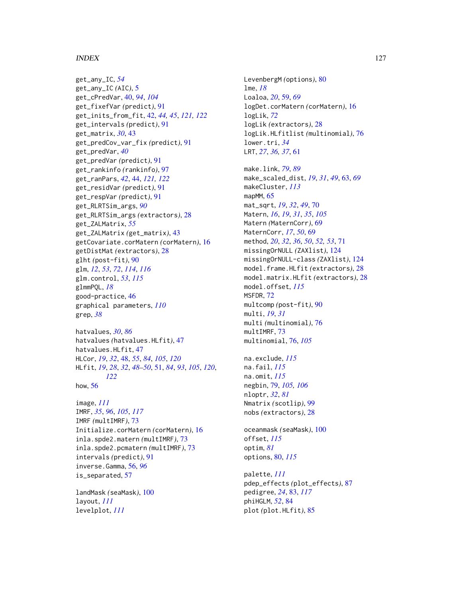#### INDEX 127

get\_any\_IC, *[54](#page-53-0)* get\_any\_IC *(*AIC*)*, [5](#page-4-0) get\_cPredVar, [40,](#page-39-0) *[94](#page-93-0)*, *[104](#page-103-0)* get\_fixefVar *(*predict*)*, [91](#page-90-0) get\_inits\_from\_fit, [42,](#page-41-1) *[44,](#page-43-1) [45](#page-44-0)*, *[121,](#page-120-1) [122](#page-121-0)* get\_intervals *(*predict*)*, [91](#page-90-0) get\_matrix, *[30](#page-29-0)*, [43](#page-42-0) get\_predCov\_var\_fix *(*predict*)*, [91](#page-90-0) get\_predVar, *[40](#page-39-0)* get\_predVar *(*predict*)*, [91](#page-90-0) get\_rankinfo *(*rankinfo*)*, [97](#page-96-0) get\_ranPars, *[42](#page-41-1)*, [44,](#page-43-1) *[121,](#page-120-1) [122](#page-121-0)* get\_residVar *(*predict*)*, [91](#page-90-0) get\_respVar *(*predict*)*, [91](#page-90-0) get\_RLRTSim\_args, *[90](#page-89-0)* get\_RLRTSim\_args *(*extractors*)*, [28](#page-27-1) get\_ZALMatrix, *[55](#page-54-0)* get\_ZALMatrix *(*get\_matrix*)*, [43](#page-42-0) getCovariate.corMatern *(*corMatern*)*, [16](#page-15-0) getDistMat *(*extractors*)*, [28](#page-27-1) glht *(*post-fit*)*, [90](#page-89-0) glm, *[12](#page-11-0)*, *[53](#page-52-0)*, *[72](#page-71-0)*, *[114](#page-113-0)*, *[116](#page-115-0)* glm.control, *[53](#page-52-0)*, *[115](#page-114-0)* glmmPQL, *[18](#page-17-0)* good-practice, [46](#page-45-0) graphical parameters, *[110](#page-109-0)* grep, *[38](#page-37-0)*

```
hatvalues, 30, 86
hatvalues (hatvalues.HLfit), 47
hatvalues.HLfit, 47
HLCor, 19, 32, 48, 55, 84, 105, 120
HLfit, 19, 28, 32, 48–50, 51, 84, 93, 105, 120,
         122
how, 56
```

```
image, 111
IMRF, 35, 96, 105, 117
IMRF (multIMRF), 73
Initialize.corMatern (corMatern), 16
inla.spde2.matern (multIMRF), 73
inla.spde2.pcmatern (multIMRF), 73
intervals (predict), 91
inverse.Gamma, 56, 96
is_separated, 57
```
landMask *(*seaMask*)*, [100](#page-99-0) layout, *[111](#page-110-0)* levelplot, *[111](#page-110-0)*

LevenbergM *(*options*)*, [80](#page-79-2) lme, *[18](#page-17-0)* Loaloa, *[20](#page-19-0)*, [59,](#page-58-0) *[69](#page-68-0)* logDet.corMatern *(*corMatern*)*, [16](#page-15-0) logLik, *[72](#page-71-0)* logLik *(*extractors*)*, [28](#page-27-1) logLik.HLfitlist *(*multinomial*)*, [76](#page-75-0) lower.tri, *[34](#page-33-0)* LRT, *[27](#page-26-0)*, *[36,](#page-35-0) [37](#page-36-0)*, [61](#page-60-0)

make.link, *[79](#page-78-0)*, *[89](#page-88-0)* make\_scaled\_dist, *[19](#page-18-0)*, *[31](#page-30-0)*, *[49](#page-48-0)*, [63,](#page-62-0) *[69](#page-68-0)* makeCluster, *[113](#page-112-0)* mapMM, [65](#page-64-0) mat\_sqrt, *[19](#page-18-0)*, *[32](#page-31-0)*, *[49](#page-48-0)*, [70](#page-69-0) Matern, *[16](#page-15-0)*, *[19](#page-18-0)*, *[31](#page-30-0)*, *[35](#page-34-0)*, *[105](#page-104-0)* Matern *(*MaternCorr*)*, [69](#page-68-0) MaternCorr, *[17](#page-16-0)*, *[50](#page-49-0)*, [69](#page-68-0) method, *[20](#page-19-0)*, *[32](#page-31-0)*, *[36](#page-35-0)*, *[50](#page-49-0)*, *[52,](#page-51-0) [53](#page-52-0)*, [71](#page-70-0) missingOrNULL *(*ZAXlist*)*, [124](#page-123-0) missingOrNULL-class *(*ZAXlist*)*, [124](#page-123-0) model.frame.HLfit *(*extractors*)*, [28](#page-27-1) model.matrix.HLfit *(*extractors*)*, [28](#page-27-1) model.offset, *[115](#page-114-0)* MSFDR, [72](#page-71-0) multcomp *(*post-fit*)*, [90](#page-89-0) multi, *[19](#page-18-0)*, *[31](#page-30-0)* multi *(*multinomial*)*, [76](#page-75-0) multIMRF, [73](#page-72-1) multinomial, [76,](#page-75-0) *[105](#page-104-0)*

na.exclude, *[115](#page-114-0)* na.fail, *[115](#page-114-0)* na.omit, *[115](#page-114-0)* negbin, [79,](#page-78-0) *[105,](#page-104-0) [106](#page-105-0)* nloptr, *[32](#page-31-0)*, *[81](#page-80-0)* Nmatrix *(*scotlip*)*, [99](#page-98-0) nobs *(*extractors*)*, [28](#page-27-1)

oceanmask *(*seaMask*)*, [100](#page-99-0) offset, *[115](#page-114-0)* optim, *[81](#page-80-0)* options, [80,](#page-79-2) *[115](#page-114-0)*

palette, *[111](#page-110-0)* pdep\_effects *(*plot\_effects*)*, [87](#page-86-0) pedigree, *[24](#page-23-0)*, [83,](#page-82-1) *[117](#page-116-0)* phiHGLM, *[52](#page-51-0)*, [84](#page-83-0) plot *(*plot.HLfit*)*, [85](#page-84-0)